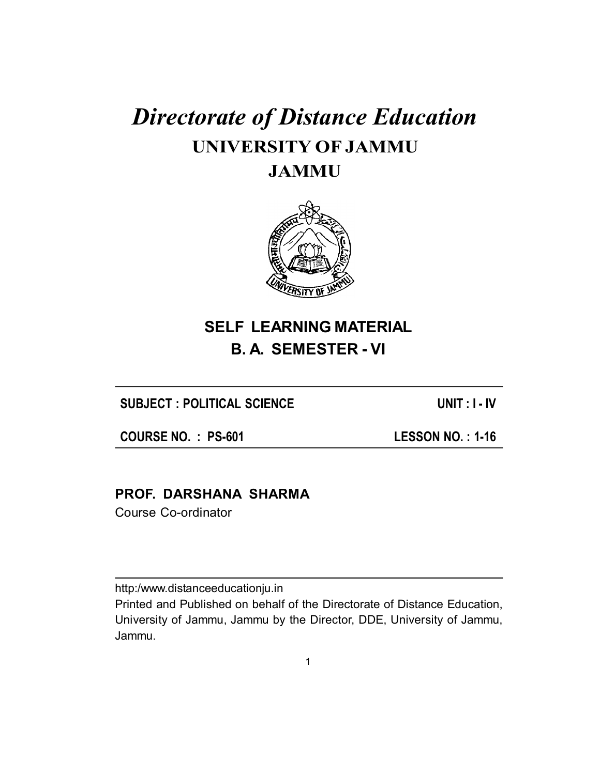# *Directorate of Distance Education* **UNIVERSITY OF JAMMU JAMMU**



## **SELF LEARNING MATERIAL B. A. SEMESTER - VI**

**SUBJECT : POLITICAL SCIENCE UNIT : I - IV**

**COURSE NO. : PS-601 LESSON NO. : 1-16**

## **PROF. DARSHANA SHARMA**

Course Co-ordinator

http:/www.distanceeducationju.in

Printed and Published on behalf of the Directorate of Distance Education, University of Jammu, Jammu by the Director, DDE, University of Jammu, Jammu.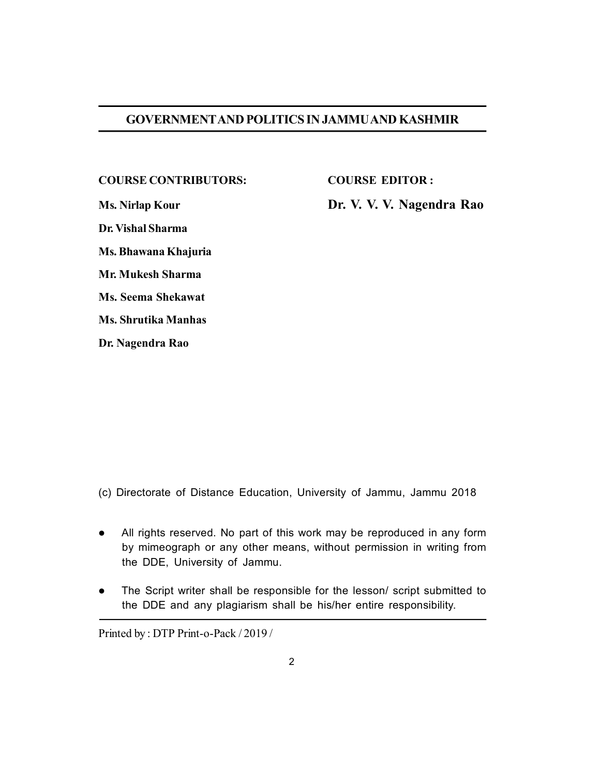#### **GOVERNMENTAND POLITICS IN JAMMU AND KASHMIR**

#### **COURSE CONTRIBUTORS: COURSE EDITOR :**

**Dr. Vishal Sharma**

**Ms. Bhawana Khajuria**

**Mr. Mukesh Sharma**

**Ms. Seema Shekawat**

**Ms. Shrutika Manhas**

**Dr. Nagendra Rao**

**Ms. Nirlap Kour Dr. V. V. V. Nagendra Rao**

(c) Directorate of Distance Education, University of Jammu, Jammu 2018

- All rights reserved. No part of this work may be reproduced in any form by mimeograph or any other means, without permission in writing from the DDE, University of Jammu.
- The Script writer shall be responsible for the lesson/ script submitted to the DDE and any plagiarism shall be his/her entire responsibility.

Printed by : DTP Print-o-Pack / 2019 /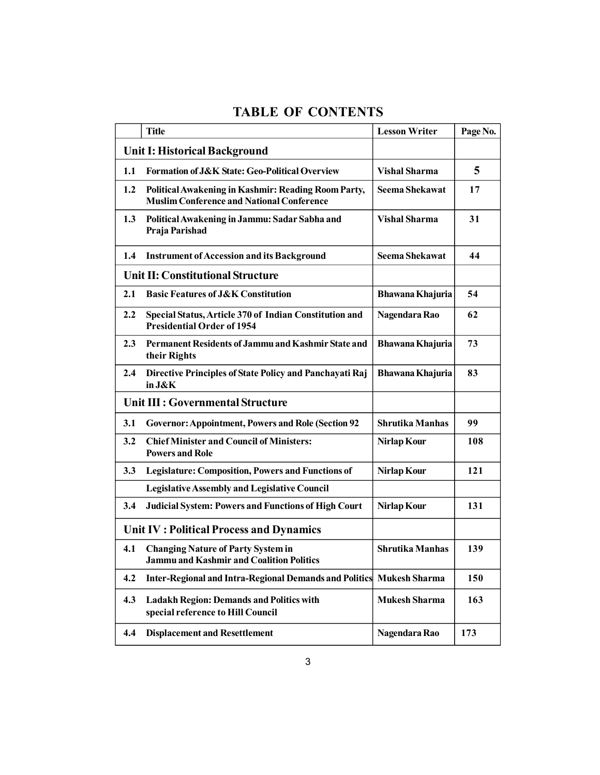## **TABLE OF CONTENTS**

|                                         | <b>Title</b>                                                                                            | <b>Lesson Writer</b>   | Page No. |
|-----------------------------------------|---------------------------------------------------------------------------------------------------------|------------------------|----------|
| Unit I: Historical Background           |                                                                                                         |                        |          |
| 1.1                                     | <b>Formation of J&amp;K State: Geo-Political Overview</b>                                               | <b>Vishal Sharma</b>   | 5        |
| 1.2                                     | Political Awakening in Kashmir: Reading Room Party,<br><b>Muslim Conference and National Conference</b> | <b>Seema Shekawat</b>  | 17       |
| 1.3                                     | Political Awakening in Jammu: Sadar Sabha and<br>Praja Parishad                                         | <b>Vishal Sharma</b>   | 31       |
| 1.4                                     | <b>Instrument of Accession and its Background</b>                                                       | <b>Seema Shekawat</b>  | 44       |
| Unit II: Constitutional Structure       |                                                                                                         |                        |          |
| 2.1                                     | <b>Basic Features of J&amp;K Constitution</b>                                                           | Bhawana Khajuria       | 54       |
| 2.2                                     | Special Status, Article 370 of Indian Constitution and<br><b>Presidential Order of 1954</b>             | Nagendara Rao          | 62       |
| 2.3                                     | Permanent Residents of Jammu and Kashmir State and<br>their Rights                                      | Bhawana Khajuria       | 73       |
| 2.4                                     | Directive Principles of State Policy and Panchayati Raj<br>in J&K                                       | Bhawana Khajuria       | 83       |
| Unit III : Governmental Structure       |                                                                                                         |                        |          |
| 3.1                                     | <b>Governor: Appointment, Powers and Role (Section 92</b>                                               | Shrutika Manhas        | 99       |
| 3.2                                     | <b>Chief Minister and Council of Ministers:</b><br><b>Powers and Role</b>                               | Nirlap Kour            | 108      |
| 3.3                                     | <b>Legislature: Composition, Powers and Functions of</b>                                                | Nirlap Kour            | 121      |
|                                         | <b>Legislative Assembly and Legislative Council</b>                                                     |                        |          |
| 3.4                                     | <b>Judicial System: Powers and Functions of High Court</b>                                              | <b>Nirlap Kour</b>     | 131      |
| Unit IV: Political Process and Dynamics |                                                                                                         |                        |          |
| 4.1                                     | <b>Changing Nature of Party System in</b><br>Jammu and Kashmir and Coalition Politics                   | <b>Shrutika Manhas</b> | 139      |
| 4.2                                     | Inter-Regional and Intra-Regional Demands and Politics Mukesh Sharma                                    |                        | 150      |
| 4.3                                     | <b>Ladakh Region: Demands and Politics with</b><br>special reference to Hill Council                    | <b>Mukesh Sharma</b>   | 163      |
| 4.4                                     | <b>Displacement and Resettlement</b>                                                                    | Nagendara Rao          | 173      |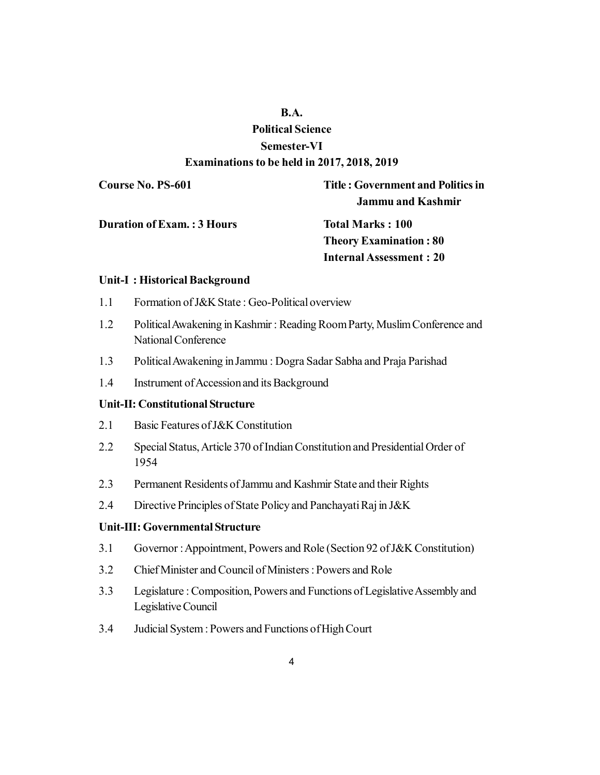### **B.A.**

## **Political Science Semester-VI Examinations to be held in 2017, 2018, 2019**

**Course No. PS-601 Title : Government and Politics in Jammu and Kashmir**

**Duration of Exam. : 3 Hours Total Marks : 100** 

**Theory Examination : 80 Internal Assessment : 20**

#### **Unit-I : Historical Background**

- 1.1 Formation of J&K State : Geo-Political overview
- 1.2 Political Awakening in Kashmir : Reading Room Party, Muslim Conference and National Conference
- 1.3 Political Awakening in Jammu : Dogra Sadar Sabha and Praja Parishad
- 1.4 Instrument of Accession and its Background

#### **Unit-II: Constitutional Structure**

- 2.1 Basic Features of J&K Constitution
- 2.2 Special Status, Article 370 of Indian Constitution and Presidential Order of 1954
- 2.3 Permanent Residents of Jammu and Kashmir State and their Rights
- 2.4 Directive Principles of State Policy and Panchayati Raj in J&K

#### **Unit-III: Governmental Structure**

- 3.1 Governor : Appointment, Powers and Role (Section 92 of J&K Constitution)
- 3.2 Chief Minister and Council of Ministers : Powers and Role
- 3.3 Legislature : Composition, Powers and Functions of Legislative Assembly and Legislative Council
- 3.4 Judicial System : Powers and Functions of High Court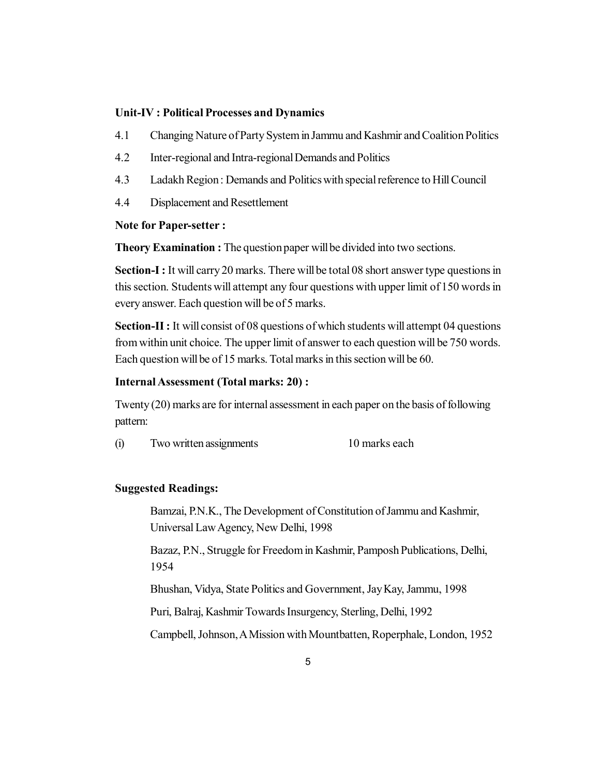#### **Unit-IV : Political Processes and Dynamics**

- 4.1 Changing Nature of Party System in Jammu and Kashmir and Coalition Politics
- 4.2 Inter-regional and Intra-regional Demands and Politics
- 4.3 Ladakh Region : Demands and Politics with special reference to Hill Council
- 4.4 Displacement and Resettlement

#### **Note for Paper-setter :**

**Theory Examination :** The question paper will be divided into two sections.

**Section-I :** It will carry 20 marks. There will be total 08 short answer type questions in this section. Students will attempt any four questions with upper limit of 150 words in every answer. Each question will be of 5 marks.

**Section-II :** It will consist of 08 questions of which students will attempt 04 questions from within unit choice. The upper limit of answer to each question will be 750 words. Each question will be of 15 marks. Total marks in this section will be 60.

#### **Internal Assessment (Total marks: 20) :**

Twenty (20) marks are for internal assessment in each paper on the basis of following pattern:

(i) Two written assignments 10 marks each

#### **Suggested Readings:**

Bamzai, P.N.K., The Development of Constitution of Jammu and Kashmir, Universal Law Agency, New Delhi, 1998

Bazaz, P.N., Struggle for Freedom in Kashmir, Pamposh Publications, Delhi, 1954

Bhushan, Vidya, State Politics and Government, Jay Kay, Jammu, 1998

Puri, Balraj, Kashmir Towards Insurgency, Sterling, Delhi, 1992

Campbell, Johnson, A Mission with Mountbatten, Roperphale, London, 1952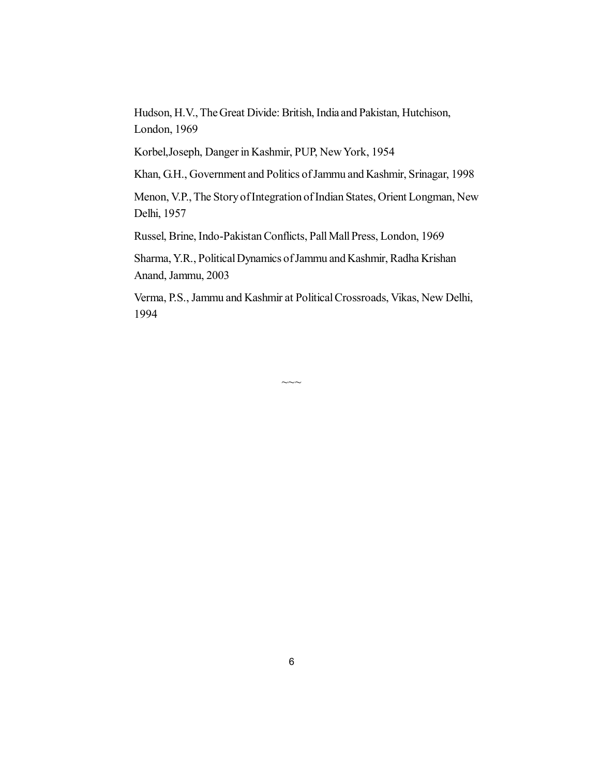Hudson, H.V., The Great Divide: British, India and Pakistan, Hutchison, London, 1969

Korbel,Joseph, Danger in Kashmir, PUP, New York, 1954

Khan, G.H., Government and Politics of Jammu and Kashmir, Srinagar, 1998

Menon, V.P., The Story of Integration of Indian States, Orient Longman, New Delhi, 1957

Russel, Brine, Indo-Pakistan Conflicts, Pall Mall Press, London, 1969

Sharma, Y.R., Political Dynamics of Jammu and Kashmir, Radha Krishan Anand, Jammu, 2003

Verma, P.S., Jammu and Kashmir at Political Crossroads, Vikas, New Delhi, 1994

 $\sim\sim$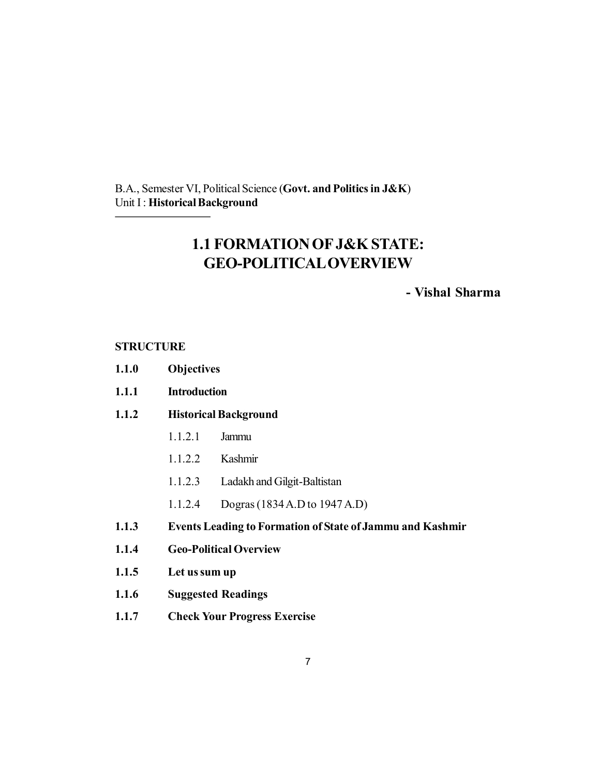B.A., Semester VI, Political Science (**Govt. and Politics in J&K**) Unit I : **Historical Background**

## **1.1 FORMATION OF J&K STATE: GEO-POLITICAL OVERVIEW**

## **- Vishal Sharma**

#### **STRUCTURE**

- **1.1.0 Objectives**
- **1.1.1 Introduction**
- **1.1.2 Historical Background**
	- 1.1.2.1 Jammu
	- 1.1.2.2 Kashmir
	- 1.1.2.3 Ladakh and Gilgit-Baltistan
	- 1.1.2.4 Dogras (1834 A.D to 1947 A.D)
- **1.1.3 Events Leading to Formation of State of Jammu and Kashmir**
- **1.1.4 Geo-Political Overview**
- **1.1.5 Let us sum up**
- **1.1.6 Suggested Readings**
- **1.1.7 Check Your Progress Exercise**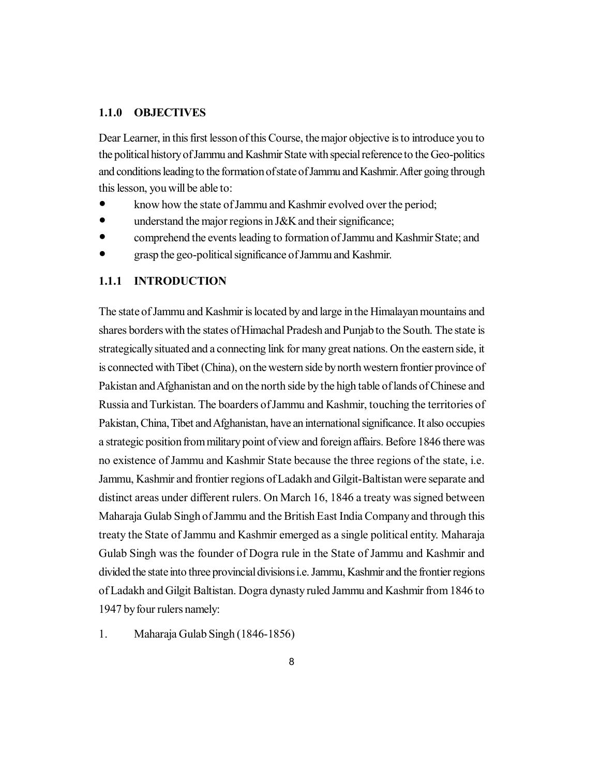#### **1.1.0 OBJECTIVES**

Dear Learner, in this first lesson of this Course, the major objective is to introduce you to the political history of Jammu and Kashmir State with special reference to the Geo-politics and conditions leading to the formation of state of Jammu and Kashmir. After going through this lesson, you will be able to:

- know how the state of Jammu and Kashmir evolved over the period;
- understand the major regions in J&K and their significance;
- comprehend the events leading to formation of Jammu and Kashmir State; and
- grasp the geo-political significance of Jammu and Kashmir.

#### **1.1.1 INTRODUCTION**

The state of Jammu and Kashmir is located by and large in the Himalayan mountains and shares borders with the states of Himachal Pradesh and Punjab to the South. The state is strategically situated and a connecting link for many great nations. On the eastern side, it is connected with Tibet (China), on the western side by north western frontier province of Pakistan and Afghanistan and on the north side by the high table of lands of Chinese and Russia and Turkistan. The boarders of Jammu and Kashmir, touching the territories of Pakistan, China, Tibet and Afghanistan, have an international significance. It also occupies a strategic position from military point of view and foreign affairs. Before 1846 there was no existence of Jammu and Kashmir State because the three regions of the state, i.e. Jammu, Kashmir and frontier regions of Ladakh and Gilgit-Baltistan were separate and distinct areas under different rulers. On March 16, 1846 a treaty was signed between Maharaja Gulab Singh of Jammu and the British East India Company and through this treaty the State of Jammu and Kashmir emerged as a single political entity. Maharaja Gulab Singh was the founder of Dogra rule in the State of Jammu and Kashmir and divided the state into three provincial divisions i.e. Jammu, Kashmir and the frontier regions of Ladakh and Gilgit Baltistan. Dogra dynasty ruled Jammu and Kashmir from 1846 to 1947 by four rulers namely:

1. Maharaja Gulab Singh (1846-1856)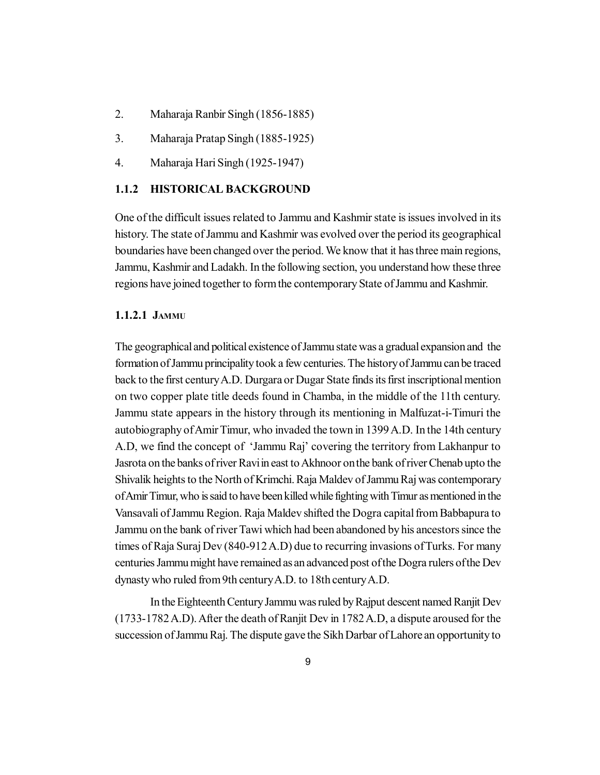- 2. Maharaja Ranbir Singh (1856-1885)
- 3. Maharaja Pratap Singh (1885-1925)
- 4. Maharaja Hari Singh (1925-1947)

#### **1.1.2 HISTORICAL BACKGROUND**

One of the difficult issues related to Jammu and Kashmir state is issues involved in its history. The state of Jammu and Kashmir was evolved over the period its geographical boundaries have been changed over the period. We know that it has three main regions, Jammu, Kashmir and Ladakh. In the following section, you understand how these three regions have joined together to form the contemporary State of Jammu and Kashmir.

#### **1.1.2.1 JAMMU**

The geographical and political existence of Jammu state was a gradual expansion and the formation of Jammu principality took a few centuries. The history of Jammu can be traced back to the first century A.D. Durgara or Dugar State finds its first inscriptional mention on two copper plate title deeds found in Chamba, in the middle of the 11th century. Jammu state appears in the history through its mentioning in Malfuzat-i-Timuri the autobiography of Amir Timur, who invaded the town in 1399 A.D. In the 14th century A.D, we find the concept of 'Jammu Raj' covering the territory from Lakhanpur to Jasrota on the banks of river Ravi in east to Akhnoor on the bank of river Chenab upto the Shivalik heights to the North of Krimchi. Raja Maldev of Jammu Raj was contemporary of Amir Timur, who is said to have been killed while fighting with Timur as mentioned in the Vansavali of Jammu Region. Raja Maldev shifted the Dogra capital from Babbapura to Jammu on the bank of river Tawi which had been abandoned by his ancestors since the times of Raja Suraj Dev (840-912 A.D) due to recurring invasions of Turks. For many centuries Jammu might have remained as an advanced post of the Dogra rulers of the Dev dynasty who ruled from 9th century A.D. to 18th century A.D.

In the Eighteenth Century Jammu was ruled by Rajput descent named Ranjit Dev (1733-1782 A.D). After the death of Ranjit Dev in 1782 A.D, a dispute aroused for the succession of Jammu Raj. The dispute gave the Sikh Darbar of Lahore an opportunity to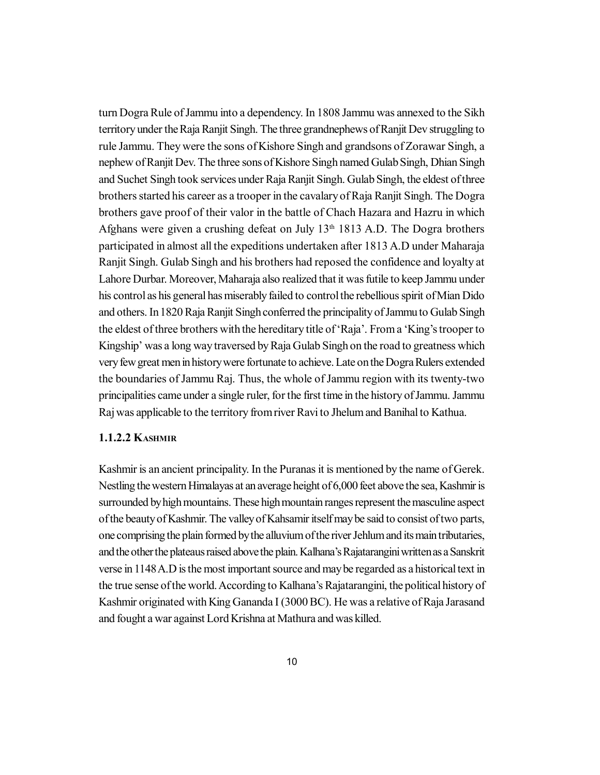turn Dogra Rule of Jammu into a dependency. In 1808 Jammu was annexed to the Sikh territory under the Raja Ranjit Singh. The three grandnephews of Ranjit Dev struggling to rule Jammu. They were the sons of Kishore Singh and grandsons of Zorawar Singh, a nephew of Ranjit Dev. The three sons of Kishore Singh named Gulab Singh, Dhian Singh and Suchet Singh took services under Raja Ranjit Singh. Gulab Singh, the eldest of three brothers started his career as a trooper in the cavalary of Raja Ranjit Singh. The Dogra brothers gave proof of their valor in the battle of Chach Hazara and Hazru in which Afghans were given a crushing defeat on July 13th 1813 A.D. The Dogra brothers participated in almost all the expeditions undertaken after 1813 A.D under Maharaja Ranjit Singh. Gulab Singh and his brothers had reposed the confidence and loyalty at Lahore Durbar. Moreover, Maharaja also realized that it was futile to keep Jammu under his control as his general has miserably failed to control the rebellious spirit of Mian Dido and others. In 1820 Raja Ranjit Singh conferred the principality of Jammu to Gulab Singh the eldest of three brothers with the hereditary title of 'Raja'. From a 'King's trooper to Kingship' was a long way traversed by Raja Gulab Singh on the road to greatness which very few great men in history were fortunate to achieve. Late on the Dogra Rulers extended the boundaries of Jammu Raj. Thus, the whole of Jammu region with its twenty-two principalities came under a single ruler, for the first time in the history of Jammu. Jammu Raj was applicable to the territory from river Ravi to Jhelum and Banihal to Kathua.

#### **1.1.2.2 KASHMIR**

Kashmir is an ancient principality. In the Puranas it is mentioned by the name of Gerek. Nestling the western Himalayas at an average height of 6,000 feet above the sea, Kashmir is surrounded by high mountains. These high mountain ranges represent the masculine aspect of the beauty of Kashmir. The valley of Kahsamir itself may be said to consist of two parts, one comprising the plain formed by the alluvium of the river Jehlum and its main tributaries, and the other the plateaus raised above the plain. Kalhana's Rajatarangini written as a Sanskrit verse in 1148 A.D is the most important source and may be regarded as a historical text in the true sense of the world. According to Kalhana's Rajatarangini, the political history of Kashmir originated with King Gananda I (3000 BC). He was a relative of Raja Jarasand and fought a war against Lord Krishna at Mathura and was killed.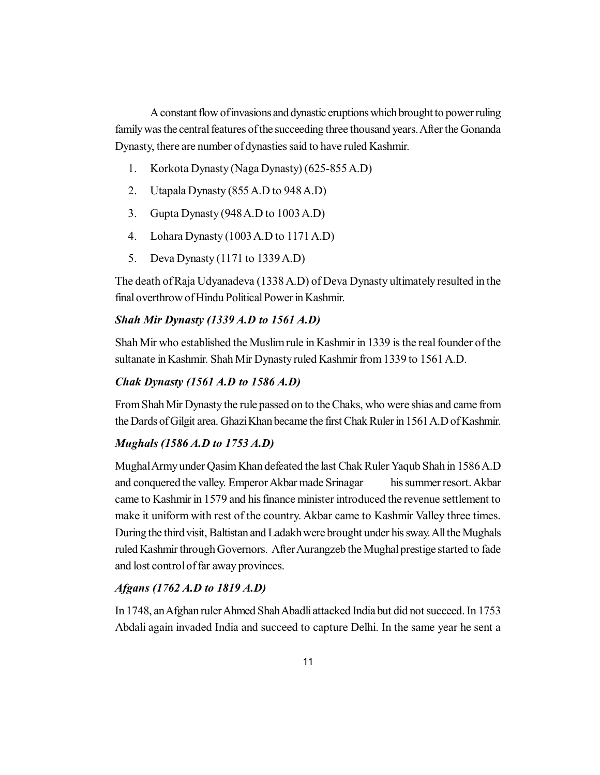A constant flow of invasions and dynastic eruptions which brought to power ruling family was the central features of the succeeding three thousand years. After the Gonanda Dynasty, there are number of dynasties said to have ruled Kashmir.

- 1. Korkota Dynasty (Naga Dynasty) (625-855 A.D)
- 2. Utapala Dynasty (855 A.D to 948 A.D)
- 3. Gupta Dynasty (948 A.D to 1003 A.D)
- 4. Lohara Dynasty (1003 A.D to 1171 A.D)
- 5. Deva Dynasty (1171 to 1339 A.D)

The death of Raja Udyanadeva (1338 A.D) of Deva Dynasty ultimately resulted in the final overthrow of Hindu Political Power in Kashmir.

#### *Shah Mir Dynasty (1339 A.D to 1561 A.D)*

Shah Mir who established the Muslim rule in Kashmir in 1339 is the real founder of the sultanate in Kashmir. Shah Mir Dynasty ruled Kashmir from 1339 to 1561 A.D.

#### *Chak Dynasty (1561 A.D to 1586 A.D)*

From Shah Mir Dynasty the rule passed on to the Chaks, who were shias and came from the Dards of Gilgit area. Ghazi Khan became the first Chak Ruler in 1561 A.D of Kashmir.

#### *Mughals (1586 A.D to 1753 A.D)*

Mughal Army under Qasim Khan defeated the last Chak Ruler Yaqub Shah in 1586 A.D and conquered the valley. Emperor Akbar made Srinagar his summer resort. Akbar came to Kashmir in 1579 and his finance minister introduced the revenue settlement to make it uniform with rest of the country. Akbar came to Kashmir Valley three times. During the third visit, Baltistan and Ladakh were brought under his sway. All the Mughals ruled Kashmir through Governors. After Aurangzeb the Mughal prestige started to fade and lost control of far away provinces.

#### *Afgans (1762 A.D to 1819 A.D)*

In 1748, an Afghan ruler Ahmed Shah Abadli attacked India but did not succeed. In 1753 Abdali again invaded India and succeed to capture Delhi. In the same year he sent a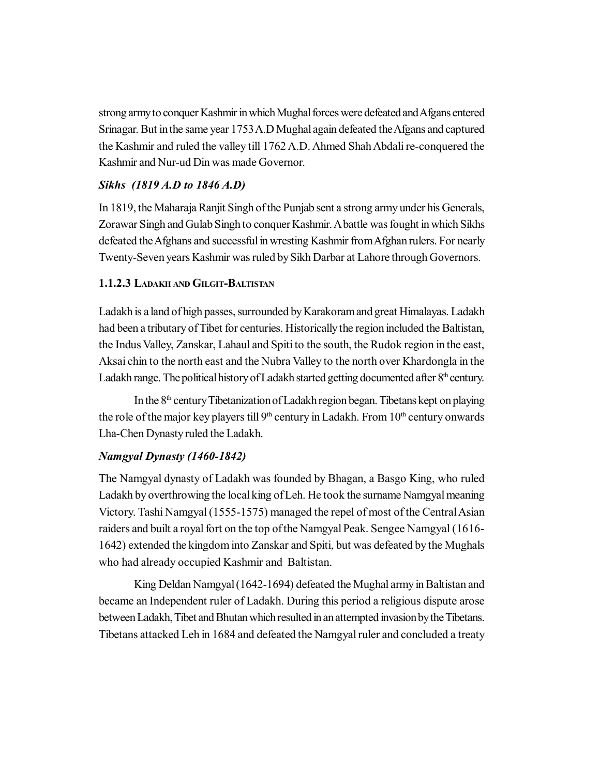strong army to conquer Kashmir in which Mughal forces were defeated and Afgans entered Srinagar. But in the same year 1753 A.D Mughal again defeated the Afgans and captured the Kashmir and ruled the valley till 1762 A.D. Ahmed Shah Abdali re-conquered the Kashmir and Nur-ud Din was made Governor.

## *Sikhs (1819 A.D to 1846 A.D)*

In 1819, the Maharaja Ranjit Singh of the Punjab sent a strong army under his Generals, Zorawar Singh and Gulab Singh to conquer Kashmir. A battle was fought in which Sikhs defeated the Afghans and successful in wresting Kashmir from Afghan rulers. For nearly Twenty-Seven years Kashmir was ruled by Sikh Darbar at Lahore through Governors.

## **1.1.2.3 LADAKH AND GILGIT-BALTISTAN**

Ladakh is a land of high passes, surrounded by Karakoram and great Himalayas. Ladakh had been a tributary of Tibet for centuries. Historically the region included the Baltistan, the Indus Valley, Zanskar, Lahaul and Spiti to the south, the Rudok region in the east, Aksai chin to the north east and the Nubra Valley to the north over Khardongla in the Ladakh range. The political history of Ladakh started getting documented after  $8<sup>th</sup>$  century.

In the  $8<sup>th</sup>$  century Tibetanization of Ladakh region began. Tibetans kept on playing the role of the major key players till  $9<sup>th</sup>$  century in Ladakh. From  $10<sup>th</sup>$  century onwards Lha-Chen Dynasty ruled the Ladakh.

## *Namgyal Dynasty (1460-1842)*

The Namgyal dynasty of Ladakh was founded by Bhagan, a Basgo King, who ruled Ladakh by overthrowing the local king of Leh. He took the surname Namgyal meaning Victory. Tashi Namgyal (1555-1575) managed the repel of most of the Central Asian raiders and built a royal fort on the top of the Namgyal Peak. Sengee Namgyal (1616- 1642) extended the kingdom into Zanskar and Spiti, but was defeated by the Mughals who had already occupied Kashmir and Baltistan.

King Deldan Namgyal (1642-1694) defeated the Mughal army in Baltistan and became an Independent ruler of Ladakh. During this period a religious dispute arose between Ladakh, Tibet and Bhutan which resulted in an attempted invasion by the Tibetans. Tibetans attacked Leh in 1684 and defeated the Namgyal ruler and concluded a treaty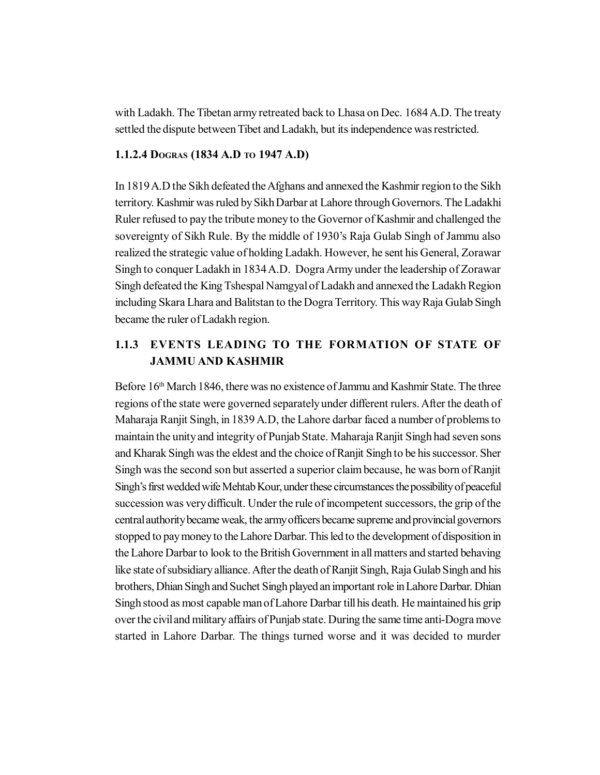with Ladakh. The Tibetan army retreated back to Lhasa on Dec. 1684 A.D. The treaty settled the dispute between Tibet and Ladakh, but its independence was restricted.

### **1.1.2.4 DOGRAS (1834 A.D TO 1947 A.D)**

In 1819 A.D the Sikh defeated the Afghans and annexed the Kashmir region to the Sikh territory. Kashmir was ruled by Sikh Darbar at Lahore through Governors. The Ladakhi Ruler refused to pay the tribute money to the Governor of Kashmir and challenged the sovereignty of Sikh Rule. By the middle of 1930's Raja Gulab Singh of Jammu also realized the strategic value of holding Ladakh. However, he sent his General, Zorawar Singh to conquer Ladakh in 1834 A.D. Dogra Army under the leadership of Zorawar Singh defeated the King Tshespal Namgyal of Ladakh and annexed the Ladakh Region including Skara Lhara and Balitstan to the Dogra Territory. This way Raja Gulab Singh became the ruler of Ladakh region.

## **1.1.3 EVENTS LEADING TO THE FORMATION OF STATE OF JAMMU AND KASHMIR**

Before 16<sup>th</sup> March 1846, there was no existence of Jammu and Kashmir State. The three regions of the state were governed separately under different rulers. After the death of Maharaja Ranjit Singh, in 1839 A.D, the Lahore darbar faced a number of problems to maintain the unity and integrity of Punjab State. Maharaja Ranjit Singh had seven sons and Kharak Singh was the eldest and the choice of Ranjit Singh to be his successor. Sher Singh was the second son but asserted a superior claim because, he was born of Ranjit Singh's first wedded wife Mehtab Kour, under these circumstances the possibility of peaceful succession was very difficult. Under the rule of incompetent successors, the grip of the central authority became weak, the army officers became supreme and provincial governors stopped to pay money to the Lahore Darbar. This led to the development of disposition in the Lahore Darbar to look to the British Government in all matters and started behaving like state of subsidiary alliance. After the death of Ranjit Singh, Raja Gulab Singh and his brothers, Dhian Singh and Suchet Singh played an important role in Lahore Darbar. Dhian Singh stood as most capable man of Lahore Darbar till his death. He maintained his grip over the civil and military affairs of Punjab state. During the same time anti-Dogra move started in Lahore Darbar. The things turned worse and it was decided to murder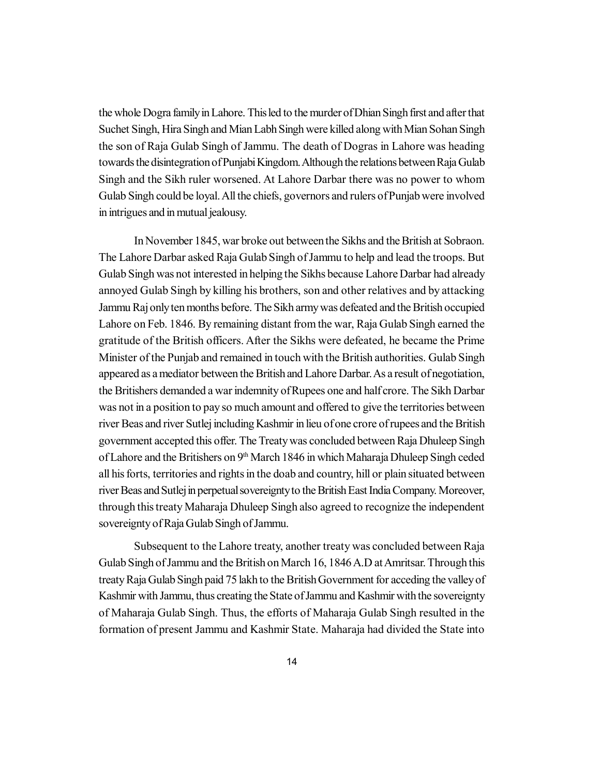the whole Dogra family in Lahore. This led to the murder of Dhian Singh first and after that Suchet Singh, Hira Singh and Mian Labh Singh were killed along with Mian Sohan Singh the son of Raja Gulab Singh of Jammu. The death of Dogras in Lahore was heading towards the disintegration of Punjabi Kingdom. Although the relations between Raja Gulab Singh and the Sikh ruler worsened. At Lahore Darbar there was no power to whom Gulab Singh could be loyal. All the chiefs, governors and rulers of Punjab were involved in intrigues and in mutual jealousy.

In November 1845, war broke out between the Sikhs and the British at Sobraon. The Lahore Darbar asked Raja Gulab Singh of Jammu to help and lead the troops. But Gulab Singh was not interested in helping the Sikhs because Lahore Darbar had already annoyed Gulab Singh by killing his brothers, son and other relatives and by attacking Jammu Raj only ten months before. The Sikh army was defeated and the British occupied Lahore on Feb. 1846. By remaining distant from the war, Raja Gulab Singh earned the gratitude of the British officers. After the Sikhs were defeated, he became the Prime Minister of the Punjab and remained in touch with the British authorities. Gulab Singh appeared as a mediator between the British and Lahore Darbar. As a result of negotiation, the Britishers demanded a war indemnity of Rupees one and half crore. The Sikh Darbar was not in a position to pay so much amount and offered to give the territories between river Beas and river Sutlej including Kashmir in lieu of one crore of rupees and the British government accepted this offer. The Treaty was concluded between Raja Dhuleep Singh of Lahore and the Britishers on 9<sup>th</sup> March 1846 in which Maharaja Dhuleep Singh ceded all his forts, territories and rights in the doab and country, hill or plain situated between river Beas and Sutlej in perpetual sovereignty to the British East India Company. Moreover, through this treaty Maharaja Dhuleep Singh also agreed to recognize the independent sovereignty of Raja Gulab Singh of Jammu.

Subsequent to the Lahore treaty, another treaty was concluded between Raja Gulab Singh of Jammu and the British on March 16, 1846 A.D at Amritsar. Through this treaty Raja Gulab Singh paid 75 lakh to the British Government for acceding the valley of Kashmir with Jammu, thus creating the State of Jammu and Kashmir with the sovereignty of Maharaja Gulab Singh. Thus, the efforts of Maharaja Gulab Singh resulted in the formation of present Jammu and Kashmir State. Maharaja had divided the State into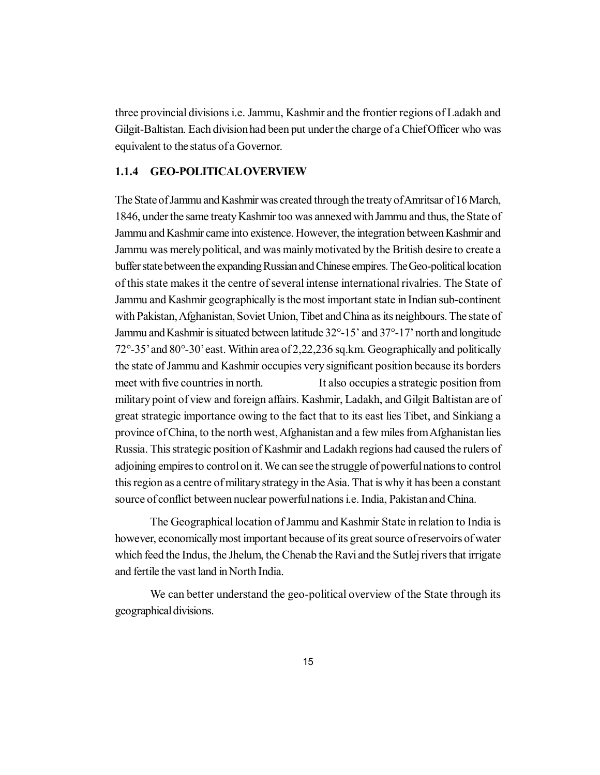three provincial divisions i.e. Jammu, Kashmir and the frontier regions of Ladakh and Gilgit-Baltistan. Each division had been put under the charge of a Chief Officer who was equivalent to the status of a Governor.

#### **1.1.4 GEO-POLITICAL OVERVIEW**

The State of Jammu and Kashmir was created through the treaty of Amritsar of 16 March, 1846, under the same treaty Kashmir too was annexed with Jammu and thus, the State of Jammu and Kashmir came into existence. However, the integration between Kashmir and Jammu was merely political, and was mainly motivated by the British desire to create a buffer state between the expanding Russian and Chinese empires. The Geo-political location of this state makes it the centre of several intense international rivalries. The State of Jammu and Kashmir geographically is the most important state in Indian sub-continent with Pakistan, Afghanistan, Soviet Union, Tibet and China as its neighbours. The state of Jammu and Kashmir is situated between latitude 32°-15' and 37°-17' north and longitude 72°-35' and 80°-30' east. Within area of 2,22,236 sq.km. Geographically and politically the state of Jammu and Kashmir occupies very significant position because its borders meet with five countries in north. It also occupies a strategic position from military point of view and foreign affairs. Kashmir, Ladakh, and Gilgit Baltistan are of great strategic importance owing to the fact that to its east lies Tibet, and Sinkiang a province of China, to the north west, Afghanistan and a few miles from Afghanistan lies Russia. This strategic position of Kashmir and Ladakh regions had caused the rulers of adjoining empires to control on it. We can see the struggle of powerful nations to control this region as a centre of military strategy in the Asia. That is why it has been a constant source of conflict between nuclear powerful nations i.e. India, Pakistan and China.

The Geographical location of Jammu and Kashmir State in relation to India is however, economically most important because of its great source of reservoirs of water which feed the Indus, the Jhelum, the Chenab the Ravi and the Sutlej rivers that irrigate and fertile the vast land in North India.

We can better understand the geo-political overview of the State through its geographical divisions.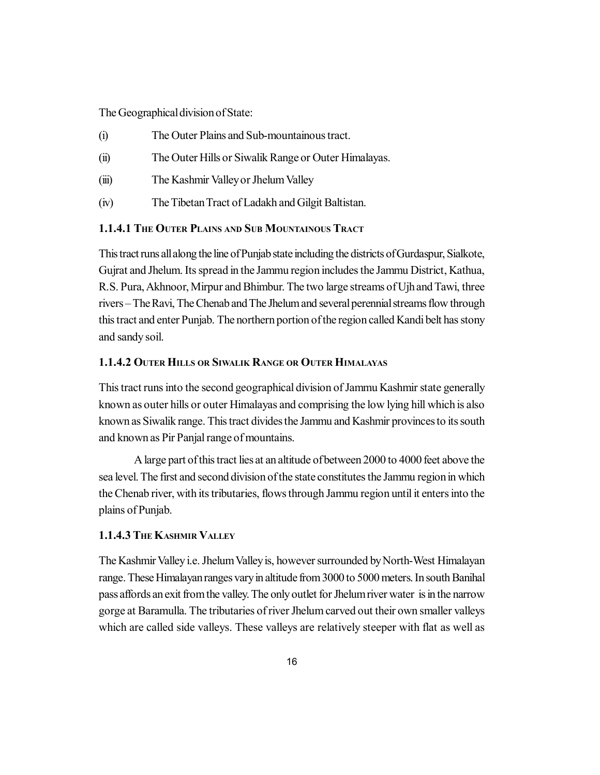The Geographical division of State:

- (i) The Outer Plains and Sub-mountainous tract.
- (ii) The Outer Hills or Siwalik Range or Outer Himalayas.
- (iii) The Kashmir Valley or Jhelum Valley
- (iv) The Tibetan Tract of Ladakh and Gilgit Baltistan.

#### **1.1.4.1 THE OUTER PLAINS AND SUB MOUNTAINOUS TRACT**

This tract runs all along the line of Punjab state including the districts of Gurdaspur, Sialkote, Gujrat and Jhelum. Its spread in the Jammu region includes the Jammu District, Kathua, R.S. Pura, Akhnoor, Mirpur and Bhimbur. The two large streams of Ujh and Tawi, three rivers – The Ravi, The Chenab and The Jhelum and several perennial streams flow through this tract and enter Punjab. The northern portion of the region called Kandi belt has stony and sandy soil.

#### **1.1.4.2 OUTER HILLS OR SIWALIK RANGE OR OUTER HIMALAYAS**

This tract runs into the second geographical division of Jammu Kashmir state generally known as outer hills or outer Himalayas and comprising the low lying hill which is also known as Siwalik range. This tract divides the Jammu and Kashmir provinces to its south and known as Pir Panjal range of mountains.

A large part of this tract lies at an altitude of between 2000 to 4000 feet above the sea level. The first and second division of the state constitutes the Jammu region in which the Chenab river, with its tributaries, flows through Jammu region until it enters into the plains of Punjab.

#### **1.1.4.3 THE KASHMIR VALLEY**

The Kashmir Valley i.e. Jhelum Valley is, however surrounded by North-West Himalayan range. These Himalayan ranges vary in altitude from 3000 to 5000 meters. In south Banihal pass affords an exit from the valley. The only outlet for Jhelum river water is in the narrow gorge at Baramulla. The tributaries of river Jhelum carved out their own smaller valleys which are called side valleys. These valleys are relatively steeper with flat as well as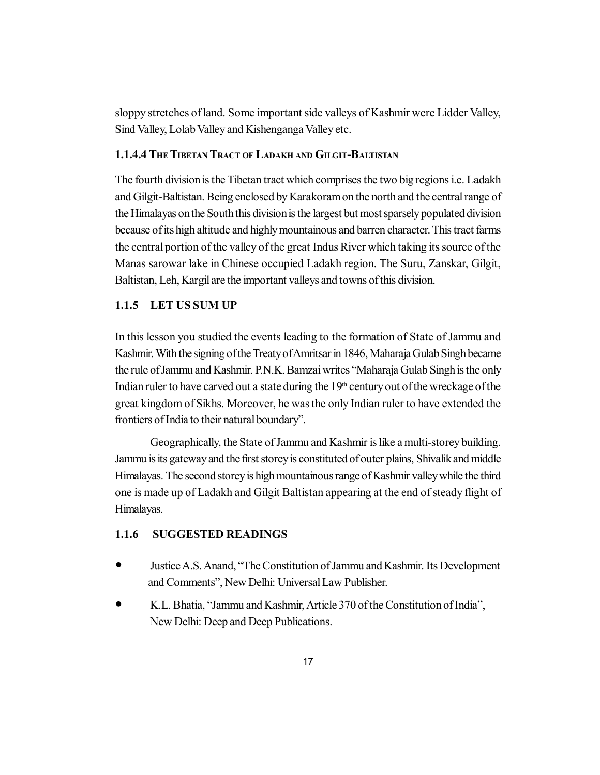sloppy stretches of land. Some important side valleys of Kashmir were Lidder Valley, Sind Valley, Lolab Valley and Kishenganga Valley etc.

#### **1.1.4.4 THE TIBETAN TRACT OF LADAKH AND GILGIT-BALTISTAN**

The fourth division is the Tibetan tract which comprises the two big regions i.e. Ladakh and Gilgit-Baltistan. Being enclosed by Karakoram on the north and the central range of the Himalayas on the South this division is the largest but most sparsely populated division because of its high altitude and highly mountainous and barren character. This tract farms the central portion of the valley of the great Indus River which taking its source of the Manas sarowar lake in Chinese occupied Ladakh region. The Suru, Zanskar, Gilgit, Baltistan, Leh, Kargil are the important valleys and towns of this division.

### **1.1.5 LET US SUM UP**

In this lesson you studied the events leading to the formation of State of Jammu and Kashmir. With the signing of the Treaty of Amritsar in 1846, Maharaja Gulab Singh became the rule of Jammu and Kashmir. P.N.K. Bamzai writes "Maharaja Gulab Singh is the only Indian ruler to have carved out a state during the  $19<sup>th</sup>$  century out of the wreckage of the great kingdom of Sikhs. Moreover, he was the only Indian ruler to have extended the frontiers of India to their natural boundary".

Geographically, the State of Jammu and Kashmir is like a multi-storey building. Jammu is its gateway and the first storey is constituted of outer plains, Shivalik and middle Himalayas. The second storey is high mountainous range of Kashmir valley while the third one is made up of Ladakh and Gilgit Baltistan appearing at the end of steady flight of Himalayas.

## **1.1.6 SUGGESTED READINGS**

- Justice A.S. Anand, "The Constitution of Jammu and Kashmir. Its Development and Comments", New Delhi: Universal Law Publisher.
- K.L. Bhatia, "Jammu and Kashmir, Article 370 of the Constitution of India", New Delhi: Deep and Deep Publications.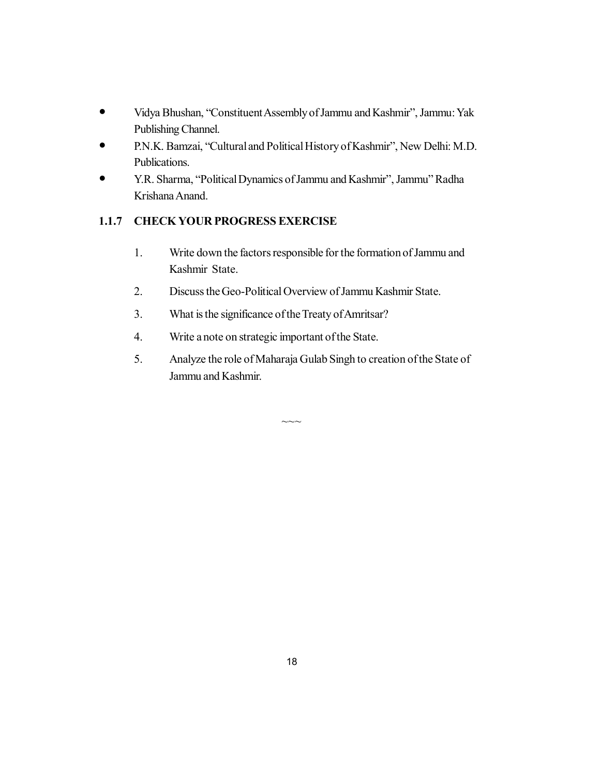- Vidya Bhushan, "Constituent Assembly of Jammu and Kashmir", Jammu: Yak Publishing Channel.
- P.N.K. Bamzai, "Cultural and Political History of Kashmir", New Delhi: M.D. Publications.
- Y.R. Sharma, "Political Dynamics of Jammu and Kashmir", Jammu" Radha Krishana Anand.

## **1.1.7 CHECK YOUR PROGRESS EXERCISE**

- 1. Write down the factors responsible for the formation of Jammu and Kashmir State.
- 2. Discuss the Geo-Political Overview of Jammu Kashmir State.
- 3. What is the significance of the Treaty of Amritsar?
- 4. Write a note on strategic important of the State.
- 5. Analyze the role of Maharaja Gulab Singh to creation of the State of Jammu and Kashmir.

 $\sim\sim$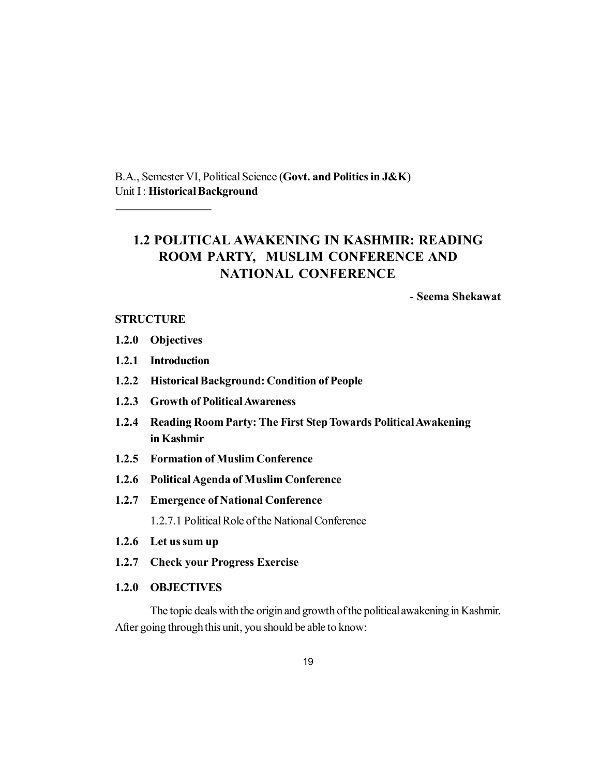B.A., Semester VI, Political Science (**Govt. and Politics in J&K**) Unit I : **Historical Background**

## **1.2 POLITICAL AWAKENING IN KASHMIR: READING ROOM PARTY, MUSLIM CONFERENCE AND NATIONAL CONFERENCE**

- **Seema Shekawat**

#### **STRUCTURE**

- **1.2.0 Objectives**
- **1.2.1 Introduction**
- **1.2.2 Historical Background: Condition of People**
- **1.2.3 Growth of Political Awareness**
- **1.2.4 Reading Room Party: The First Step Towards Political Awakening in Kashmir**
- **1.2.5 Formation of Muslim Conference**
- **1.2.6 Political Agenda of Muslim Conference**
- **1.2.7 Emergence of National Conference** 1.2.7.1 Political Role of the National Conference
- **1.2.6 Let us sum up**
- **1.2.7 Check your Progress Exercise**
- **1.2.0 OBJECTIVES**

The topic deals with the origin and growth of the political awakening in Kashmir. After going through this unit, you should be able to know: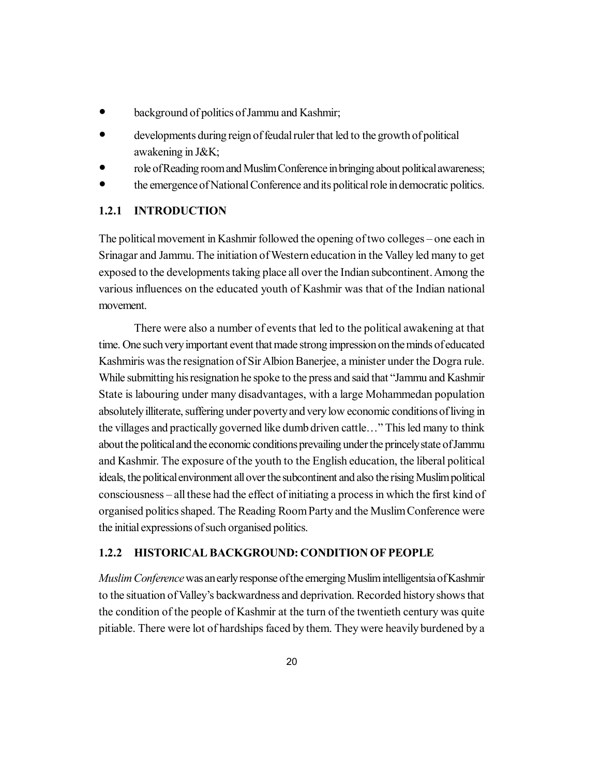- background of politics of Jammu and Kashmir;
- developments during reign of feudal ruler that led to the growth of political awakening in J&K;
- role of Reading room and Muslim Conference in bringing about political awareness;
- the emergence of National Conference and its political role in democratic politics.

### **1.2.1 INTRODUCTION**

The political movement in Kashmir followed the opening of two colleges – one each in Srinagar and Jammu. The initiation of Western education in the Valley led many to get exposed to the developments taking place all over the Indian subcontinent. Among the various influences on the educated youth of Kashmir was that of the Indian national movement.

There were also a number of events that led to the political awakening at that time. One such very important event that made strong impression on the minds of educated Kashmiris was the resignation of Sir Albion Banerjee, a minister under the Dogra rule. While submitting his resignation he spoke to the press and said that "Jammu and Kashmir State is labouring under many disadvantages, with a large Mohammedan population absolutely illiterate, suffering under poverty and very low economic conditions of living in the villages and practically governed like dumb driven cattle…" This led many to think about the political and the economic conditions prevailing under the princely state of Jammu and Kashmir. The exposure of the youth to the English education, the liberal political ideals, the political environment all over the subcontinent and also the rising Muslim political consciousness – all these had the effect of initiating a process in which the first kind of organised politics shaped. The Reading Room Party and the Muslim Conference were the initial expressions of such organised politics.

#### **1.2.2 HISTORICAL BACKGROUND: CONDITION OF PEOPLE**

*Muslim Conference* was an early response of the emerging Muslim intelligentsia of Kashmir to the situation of Valley's backwardness and deprivation. Recorded history shows that the condition of the people of Kashmir at the turn of the twentieth century was quite pitiable. There were lot of hardships faced by them. They were heavily burdened by a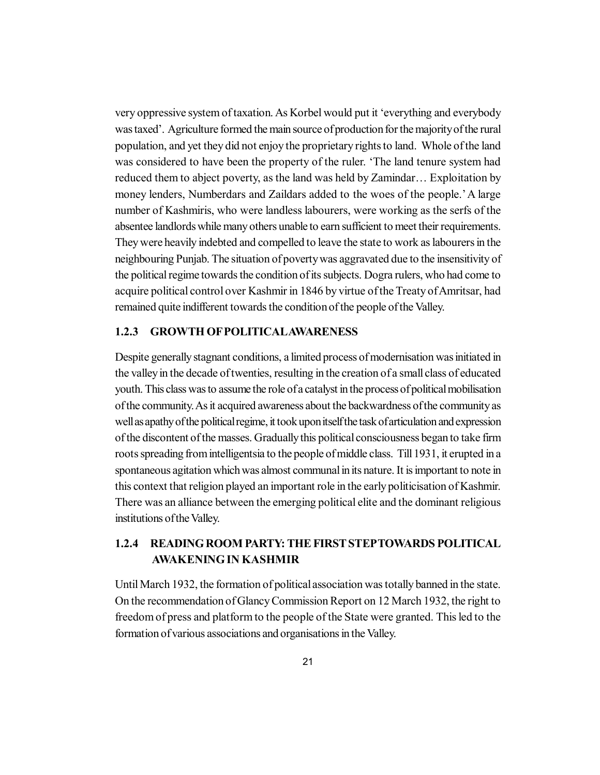very oppressive system of taxation. As Korbel would put it 'everything and everybody was taxed'. Agriculture formed the main source of production for the majority of the rural population, and yet they did not enjoy the proprietary rights to land. Whole of the land was considered to have been the property of the ruler. 'The land tenure system had reduced them to abject poverty, as the land was held by Zamindar… Exploitation by money lenders, Numberdars and Zaildars added to the woes of the people.' A large number of Kashmiris, who were landless labourers, were working as the serfs of the absentee landlords while many others unable to earn sufficient to meet their requirements. They were heavily indebted and compelled to leave the state to work as labourers in the neighbouring Punjab. The situation of poverty was aggravated due to the insensitivity of the political regime towards the condition of its subjects. Dogra rulers, who had come to acquire political control over Kashmir in 1846 by virtue of the Treaty of Amritsar, had remained quite indifferent towards the condition of the people of the Valley.

#### **1.2.3 GROWTH OF POLITICALAWARENESS**

Despite generally stagnant conditions, a limited process of modernisation was initiated in the valley in the decade of twenties, resulting in the creation of a small class of educated youth. This class was to assume the role of a catalyst in the process of political mobilisation of the community. As it acquired awareness about the backwardness of the community as well as apathy of the political regime, it took upon itself the task of articulation and expression of the discontent of the masses. Gradually this political consciousness began to take firm roots spreading from intelligentsia to the people of middle class. Till 1931, it erupted in a spontaneous agitation which was almost communal in its nature. It is important to note in this context that religion played an important role in the early politicisation of Kashmir. There was an alliance between the emerging political elite and the dominant religious institutions of the Valley.

## **1.2.4 READING ROOM PARTY: THE FIRST STEPTOWARDS POLITICAL AWAKENING IN KASHMIR**

Until March 1932, the formation of political association was totally banned in the state. On the recommendation of Glancy Commission Report on 12 March 1932, the right to freedom of press and platform to the people of the State were granted. This led to the formation of various associations and organisations in the Valley.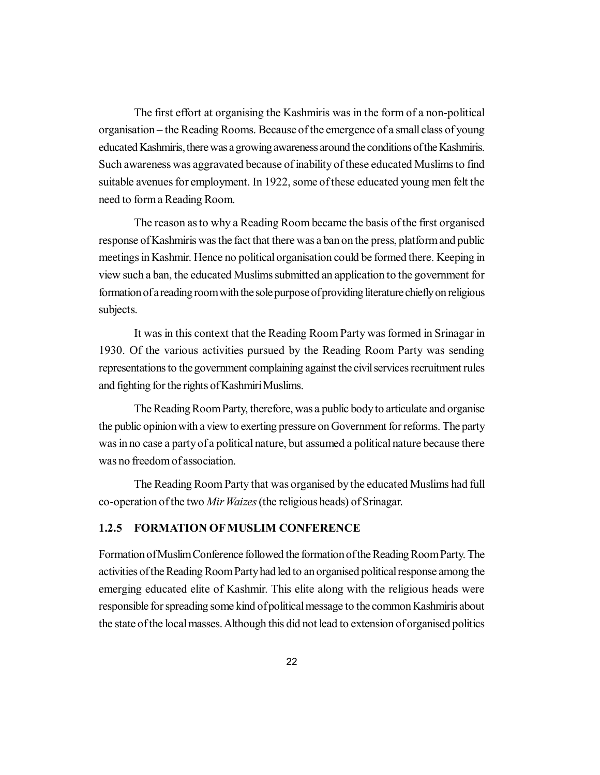The first effort at organising the Kashmiris was in the form of a non-political organisation – the Reading Rooms. Because of the emergence of a small class of young educated Kashmiris, there was a growing awareness around the conditions of the Kashmiris. Such awareness was aggravated because of inability of these educated Muslims to find suitable avenues for employment. In 1922, some of these educated young men felt the need to form a Reading Room.

The reason as to why a Reading Room became the basis of the first organised response of Kashmiris was the fact that there was a ban on the press, platform and public meetings in Kashmir. Hence no political organisation could be formed there. Keeping in view such a ban, the educated Muslims submitted an application to the government for formation of a reading room with the sole purpose of providing literature chiefly on religious subjects.

It was in this context that the Reading Room Party was formed in Srinagar in 1930. Of the various activities pursued by the Reading Room Party was sending representations to the government complaining against the civil services recruitment rules and fighting for the rights of Kashmiri Muslims.

The Reading Room Party, therefore, was a public body to articulate and organise the public opinion with a view to exerting pressure on Government for reforms. The party was in no case a party of a political nature, but assumed a political nature because there was no freedom of association.

The Reading Room Party that was organised by the educated Muslims had full co-operation of the two *Mir Waizes* (the religious heads) of Srinagar.

#### **1.2.5 FORMATION OF MUSLIM CONFERENCE**

Formation of Muslim Conference followed the formation of the Reading Room Party. The activities of the Reading Room Party had led to an organised political response among the emerging educated elite of Kashmir. This elite along with the religious heads were responsible for spreading some kind of political message to the common Kashmiris about the state of the local masses. Although this did not lead to extension of organised politics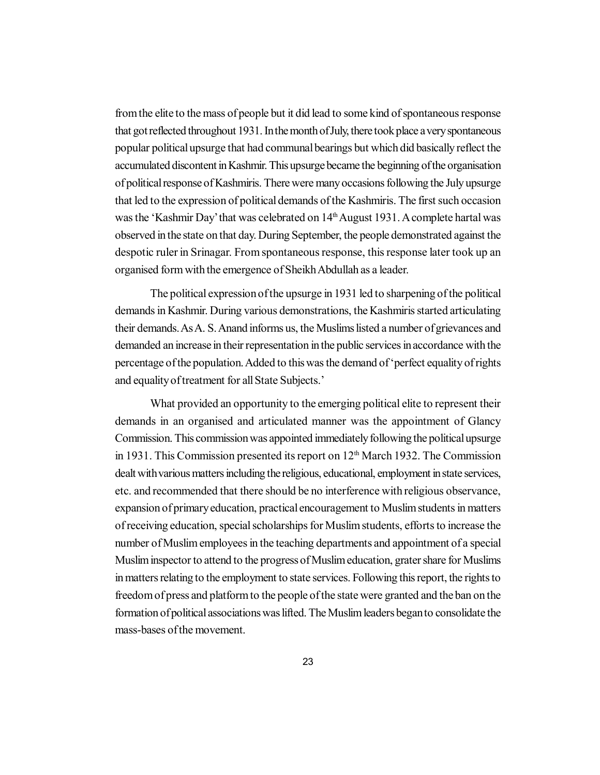from the elite to the mass of people but it did lead to some kind of spontaneous response that got reflected throughout 1931. In the month of July, there took place a very spontaneous popular political upsurge that had communal bearings but which did basically reflect the accumulated discontent in Kashmir. This upsurge became the beginning of the organisation of political response of Kashmiris. There were many occasions following the July upsurge that led to the expression of political demands of the Kashmiris. The first such occasion was the 'Kashmir Day' that was celebrated on 14<sup>th</sup> August 1931. A complete hartal was observed in the state on that day. During September, the people demonstrated against the despotic ruler in Srinagar. From spontaneous response, this response later took up an organised form with the emergence of Sheikh Abdullah as a leader.

The political expression of the upsurge in 1931 led to sharpening of the political demands in Kashmir. During various demonstrations, the Kashmiris started articulating their demands. As A. S. Anand informs us, the Muslims listed a number of grievances and demanded an increase in their representation in the public services in accordance with the percentage of the population. Added to this was the demand of 'perfect equality of rights and equality of treatment for all State Subjects.'

What provided an opportunity to the emerging political elite to represent their demands in an organised and articulated manner was the appointment of Glancy Commission. This commission was appointed immediately following the political upsurge in 1931. This Commission presented its report on  $12<sup>th</sup>$  March 1932. The Commission dealt with various matters including the religious, educational, employment in state services, etc. and recommended that there should be no interference with religious observance, expansion of primary education, practical encouragement to Muslim students in matters of receiving education, special scholarships for Muslim students, efforts to increase the number of Muslim employees in the teaching departments and appointment of a special Muslim inspector to attend to the progress of Muslim education, grater share for Muslims in matters relating to the employment to state services. Following this report, the rights to freedom of press and platform to the people of the state were granted and the ban on the formation of political associations was lifted. The Muslim leaders began to consolidate the mass-bases of the movement.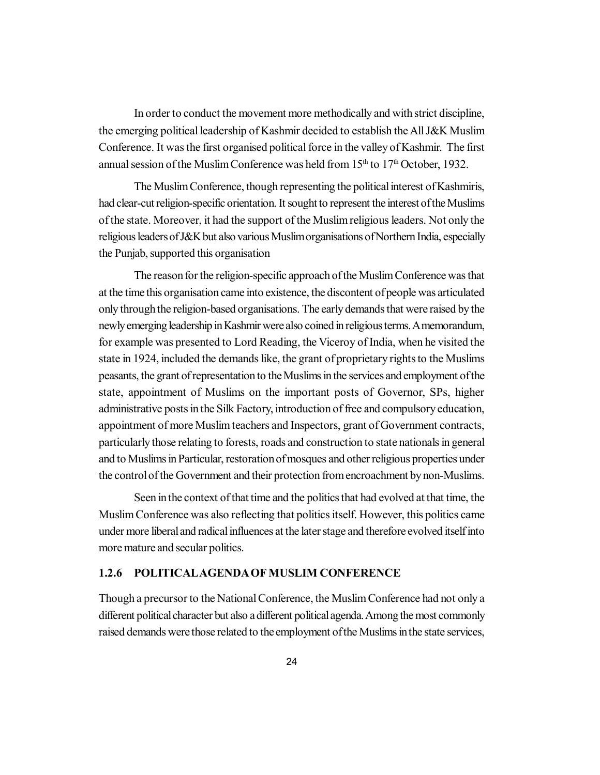In order to conduct the movement more methodically and with strict discipline, the emerging political leadership of Kashmir decided to establish the All J&K Muslim Conference. It was the first organised political force in the valley of Kashmir. The first annual session of the Muslim Conference was held from  $15<sup>th</sup>$  to  $17<sup>th</sup>$  October, 1932.

The Muslim Conference, though representing the political interest of Kashmiris, had clear-cut religion-specific orientation. It sought to represent the interest of the Muslims of the state. Moreover, it had the support of the Muslim religious leaders. Not only the religious leaders of J&K but also various Muslim organisations of Northern India, especially the Punjab, supported this organisation

The reason for the religion-specific approach of the Muslim Conference was that at the time this organisation came into existence, the discontent of people was articulated only through the religion-based organisations. The early demands that were raised by the newly emerging leadership in Kashmir were also coined in religious terms. A memorandum, for example was presented to Lord Reading, the Viceroy of India, when he visited the state in 1924, included the demands like, the grant of proprietary rights to the Muslims peasants, the grant of representation to the Muslims in the services and employment of the state, appointment of Muslims on the important posts of Governor, SPs, higher administrative posts in the Silk Factory, introduction of free and compulsory education, appointment of more Muslim teachers and Inspectors, grant of Government contracts, particularly those relating to forests, roads and construction to state nationals in general and to Muslims in Particular, restoration of mosques and other religious properties under the control of the Government and their protection from encroachment by non-Muslims.

Seen in the context of that time and the politics that had evolved at that time, the Muslim Conference was also reflecting that politics itself. However, this politics came under more liberal and radical influences at the later stage and therefore evolved itself into more mature and secular politics.

#### **1.2.6 POLITICALAGENDA OF MUSLIM CONFERENCE**

Though a precursor to the National Conference, the Muslim Conference had not only a different political character but also a different political agenda. Among the most commonly raised demands were those related to the employment of the Muslims in the state services,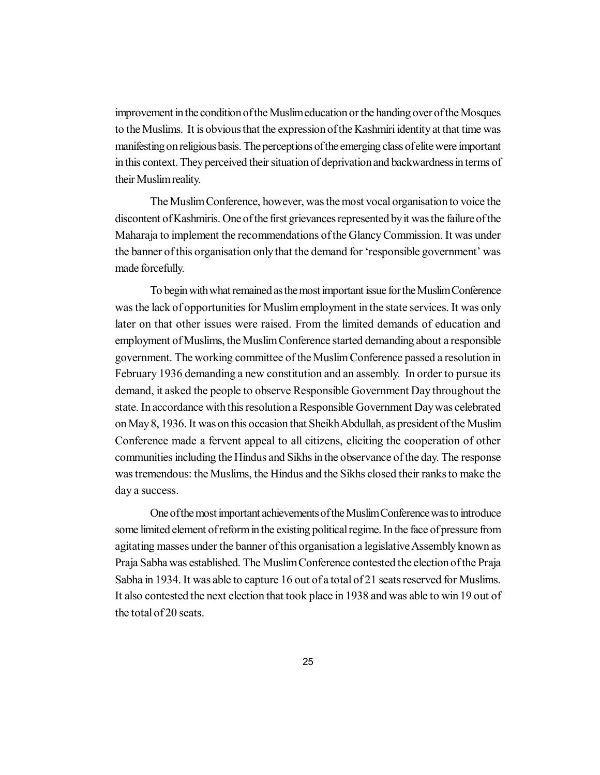improvement in the condition of the Muslim education or the handing over of the Mosques to the Muslims. It is obvious that the expression of the Kashmiri identity at that time was manifesting on religious basis. The perceptions of the emerging class of elite were important in this context. They perceived their situation of deprivation and backwardness in terms of their Muslim reality.

The Muslim Conference, however, was the most vocal organisation to voice the discontent of Kashmiris. One of the first grievances represented by it was the failure of the Maharaja to implement the recommendations of the Glancy Commission. It was under the banner of this organisation only that the demand for 'responsible government' was made forcefully.

To begin with what remained as the most important issue for the Muslim Conference was the lack of opportunities for Muslim employment in the state services. It was only later on that other issues were raised. From the limited demands of education and employment of Muslims, the Muslim Conference started demanding about a responsible government. The working committee of the Muslim Conference passed a resolution in February 1936 demanding a new constitution and an assembly. In order to pursue its demand, it asked the people to observe Responsible Government Day throughout the state. In accordance with this resolution a Responsible Government Day was celebrated on May 8, 1936. It was on this occasion that Sheikh Abdullah, as president of the Muslim Conference made a fervent appeal to all citizens, eliciting the cooperation of other communities including the Hindus and Sikhs in the observance of the day. The response was tremendous: the Muslims, the Hindus and the Sikhs closed their ranks to make the day a success.

One of the most important achievements of the Muslim Conference was to introduce some limited element of reform in the existing political regime. In the face of pressure from agitating masses under the banner of this organisation a legislative Assembly known as Praja Sabha was established. The Muslim Conference contested the election of the Praja Sabha in 1934. It was able to capture 16 out of a total of 21 seats reserved for Muslims. It also contested the next election that took place in 1938 and was able to win 19 out of the total of 20 seats.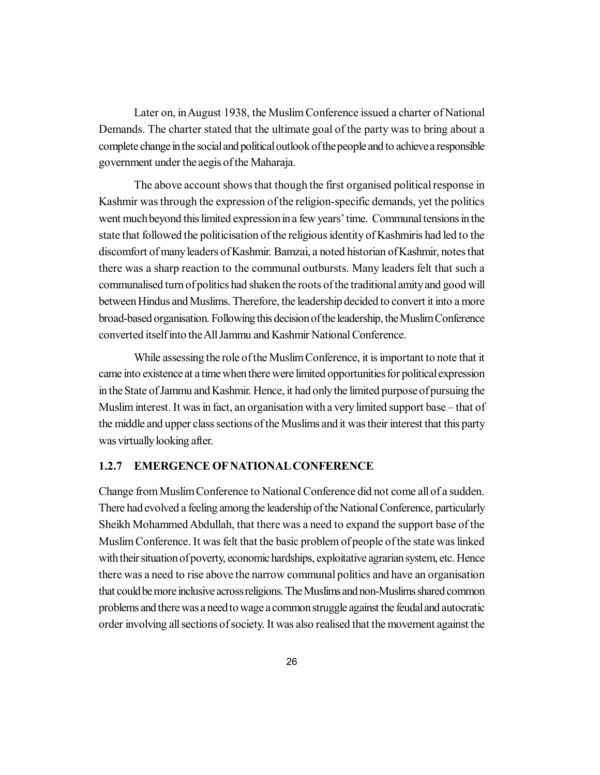Later on, in August 1938, the Muslim Conference issued a charter of National Demands. The charter stated that the ultimate goal of the party was to bring about a complete change in the social and political outlook of the people and to achieve a responsible government under the aegis of the Maharaja.

The above account shows that though the first organised political response in Kashmir was through the expression of the religion-specific demands, yet the politics went much beyond this limited expression in a few years' time. Communal tensions in the state that followed the politicisation of the religious identity of Kashmiris had led to the discomfort of many leaders of Kashmir. Bamzai, a noted historian of Kashmir, notes that there was a sharp reaction to the communal outbursts. Many leaders felt that such a communalised turn of politics had shaken the roots of the traditional amity and good will between Hindus and Muslims. Therefore, the leadership decided to convert it into a more broad-based organisation. Following this decision of the leadership, the Muslim Conference converted itself into the All Jammu and Kashmir National Conference.

While assessing the role of the Muslim Conference, it is important to note that it came into existence at a time when there were limited opportunities for political expression in the State of Jammu and Kashmir. Hence, it had only the limited purpose of pursuing the Muslim interest. It was in fact, an organisation with a very limited support base – that of the middle and upper class sections of the Muslims and it was their interest that this party was virtually looking after.

#### **1.2.7 EMERGENCE OF NATIONAL CONFERENCE**

Change from Muslim Conference to National Conference did not come all of a sudden. There had evolved a feeling among the leadership of the National Conference, particularly Sheikh Mohammed Abdullah, that there was a need to expand the support base of the Muslim Conference. It was felt that the basic problem of people of the state was linked with their situation of poverty, economic hardships, exploitative agrarian system, etc. Hence there was a need to rise above the narrow communal politics and have an organisation that could be more inclusive across religions. The Muslims and non-Muslims shared common problems and there was a need to wage a common struggle against the feudal and autocratic order involving all sections of society. It was also realised that the movement against the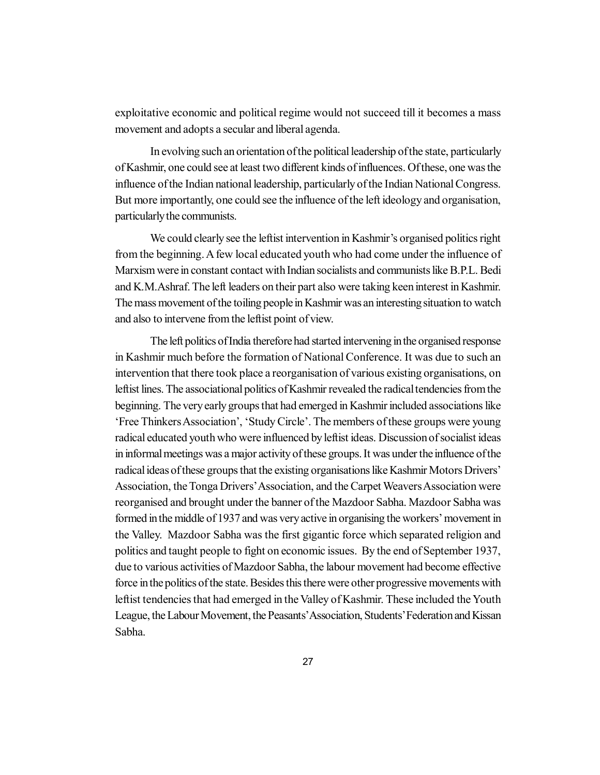exploitative economic and political regime would not succeed till it becomes a mass movement and adopts a secular and liberal agenda.

In evolving such an orientation of the political leadership of the state, particularly of Kashmir, one could see at least two different kinds of influences. Of these, one was the influence of the Indian national leadership, particularly of the Indian National Congress. But more importantly, one could see the influence of the left ideology and organisation, particularly the communists.

We could clearly see the leftist intervention in Kashmir's organised politics right from the beginning. A few local educated youth who had come under the influence of Marxism were in constant contact with Indian socialists and communists like B.P.L. Bedi and K.M.Ashraf. The left leaders on their part also were taking keen interest in Kashmir. The mass movement of the toiling people in Kashmir was an interesting situation to watch and also to intervene from the leftist point of view.

The left politics of India therefore had started intervening in the organised response in Kashmir much before the formation of National Conference. It was due to such an intervention that there took place a reorganisation of various existing organisations, on leftist lines. The associational politics of Kashmir revealed the radical tendencies from the beginning. The very early groups that had emerged in Kashmir included associations like 'Free Thinkers Association', 'Study Circle'. The members of these groups were young radical educated youth who were influenced by leftist ideas. Discussion of socialist ideas in informal meetings was a major activity of these groups. It was under the influence of the radical ideas of these groups that the existing organisations like Kashmir Motors Drivers' Association, the Tonga Drivers' Association, and the Carpet Weavers Association were reorganised and brought under the banner of the Mazdoor Sabha. Mazdoor Sabha was formed in the middle of 1937 and was very active in organising the workers' movement in the Valley. Mazdoor Sabha was the first gigantic force which separated religion and politics and taught people to fight on economic issues. By the end of September 1937, due to various activities of Mazdoor Sabha, the labour movement had become effective force in the politics of the state. Besides this there were other progressive movements with leftist tendencies that had emerged in the Valley of Kashmir. These included the Youth League, the Labour Movement, the Peasants' Association, Students' Federation and Kissan Sabha.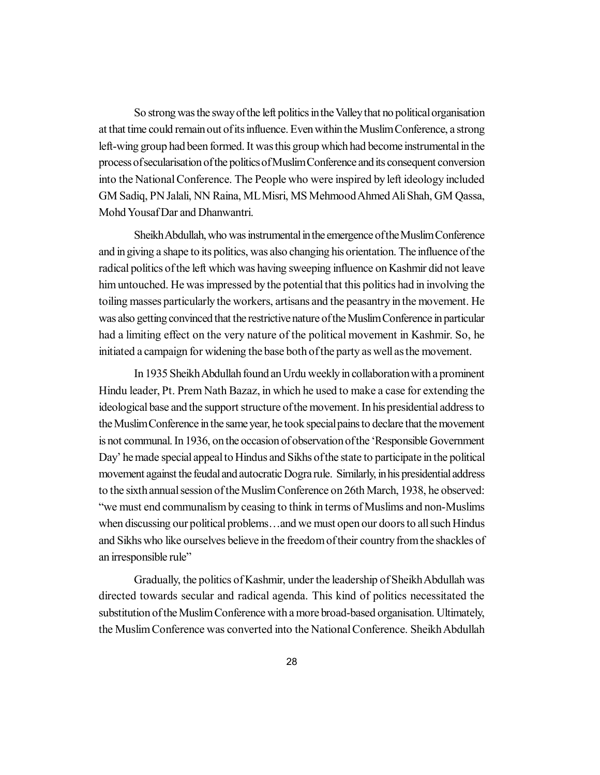So strong was the sway of the left politics in the Valley that no political organisation at that time could remain out of its influence. Even within the Muslim Conference, a strong left-wing group had been formed. It was this group which had become instrumental in the process of secularisation of the politics of Muslim Conference and its consequent conversion into the National Conference. The People who were inspired by left ideology included GM Sadiq, PN Jalali, NN Raina, ML Misri, MS Mehmood Ahmed Ali Shah, GM Qassa, Mohd Yousaf Dar and Dhanwantri.

Sheikh Abdullah, who was instrumental in the emergence of the Muslim Conference and in giving a shape to its politics, was also changing his orientation. The influence of the radical politics of the left which was having sweeping influence on Kashmir did not leave him untouched. He was impressed by the potential that this politics had in involving the toiling masses particularly the workers, artisans and the peasantry in the movement. He was also getting convinced that the restrictive nature of the Muslim Conference in particular had a limiting effect on the very nature of the political movement in Kashmir. So, he initiated a campaign for widening the base both of the party as well as the movement.

In 1935 Sheikh Abdullah found an Urdu weekly in collaboration with a prominent Hindu leader, Pt. Prem Nath Bazaz, in which he used to make a case for extending the ideological base and the support structure of the movement. In his presidential address to the Muslim Conference in the same year, he took special pains to declare that the movement is not communal. In 1936, on the occasion of observation of the 'Responsible Government Day' he made special appeal to Hindus and Sikhs of the state to participate in the political movement against the feudal and autocratic Dogra rule. Similarly, in his presidential address to the sixth annual session of the Muslim Conference on 26th March, 1938, he observed: "we must end communalism by ceasing to think in terms of Muslims and non-Muslims when discussing our political problems…and we must open our doors to all such Hindus and Sikhs who like ourselves believe in the freedom of their country from the shackles of an irresponsible rule"

Gradually, the politics of Kashmir, under the leadership of Sheikh Abdullah was directed towards secular and radical agenda. This kind of politics necessitated the substitution of the Muslim Conference with a more broad-based organisation. Ultimately, the Muslim Conference was converted into the National Conference. Sheikh Abdullah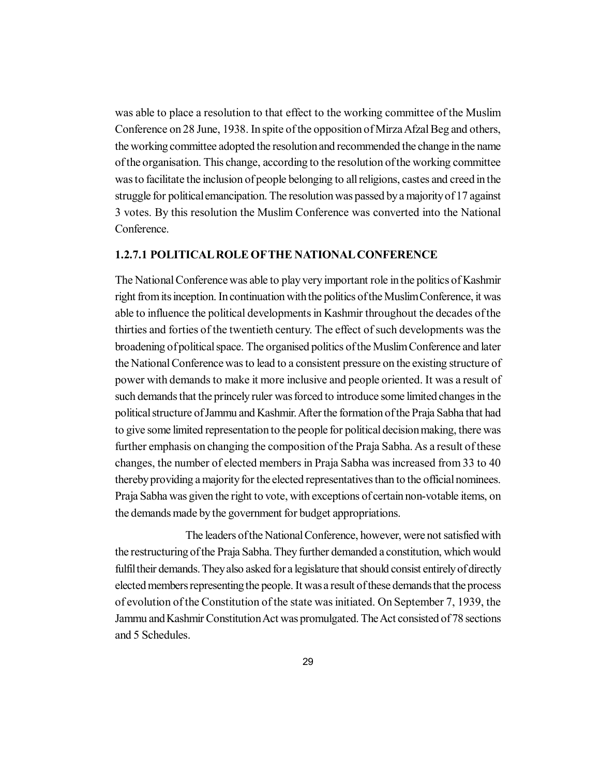was able to place a resolution to that effect to the working committee of the Muslim Conference on 28 June, 1938. In spite of the opposition of Mirza Afzal Beg and others, the working committee adopted the resolution and recommended the change in the name of the organisation. This change, according to the resolution of the working committee was to facilitate the inclusion of people belonging to all religions, castes and creed in the struggle for political emancipation. The resolution was passed by a majority of 17 against 3 votes. By this resolution the Muslim Conference was converted into the National Conference.

#### **1.2.7.1 POLITICAL ROLE OFTHE NATIONAL CONFERENCE**

The National Conference was able to play very important role in the politics of Kashmir right from its inception. In continuation with the politics of the Muslim Conference, it was able to influence the political developments in Kashmir throughout the decades of the thirties and forties of the twentieth century. The effect of such developments was the broadening of political space. The organised politics of the Muslim Conference and later the National Conference was to lead to a consistent pressure on the existing structure of power with demands to make it more inclusive and people oriented. It was a result of such demands that the princely ruler was forced to introduce some limited changes in the political structure of Jammu and Kashmir. After the formation of the Praja Sabha that had to give some limited representation to the people for political decision making, there was further emphasis on changing the composition of the Praja Sabha. As a result of these changes, the number of elected members in Praja Sabha was increased from 33 to 40 thereby providing a majority for the elected representatives than to the official nominees. Praja Sabha was given the right to vote, with exceptions of certain non-votable items, on the demands made by the government for budget appropriations.

The leaders of the National Conference, however, were not satisfied with the restructuring of the Praja Sabha. They further demanded a constitution, which would fulfil their demands. They also asked for a legislature that should consist entirely of directly elected members representing the people. It was a result of these demands that the process of evolution of the Constitution of the state was initiated. On September 7, 1939, the Jammu and Kashmir Constitution Act was promulgated. The Act consisted of 78 sections and 5 Schedules.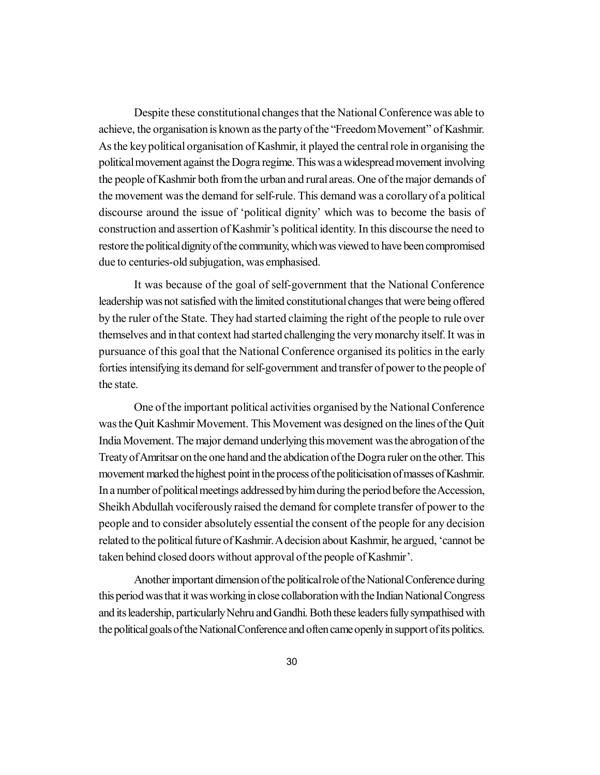Despite these constitutional changes that the National Conference was able to achieve, the organisation is known as the party of the "Freedom Movement" of Kashmir. As the key political organisation of Kashmir, it played the central role in organising the political movement against the Dogra regime. This was a widespread movement involving the people of Kashmir both from the urban and rural areas. One of the major demands of the movement was the demand for self-rule. This demand was a corollary of a political discourse around the issue of 'political dignity' which was to become the basis of construction and assertion of Kashmir's political identity. In this discourse the need to restore the political dignity of the community, which was viewed to have been compromised due to centuries-old subjugation, was emphasised.

It was because of the goal of self-government that the National Conference leadership was not satisfied with the limited constitutional changes that were being offered by the ruler of the State. They had started claiming the right of the people to rule over themselves and in that context had started challenging the very monarchy itself. It was in pursuance of this goal that the National Conference organised its politics in the early forties intensifying its demand for self-government and transfer of power to the people of the state.

One of the important political activities organised by the National Conference was the Quit Kashmir Movement. This Movement was designed on the lines of the Quit India Movement. The major demand underlying this movement was the abrogation of the Treaty of Amritsar on the one hand and the abdication of the Dogra ruler on the other. This movement marked the highest point in the process of the politicisation of masses of Kashmir. In a number of political meetings addressed by him during the period before the Accession, Sheikh Abdullah vociferously raised the demand for complete transfer of power to the people and to consider absolutely essential the consent of the people for any decision related to the political future of Kashmir. A decision about Kashmir, he argued, 'cannot be taken behind closed doors without approval of the people of Kashmir'.

Another important dimension of the political role of the National Conference during this period was that it was working in close collaboration with the Indian National Congress and its leadership, particularly Nehru and Gandhi. Both these leaders fully sympathised with the political goals of the National Conference and often came openly in support of its politics.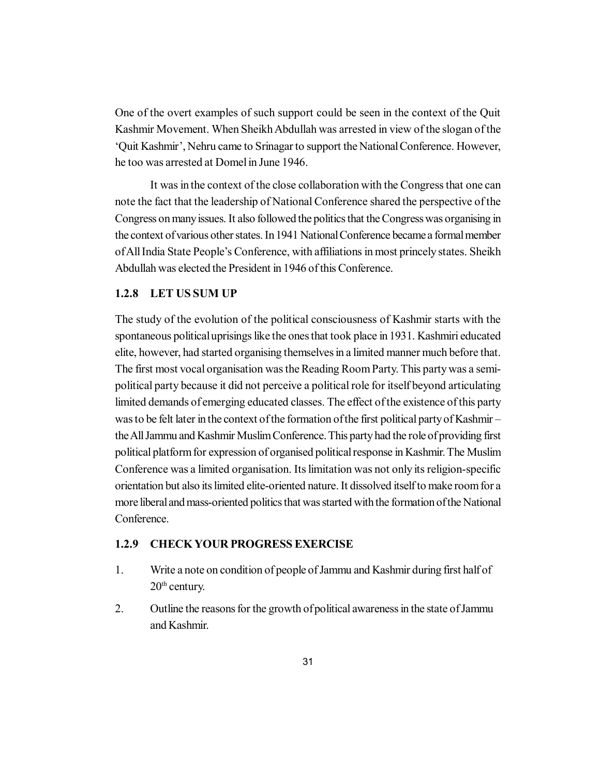One of the overt examples of such support could be seen in the context of the Quit Kashmir Movement. When Sheikh Abdullah was arrested in view of the slogan of the 'Quit Kashmir', Nehru came to Srinagar to support the National Conference. However, he too was arrested at Domel in June 1946.

It was in the context of the close collaboration with the Congress that one can note the fact that the leadership of National Conference shared the perspective of the Congress on many issues. It also followed the politics that the Congress was organising in the context of various other states. In 1941 National Conference became a formal member of All India State People's Conference, with affiliations in most princely states. Sheikh Abdullah was elected the President in 1946 of this Conference.

#### **1.2.8 LET US SUM UP**

The study of the evolution of the political consciousness of Kashmir starts with the spontaneous political uprisings like the ones that took place in 1931. Kashmiri educated elite, however, had started organising themselves in a limited manner much before that. The first most vocal organisation was the Reading Room Party. This party was a semipolitical party because it did not perceive a political role for itself beyond articulating limited demands of emerging educated classes. The effect of the existence of this party was to be felt later in the context of the formation of the first political party of Kashmir – the All Jammu and Kashmir Muslim Conference. This party had the role of providing first political platform for expression of organised political response in Kashmir. The Muslim Conference was a limited organisation. Its limitation was not only its religion-specific orientation but also its limited elite-oriented nature. It dissolved itself to make room for a more liberal and mass-oriented politics that was started with the formation of the National **Conference** 

#### **1.2.9 CHECK YOUR PROGRESS EXERCISE**

- 1. Write a note on condition of people of Jammu and Kashmir during first half of  $20<sup>th</sup>$  century.
- 2. Outline the reasons for the growth of political awareness in the state of Jammu and Kashmir.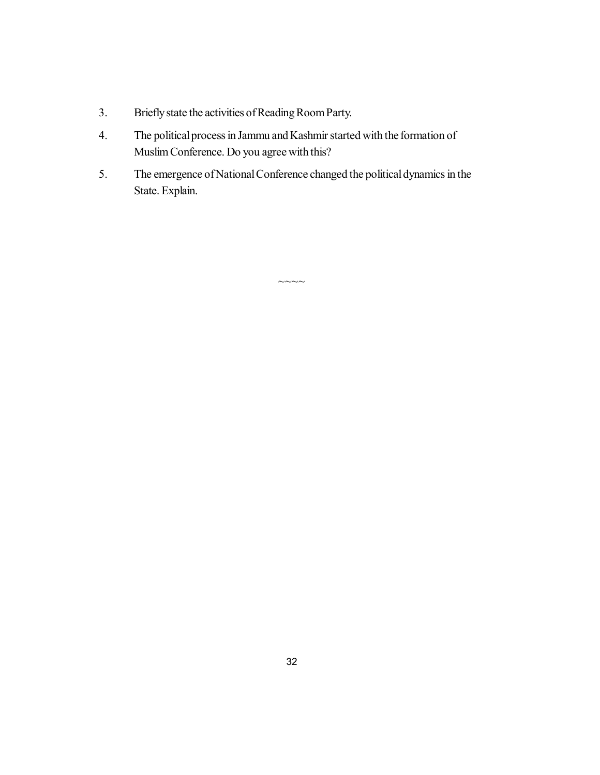- 3. Briefly state the activities of Reading Room Party.
- 4. The political process in Jammu and Kashmir started with the formation of Muslim Conference. Do you agree with this?
- 5. The emergence of National Conference changed the political dynamics in the State. Explain.

 $\sim\sim\sim\sim$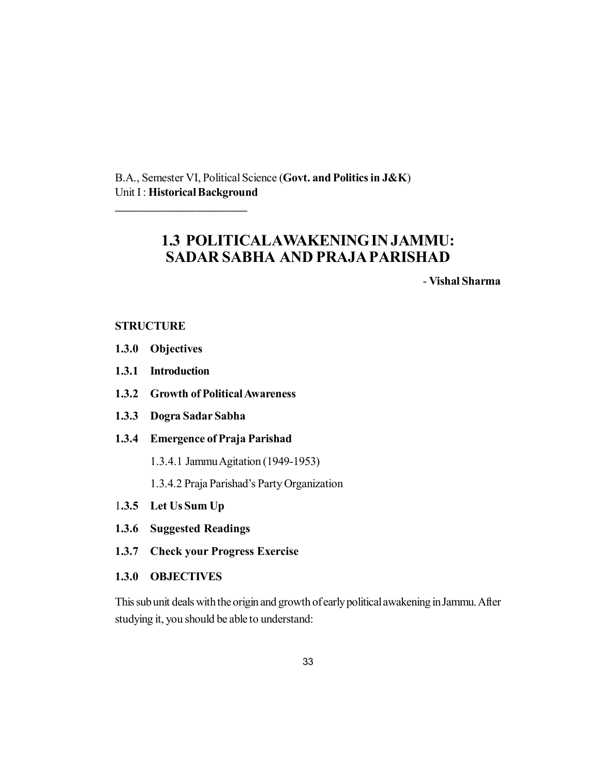B.A., Semester VI, Political Science (**Govt. and Politics in J&K**) Unit I : **Historical Background**

## **1.3 POLITICALAWAKENING IN JAMMU: SADAR SABHA AND PRAJA PARISHAD**

- **Vishal Sharma**

#### **STRUCTURE**

- **1.3.0 Objectives**
- **1.3.1 Introduction**
- **1.3.2 Growth of Political Awareness**
- **1.3.3 Dogra Sadar Sabha**

\_\_\_\_\_\_\_\_\_\_\_\_\_\_\_\_\_\_

- **1.3.4 Emergence of Praja Parishad**
	- 1.3.4.1 Jammu Agitation (1949-1953)
	- 1.3.4.2 Praja Parishad's Party Organization
- 1**.3.5 Let Us Sum Up**
- **1.3.6 Suggested Readings**
- **1.3.7 Check your Progress Exercise**
- **1.3.0 OBJECTIVES**

This sub unit deals with the origin and growth of early political awakening in Jammu. After studying it, you should be able to understand: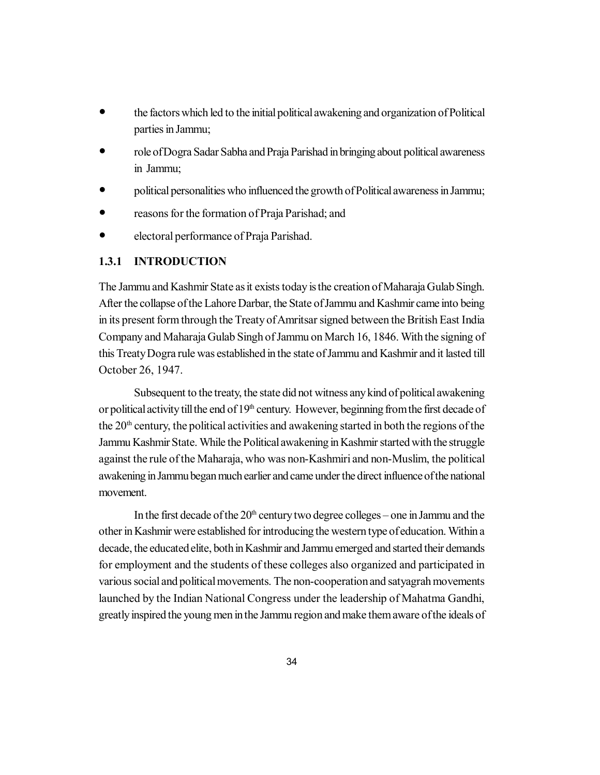- the factors which led to the initial political awakening and organization of Political parties in Jammu;
- role of Dogra Sadar Sabha and Praja Parishad in bringing about political awareness in Jammu;
- political personalities who influenced the growth of Political awareness in Jammu;
- reasons for the formation of Praja Parishad; and
- electoral performance of Praja Parishad.

#### **1.3.1 INTRODUCTION**

The Jammu and Kashmir State as it exists today is the creation of Maharaja Gulab Singh. After the collapse of the Lahore Darbar, the State of Jammu and Kashmir came into being in its present form through the Treaty of Amritsar signed between the British East India Company and Maharaja Gulab Singh of Jammu on March 16, 1846. With the signing of this Treaty Dogra rule was established in the state of Jammu and Kashmir and it lasted till October 26, 1947.

Subsequent to the treaty, the state did not witness any kind of political awakening or political activity till the end of  $19<sup>th</sup>$  century. However, beginning from the first decade of the  $20<sup>th</sup>$  century, the political activities and awakening started in both the regions of the Jammu Kashmir State. While the Political awakening in Kashmir started with the struggle against the rule of the Maharaja, who was non-Kashmiri and non-Muslim, the political awakening in Jammu began much earlier and came under the direct influence of the national movement.

In the first decade of the  $20<sup>th</sup>$  century two degree colleges – one in Jammu and the other in Kashmir were established for introducing the western type of education. Within a decade, the educated elite, both in Kashmir and Jammu emerged and started their demands for employment and the students of these colleges also organized and participated in various social and political movements. The non-cooperation and satyagrah movements launched by the Indian National Congress under the leadership of Mahatma Gandhi, greatly inspired the young men in the Jammu region and make them aware of the ideals of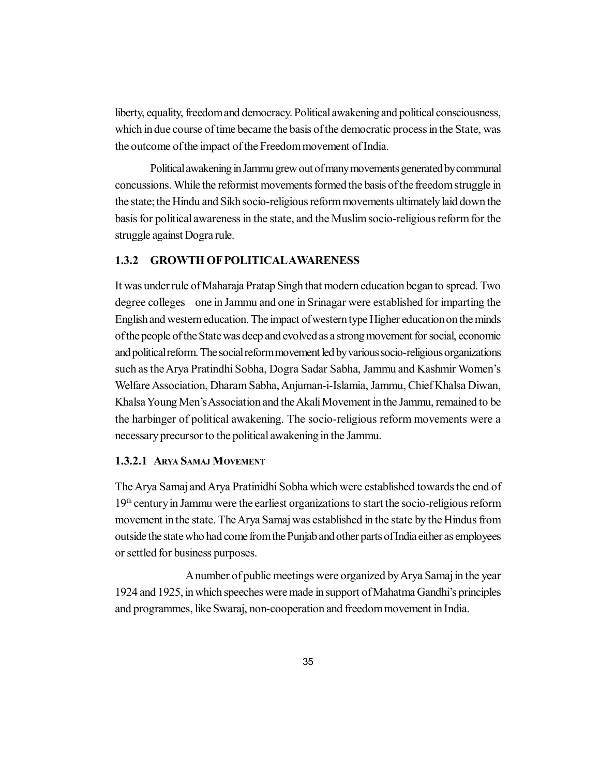liberty, equality, freedom and democracy. Political awakening and political consciousness, which in due course of time became the basis of the democratic process in the State, was the outcome of the impact of the Freedom movement of India.

Political awakening in Jammu grew out of many movements generated by communal concussions. While the reformist movements formed the basis of the freedom struggle in the state; the Hindu and Sikh socio-religious reform movements ultimately laid down the basis for political awareness in the state, and the Muslim socio-religious reform for the struggle against Dogra rule.

#### **1.3.2 GROWTH OF POLITICALAWARENESS**

It was under rule of Maharaja Pratap Singh that modern education began to spread. Two degree colleges – one in Jammu and one in Srinagar were established for imparting the English and western education. The impact of western type Higher education on the minds of the people of the State was deep and evolved as a strong movement for social, economic and political reform. The social reform movement led by various socio-religious organizations such as the Arya Pratindhi Sobha, Dogra Sadar Sabha, Jammu and Kashmir Women's Welfare Association, Dharam Sabha, Anjuman-i-Islamia, Jammu, Chief Khalsa Diwan, Khalsa Young Men's Association and the Akali Movement in the Jammu, remained to be the harbinger of political awakening. The socio-religious reform movements were a necessary precursor to the political awakening in the Jammu.

#### **1.3.2.1 ARYA SAMAJ MOVEMENT**

The Arya Samaj and Arya Pratinidhi Sobha which were established towards the end of 19th century in Jammu were the earliest organizations to start the socio-religious reform movement in the state. The Arya Samaj was established in the state by the Hindus from outside the state who had come from the Punjab and other parts of India either as employees or settled for business purposes.

A number of public meetings were organized by Arya Samaj in the year 1924 and 1925, in which speeches were made in support of Mahatma Gandhi's principles and programmes, like Swaraj, non-cooperation and freedom movement in India.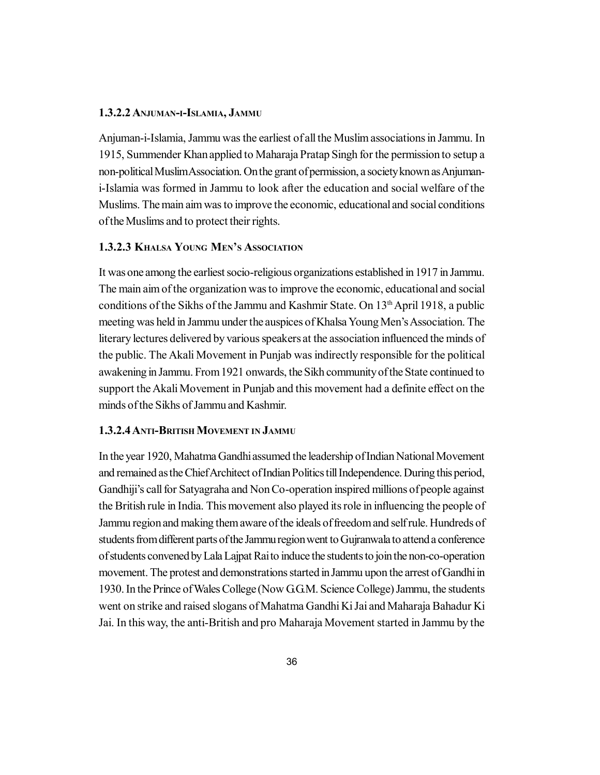#### **1.3.2.2 ANJUMAN-I-ISLAMIA, JAMMU**

Anjuman-i-Islamia, Jammu was the earliest of all the Muslim associations in Jammu. In 1915, Summender Khan applied to Maharaja Pratap Singh for the permission to setup a non-political Muslim Association. On the grant of permission, a society known as Anjumani-Islamia was formed in Jammu to look after the education and social welfare of the Muslims. The main aim was to improve the economic, educational and social conditions of the Muslims and to protect their rights.

#### **1.3.2.3 KHALSA YOUNG MEN'S ASSOCIATION**

It was one among the earliest socio-religious organizations established in 1917 in Jammu. The main aim of the organization was to improve the economic, educational and social conditions of the Sikhs of the Jammu and Kashmir State. On  $13<sup>th</sup>$  April 1918, a public meeting was held in Jammu under the auspices of Khalsa Young Men's Association. The literary lectures delivered by various speakers at the association influenced the minds of the public. The Akali Movement in Punjab was indirectly responsible for the political awakening in Jammu. From 1921 onwards, the Sikh community of the State continued to support the Akali Movement in Punjab and this movement had a definite effect on the minds of the Sikhs of Jammu and Kashmir.

#### **1.3.2.4 ANTI-BRITISH MOVEMENT IN JAMMU**

In the year 1920, Mahatma Gandhi assumed the leadership of Indian National Movement and remained as the Chief Architect of Indian Politics till Independence. During this period, Gandhiji's call for Satyagraha and Non Co-operation inspired millions of people against the British rule in India. This movement also played its role in influencing the people of Jammu region and making them aware of the ideals of freedom and self rule. Hundreds of students from different parts of the Jammu region went to Gujranwala to attend a conference of students convened by Lala Lajpat Rai to induce the students to join the non-co-operation movement. The protest and demonstrations started in Jammu upon the arrest of Gandhi in 1930. In the Prince of Wales College (Now G.G.M. Science College) Jammu, the students went on strike and raised slogans of Mahatma Gandhi Ki Jai and Maharaja Bahadur Ki Jai. In this way, the anti-British and pro Maharaja Movement started in Jammu by the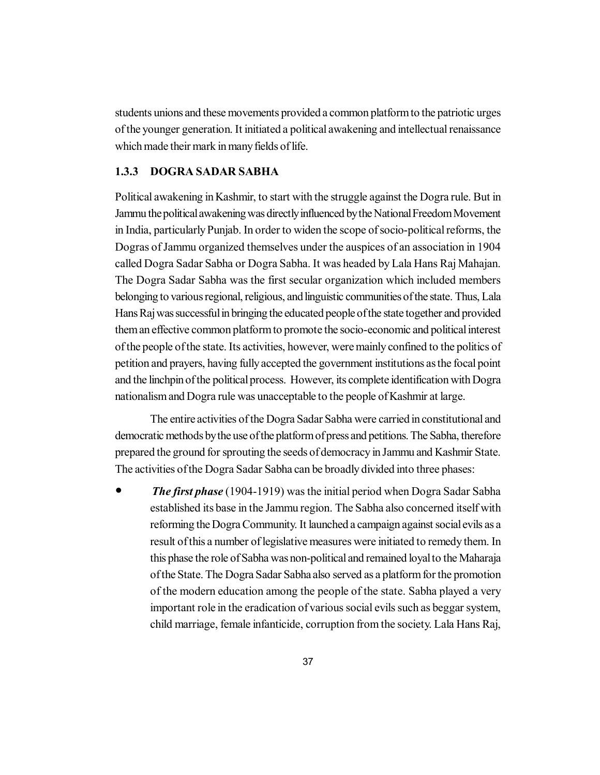students unions and these movements provided a common platform to the patriotic urges of the younger generation. It initiated a political awakening and intellectual renaissance which made their mark in many fields of life.

### **1.3.3 DOGRA SADAR SABHA**

Political awakening in Kashmir, to start with the struggle against the Dogra rule. But in Jammu the political awakening was directly influenced by the National Freedom Movement in India, particularly Punjab. In order to widen the scope of socio-political reforms, the Dogras of Jammu organized themselves under the auspices of an association in 1904 called Dogra Sadar Sabha or Dogra Sabha. It was headed by Lala Hans Raj Mahajan. The Dogra Sadar Sabha was the first secular organization which included members belonging to various regional, religious, and linguistic communities of the state. Thus, Lala Hans Raj was successful in bringing the educated people of the state together and provided them an effective common platform to promote the socio-economic and political interest of the people of the state. Its activities, however, were mainly confined to the politics of petition and prayers, having fully accepted the government institutions as the focal point and the linchpin of the political process. However, its complete identification with Dogra nationalism and Dogra rule was unacceptable to the people of Kashmir at large.

The entire activities of the Dogra Sadar Sabha were carried in constitutional and democratic methods by the use of the platform of press and petitions. The Sabha, therefore prepared the ground for sprouting the seeds of democracy in Jammu and Kashmir State. The activities of the Dogra Sadar Sabha can be broadly divided into three phases:

 *The first phase* (1904-1919) was the initial period when Dogra Sadar Sabha established its base in the Jammu region. The Sabha also concerned itself with reforming the Dogra Community. It launched a campaign against social evils as a result of this a number of legislative measures were initiated to remedy them. In this phase the role of Sabha was non-political and remained loyal to the Maharaja of the State. The Dogra Sadar Sabha also served as a platform for the promotion of the modern education among the people of the state. Sabha played a very important role in the eradication of various social evils such as beggar system, child marriage, female infanticide, corruption from the society. Lala Hans Raj,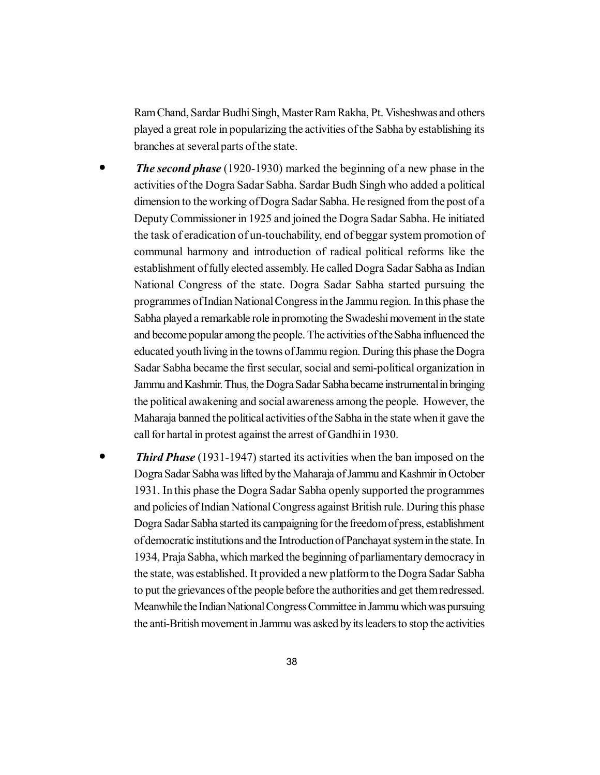Ram Chand, Sardar Budhi Singh, Master Ram Rakha, Pt. Visheshwas and others played a great role in popularizing the activities of the Sabha by establishing its branches at several parts of the state.

- *The second phase* (1920-1930) marked the beginning of a new phase in the activities of the Dogra Sadar Sabha. Sardar Budh Singh who added a political dimension to the working of Dogra Sadar Sabha. He resigned from the post of a Deputy Commissioner in 1925 and joined the Dogra Sadar Sabha. He initiated the task of eradication of un-touchability, end of beggar system promotion of communal harmony and introduction of radical political reforms like the establishment of fully elected assembly. He called Dogra Sadar Sabha as Indian National Congress of the state. Dogra Sadar Sabha started pursuing the programmes of Indian National Congress in the Jammu region. In this phase the Sabha played a remarkable role in promoting the Swadeshi movement in the state and become popular among the people. The activities of the Sabha influenced the educated youth living in the towns of Jammu region. During this phase the Dogra Sadar Sabha became the first secular, social and semi-political organization in Jammu and Kashmir. Thus, the Dogra Sadar Sabha became instrumental in bringing the political awakening and social awareness among the people. However, the Maharaja banned the political activities of the Sabha in the state when it gave the call for hartal in protest against the arrest of Gandhi in 1930.
- *Third Phase* (1931-1947) started its activities when the ban imposed on the Dogra Sadar Sabha was lifted by the Maharaja of Jammu and Kashmir in October 1931. In this phase the Dogra Sadar Sabha openly supported the programmes and policies of Indian National Congress against British rule. During this phase Dogra Sadar Sabha started its campaigning for the freedom of press, establishment of democratic institutions and the Introduction of Panchayat system in the state. In 1934, Praja Sabha, which marked the beginning of parliamentary democracy in the state, was established. It provided a new platform to the Dogra Sadar Sabha to put the grievances of the people before the authorities and get them redressed. Meanwhile the Indian National Congress Committee in Jammu which was pursuing the anti-British movement in Jammu was asked by its leaders to stop the activities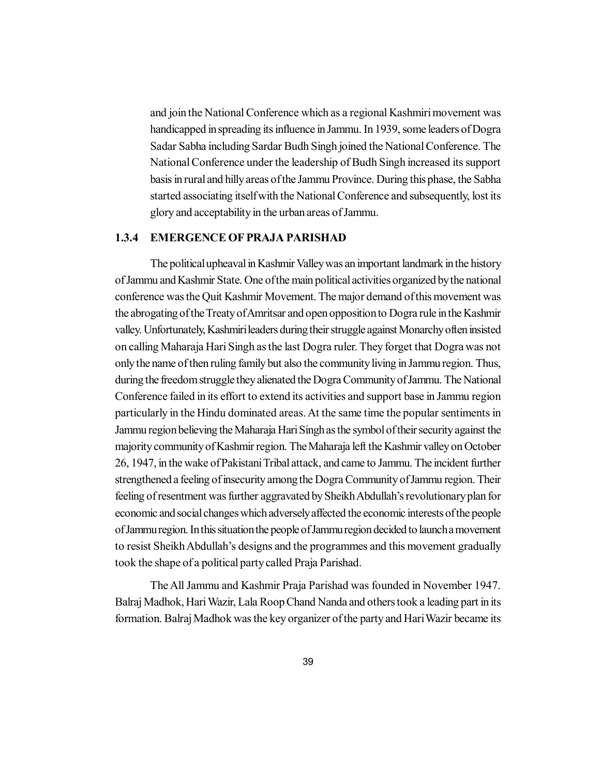and join the National Conference which as a regional Kashmiri movement was handicapped in spreading its influence in Jammu. In 1939, some leaders of Dogra Sadar Sabha including Sardar Budh Singh joined the National Conference. The National Conference under the leadership of Budh Singh increased its support basis in rural and hilly areas of the Jammu Province. During this phase, the Sabha started associating itself with the National Conference and subsequently, lost its glory and acceptability in the urban areas of Jammu.

### **1.3.4 EMERGENCE OF PRAJA PARISHAD**

The political upheaval in Kashmir Valley was an important landmark in the history of Jammu and Kashmir State. One of the main political activities organized by the national conference was the Quit Kashmir Movement. The major demand of this movement was the abrogating of the Treaty of Amritsar and open opposition to Dogra rule in the Kashmir valley. Unfortunately, Kashmiri leaders during their struggle against Monarchy often insisted on calling Maharaja Hari Singh as the last Dogra ruler. They forget that Dogra was not only the name of then ruling family but also the community living in Jammu region. Thus, during the freedom struggle they alienated the Dogra Community of Jammu. The National Conference failed in its effort to extend its activities and support base in Jammu region particularly in the Hindu dominated areas. At the same time the popular sentiments in Jammu region believing the Maharaja Hari Singh as the symbol of their security against the majority community of Kashmir region. The Maharaja left the Kashmir valley on October 26, 1947, in the wake of Pakistani Tribal attack, and came to Jammu. The incident further strengthened a feeling of insecurity among the Dogra Community of Jammu region. Their feeling of resentment was further aggravated by Sheikh Abdullah's revolutionary plan for economic and social changes which adversely affected the economic interests of the people of Jammu region. In this situation the people of Jammu region decided to launch a movement to resist Sheikh Abdullah's designs and the programmes and this movement gradually took the shape of a political party called Praja Parishad.

The All Jammu and Kashmir Praja Parishad was founded in November 1947. Balraj Madhok, Hari Wazir, Lala Roop Chand Nanda and others took a leading part in its formation. Balraj Madhok was the key organizer of the party and Hari Wazir became its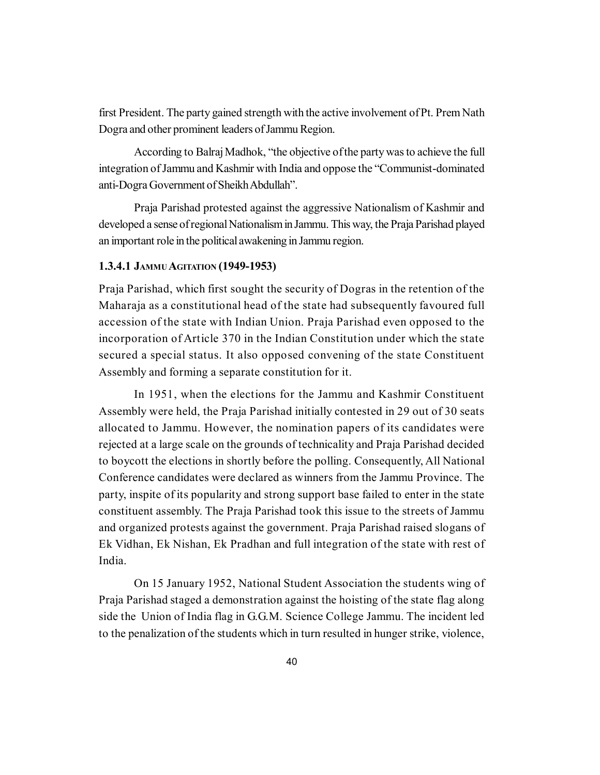first President. The party gained strength with the active involvement of Pt. Prem Nath Dogra and other prominent leaders of Jammu Region.

According to Balraj Madhok, "the objective of the party was to achieve the full integration of Jammu and Kashmir with India and oppose the "Communist-dominated anti-Dogra Government of Sheikh Abdullah".

Praja Parishad protested against the aggressive Nationalism of Kashmir and developed a sense of regional Nationalism in Jammu. This way, the Praja Parishad played an important role in the political awakening in Jammu region.

### **1.3.4.1 JAMMU AGITATION (1949-1953)**

Praja Parishad, which first sought the security of Dogras in the retention of the Maharaja as a constitutional head of the state had subsequently favoured full accession of the state with Indian Union. Praja Parishad even opposed to the incorporation of Article 370 in the Indian Constitution under which the state secured a special status. It also opposed convening of the state Constituent Assembly and forming a separate constitution for it.

In 1951, when the elections for the Jammu and Kashmir Constituent Assembly were held, the Praja Parishad initially contested in 29 out of 30 seats allocated to Jammu. However, the nomination papers of its candidates were rejected at a large scale on the grounds of technicality and Praja Parishad decided to boycott the elections in shortly before the polling. Consequently, All National Conference candidates were declared as winners from the Jammu Province. The party, inspite of its popularity and strong support base failed to enter in the state constituent assembly. The Praja Parishad took this issue to the streets of Jammu and organized protests against the government. Praja Parishad raised slogans of Ek Vidhan, Ek Nishan, Ek Pradhan and full integration of the state with rest of India.

On 15 January 1952, National Student Association the students wing of Praja Parishad staged a demonstration against the hoisting of the state flag along side the Union of India flag in G.G.M. Science College Jammu. The incident led to the penalization of the students which in turn resulted in hunger strike, violence,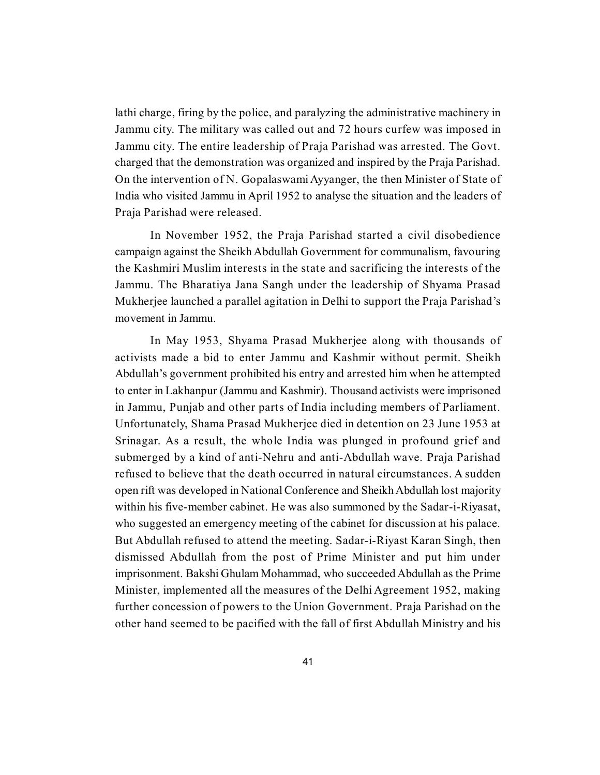lathi charge, firing by the police, and paralyzing the administrative machinery in Jammu city. The military was called out and 72 hours curfew was imposed in Jammu city. The entire leadership of Praja Parishad was arrested. The Govt. charged that the demonstration was organized and inspired by the Praja Parishad. On the intervention of N. Gopalaswami Ayyanger, the then Minister of State of India who visited Jammu in April 1952 to analyse the situation and the leaders of Praja Parishad were released.

In November 1952, the Praja Parishad started a civil disobedience campaign against the Sheikh Abdullah Government for communalism, favouring the Kashmiri Muslim interests in the state and sacrificing the interests of the Jammu. The Bharatiya Jana Sangh under the leadership of Shyama Prasad Mukherjee launched a parallel agitation in Delhi to support the Praja Parishad's movement in Jammu.

In May 1953, Shyama Prasad Mukherjee along with thousands of activists made a bid to enter Jammu and Kashmir without permit. Sheikh Abdullah's government prohibited his entry and arrested him when he attempted to enter in Lakhanpur (Jammu and Kashmir). Thousand activists were imprisoned in Jammu, Punjab and other parts of India including members of Parliament. Unfortunately, Shama Prasad Mukherjee died in detention on 23 June 1953 at Srinagar. As a result, the whole India was plunged in profound grief and submerged by a kind of anti-Nehru and anti-Abdullah wave. Praja Parishad refused to believe that the death occurred in natural circumstances. A sudden open rift was developed in National Conference and Sheikh Abdullah lost majority within his five-member cabinet. He was also summoned by the Sadar-i-Riyasat, who suggested an emergency meeting of the cabinet for discussion at his palace. But Abdullah refused to attend the meeting. Sadar-i-Riyast Karan Singh, then dismissed Abdullah from the post of Prime Minister and put him under imprisonment. Bakshi Ghulam Mohammad, who succeeded Abdullah as the Prime Minister, implemented all the measures of the Delhi Agreement 1952, making further concession of powers to the Union Government. Praja Parishad on the other hand seemed to be pacified with the fall of first Abdullah Ministry and his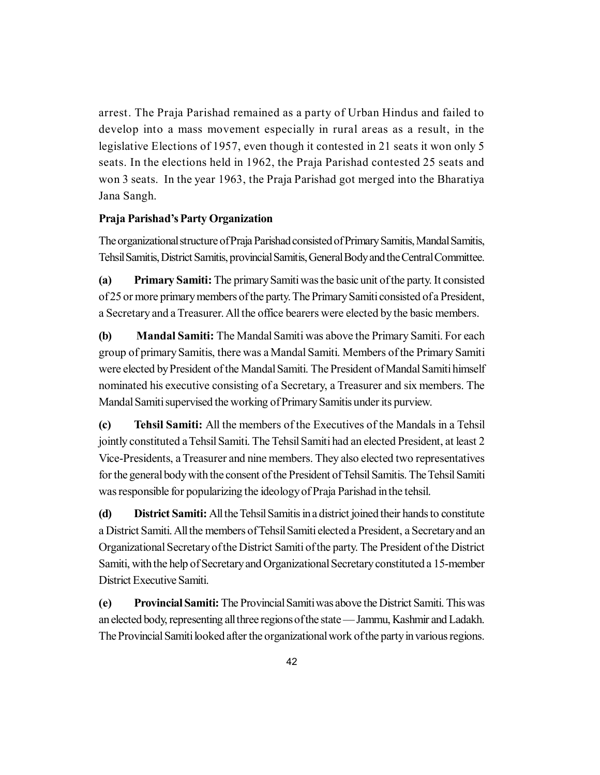arrest. The Praja Parishad remained as a party of Urban Hindus and failed to develop into a mass movement especially in rural areas as a result, in the legislative Elections of 1957, even though it contested in 21 seats it won only 5 seats. In the elections held in 1962, the Praja Parishad contested 25 seats and won 3 seats. In the year 1963, the Praja Parishad got merged into the Bharatiya Jana Sangh.

# **Praja Parishad's Party Organization**

The organizational structure of Praja Parishad consisted of Primary Samitis, Mandal Samitis, Tehsil Samitis, District Samitis, provincial Samitis, General Body and the Central Committee.

**(a) Primary Samiti:** The primary Samiti was the basic unit of the party. It consisted of 25 or more primary members of the party. The Primary Samiti consisted of a President, a Secretary and a Treasurer. All the office bearers were elected by the basic members.

**(b) Mandal Samiti:** The Mandal Samiti was above the Primary Samiti. For each group of primary Samitis, there was a Mandal Samiti. Members of the Primary Samiti were elected by President of the Mandal Samiti. The President of Mandal Samiti himself nominated his executive consisting of a Secretary, a Treasurer and six members. The Mandal Samiti supervised the working of Primary Samitis under its purview.

**(c) Tehsil Samiti:** All the members of the Executives of the Mandals in a Tehsil jointly constituted a Tehsil Samiti. The Tehsil Samiti had an elected President, at least 2 Vice-Presidents, a Treasurer and nine members. They also elected two representatives for the general body with the consent of the President of Tehsil Samitis. The Tehsil Samiti was responsible for popularizing the ideology of Praja Parishad in the tehsil.

**(d) District Samiti:** All the Tehsil Samitis in a district joined their hands to constitute a District Samiti. All the members of Tehsil Samiti elected a President, a Secretary and an Organizational Secretary of the District Samiti of the party. The President of the District Samiti, with the help of Secretary and Organizational Secretary constituted a 15-member District Executive Samiti.

**(e) Provincial Samiti:** The Provincial Samiti was above the District Samiti. This was an elected body, representing all three regions of the state — Jammu, Kashmir and Ladakh. The Provincial Samiti looked after the organizational work of the party in various regions.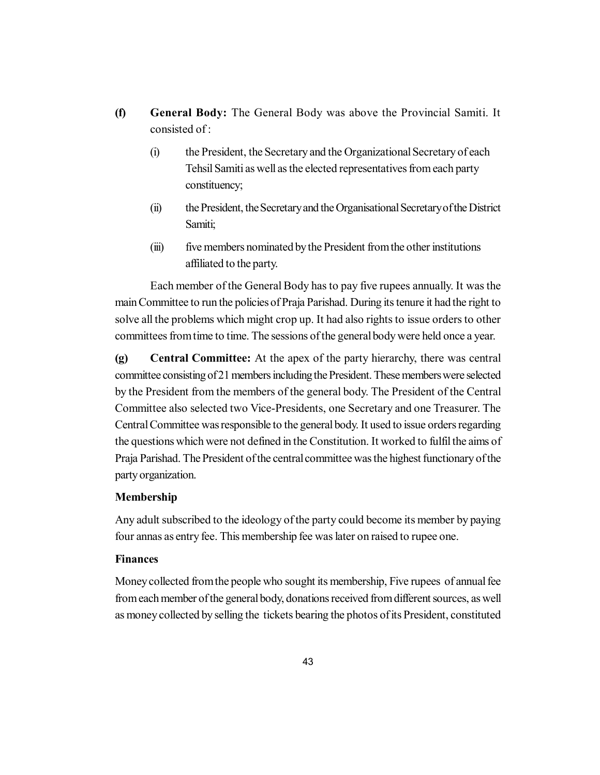- **(f) General Body:** The General Body was above the Provincial Samiti. It consisted of :
	- (i) the President, the Secretary and the Organizational Secretary of each Tehsil Samiti as well as the elected representatives from each party constituency;
	- (ii) the President, the Secretary and the Organisational Secretary of the District Samiti;
	- (iii) five members nominated by the President from the other institutions affiliated to the party.

Each member of the General Body has to pay five rupees annually. It was the main Committee to run the policies of Praja Parishad. During its tenure it had the right to solve all the problems which might crop up. It had also rights to issue orders to other committees from time to time. The sessions of the general body were held once a year.

**(g) Central Committee:** At the apex of the party hierarchy, there was central committee consisting of 21 members including the President. These members were selected by the President from the members of the general body. The President of the Central Committee also selected two Vice-Presidents, one Secretary and one Treasurer. The Central Committee was responsible to the general body. It used to issue orders regarding the questions which were not defined in the Constitution. It worked to fulfil the aims of Praja Parishad. The President of the central committee was the highest functionary of the party organization.

# **Membership**

Any adult subscribed to the ideology of the party could become its member by paying four annas as entry fee. This membership fee was later on raised to rupee one.

# **Finances**

Money collected from the people who sought its membership, Five rupees of annual fee from each member of the general body, donations received from different sources, as well as money collected by selling the tickets bearing the photos of its President, constituted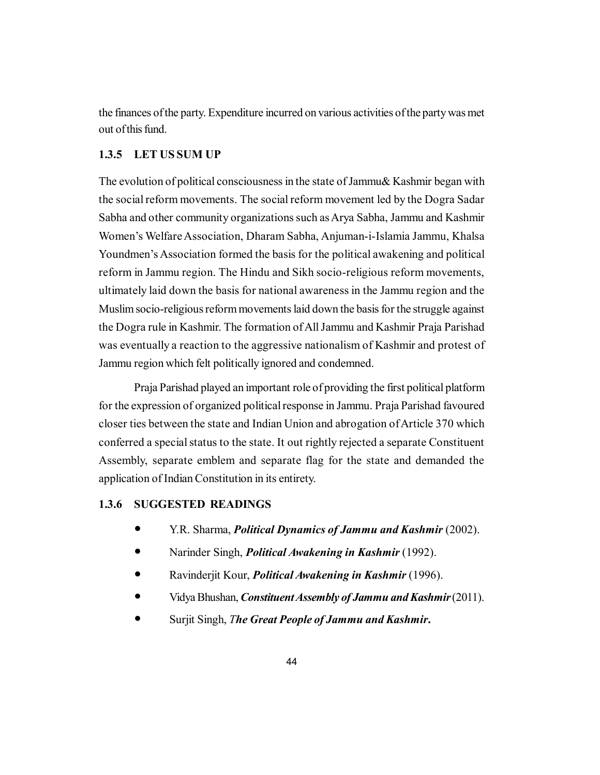the finances of the party. Expenditure incurred on various activities of the party was met out of this fund.

### **1.3.5 LET US SUM UP**

The evolution of political consciousness in the state of Jammu& Kashmir began with the social reform movements. The social reform movement led by the Dogra Sadar Sabha and other community organizations such as Arya Sabha, Jammu and Kashmir Women's Welfare Association, Dharam Sabha, Anjuman-i-Islamia Jammu, Khalsa Youndmen's Association formed the basis for the political awakening and political reform in Jammu region. The Hindu and Sikh socio-religious reform movements, ultimately laid down the basis for national awareness in the Jammu region and the Muslim socio-religious reform movements laid down the basis for the struggle against the Dogra rule in Kashmir. The formation of All Jammu and Kashmir Praja Parishad was eventually a reaction to the aggressive nationalism of Kashmir and protest of Jammu region which felt politically ignored and condemned.

Praja Parishad played an important role of providing the first political platform for the expression of organized political response in Jammu. Praja Parishad favoured closer ties between the state and Indian Union and abrogation of Article 370 which conferred a special status to the state. It out rightly rejected a separate Constituent Assembly, separate emblem and separate flag for the state and demanded the application of Indian Constitution in its entirety.

### **1.3.6 SUGGESTED READINGS**

- Y.R. Sharma, *Political Dynamics of Jammu and Kashmir* (2002).
- Narinder Singh, *Political Awakening in Kashmir* (1992).
- Ravinderjit Kour, *Political Awakening in Kashmir* (1996).
- Vidya Bhushan, *Constituent Assembly of Jammu and Kashmir* (2011).
- Surjit Singh, *The Great People of Jammu and Kashmir***.**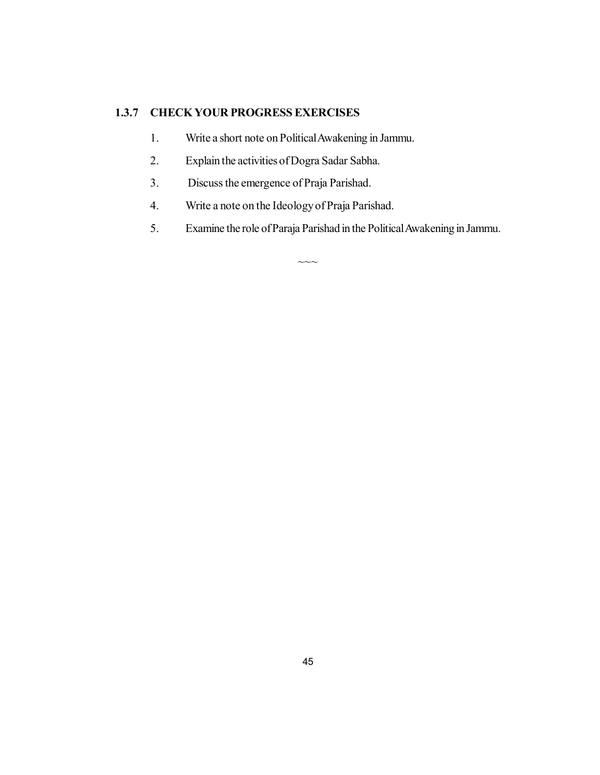# **1.3.7 CHECK YOUR PROGRESS EXERCISES**

- 1. Write a short note on Political Awakening in Jammu.
- 2. Explain the activities of Dogra Sadar Sabha.
- 3. Discuss the emergence of Praja Parishad.
- 4. Write a note on the Ideology of Praja Parishad.
- 5. Examine the role of Paraja Parishad in the Political Awakening in Jammu.

 $\sim\sim\sim$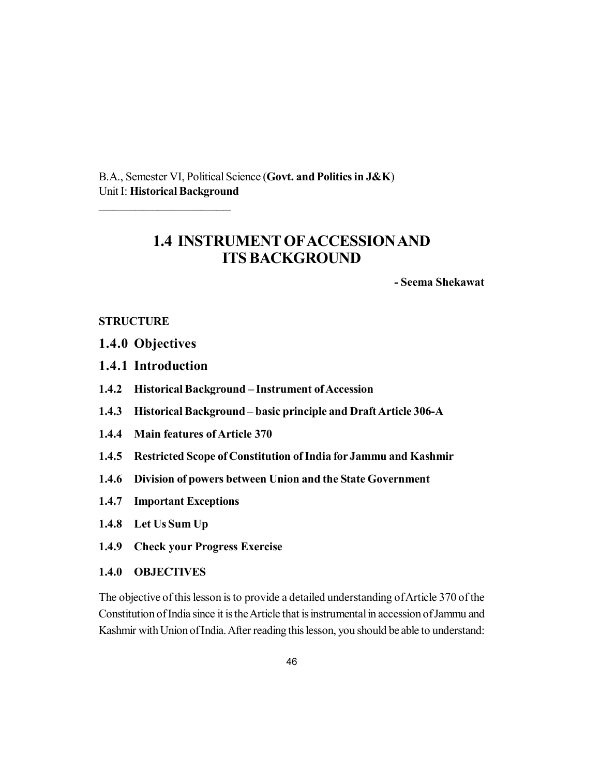B.A., Semester VI, Political Science (**Govt. and Politics in J&K**) Unit I: **Historical Background**

# **1.4 INSTRUMENT OFACCESSION AND ITS BACKGROUND**

**- Seema Shekawat**

### **STRUCTURE**

- **1.4.0 Objectives**
- **1.4.1 Introduction**

\_\_\_\_\_\_\_\_\_\_\_\_\_\_\_\_\_\_

- **1.4.2 Historical Background Instrument of Accession**
- **1.4.3 Historical Background basic principle and Draft Article 306-A**
- **1.4.4 Main features of Article 370**
- **1.4.5 Restricted Scope of Constitution of India for Jammu and Kashmir**
- **1.4.6 Division of powers between Union and the State Government**
- **1.4.7 Important Exceptions**
- **1.4.8 Let Us Sum Up**
- **1.4.9 Check your Progress Exercise**
- **1.4.0 OBJECTIVES**

The objective of this lesson is to provide a detailed understanding of Article 370 of the Constitution of India since it is the Article that is instrumental in accession of Jammu and Kashmir with Union of India. After reading this lesson, you should be able to understand: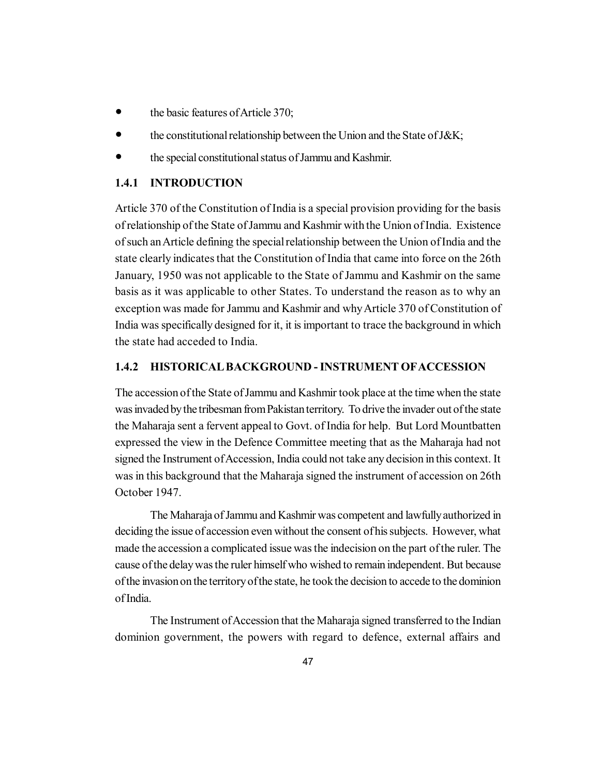- the basic features of Article 370;
- the constitutional relationship between the Union and the State of J&K;
- the special constitutional status of Jammu and Kashmir.

### **1.4.1 INTRODUCTION**

Article 370 of the Constitution of India is a special provision providing for the basis of relationship of the State of Jammu and Kashmir with the Union of India. Existence of such an Article defining the special relationship between the Union of India and the state clearly indicates that the Constitution of India that came into force on the 26th January, 1950 was not applicable to the State of Jammu and Kashmir on the same basis as it was applicable to other States. To understand the reason as to why an exception was made for Jammu and Kashmir and why Article 370 of Constitution of India was specifically designed for it, it is important to trace the background in which the state had acceded to India.

### **1.4.2 HISTORICAL BACKGROUND - INSTRUMENT OFACCESSION**

The accession of the State of Jammu and Kashmir took place at the time when the state was invaded by the tribesman from Pakistan territory. To drive the invader out of the state the Maharaja sent a fervent appeal to Govt. of India for help. But Lord Mountbatten expressed the view in the Defence Committee meeting that as the Maharaja had not signed the Instrument of Accession, India could not take any decision in this context. It was in this background that the Maharaja signed the instrument of accession on 26th October 1947.

The Maharaja of Jammu and Kashmir was competent and lawfully authorized in deciding the issue of accession even without the consent of his subjects. However, what made the accession a complicated issue was the indecision on the part of the ruler. The cause of the delay was the ruler himself who wished to remain independent. But because of the invasion on the territory of the state, he took the decision to accede to the dominion of India.

The Instrument of Accession that the Maharaja signed transferred to the Indian dominion government, the powers with regard to defence, external affairs and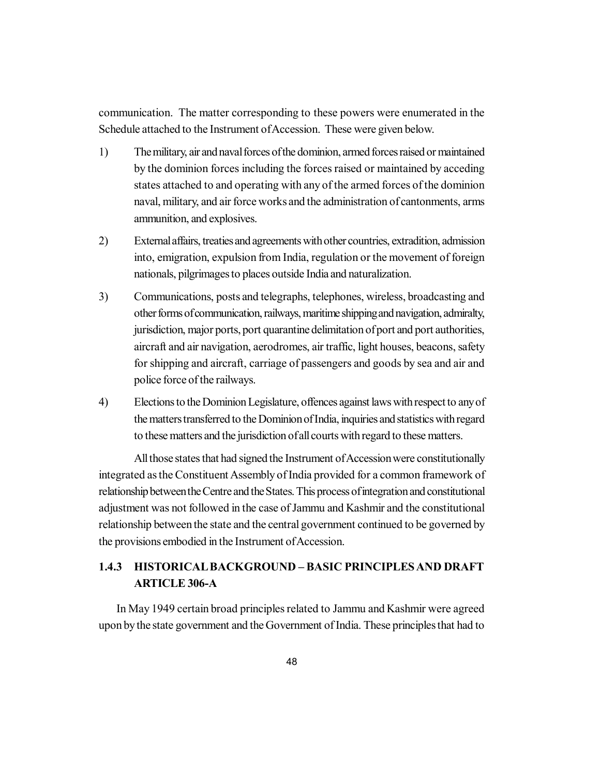communication. The matter corresponding to these powers were enumerated in the Schedule attached to the Instrument of Accession. These were given below.

- 1) The military, air and naval forces of the dominion, armed forces raised or maintained by the dominion forces including the forces raised or maintained by acceding states attached to and operating with any of the armed forces of the dominion naval, military, and air force works and the administration of cantonments, arms ammunition, and explosives.
- 2) External affairs, treaties and agreements with other countries, extradition, admission into, emigration, expulsion from India, regulation or the movement of foreign nationals, pilgrimages to places outside India and naturalization.
- 3) Communications, posts and telegraphs, telephones, wireless, broadcasting and other forms of communication, railways, maritime shipping and navigation, admiralty, jurisdiction, major ports, port quarantine delimitation of port and port authorities, aircraft and air navigation, aerodromes, air traffic, light houses, beacons, safety for shipping and aircraft, carriage of passengers and goods by sea and air and police force of the railways.
- 4) Elections to the Dominion Legislature, offences against laws with respect to any of the matters transferred to the Dominion of India, inquiries and statistics with regard to these matters and the jurisdiction of all courts with regard to these matters.

All those states that had signed the Instrument of Accession were constitutionally integrated as the Constituent Assembly of India provided for a common framework of relationship between the Centre and the States. This process of integration and constitutional adjustment was not followed in the case of Jammu and Kashmir and the constitutional relationship between the state and the central government continued to be governed by the provisions embodied in the Instrument of Accession.

# **1.4.3 HISTORICAL BACKGROUND – BASIC PRINCIPLES AND DRAFT ARTICLE 306-A**

In May 1949 certain broad principles related to Jammu and Kashmir were agreed upon by the state government and the Government of India. These principles that had to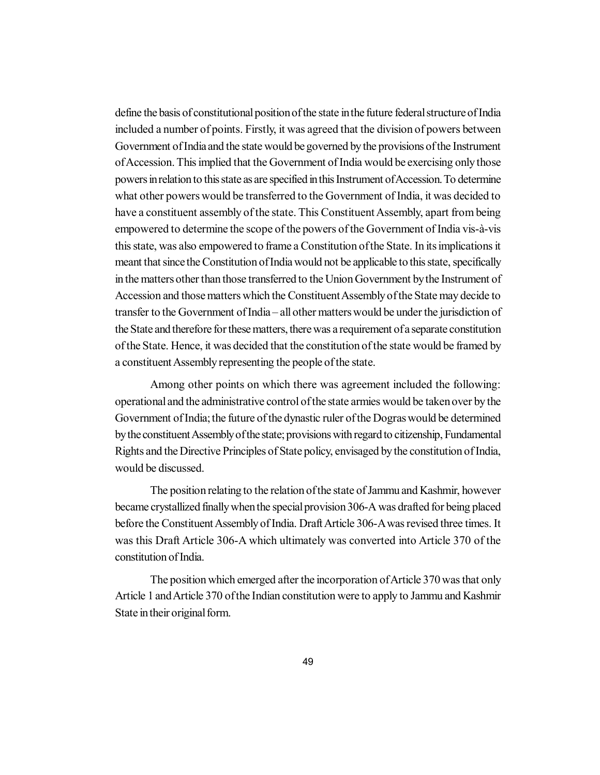define the basis of constitutional position of the state in the future federal structure of India included a number of points. Firstly, it was agreed that the division of powers between Government of India and the state would be governed by the provisions of the Instrument of Accession. This implied that the Government of India would be exercising only those powers in relation to this state as are specified in this Instrument of Accession. To determine what other powers would be transferred to the Government of India, it was decided to have a constituent assembly of the state. This Constituent Assembly, apart from being empowered to determine the scope of the powers of the Government of India vis-à-vis this state, was also empowered to frame a Constitution of the State. In its implications it meant that since the Constitution of India would not be applicable to this state, specifically in the matters other than those transferred to the Union Government by the Instrument of Accession and those matters which the Constituent Assembly of the State may decide to transfer to the Government of India – all other matters would be under the jurisdiction of the State and therefore for these matters, there was a requirement of a separate constitution of the State. Hence, it was decided that the constitution of the state would be framed by a constituent Assembly representing the people of the state.

Among other points on which there was agreement included the following: operational and the administrative control of the state armies would be taken over by the Government of India; the future of the dynastic ruler of the Dogras would be determined by the constituent Assembly of the state; provisions with regard to citizenship, Fundamental Rights and the Directive Principles of State policy, envisaged by the constitution of India, would be discussed.

The position relating to the relation of the state of Jammu and Kashmir, however became crystallized finally when the special provision 306-A was drafted for being placed before the Constituent Assembly of India. Draft Article 306-A was revised three times. It was this Draft Article 306-A which ultimately was converted into Article 370 of the constitution of India.

The position which emerged after the incorporation of Article 370 was that only Article 1 and Article 370 of the Indian constitution were to apply to Jammu and Kashmir State in their original form.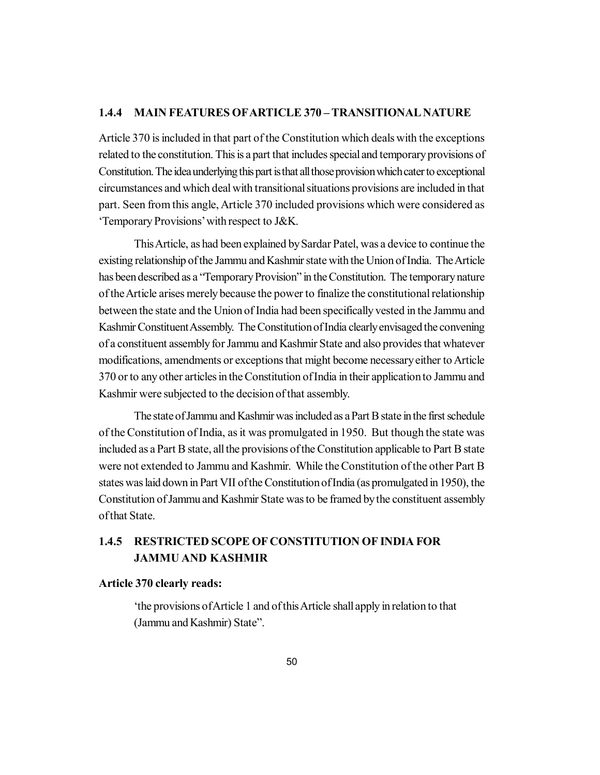# **1.4.4 MAIN FEATURES OFARTICLE 370 – TRANSITIONAL NATURE**

Article 370 is included in that part of the Constitution which deals with the exceptions related to the constitution. This is a part that includes special and temporary provisions of Constitution. The idea underlying this part is that all those provision which cater to exceptional circumstances and which deal with transitional situations provisions are included in that part. Seen from this angle, Article 370 included provisions which were considered as 'Temporary Provisions' with respect to J&K.

This Article, as had been explained by Sardar Patel, was a device to continue the existing relationship of the Jammu and Kashmir state with the Union of India. The Article has been described as a "Temporary Provision" in the Constitution. The temporary nature of the Article arises merely because the power to finalize the constitutional relationship between the state and the Union of India had been specifically vested in the Jammu and Kashmir Constituent Assembly. The Constitution of India clearly envisaged the convening of a constituent assembly for Jammu and Kashmir State and also provides that whatever modifications, amendments or exceptions that might become necessary either to Article 370 or to any other articles in the Constitution of India in their application to Jammu and Kashmir were subjected to the decision of that assembly.

The state of Jammu and Kashmir was included as a Part B state in the first schedule of the Constitution of India, as it was promulgated in 1950. But though the state was included as a Part B state, all the provisions of the Constitution applicable to Part B state were not extended to Jammu and Kashmir. While the Constitution of the other Part B states was laid down in Part VII of the Constitution of India (as promulgated in 1950), the Constitution of Jammu and Kashmir State was to be framed by the constituent assembly of that State.

# **1.4.5 RESTRICTED SCOPE OF CONSTITUTION OF INDIA FOR JAMMU AND KASHMIR**

#### **Article 370 clearly reads:**

'the provisions of Article 1 and of this Article shall apply in relation to that (Jammu and Kashmir) State".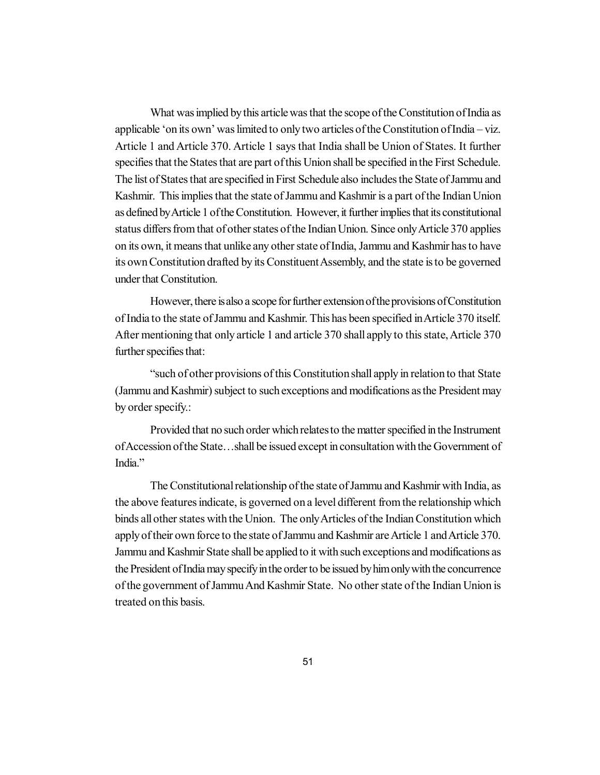What was implied by this article was that the scope of the Constitution of India as applicable 'on its own' was limited to only two articles of the Constitution of India – viz. Article 1 and Article 370. Article 1 says that India shall be Union of States. It further specifies that the States that are part of this Union shall be specified in the First Schedule. The list of States that are specified in First Schedule also includes the State of Jammu and Kashmir. This implies that the state of Jammu and Kashmir is a part of the Indian Union as defined by Article 1 of the Constitution. However, it further implies that its constitutional status differs from that of other states of the Indian Union. Since only Article 370 applies on its own, it means that unlike any other state of India, Jammu and Kashmir has to have its own Constitution drafted by its Constituent Assembly, and the state is to be governed under that Constitution.

However, there is also a scope for further extension of the provisions of Constitution of India to the state of Jammu and Kashmir. This has been specified in Article 370 itself. After mentioning that only article 1 and article 370 shall apply to this state, Article 370 further specifies that:

"such of other provisions of this Constitution shall apply in relation to that State (Jammu and Kashmir) subject to such exceptions and modifications as the President may by order specify.:

Provided that no such order which relates to the matter specified in the Instrument of Accession of the State…shall be issued except in consultation with the Government of India<sup>"</sup>

The Constitutional relationship of the state of Jammu and Kashmir with India, as the above features indicate, is governed on a level different from the relationship which binds all other states with the Union. The only Articles of the Indian Constitution which apply of their own force to the state of Jammu and Kashmir are Article 1 and Article 370. Jammu and Kashmir State shall be applied to it with such exceptions and modifications as the President of India may specify in the order to be issued by him only with the concurrence of the government of Jammu And Kashmir State. No other state of the Indian Union is treated on this basis.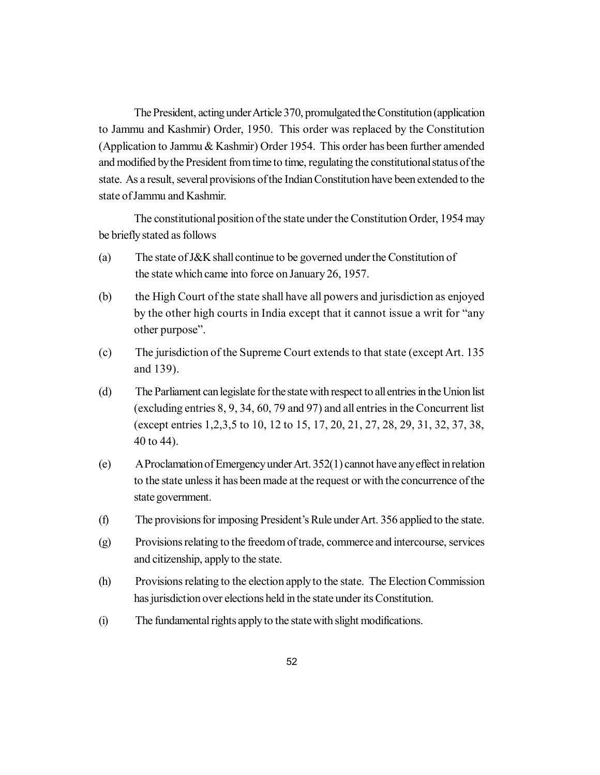The President, acting under Article 370, promulgated the Constitution (application to Jammu and Kashmir) Order, 1950. This order was replaced by the Constitution (Application to Jammu & Kashmir) Order 1954. This order has been further amended and modified by the President from time to time, regulating the constitutional status of the state. As a result, several provisions of the Indian Constitution have been extended to the state of Jammu and Kashmir.

The constitutional position of the state under the Constitution Order, 1954 may be briefly stated as follows

- (a) The state of J&K shall continue to be governed under the Constitution of the state which came into force on January 26, 1957.
- (b) the High Court of the state shall have all powers and jurisdiction as enjoyed by the other high courts in India except that it cannot issue a writ for "any other purpose".
- (c) The jurisdiction of the Supreme Court extends to that state (except Art. 135 and 139).
- (d) The Parliament can legislate for the state with respect to all entries in the Union list (excluding entries 8, 9, 34, 60, 79 and 97) and all entries in the Concurrent list (except entries 1,2,3,5 to 10, 12 to 15, 17, 20, 21, 27, 28, 29, 31, 32, 37, 38, 40 to 44).
- (e) A Proclamation of Emergency under Art. 352(1) cannot have any effect in relation to the state unless it has been made at the request or with the concurrence of the state government.
- (f) The provisions for imposing President's Rule under Art. 356 applied to the state.
- (g) Provisions relating to the freedom of trade, commerce and intercourse, services and citizenship, apply to the state.
- (h) Provisions relating to the election apply to the state. The Election Commission has jurisdiction over elections held in the state under its Constitution.
- (i) The fundamental rights apply to the state with slight modifications.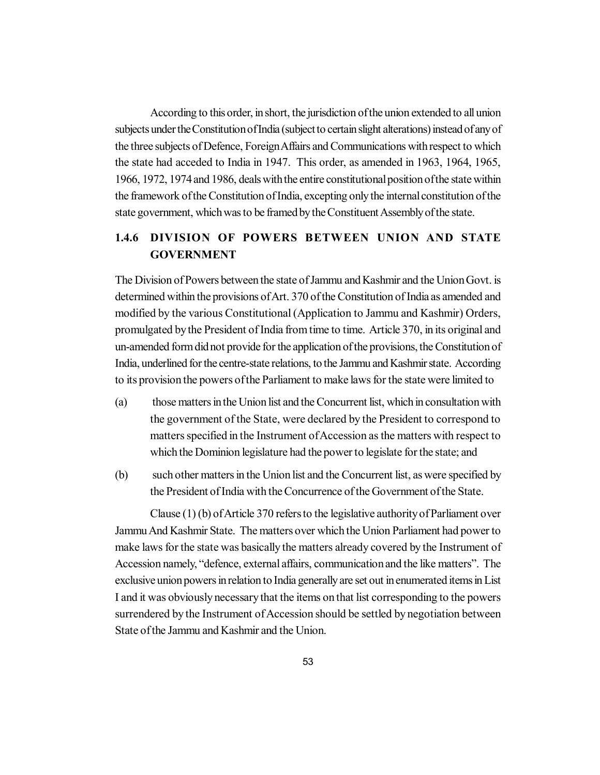According to this order, in short, the jurisdiction of the union extended to all union subjects under the Constitution of India (subject to certain slight alterations) instead of any of the three subjects of Defence, Foreign Affairs and Communications with respect to which the state had acceded to India in 1947. This order, as amended in 1963, 1964, 1965, 1966, 1972, 1974 and 1986, deals with the entire constitutional position of the state within the framework of the Constitution of India, excepting only the internal constitution of the state government, which was to be framed by the Constituent Assembly of the state.

# **1.4.6 DIVISION OF POWERS BETWEEN UNION AND STATE GOVERNMENT**

The Division of Powers between the state of Jammu and Kashmir and the Union Govt. is determined within the provisions of Art. 370 of the Constitution of India as amended and modified by the various Constitutional (Application to Jammu and Kashmir) Orders, promulgated by the President of India from time to time. Article 370, in its original and un-amended form did not provide for the application of the provisions, the Constitution of India, underlined for the centre-state relations, to the Jammu and Kashmir state. According to its provision the powers of the Parliament to make laws for the state were limited to

- (a) those matters in the Union list and the Concurrent list, which in consultation with the government of the State, were declared by the President to correspond to matters specified in the Instrument of Accession as the matters with respect to which the Dominion legislature had the power to legislate for the state; and
- (b) such other matters in the Union list and the Concurrent list, as were specified by the President of India with the Concurrence of the Government of the State.

Clause (1) (b) of Article 370 refers to the legislative authority of Parliament over Jammu And Kashmir State. The matters over which the Union Parliament had power to make laws for the state was basically the matters already covered by the Instrument of Accession namely, "defence, external affairs, communication and the like matters". The exclusive union powers in relation to India generally are set out in enumerated items in List I and it was obviously necessary that the items on that list corresponding to the powers surrendered by the Instrument of Accession should be settled by negotiation between State of the Jammu and Kashmir and the Union.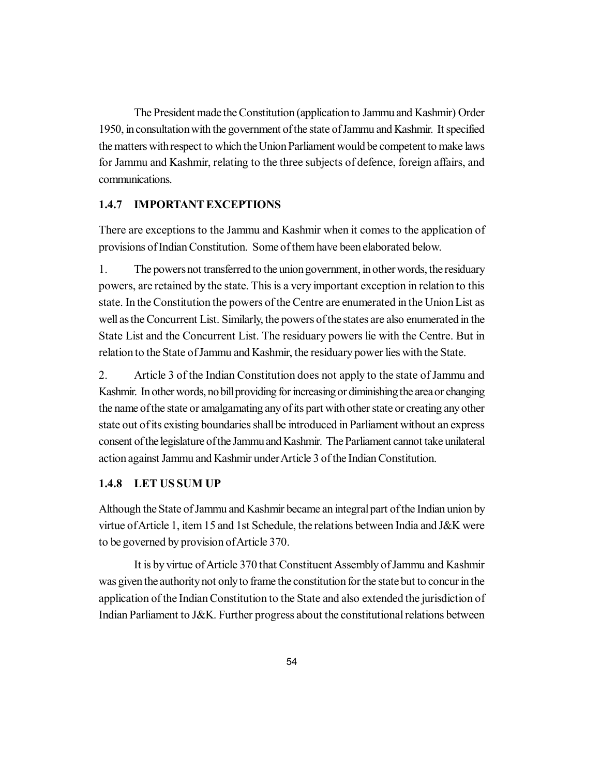The President made the Constitution (application to Jammu and Kashmir) Order 1950, in consultation with the government of the state of Jammu and Kashmir. It specified the matters with respect to which the Union Parliament would be competent to make laws for Jammu and Kashmir, relating to the three subjects of defence, foreign affairs, and communications.

# **1.4.7 IMPORTANT EXCEPTIONS**

There are exceptions to the Jammu and Kashmir when it comes to the application of provisions of Indian Constitution. Some of them have been elaborated below.

1. The powers not transferred to the union government, in other words, the residuary powers, are retained by the state. This is a very important exception in relation to this state. In the Constitution the powers of the Centre are enumerated in the Union List as well as the Concurrent List. Similarly, the powers of the states are also enumerated in the State List and the Concurrent List. The residuary powers lie with the Centre. But in relation to the State of Jammu and Kashmir, the residuary power lies with the State.

2. Article 3 of the Indian Constitution does not apply to the state of Jammu and Kashmir. In other words, no bill providing for increasing or diminishing the area or changing the name of the state or amalgamating any of its part with other state or creating any other state out of its existing boundaries shall be introduced in Parliament without an express consent of the legislature of the Jammu and Kashmir. The Parliament cannot take unilateral action against Jammu and Kashmir under Article 3 of the Indian Constitution.

# **1.4.8 LET US SUM UP**

Although the State of Jammu and Kashmir became an integral part of the Indian union by virtue of Article 1, item 15 and 1st Schedule, the relations between India and J&K were to be governed by provision of Article 370.

It is by virtue of Article 370 that Constituent Assembly of Jammu and Kashmir was given the authority not only to frame the constitution for the state but to concur in the application of the Indian Constitution to the State and also extended the jurisdiction of Indian Parliament to J&K. Further progress about the constitutional relations between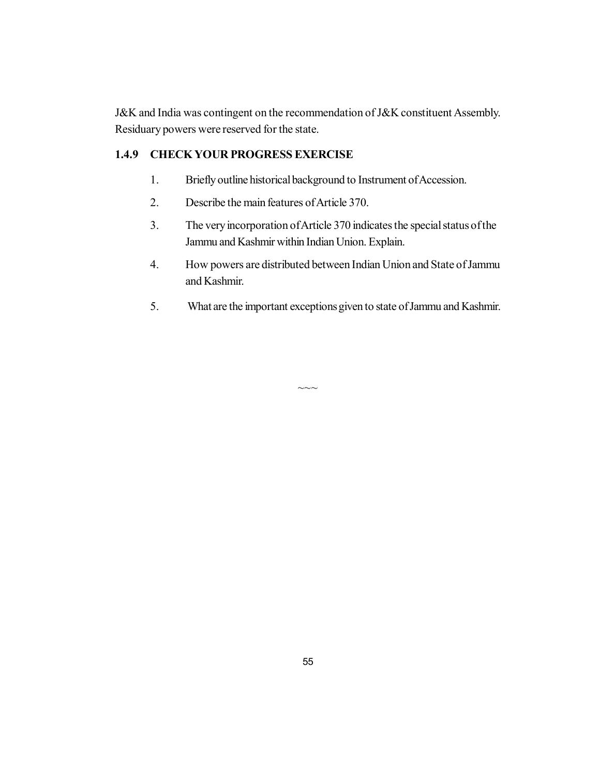J&K and India was contingent on the recommendation of J&K constituent Assembly. Residuary powers were reserved for the state.

# **1.4.9 CHECK YOUR PROGRESS EXERCISE**

- 1. Briefly outline historical background to Instrument of Accession.
- 2. Describe the main features of Article 370.
- 3. The very incorporation of Article 370 indicates the special status of the Jammu and Kashmir within Indian Union. Explain.
- 4. How powers are distributed between Indian Union and State of Jammu and Kashmir.
- 5. What are the important exceptions given to state of Jammu and Kashmir.

 $\sim\sim\sim$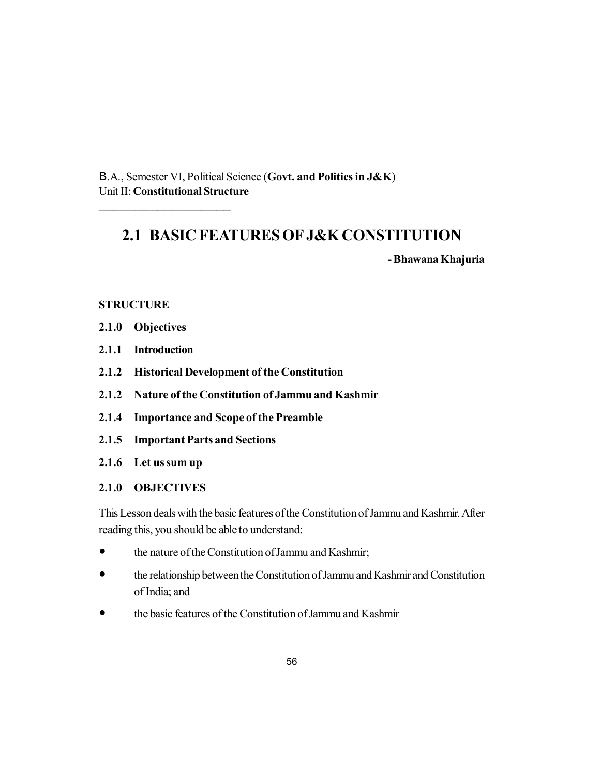B.A., Semester VI, Political Science (**Govt. and Politics in J&K**) Unit II: **Constitutional Structure**

# **2.1 BASIC FEATURES OF J&K CONSTITUTION**

**- Bhawana Khajuria**

# **STRUCTURE**

**2.1.0 Objectives**

\_\_\_\_\_\_\_\_\_\_\_\_\_\_\_\_\_\_

- **2.1.1 Introduction**
- **2.1.2 Historical Development of the Constitution**
- **2.1.2 Nature of the Constitution of Jammu and Kashmir**
- **2.1.4 Importance and Scope of the Preamble**
- **2.1.5 Important Parts and Sections**
- **2.1.6 Let us sum up**

# **2.1.0 OBJECTIVES**

This Lesson deals with the basic features of the Constitution of Jammu and Kashmir. After reading this, you should be able to understand:

- the nature of the Constitution of Jammu and Kashmir;
- the relationship between the Constitution of Jammu and Kashmir and Constitution of India; and
- the basic features of the Constitution of Jammu and Kashmir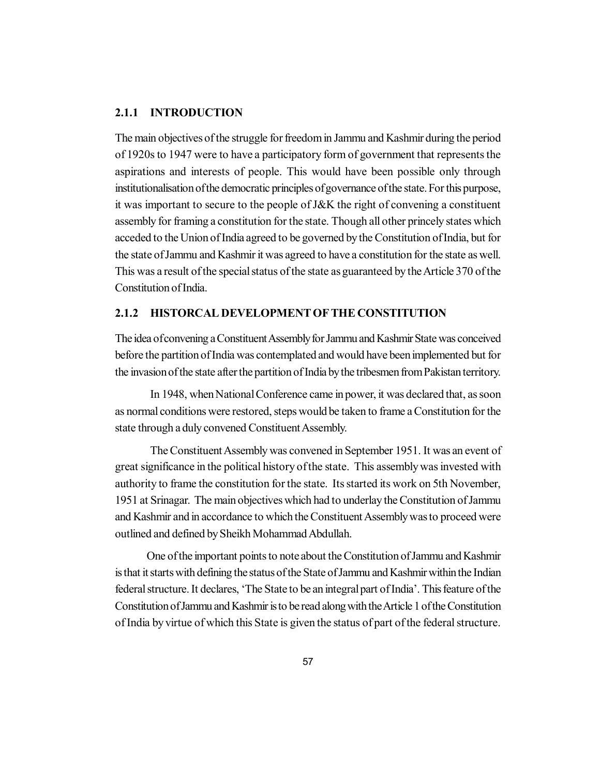### **2.1.1 INTRODUCTION**

The main objectives of the struggle for freedom in Jammu and Kashmir during the period of 1920s to 1947 were to have a participatory form of government that represents the aspirations and interests of people. This would have been possible only through institutionalisation of the democratic principles of governance of the state. For this purpose, it was important to secure to the people of J&K the right of convening a constituent assembly for framing a constitution for the state. Though all other princely states which acceded to the Union of India agreed to be governed by the Constitution of India, but for the state of Jammu and Kashmir it was agreed to have a constitution for the state as well. This was a result of the special status of the state as guaranteed by the Article 370 of the Constitution of India.

### **2.1.2 HISTORCAL DEVELOPMENT OF THE CONSTITUTION**

The idea of convening a Constituent Assembly for Jammu and Kashmir State was conceived before the partition of India was contemplated and would have been implemented but for the invasion of the state after the partition of India by the tribesmen from Pakistan territory.

In 1948, when National Conference came in power, it was declared that, as soon as normal conditions were restored, steps would be taken to frame a Constitution for the state through a duly convened Constituent Assembly.

The Constituent Assembly was convened in September 1951. It was an event of great significance in the political history of the state. This assembly was invested with authority to frame the constitution for the state. Its started its work on 5th November, 1951 at Srinagar. The main objectives which had to underlay the Constitution of Jammu and Kashmir and in accordance to which the Constituent Assembly was to proceed were outlined and defined by Sheikh Mohammad Abdullah.

 One of the important points to note about the Constitution of Jammu and Kashmir is that it starts with defining the status of the State of Jammu and Kashmir within the Indian federal structure. It declares, 'The State to be an integral part of India'. This feature of the Constitution of Jammu and Kashmir is to be read along with the Article 1 of the Constitution of India by virtue of which this State is given the status of part of the federal structure.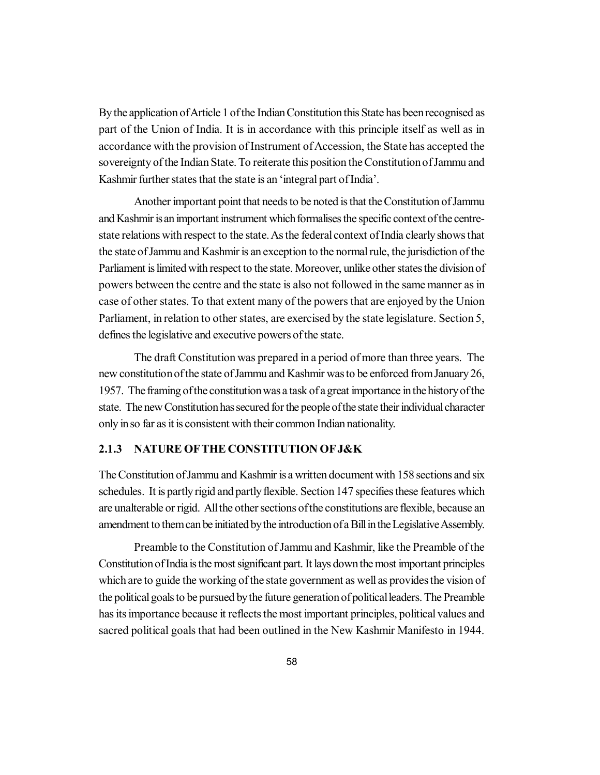By the application of Article 1 of the Indian Constitution this State has been recognised as part of the Union of India. It is in accordance with this principle itself as well as in accordance with the provision of Instrument of Accession, the State has accepted the sovereignty of the Indian State. To reiterate this position the Constitution of Jammu and Kashmir further states that the state is an 'integral part of India'.

Another important point that needs to be noted is that the Constitution of Jammu and Kashmir is an important instrument which formalises the specific context of the centrestate relations with respect to the state. As the federal context of India clearly shows that the state of Jammu and Kashmir is an exception to the normal rule, the jurisdiction of the Parliament is limited with respect to the state. Moreover, unlike other states the division of powers between the centre and the state is also not followed in the same manner as in case of other states. To that extent many of the powers that are enjoyed by the Union Parliament, in relation to other states, are exercised by the state legislature. Section 5, defines the legislative and executive powers of the state.

The draft Constitution was prepared in a period of more than three years. The new constitution of the state of Jammu and Kashmir was to be enforced from January 26, 1957. The framing of the constitution was a task of a great importance in the history of the state. The new Constitution has secured for the people of the state their individual character only in so far as it is consistent with their common Indian nationality.

# **2.1.3 NATURE OFTHE CONSTITUTION OF J&K**

The Constitution of Jammu and Kashmir is a written document with 158 sections and six schedules. It is partly rigid and partly flexible. Section 147 specifies these features which are unalterable or rigid. All the other sections of the constitutions are flexible, because an amendment to them can be initiated by the introduction of a Bill in the Legislative Assembly.

Preamble to the Constitution of Jammu and Kashmir, like the Preamble of the Constitution of India is the most significant part. It lays down the most important principles which are to guide the working of the state government as well as provides the vision of the political goals to be pursued by the future generation of political leaders. The Preamble has its importance because it reflects the most important principles, political values and sacred political goals that had been outlined in the New Kashmir Manifesto in 1944.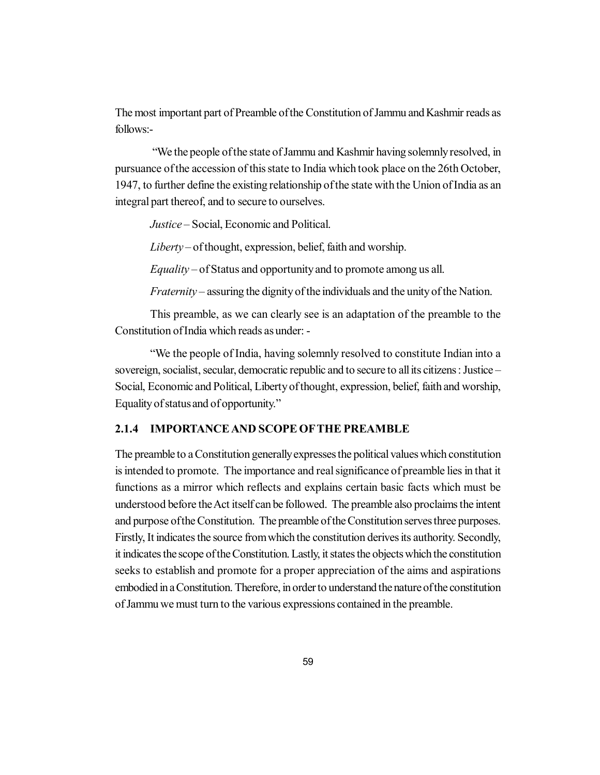The most important part of Preamble of the Constitution of Jammu and Kashmir reads as follows:-

 "We the people of the state of Jammu and Kashmir having solemnly resolved, in pursuance of the accession of this state to India which took place on the 26th October, 1947, to further define the existing relationship of the state with the Union of India as an integral part thereof, and to secure to ourselves.

*Justice* – Social, Economic and Political.

*Liberty* – of thought, expression, belief, faith and worship.

*Equality* – of Status and opportunity and to promote among us all.

*Fraternity* – assuring the dignity of the individuals and the unity of the Nation.

This preamble, as we can clearly see is an adaptation of the preamble to the Constitution of India which reads as under: -

"We the people of India, having solemnly resolved to constitute Indian into a sovereign, socialist, secular, democratic republic and to secure to all its citizens : Justice – Social, Economic and Political, Liberty of thought, expression, belief, faith and worship, Equality of status and of opportunity."

### **2.1.4 IMPORTANCE AND SCOPE OFTHE PREAMBLE**

The preamble to a Constitution generally expresses the political values which constitution is intended to promote. The importance and real significance of preamble lies in that it functions as a mirror which reflects and explains certain basic facts which must be understood before the Act itself can be followed. The preamble also proclaims the intent and purpose of the Constitution. The preamble of the Constitution serves three purposes. Firstly, It indicates the source from which the constitution derives its authority. Secondly, it indicates the scope of the Constitution. Lastly, it states the objects which the constitution seeks to establish and promote for a proper appreciation of the aims and aspirations embodied in a Constitution. Therefore, in order to understand the nature of the constitution of Jammu we must turn to the various expressions contained in the preamble.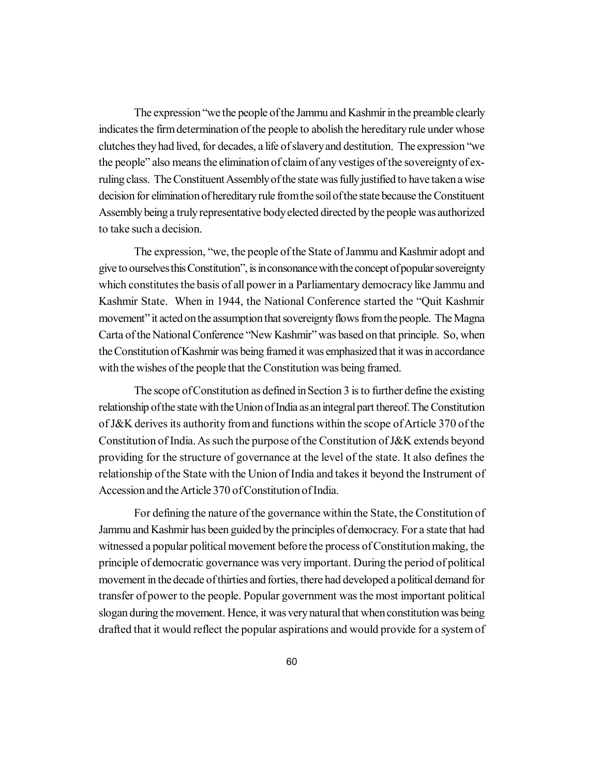The expression "we the people of the Jammu and Kashmir in the preamble clearly indicates the firm determination of the people to abolish the hereditary rule under whose clutches they had lived, for decades, a life of slavery and destitution. The expression "we the people" also means the elimination of claim of any vestiges of the sovereignty of exruling class. The Constituent Assembly of the state was fully justified to have taken a wise decision for elimination of hereditary rule from the soil of the state because the Constituent Assembly being a truly representative body elected directed by the people was authorized to take such a decision.

The expression, "we, the people of the State of Jammu and Kashmir adopt and give to ourselves this Constitution", is in consonance with the concept of popular sovereignty which constitutes the basis of all power in a Parliamentary democracy like Jammu and Kashmir State. When in 1944, the National Conference started the "Quit Kashmir movement" it acted on the assumption that sovereignty flows from the people. The Magna Carta of the National Conference "New Kashmir" was based on that principle. So, when the Constitution of Kashmir was being framed it was emphasized that it was in accordance with the wishes of the people that the Constitution was being framed.

The scope of Constitution as defined in Section 3 is to further define the existing relationship of the state with the Union of India as an integral part thereof. The Constitution of J&K derives its authority from and functions within the scope of Article 370 of the Constitution of India. As such the purpose of the Constitution of J&K extends beyond providing for the structure of governance at the level of the state. It also defines the relationship of the State with the Union of India and takes it beyond the Instrument of Accession and the Article 370 of Constitution of India.

For defining the nature of the governance within the State, the Constitution of Jammu and Kashmir has been guided by the principles of democracy. For a state that had witnessed a popular political movement before the process of Constitution making, the principle of democratic governance was very important. During the period of political movement in the decade of thirties and forties, there had developed a political demand for transfer of power to the people. Popular government was the most important political slogan during the movement. Hence, it was very natural that when constitution was being drafted that it would reflect the popular aspirations and would provide for a system of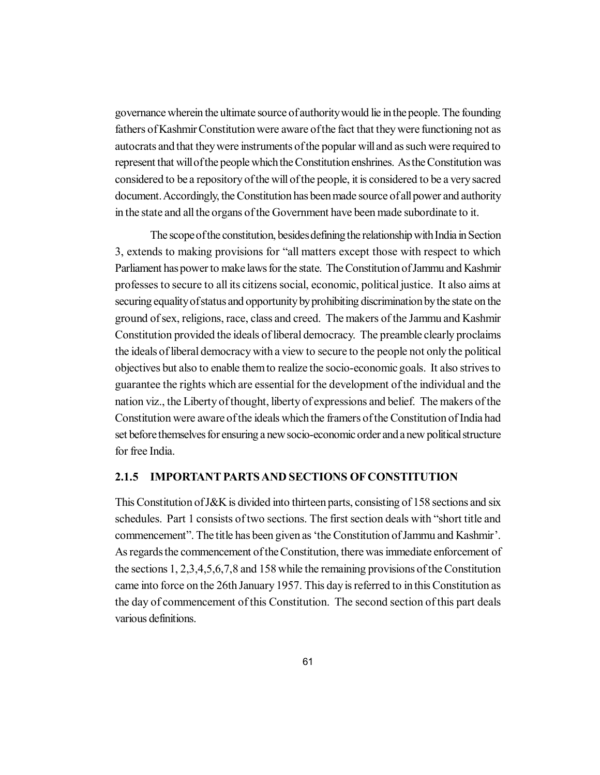governance wherein the ultimate source of authority would lie in the people. The founding fathers of Kashmir Constitution were aware of the fact that they were functioning not as autocrats and that they were instruments of the popular will and as such were required to represent that will of the people which the Constitution enshrines. As the Constitution was considered to be a repository of the will of the people, it is considered to be a very sacred document. Accordingly, the Constitution has been made source of all power and authority in the state and all the organs of the Government have been made subordinate to it.

The scope of the constitution, besides defining the relationship with India in Section 3, extends to making provisions for "all matters except those with respect to which Parliament has power to make laws for the state. The Constitution of Jammu and Kashmir professes to secure to all its citizens social, economic, political justice. It also aims at securing equality of status and opportunity by prohibiting discrimination by the state on the ground of sex, religions, race, class and creed. The makers of the Jammu and Kashmir Constitution provided the ideals of liberal democracy. The preamble clearly proclaims the ideals of liberal democracy with a view to secure to the people not only the political objectives but also to enable them to realize the socio-economic goals. It also strives to guarantee the rights which are essential for the development of the individual and the nation viz., the Liberty of thought, liberty of expressions and belief. The makers of the Constitution were aware of the ideals which the framers of the Constitution of India had set before themselves for ensuring a new socio-economic order and a new political structure for free India.

### **2.1.5 IMPORTANT PARTS AND SECTIONS OF CONSTITUTION**

This Constitution of J&K is divided into thirteen parts, consisting of 158 sections and six schedules. Part 1 consists of two sections. The first section deals with "short title and commencement". The title has been given as 'the Constitution of Jammu and Kashmir'. As regards the commencement of the Constitution, there was immediate enforcement of the sections 1, 2,3,4,5,6,7,8 and 158 while the remaining provisions of the Constitution came into force on the 26th January 1957. This day is referred to in this Constitution as the day of commencement of this Constitution. The second section of this part deals various definitions.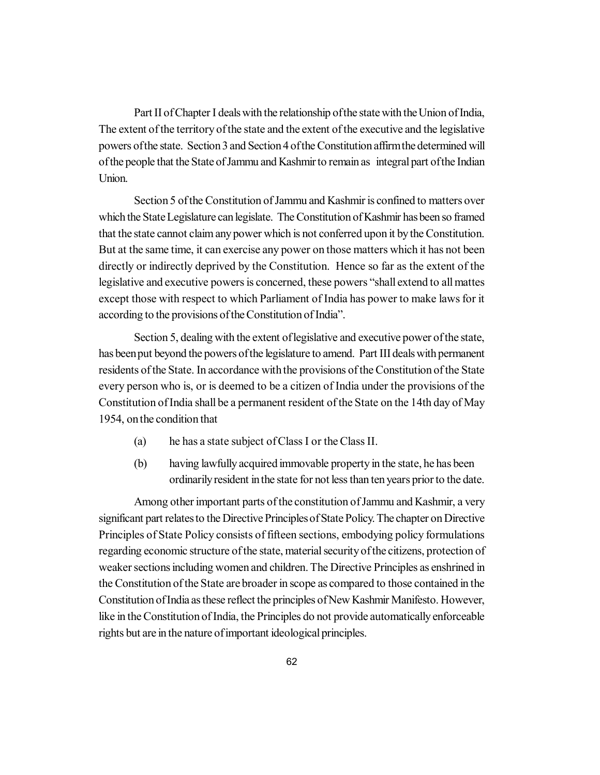Part II of Chapter I deals with the relationship of the state with the Union of India, The extent of the territory of the state and the extent of the executive and the legislative powers of the state. Section 3 and Section 4 of the Constitution affirm the determined will of the people that the State of Jammu and Kashmir to remain as integral part of the Indian Union.

Section 5 of the Constitution of Jammu and Kashmir is confined to matters over which the State Legislature can legislate. The Constitution of Kashmir has been so framed that the state cannot claim any power which is not conferred upon it by the Constitution. But at the same time, it can exercise any power on those matters which it has not been directly or indirectly deprived by the Constitution. Hence so far as the extent of the legislative and executive powers is concerned, these powers "shall extend to all mattes except those with respect to which Parliament of India has power to make laws for it according to the provisions of the Constitution of India".

Section 5, dealing with the extent of legislative and executive power of the state, has been put beyond the powers of the legislature to amend. Part III deals with permanent residents of the State. In accordance with the provisions of the Constitution of the State every person who is, or is deemed to be a citizen of India under the provisions of the Constitution of India shall be a permanent resident of the State on the 14th day of May 1954, on the condition that

- (a) he has a state subject of Class I or the Class II.
- (b) having lawfully acquired immovable property in the state, he has been ordinarily resident in the state for not less than ten years prior to the date.

Among other important parts of the constitution of Jammu and Kashmir, a very significant part relates to the Directive Principles of State Policy. The chapter on Directive Principles of State Policy consists of fifteen sections, embodying policy formulations regarding economic structure of the state, material security of the citizens, protection of weaker sections including women and children. The Directive Principles as enshrined in the Constitution of the State are broader in scope as compared to those contained in the Constitution of India as these reflect the principles of New Kashmir Manifesto. However, like in the Constitution of India, the Principles do not provide automatically enforceable rights but are in the nature of important ideological principles.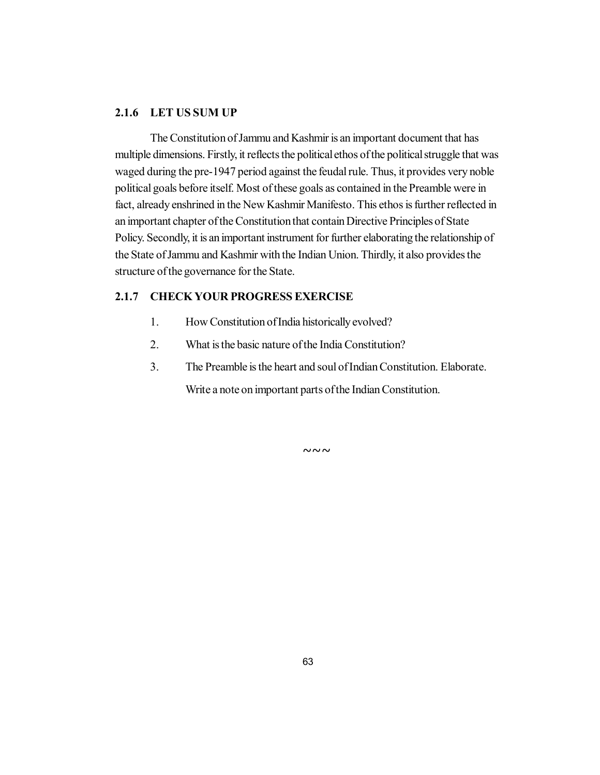# **2.1.6 LET US SUM UP**

The Constitution of Jammu and Kashmir is an important document that has multiple dimensions. Firstly, it reflects the political ethos of the political struggle that was waged during the pre-1947 period against the feudal rule. Thus, it provides very noble political goals before itself. Most of these goals as contained in the Preamble were in fact, already enshrined in the New Kashmir Manifesto. This ethos is further reflected in an important chapter of the Constitution that contain Directive Principles of State Policy. Secondly, it is an important instrument for further elaborating the relationship of the State of Jammu and Kashmir with the Indian Union. Thirdly, it also provides the structure of the governance for the State.

# **2.1.7 CHECK YOUR PROGRESS EXERCISE**

- 1. How Constitution of India historically evolved?
- 2. What is the basic nature of the India Constitution?
- 3. The Preamble is the heart and soul of Indian Constitution. Elaborate.

Write a note on important parts of the Indian Constitution.

 $\sim\sim\sim$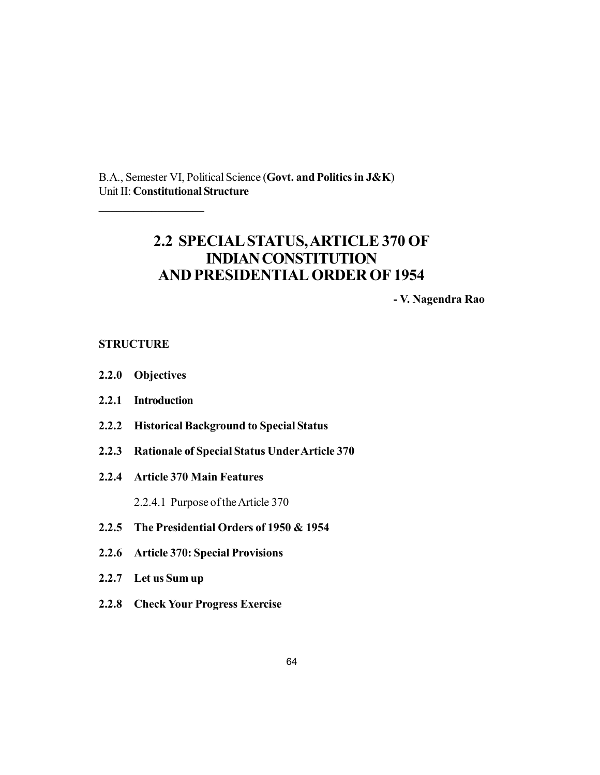B.A., Semester VI, Political Science (**Govt. and Politics in J&K**) Unit II: **Constitutional Structure**

# **2.2 SPECIAL STATUS, ARTICLE 370 OF INDIAN CONSTITUTION AND PRESIDENTIAL ORDER OF 1954**

**- V. Nagendra Rao**

### **STRUCTURE**

**2.2.0 Objectives**

 $\mathcal{L}$  , we have the set of the set of the set of the set of the set of the set of the set of the set of the set of the set of the set of the set of the set of the set of the set of the set of the set of the set of the

- **2.2.1 Introduction**
- **2.2.2 Historical Background to Special Status**
- **2.2.3 Rationale of Special Status Under Article 370**
- **2.2.4 Article 370 Main Features**

2.2.4.1 Purpose of the Article 370

- **2.2.5 The Presidential Orders of 1950 & 1954**
- **2.2.6 Article 370: Special Provisions**
- **2.2.7 Let us Sum up**
- **2.2.8 Check Your Progress Exercise**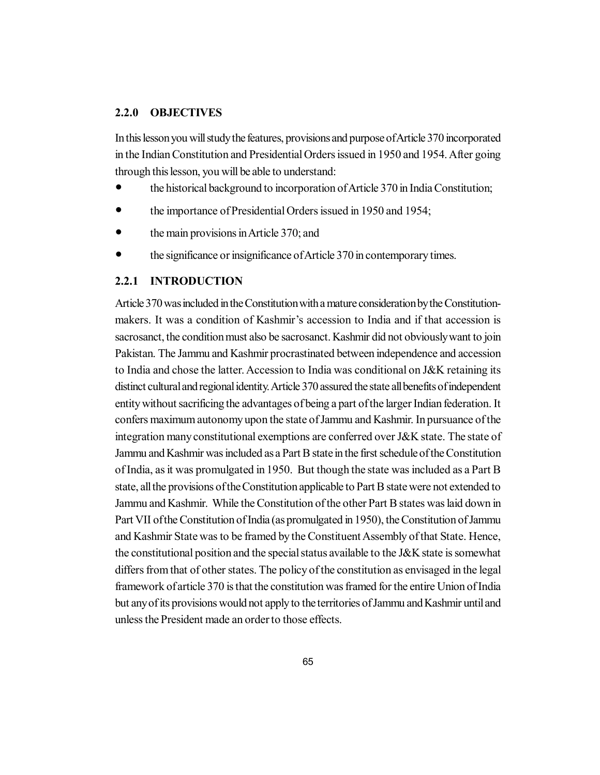### **2.2.0 OBJECTIVES**

In this lesson you will study the features, provisions and purpose of Article 370 incorporated in the Indian Constitution and Presidential Orders issued in 1950 and 1954. After going through this lesson, you will be able to understand:

- the historical background to incorporation of Article 370 in India Constitution;
- the importance of Presidential Orders issued in 1950 and 1954;
- the main provisions in Article 370; and
- the significance or insignificance of Article 370 in contemporary times.

# **2.2.1 INTRODUCTION**

Article 370 was included in the Constitution with a mature consideration by the Constitutionmakers. It was a condition of Kashmir's accession to India and if that accession is sacrosanct, the condition must also be sacrosanct. Kashmir did not obviously want to join Pakistan. The Jammu and Kashmir procrastinated between independence and accession to India and chose the latter. Accession to India was conditional on J&K retaining its distinct cultural and regional identity. Article 370 assured the state all benefits of independent entity without sacrificing the advantages of being a part of the larger Indian federation. It confers maximum autonomy upon the state of Jammu and Kashmir. In pursuance of the integration many constitutional exemptions are conferred over J&K state. The state of Jammu and Kashmir was included as a Part B state in the first schedule of the Constitution of India, as it was promulgated in 1950. But though the state was included as a Part B state, all the provisions of the Constitution applicable to Part B state were not extended to Jammu and Kashmir. While the Constitution of the other Part B states was laid down in Part VII of the Constitution of India (as promulgated in 1950), the Constitution of Jammu and Kashmir State was to be framed by the Constituent Assembly of that State. Hence, the constitutional position and the special status available to the J&K state is somewhat differs from that of other states. The policy of the constitution as envisaged in the legal framework of article 370 is that the constitution was framed for the entire Union of India but any of its provisions would not apply to the territories of Jammu and Kashmir until and unless the President made an order to those effects.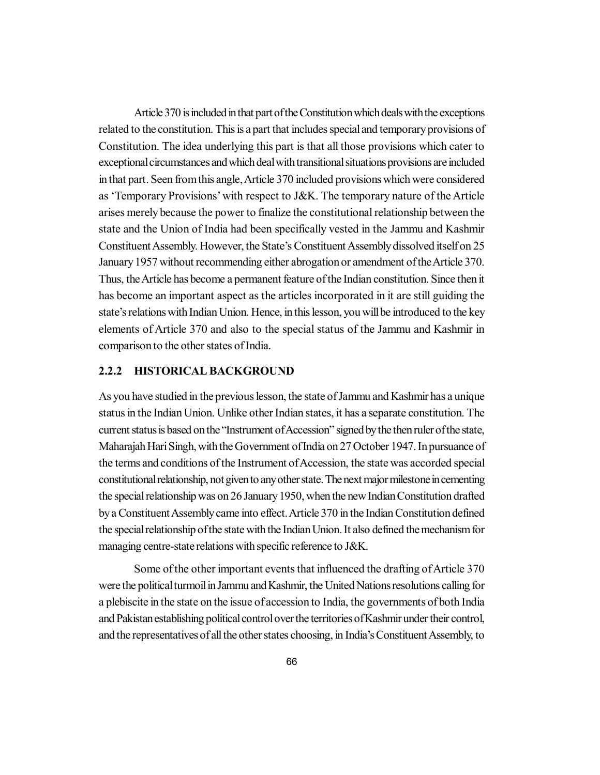Article 370 is included in that part of the Constitution which deals with the exceptions related to the constitution. This is a part that includes special and temporary provisions of Constitution. The idea underlying this part is that all those provisions which cater to exceptional circumstances and which deal with transitional situations provisions are included in that part. Seen from this angle, Article 370 included provisions which were considered as 'Temporary Provisions' with respect to J&K. The temporary nature of the Article arises merely because the power to finalize the constitutional relationship between the state and the Union of India had been specifically vested in the Jammu and Kashmir Constituent Assembly. However, the State's Constituent Assembly dissolved itself on 25 January 1957 without recommending either abrogation or amendment of the Article 370. Thus, the Article has become a permanent feature of the Indian constitution. Since then it has become an important aspect as the articles incorporated in it are still guiding the state's relations with Indian Union. Hence, in this lesson, you will be introduced to the key elements of Article 370 and also to the special status of the Jammu and Kashmir in comparison to the other states of India.

# **2.2.2 HISTORICAL BACKGROUND**

As you have studied in the previous lesson, the state of Jammu and Kashmir has a unique status in the Indian Union. Unlike other Indian states, it has a separate constitution. The current status is based on the "Instrument of Accession" signed by the then ruler of the state, Maharajah Hari Singh, with the Government of India on 27 October 1947. In pursuance of the terms and conditions of the Instrument of Accession, the state was accorded special constitutional relationship, not given to any other state. The next major milestone in cementing the special relationship was on 26 January 1950, when the new Indian Constitution drafted by a Constituent Assembly came into effect. Article 370 in the Indian Constitution defined the special relationship of the state with the Indian Union. It also defined the mechanism for managing centre-state relations with specific reference to J&K.

Some of the other important events that influenced the drafting of Article 370 were the political turmoil in Jammu and Kashmir, the United Nations resolutions calling for a plebiscite in the state on the issue of accession to India, the governments of both India and Pakistan establishing political control over the territories of Kashmir under their control, and the representatives of all the other states choosing, in India's Constituent Assembly, to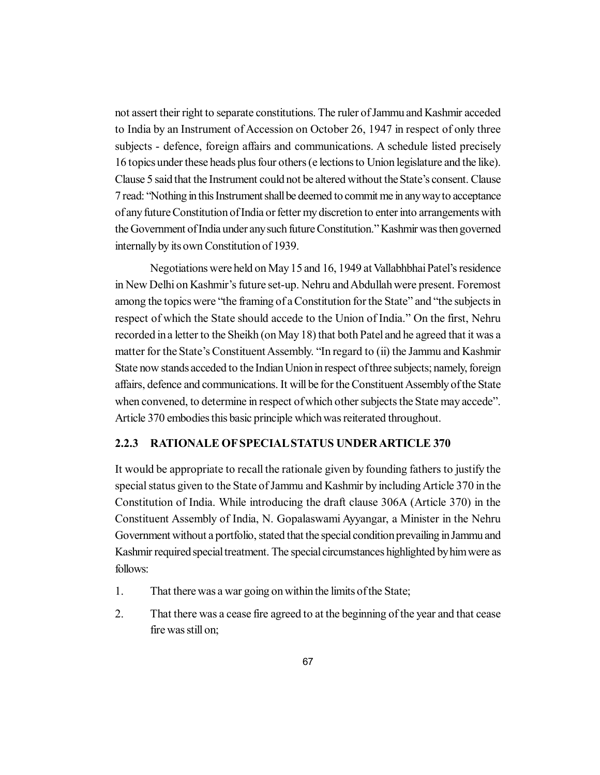not assert their right to separate constitutions. The ruler of Jammu and Kashmir acceded to India by an Instrument of Accession on October 26, 1947 in respect of only three subjects - defence, foreign affairs and communications. A schedule listed precisely 16 topics under these heads plus four others (e lections to Union legislature and the like). Clause 5 said that the Instrument could not be altered without the State's consent. Clause 7 read: "Nothing in this Instrument shall be deemed to commit me in any way to acceptance of any future Constitution of India or fetter my discretion to enter into arrangements with the Government of India under any such future Constitution." Kashmir was then governed internally by its own Constitution of 1939.

Negotiations were held on May 15 and 16, 1949 at Vallabhbhai Patel's residence in New Delhi on Kashmir's future set-up. Nehru and Abdullah were present. Foremost among the topics were "the framing of a Constitution for the State" and "the subjects in respect of which the State should accede to the Union of India." On the first, Nehru recorded in a letter to the Sheikh (on May 18) that both Patel and he agreed that it was a matter for the State's Constituent Assembly. "In regard to (ii) the Jammu and Kashmir State now stands acceded to the Indian Union in respect of three subjects; namely, foreign affairs, defence and communications. It will be for the Constituent Assembly of the State when convened, to determine in respect of which other subjects the State may accede". Article 370 embodies this basic principle which was reiterated throughout.

# **2.2.3 RATIONALE OF SPECIAL STATUS UNDER ARTICLE 370**

It would be appropriate to recall the rationale given by founding fathers to justify the special status given to the State of Jammu and Kashmir by including Article 370 in the Constitution of India. While introducing the draft clause 306A (Article 370) in the Constituent Assembly of India, N. Gopalaswami Ayyangar, a Minister in the Nehru Government without a portfolio, stated that the special condition prevailing in Jammu and Kashmir required special treatment. The special circumstances highlighted by him were as follows:

- 1. That there was a war going on within the limits of the State;
- 2. That there was a cease fire agreed to at the beginning of the year and that cease fire was still on;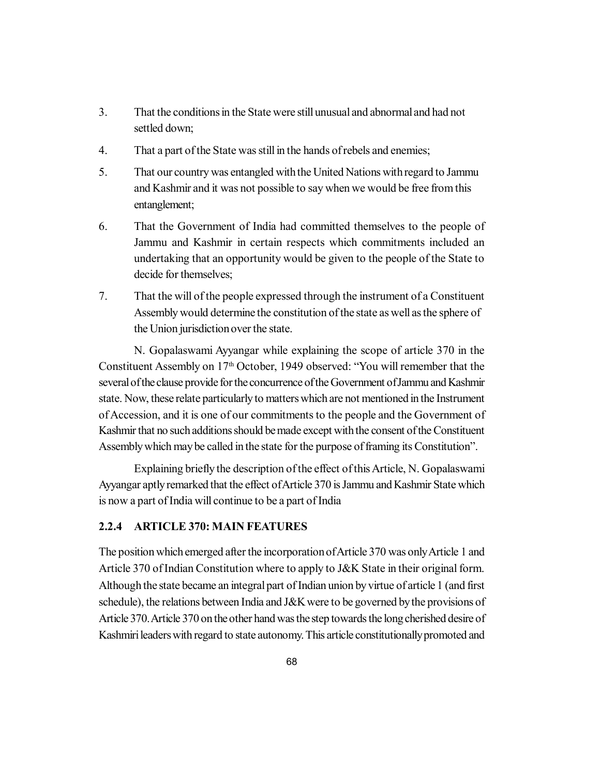- 3. That the conditions in the State were still unusual and abnormal and had not settled down;
- 4. That a part of the State was still in the hands of rebels and enemies;
- 5. That our country was entangled with the United Nations with regard to Jammu and Kashmir and it was not possible to say when we would be free from this entanglement;
- 6. That the Government of India had committed themselves to the people of Jammu and Kashmir in certain respects which commitments included an undertaking that an opportunity would be given to the people of the State to decide for themselves;
- 7. That the will of the people expressed through the instrument of a Constituent Assembly would determine the constitution of the state as well as the sphere of the Union jurisdiction over the state.

N. Gopalaswami Ayyangar while explaining the scope of article 370 in the Constituent Assembly on 17<sup>th</sup> October, 1949 observed: "You will remember that the several of the clause provide for the concurrence of the Government of Jammu and Kashmir state. Now, these relate particularly to matters which are not mentioned in the Instrument of Accession, and it is one of our commitments to the people and the Government of Kashmir that no such additions should be made except with the consent of the Constituent Assembly which may be called in the state for the purpose of framing its Constitution".

Explaining briefly the description of the effect of this Article, N. Gopalaswami Ayyangar aptly remarked that the effect of Article 370 is Jammu and Kashmir State which is now a part of India will continue to be a part of India

# **2.2.4 ARTICLE 370: MAIN FEATURES**

The position which emerged after the incorporation of Article 370 was only Article 1 and Article 370 of Indian Constitution where to apply to J&K State in their original form. Although the state became an integral part of Indian union by virtue of article 1 (and first schedule), the relations between India and J&K were to be governed by the provisions of Article 370. Article 370 on the other hand was the step towards the long cherished desire of Kashmiri leaders with regard to state autonomy. This article constitutionally promoted and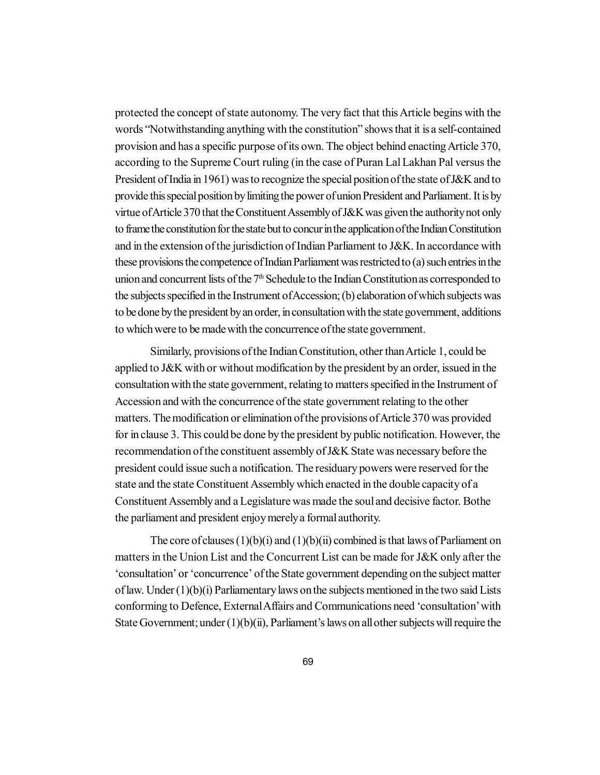protected the concept of state autonomy. The very fact that this Article begins with the words "Notwithstanding anything with the constitution" shows that it is a self-contained provision and has a specific purpose of its own. The object behind enacting Article 370, according to the Supreme Court ruling (in the case of Puran Lal Lakhan Pal versus the President of India in 1961) was to recognize the special position of the state of J&K and to provide this special position by limiting the power of union President and Parliament. It is by virtue of Article 370 that the Constituent Assembly of J&K was given the authority not only to frame the constitution for the state but to concur in the application of the Indian Constitution and in the extension of the jurisdiction of Indian Parliament to J&K. In accordance with these provisions the competence of Indian Parliament was restricted to (a) such entries in the union and concurrent lists of the 7<sup>th</sup> Schedule to the Indian Constitution as corresponded to the subjects specified in the Instrument of Accession; (b) elaboration of which subjects was to be done by the president by an order, in consultation with the state government, additions to which were to be made with the concurrence of the state government.

Similarly, provisions of the Indian Constitution, other than Article 1, could be applied to J&K with or without modification by the president by an order, issued in the consultation with the state government, relating to matters specified in the Instrument of Accession and with the concurrence of the state government relating to the other matters. The modification or elimination of the provisions of Article 370 was provided for in clause 3. This could be done by the president by public notification. However, the recommendation of the constituent assembly of J&K State was necessary before the president could issue such a notification. The residuary powers were reserved for the state and the state Constituent Assembly which enacted in the double capacity of a Constituent Assembly and a Legislature was made the soul and decisive factor. Bothe the parliament and president enjoy merely a formal authority.

The core of clauses  $(1)(b)(i)$  and  $(1)(b)(ii)$  combined is that laws of Parliament on matters in the Union List and the Concurrent List can be made for J&K only after the 'consultation' or 'concurrence' of the State government depending on the subject matter of law. Under (1)(b)(i) Parliamentary laws on the subjects mentioned in the two said Lists conforming to Defence, External Affairs and Communications need 'consultation' with State Government; under  $(1)(b)(ii)$ , Parliament's laws on all other subjects will require the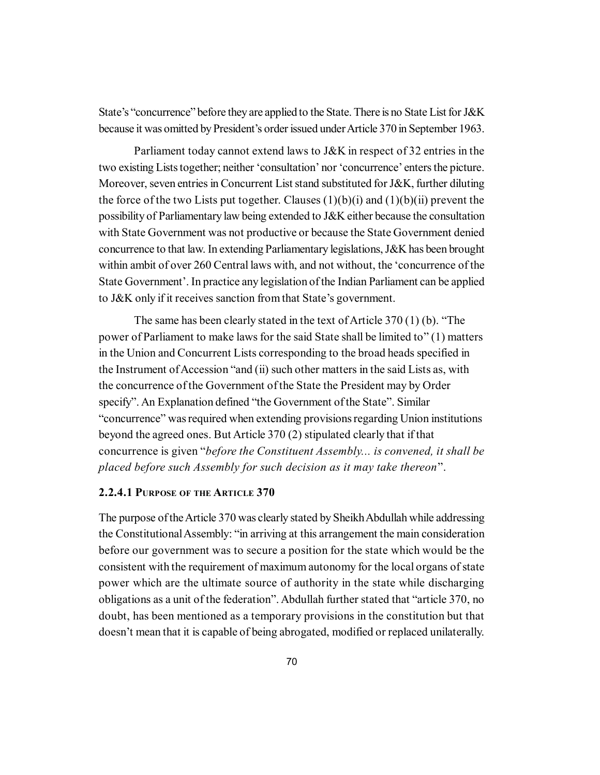State's "concurrence" before they are applied to the State. There is no State List for J&K because it was omitted by President's order issued under Article 370 in September 1963.

Parliament today cannot extend laws to J&K in respect of 32 entries in the two existing Lists together; neither 'consultation' nor 'concurrence' enters the picture. Moreover, seven entries in Concurrent List stand substituted for J&K, further diluting the force of the two Lists put together. Clauses  $(1)(b)(i)$  and  $(1)(b)(ii)$  prevent the possibility of Parliamentary law being extended to J&K either because the consultation with State Government was not productive or because the State Government denied concurrence to that law. In extending Parliamentary legislations, J&K has been brought within ambit of over 260 Central laws with, and not without, the 'concurrence of the State Government'. In practice any legislation of the Indian Parliament can be applied to J&K only if it receives sanction from that State's government.

The same has been clearly stated in the text of Article 370 (1) (b). "The power of Parliament to make laws for the said State shall be limited to" (1) matters in the Union and Concurrent Lists corresponding to the broad heads specified in the Instrument of Accession "and (ii) such other matters in the said Lists as, with the concurrence of the Government of the State the President may by Order specify". An Explanation defined "the Government of the State". Similar "concurrence" was required when extending provisions regarding Union institutions beyond the agreed ones. But Article 370 (2) stipulated clearly that if that concurrence is given "*before the Constituent Assembly... is convened, it shall be placed before such Assembly for such decision as it may take thereon*".

#### **2.2.4.1 PURPOSE OF THE ARTICLE 370**

The purpose of the Article 370 was clearly stated by Sheikh Abdullah while addressing the Constitutional Assembly: "in arriving at this arrangement the main consideration before our government was to secure a position for the state which would be the consistent with the requirement of maximum autonomy for the local organs of state power which are the ultimate source of authority in the state while discharging obligations as a unit of the federation". Abdullah further stated that "article 370, no doubt, has been mentioned as a temporary provisions in the constitution but that doesn't mean that it is capable of being abrogated, modified or replaced unilaterally.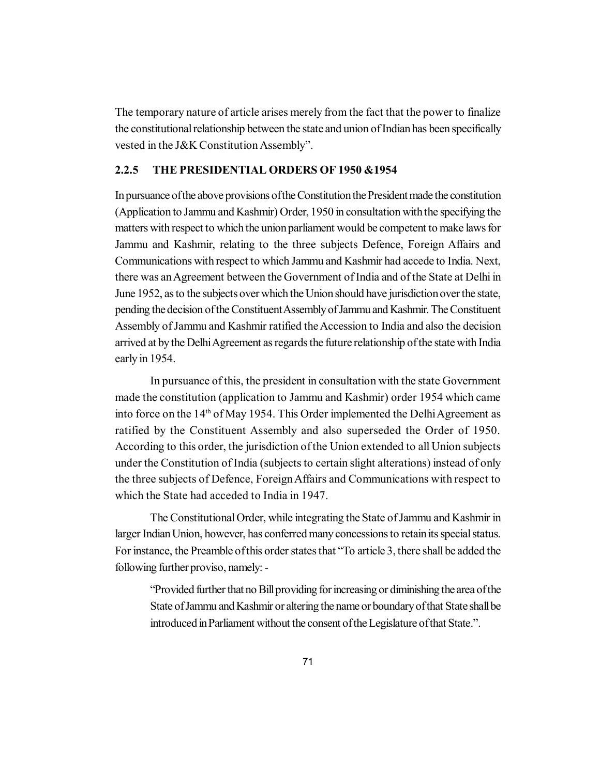The temporary nature of article arises merely from the fact that the power to finalize the constitutional relationship between the state and union of Indian has been specifically vested in the J&K Constitution Assembly".

#### **2.2.5 THE PRESIDENTIAL ORDERS OF 1950 &1954**

In pursuance of the above provisions of the Constitution the President made the constitution (Application to Jammu and Kashmir) Order, 1950 in consultation with the specifying the matters with respect to which the union parliament would be competent to make laws for Jammu and Kashmir, relating to the three subjects Defence, Foreign Affairs and Communications with respect to which Jammu and Kashmir had accede to India. Next, there was an Agreement between the Government of India and of the State at Delhi in June 1952, as to the subjects over which the Union should have jurisdiction over the state, pending the decision of the Constituent Assembly of Jammu and Kashmir. The Constituent Assembly of Jammu and Kashmir ratified the Accession to India and also the decision arrived at by the Delhi Agreement as regards the future relationship of the state with India early in 1954.

In pursuance of this, the president in consultation with the state Government made the constitution (application to Jammu and Kashmir) order 1954 which came into force on the 14<sup>th</sup> of May 1954. This Order implemented the Delhi Agreement as ratified by the Constituent Assembly and also superseded the Order of 1950. According to this order, the jurisdiction of the Union extended to all Union subjects under the Constitution of India (subjects to certain slight alterations) instead of only the three subjects of Defence, Foreign Affairs and Communications with respect to which the State had acceded to India in 1947.

The Constitutional Order, while integrating the State of Jammu and Kashmir in larger Indian Union, however, has conferred many concessions to retain its special status. For instance, the Preamble of this order states that "To article 3, there shall be added the following further proviso, namely: -

"Provided further that no Bill providing for increasing or diminishing the area of the State of Jammu and Kashmir or altering the name or boundary of that State shall be introduced in Parliament without the consent of the Legislature of that State.".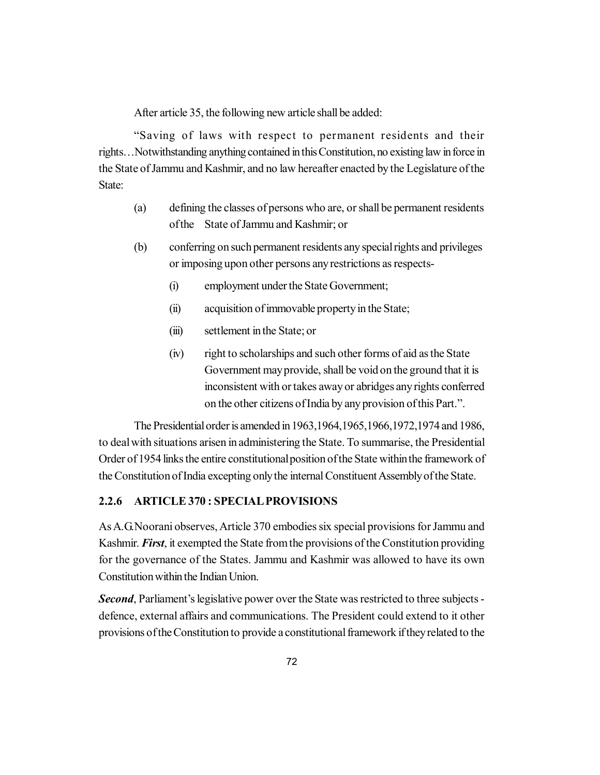After article 35, the following new article shall be added:

"Saving of laws with respect to permanent residents and their rights…Notwithstanding anything contained in this Constitution, no existing law in force in the State of Jammu and Kashmir, and no law hereafter enacted by the Legislature of the State<sup>-</sup>

- (a) defining the classes of persons who are, or shall be permanent residents of the State of Jammu and Kashmir; or
- (b) conferring on such permanent residents any special rights and privileges or imposing upon other persons any restrictions as respects-
	- (i) employment under the State Government;
	- (ii) acquisition of immovable property in the State;
	- (iii) settlement in the State; or
	- (iv) right to scholarships and such other forms of aid as the State Government may provide, shall be void on the ground that it is inconsistent with or takes away or abridges any rights conferred on the other citizens of India by any provision of this Part.".

The Presidential order is amended in 1963,1964,1965,1966,1972,1974 and 1986, to deal with situations arisen in administering the State. To summarise, the Presidential Order of 1954 links the entire constitutional position of the State within the framework of the Constitution of India excepting only the internal Constituent Assembly of the State.

### **2.2.6 ARTICLE 370 : SPECIAL PROVISIONS**

As A.G.Noorani observes, Article 370 embodies six special provisions for Jammu and Kashmir. *First*, it exempted the State from the provisions of the Constitution providing for the governance of the States. Jammu and Kashmir was allowed to have its own Constitution within the Indian Union.

*Second*, Parliament's legislative power over the State was restricted to three subjects defence, external affairs and communications. The President could extend to it other provisions of the Constitution to provide a constitutional framework if they related to the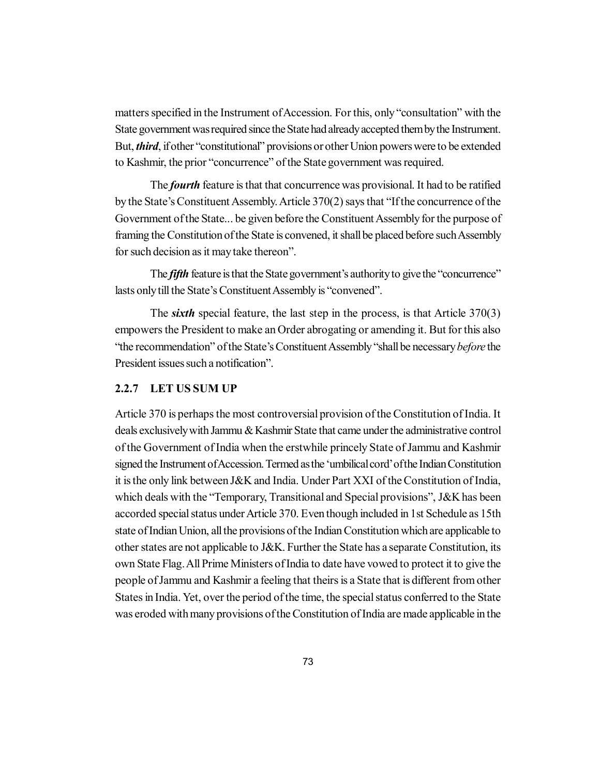matters specified in the Instrument of Accession. For this, only "consultation" with the State government was required since the State had already accepted them by the Instrument. But, *third*, if other "constitutional" provisions or other Union powers were to be extended to Kashmir, the prior "concurrence" of the State government was required.

The *fourth* feature is that that concurrence was provisional. It had to be ratified by the State's Constituent Assembly. Article 370(2) says that "If the concurrence of the Government of the State... be given before the Constituent Assembly for the purpose of framing the Constitution of the State is convened, it shall be placed before such Assembly for such decision as it may take thereon".

The *fifth* feature is that the State government's authority to give the "concurrence" lasts only till the State's Constituent Assembly is "convened".

The *sixth* special feature, the last step in the process, is that Article 370(3) empowers the President to make an Order abrogating or amending it. But for this also "the recommendation" of the State's Constituent Assembly "shall be necessary *before* the President issues such a notification".

## **2.2.7 LET US SUM UP**

Article 370 is perhaps the most controversial provision of the Constitution of India. It deals exclusively with Jammu & Kashmir State that came under the administrative control of the Government of India when the erstwhile princely State of Jammu and Kashmir signed the Instrument of Accession. Termed as the 'umbilical cord' of the Indian Constitution it is the only link between J&K and India. Under Part XXI of the Constitution of India, which deals with the "Temporary, Transitional and Special provisions", J&K has been accorded special status under Article 370. Even though included in 1st Schedule as 15th state of Indian Union, all the provisions of the Indian Constitution which are applicable to other states are not applicable to J&K. Further the State has a separate Constitution, its own State Flag. All Prime Ministers of India to date have vowed to protect it to give the people of Jammu and Kashmir a feeling that theirs is a State that is different from other States in India. Yet, over the period of the time, the special status conferred to the State was eroded with many provisions of the Constitution of India are made applicable in the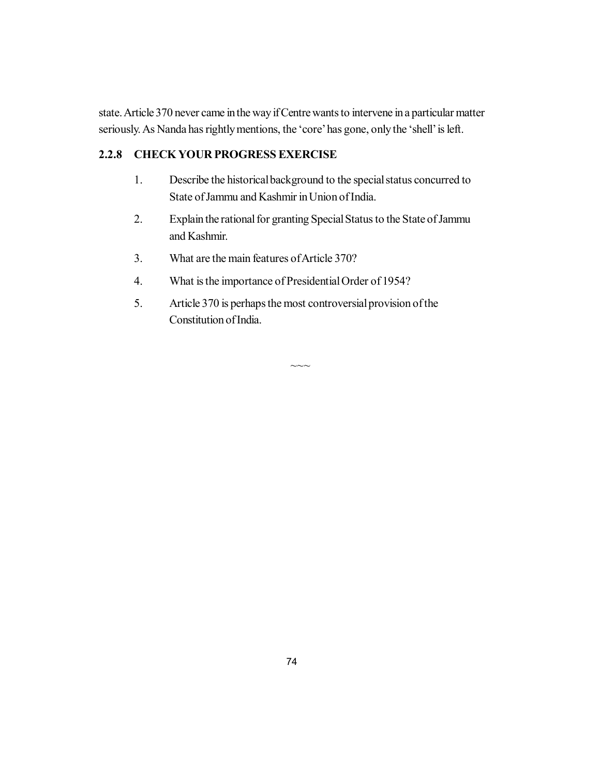state. Article 370 never came in the way if Centre wants to intervene in a particular matter seriously. As Nanda has rightly mentions, the 'core' has gone, only the 'shell' is left.

## **2.2.8 CHECK YOUR PROGRESS EXERCISE**

- 1. Describe the historical background to the special status concurred to State of Jammu and Kashmir in Union of India.
- 2. Explain the rational for granting Special Status to the State of Jammu and Kashmir.
- 3. What are the main features of Article 370?
- 4. What is the importance of Presidential Order of 1954?
- 5. Article 370 is perhaps the most controversial provision of the Constitution of India.

 $\sim\sim\sim$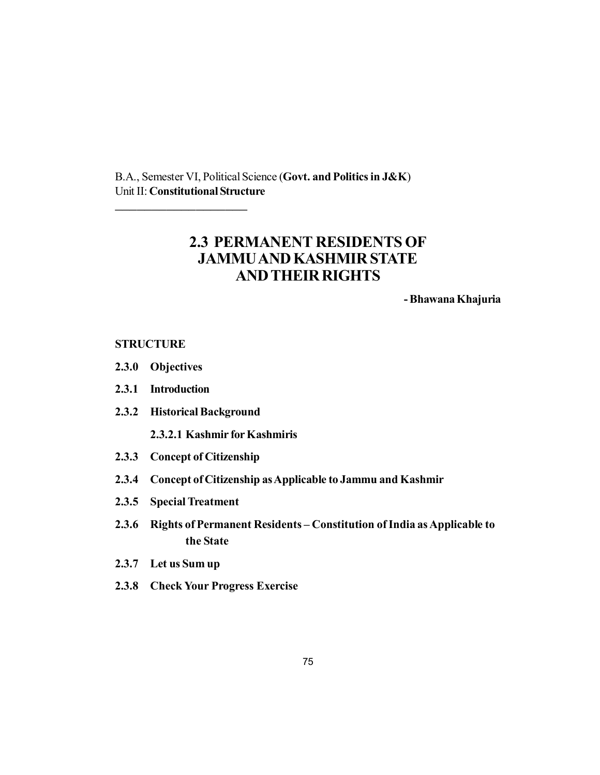B.A., Semester VI, Political Science (**Govt. and Politics in J&K**) Unit II: **Constitutional Structure**

# **2.3 PERMANENT RESIDENTS OF JAMMU AND KASHMIR STATE AND THEIR RIGHTS**

**- Bhawana Khajuria**

#### **STRUCTURE**

- **2.3.0 Objectives**
- **2.3.1 Introduction**
- **2.3.2 Historical Background**

\_\_\_\_\_\_\_\_\_\_\_\_\_\_\_\_\_\_

- **2.3.2.1 Kashmir for Kashmiris**
- **2.3.3 Concept of Citizenship**
- **2.3.4 Concept of Citizenship as Applicable to Jammu and Kashmir**
- **2.3.5 Special Treatment**
- **2.3.6 Rights of Permanent Residents Constitution of India as Applicable to the State**
- **2.3.7 Let us Sum up**
- **2.3.8 Check Your Progress Exercise**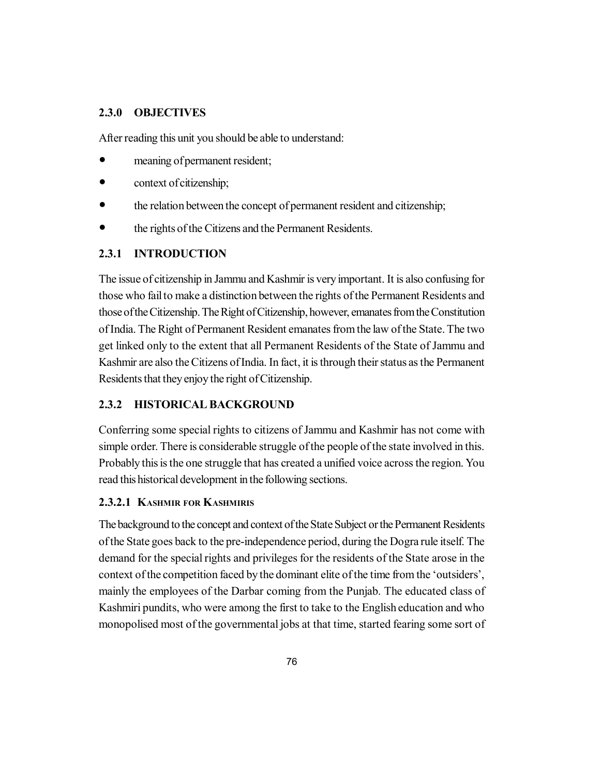## **2.3.0 OBJECTIVES**

After reading this unit you should be able to understand:

- meaning of permanent resident;
- context of citizenship;
- the relation between the concept of permanent resident and citizenship;
- the rights of the Citizens and the Permanent Residents.

## **2.3.1 INTRODUCTION**

The issue of citizenship in Jammu and Kashmir is very important. It is also confusing for those who fail to make a distinction between the rights of the Permanent Residents and those of the Citizenship. The Right of Citizenship, however, emanates from the Constitution of India. The Right of Permanent Resident emanates from the law of the State. The two get linked only to the extent that all Permanent Residents of the State of Jammu and Kashmir are also the Citizens of India. In fact, it is through their status as the Permanent Residents that they enjoy the right of Citizenship.

## **2.3.2 HISTORICAL BACKGROUND**

Conferring some special rights to citizens of Jammu and Kashmir has not come with simple order. There is considerable struggle of the people of the state involved in this. Probably this is the one struggle that has created a unified voice across the region. You read this historical development in the following sections.

## **2.3.2.1 KASHMIR FOR KASHMIRIS**

The background to the concept and context of the State Subject or the Permanent Residents of the State goes back to the pre-independence period, during the Dogra rule itself. The demand for the special rights and privileges for the residents of the State arose in the context of the competition faced by the dominant elite of the time from the 'outsiders', mainly the employees of the Darbar coming from the Punjab. The educated class of Kashmiri pundits, who were among the first to take to the English education and who monopolised most of the governmental jobs at that time, started fearing some sort of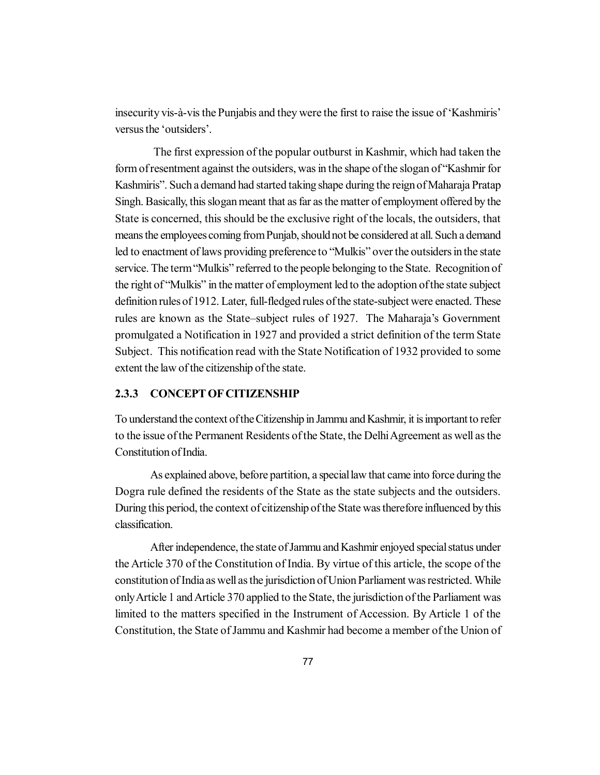insecurity vis-à-vis the Punjabis and they were the first to raise the issue of 'Kashmiris' versus the 'outsiders'.

The first expression of the popular outburst in Kashmir, which had taken the form of resentment against the outsiders, was in the shape of the slogan of "Kashmir for Kashmiris". Such a demand had started taking shape during the reign of Maharaja Pratap Singh. Basically, this slogan meant that as far as the matter of employment offered by the State is concerned, this should be the exclusive right of the locals, the outsiders, that means the employees coming from Punjab, should not be considered at all. Such a demand led to enactment of laws providing preference to "Mulkis" over the outsiders in the state service. The term "Mulkis" referred to the people belonging to the State. Recognition of the right of "Mulkis" in the matter of employment led to the adoption of the state subject definition rules of 1912. Later, full-fledged rules of the state-subject were enacted. These rules are known as the State–subject rules of 1927. The Maharaja's Government promulgated a Notification in 1927 and provided a strict definition of the term State Subject. This notification read with the State Notification of 1932 provided to some extent the law of the citizenship of the state.

## **2.3.3 CONCEPT OF CITIZENSHIP**

To understand the context of the Citizenship in Jammu and Kashmir, it is important to refer to the issue of the Permanent Residents of the State, the Delhi Agreement as well as the Constitution of India.

As explained above, before partition, a special law that came into force during the Dogra rule defined the residents of the State as the state subjects and the outsiders. During this period, the context of citizenship of the State was therefore influenced by this classification.

After independence, the state of Jammu and Kashmir enjoyed special status under the Article 370 of the Constitution of India. By virtue of this article, the scope of the constitution of India as well as the jurisdiction of Union Parliament was restricted. While only Article 1 and Article 370 applied to the State, the jurisdiction of the Parliament was limited to the matters specified in the Instrument of Accession. By Article 1 of the Constitution, the State of Jammu and Kashmir had become a member of the Union of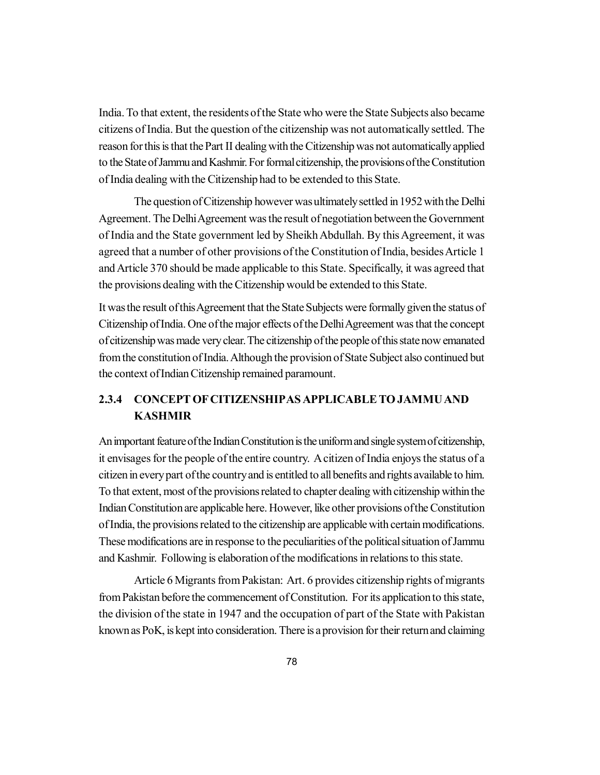India. To that extent, the residents of the State who were the State Subjects also became citizens of India. But the question of the citizenship was not automatically settled. The reason for this is that the Part II dealing with the Citizenship was not automatically applied to the State of Jammu and Kashmir. For formal citizenship, the provisions of the Constitution of India dealing with the Citizenship had to be extended to this State.

The question of Citizenship however was ultimately settled in 1952 with the Delhi Agreement. The Delhi Agreement was the result of negotiation between the Government of India and the State government led by Sheikh Abdullah. By this Agreement, it was agreed that a number of other provisions of the Constitution of India, besides Article 1 and Article 370 should be made applicable to this State. Specifically, it was agreed that the provisions dealing with the Citizenship would be extended to this State.

It was the result of this Agreement that the State Subjects were formally given the status of Citizenship of India. One of the major effects of the Delhi Agreement was that the concept of citizenship was made very clear. The citizenship of the people of this state now emanated from the constitution of India. Although the provision of State Subject also continued but the context of Indian Citizenship remained paramount.

# **2.3.4 CONCEPT OF CITIZENSHIPAS APPLICABLE TO JAMMU AND KASHMIR**

An important feature of the Indian Constitution is the uniform and single system of citizenship, it envisages for the people of the entire country. A citizen of India enjoys the status of a citizen in every part of the country and is entitled to all benefits and rights available to him. To that extent, most of the provisions related to chapter dealing with citizenship within the Indian Constitution are applicable here. However, like other provisions of the Constitution of India, the provisions related to the citizenship are applicable with certain modifications. These modifications are in response to the peculiarities of the political situation of Jammu and Kashmir. Following is elaboration of the modifications in relations to this state.

Article 6 Migrants from Pakistan: Art. 6 provides citizenship rights of migrants from Pakistan before the commencement of Constitution. For its application to this state, the division of the state in 1947 and the occupation of part of the State with Pakistan known as PoK, is kept into consideration. There is a provision for their return and claiming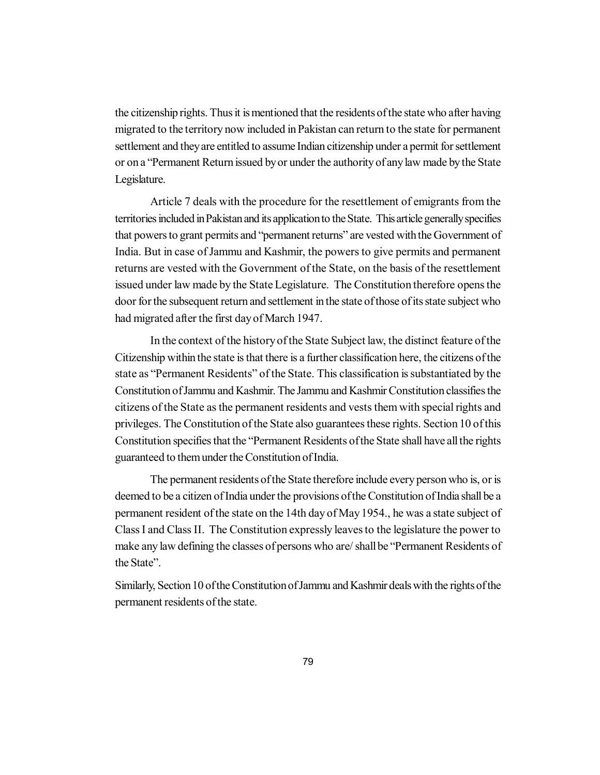the citizenship rights. Thus it is mentioned that the residents of the state who after having migrated to the territory now included in Pakistan can return to the state for permanent settlement and they are entitled to assume Indian citizenship under a permit for settlement or on a "Permanent Return issued by or under the authority of any law made by the State Legislature.

Article 7 deals with the procedure for the resettlement of emigrants from the territories included in Pakistan and its application to the State. This article generally specifies that powers to grant permits and "permanent returns" are vested with the Government of India. But in case of Jammu and Kashmir, the powers to give permits and permanent returns are vested with the Government of the State, on the basis of the resettlement issued under law made by the State Legislature. The Constitution therefore opens the door for the subsequent return and settlement in the state of those of its state subject who had migrated after the first day of March 1947.

In the context of the history of the State Subject law, the distinct feature of the Citizenship within the state is that there is a further classification here, the citizens of the state as "Permanent Residents" of the State. This classification is substantiated by the Constitution of Jammu and Kashmir. The Jammu and Kashmir Constitution classifies the citizens of the State as the permanent residents and vests them with special rights and privileges. The Constitution of the State also guarantees these rights. Section 10 of this Constitution specifies that the "Permanent Residents of the State shall have all the rights guaranteed to them under the Constitution of India.

The permanent residents of the State therefore include every person who is, or is deemed to be a citizen of India under the provisions of the Constitution of India shall be a permanent resident of the state on the 14th day of May 1954., he was a state subject of Class I and Class II. The Constitution expressly leaves to the legislature the power to make any law defining the classes of persons who are/ shall be "Permanent Residents of the State".

Similarly, Section 10 of the Constitution of Jammu and Kashmir deals with the rights of the permanent residents of the state.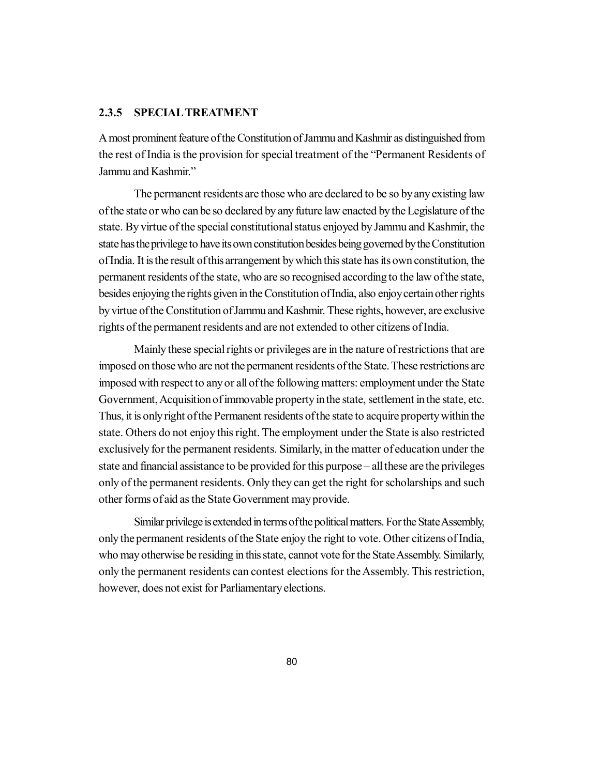#### **2.3.5 SPECIALTREATMENT**

A most prominent feature of the Constitution of Jammu and Kashmir as distinguished from the rest of India is the provision for special treatment of the "Permanent Residents of Jammu and Kashmir."

The permanent residents are those who are declared to be so by any existing law of the state or who can be so declared by any future law enacted by the Legislature of the state. By virtue of the special constitutional status enjoyed by Jammu and Kashmir, the state has the privilege to have its own constitution besides being governed by the Constitution of India. It is the result of this arrangement by which this state has its own constitution, the permanent residents of the state, who are so recognised according to the law of the state, besides enjoying the rights given in the Constitution of India, also enjoy certain other rights by virtue of the Constitution of Jammu and Kashmir. These rights, however, are exclusive rights of the permanent residents and are not extended to other citizens of India.

Mainly these special rights or privileges are in the nature of restrictions that are imposed on those who are not the permanent residents of the State. These restrictions are imposed with respect to any or all of the following matters: employment under the State Government, Acquisition of immovable property in the state, settlement in the state, etc. Thus, it is only right of the Permanent residents of the state to acquire property within the state. Others do not enjoy this right. The employment under the State is also restricted exclusively for the permanent residents. Similarly, in the matter of education under the state and financial assistance to be provided for this purpose – all these are the privileges only of the permanent residents. Only they can get the right for scholarships and such other forms of aid as the State Government may provide.

Similar privilege is extended in terms of the political matters. For the State Assembly, only the permanent residents of the State enjoy the right to vote. Other citizens of India, who may otherwise be residing in this state, cannot vote for the State Assembly. Similarly, only the permanent residents can contest elections for the Assembly. This restriction, however, does not exist for Parliamentary elections.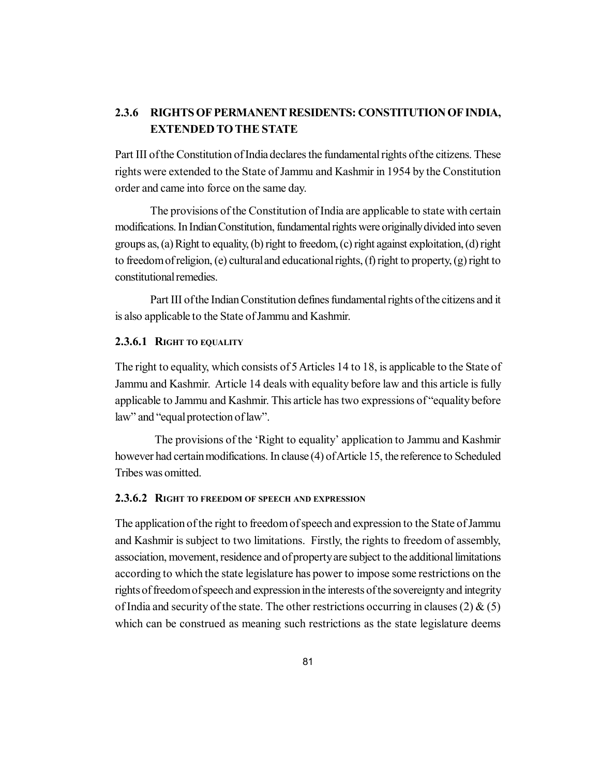## **2.3.6 RIGHTS OF PERMANENT RESIDENTS: CONSTITUTION OF INDIA, EXTENDED TO THE STATE**

Part III of the Constitution of India declares the fundamental rights of the citizens. These rights were extended to the State of Jammu and Kashmir in 1954 by the Constitution order and came into force on the same day.

The provisions of the Constitution of India are applicable to state with certain modifications. In Indian Constitution, fundamental rights were originally divided into seven groups as, (a) Right to equality, (b) right to freedom, (c) right against exploitation, (d) right to freedom of religion, (e) cultural and educational rights, (f) right to property, (g) right to constitutional remedies.

Part III of the Indian Constitution defines fundamental rights of the citizens and it is also applicable to the State of Jammu and Kashmir.

### **2.3.6.1 RIGHT TO EQUALITY**

The right to equality, which consists of 5 Articles 14 to 18, is applicable to the State of Jammu and Kashmir. Article 14 deals with equality before law and this article is fully applicable to Jammu and Kashmir. This article has two expressions of "equality before law" and "equal protection of law".

The provisions of the 'Right to equality' application to Jammu and Kashmir however had certain modifications. In clause (4) of Article 15, the reference to Scheduled Tribes was omitted.

## **2.3.6.2 RIGHT TO FREEDOM OF SPEECH AND EXPRESSION**

The application of the right to freedom of speech and expression to the State of Jammu and Kashmir is subject to two limitations. Firstly, the rights to freedom of assembly, association, movement, residence and of property are subject to the additional limitations according to which the state legislature has power to impose some restrictions on the rights of freedom of speech and expression in the interests of the sovereignty and integrity of India and security of the state. The other restrictions occurring in clauses (2)  $\&$  (5) which can be construed as meaning such restrictions as the state legislature deems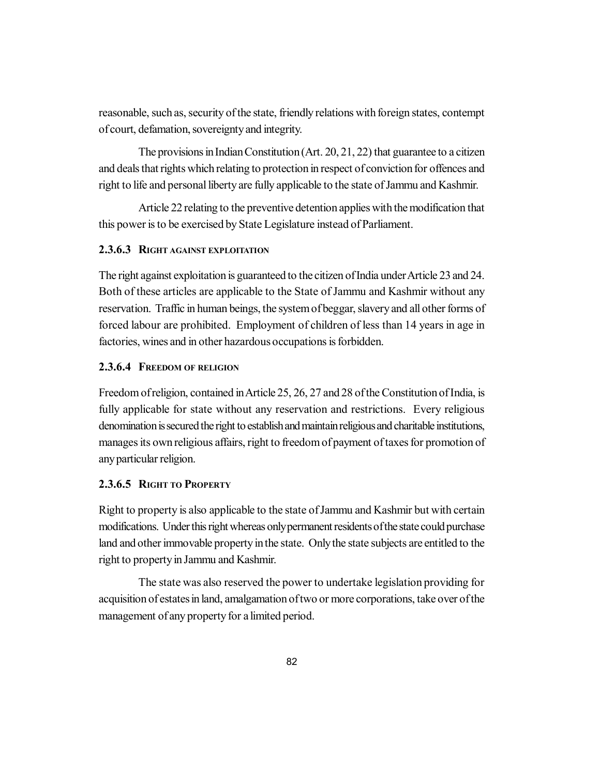reasonable, such as, security of the state, friendly relations with foreign states, contempt of court, defamation, sovereignty and integrity.

The provisions in Indian Constitution (Art. 20, 21, 22) that guarantee to a citizen and deals that rights which relating to protection in respect of conviction for offences and right to life and personal liberty are fully applicable to the state of Jammu and Kashmir.

Article 22 relating to the preventive detention applies with the modification that this power is to be exercised by State Legislature instead of Parliament.

#### **2.3.6.3 RIGHT AGAINST EXPLOITATION**

The right against exploitation is guaranteed to the citizen of India under Article 23 and 24. Both of these articles are applicable to the State of Jammu and Kashmir without any reservation. Traffic in human beings, the system of beggar, slavery and all other forms of forced labour are prohibited. Employment of children of less than 14 years in age in factories, wines and in other hazardous occupations is forbidden.

#### **2.3.6.4 FREEDOM OF RELIGION**

Freedom of religion, contained in Article 25, 26, 27 and 28 of the Constitution of India, is fully applicable for state without any reservation and restrictions. Every religious denomination is secured the right to establish and maintain religious and charitable institutions, manages its own religious affairs, right to freedom of payment of taxes for promotion of any particular religion.

#### **2.3.6.5 RIGHT TO PROPERTY**

Right to property is also applicable to the state of Jammu and Kashmir but with certain modifications. Under this right whereas only permanent residents of the state could purchase land and other immovable property in the state. Only the state subjects are entitled to the right to property in Jammu and Kashmir.

The state was also reserved the power to undertake legislation providing for acquisition of estates in land, amalgamation of two or more corporations, take over of the management of any property for a limited period.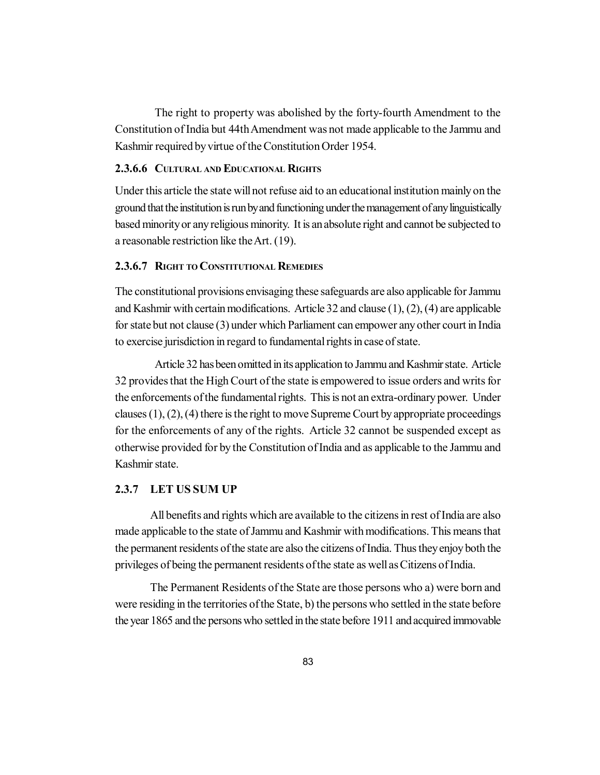The right to property was abolished by the forty-fourth Amendment to the Constitution of India but 44th Amendment was not made applicable to the Jammu and Kashmir required by virtue of the Constitution Order 1954.

#### **2.3.6.6 CULTURAL AND EDUCATIONAL RIGHTS**

Under this article the state will not refuse aid to an educational institution mainly on the ground that the institution is run by and functioning under the management of any linguistically based minority or any religious minority. It is an absolute right and cannot be subjected to a reasonable restriction like the Art. (19).

#### **2.3.6.7 RIGHT TO CONSTITUTIONAL REMEDIES**

The constitutional provisions envisaging these safeguards are also applicable for Jammu and Kashmir with certain modifications. Article 32 and clause (1), (2), (4) are applicable for state but not clause (3) under which Parliament can empower any other court in India to exercise jurisdiction in regard to fundamental rights in case of state.

Article 32 has been omitted in its application to Jammu and Kashmir state. Article 32 provides that the High Court of the state is empowered to issue orders and writs for the enforcements of the fundamental rights. This is not an extra-ordinary power. Under clauses  $(1)$ ,  $(2)$ ,  $(4)$  there is the right to move Supreme Court by appropriate proceedings for the enforcements of any of the rights. Article 32 cannot be suspended except as otherwise provided for by the Constitution of India and as applicable to the Jammu and Kashmir state.

#### **2.3.7 LET US SUM UP**

All benefits and rights which are available to the citizens in rest of India are also made applicable to the state of Jammu and Kashmir with modifications. This means that the permanent residents of the state are also the citizens of India. Thus they enjoy both the privileges of being the permanent residents of the state as well as Citizens of India.

The Permanent Residents of the State are those persons who a) were born and were residing in the territories of the State, b) the persons who settled in the state before the year 1865 and the persons who settled in the state before 1911 and acquired immovable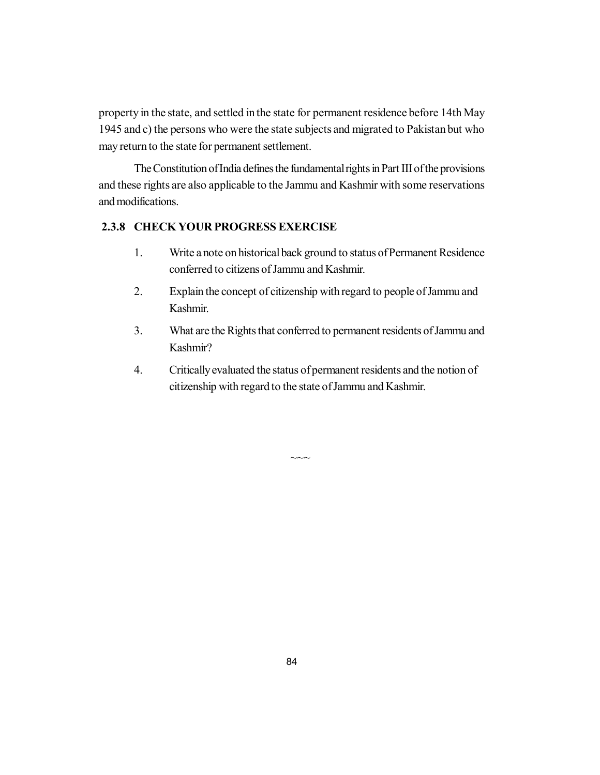property in the state, and settled in the state for permanent residence before 14th May 1945 and c) the persons who were the state subjects and migrated to Pakistan but who may return to the state for permanent settlement.

The Constitution of India defines the fundamental rights in Part III of the provisions and these rights are also applicable to the Jammu and Kashmir with some reservations and modifications.

### **2.3.8 CHECK YOUR PROGRESS EXERCISE**

- 1. Write a note on historical back ground to status of Permanent Residence conferred to citizens of Jammu and Kashmir.
- 2. Explain the concept of citizenship with regard to people of Jammu and Kashmir.
- 3. What are the Rights that conferred to permanent residents of Jammu and Kashmir?
- 4. Critically evaluated the status of permanent residents and the notion of citizenship with regard to the state of Jammu and Kashmir.

 $\sim\sim$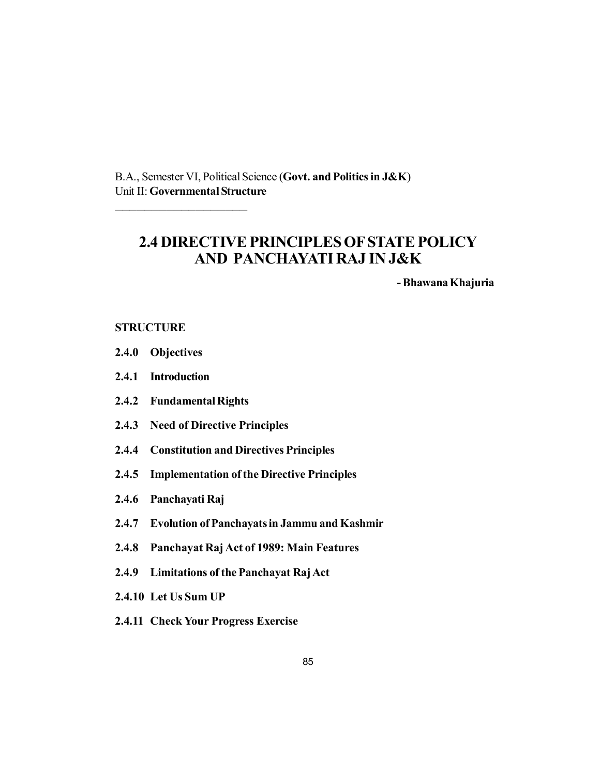B.A., Semester VI, Political Science (**Govt. and Politics in J&K**) Unit II: **Governmental Structure**

# **2.4 DIRECTIVE PRINCIPLES OF STATE POLICY AND PANCHAYATI RAJ IN J&K**

**- Bhawana Khajuria**

#### **STRUCTURE**

- **2.4.0 Objectives**
- **2.4.1 Introduction**
- **2.4.2 Fundamental Rights**

\_\_\_\_\_\_\_\_\_\_\_\_\_\_\_\_\_\_

- **2.4.3 Need of Directive Principles**
- **2.4.4 Constitution and Directives Principles**
- **2.4.5 Implementation of the Directive Principles**
- **2.4.6 Panchayati Raj**
- **2.4.7 Evolution of Panchayats in Jammu and Kashmir**
- **2.4.8 Panchayat Raj Act of 1989: Main Features**
- **2.4.9 Limitations of the Panchayat Raj Act**
- **2.4.10 Let Us Sum UP**
- **2.4.11 Check Your Progress Exercise**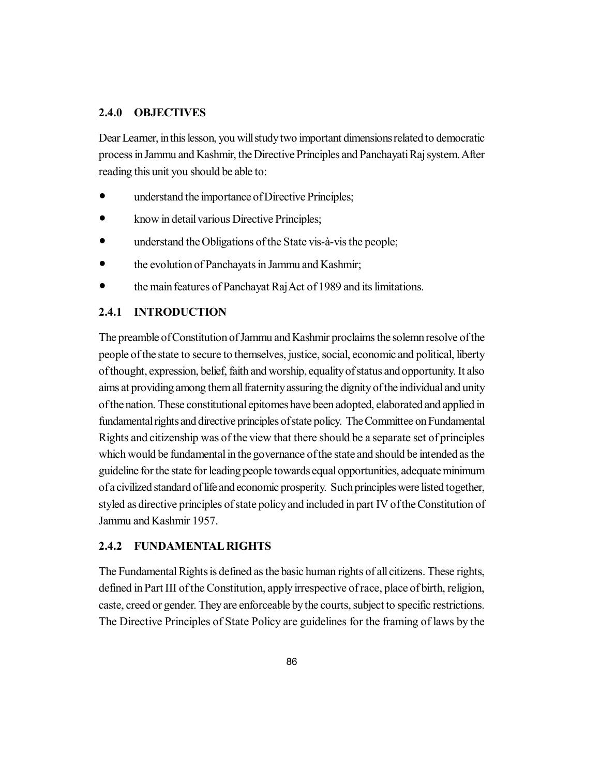## **2.4.0 OBJECTIVES**

Dear Learner, in this lesson, you will study two important dimensions related to democratic process in Jammu and Kashmir, the Directive Principles and Panchayati Raj system. After reading this unit you should be able to:

- understand the importance of Directive Principles;
- know in detail various Directive Principles;
- understand the Obligations of the State vis-à-vis the people;
- the evolution of Panchayats in Jammu and Kashmir;
- the main features of Panchayat Raj Act of 1989 and its limitations.

## **2.4.1 INTRODUCTION**

The preamble of Constitution of Jammu and Kashmir proclaims the solemn resolve of the people of the state to secure to themselves, justice, social, economic and political, liberty of thought, expression, belief, faith and worship, equality of status and opportunity. It also aims at providing among them all fraternity assuring the dignity of the individual and unity of the nation. These constitutional epitomes have been adopted, elaborated and applied in fundamental rights and directive principles of state policy. The Committee on Fundamental Rights and citizenship was of the view that there should be a separate set of principles which would be fundamental in the governance of the state and should be intended as the guideline for the state for leading people towards equal opportunities, adequate minimum of a civilized standard of life and economic prosperity. Such principles were listed together, styled as directive principles of state policy and included in part IV of the Constitution of Jammu and Kashmir 1957.

#### **2.4.2 FUNDAMENTAL RIGHTS**

The Fundamental Rights is defined as the basic human rights of all citizens. These rights, defined in Part III of the Constitution, apply irrespective of race, place of birth, religion, caste, creed or gender. They are enforceable by the courts, subject to specific restrictions. The Directive Principles of State Policy are guidelines for the framing of laws by the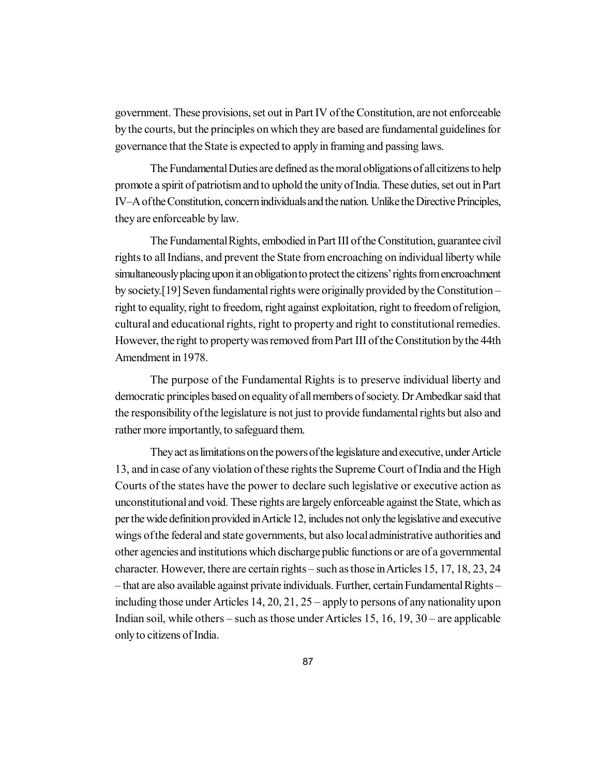government. These provisions, set out in Part IV of the Constitution, are not enforceable by the courts, but the principles on which they are based are fundamental guidelines for governance that the State is expected to apply in framing and passing laws.

The Fundamental Duties are defined as the moral obligations of all citizens to help promote a spirit of patriotism and to uphold the unity of India. These duties, set out in Part IV–A of the Constitution, concern individuals and the nation. Unlike the Directive Principles, they are enforceable by law.

The Fundamental Rights, embodied in Part III of the Constitution, guarantee civil rights to all Indians, and prevent the State from encroaching on individual liberty while simultaneously placing upon it an obligation to protect the citizens' rights from encroachment by society.[19] Seven fundamental rights were originally provided by the Constitution – right to equality, right to freedom, right against exploitation, right to freedom of religion, cultural and educational rights, right to property and right to constitutional remedies. However, the right to property was removed from Part III of the Constitution by the 44th Amendment in 1978.

The purpose of the Fundamental Rights is to preserve individual liberty and democratic principles based on equality of all members of society. Dr Ambedkar said that the responsibility of the legislature is not just to provide fundamental rights but also and rather more importantly, to safeguard them.

They act as limitations on the powers of the legislature and executive, under Article 13, and in case of any violation of these rights the Supreme Court of India and the High Courts of the states have the power to declare such legislative or executive action as unconstitutional and void. These rights are largely enforceable against the State, which as per the wide definition provided in Article 12, includes not only the legislative and executive wings of the federal and state governments, but also local administrative authorities and other agencies and institutions which discharge public functions or are of a governmental character. However, there are certain rights – such as those in Articles 15, 17, 18, 23, 24 – that are also available against private individuals. Further, certain Fundamental Rights – including those under Articles 14, 20, 21, 25 – apply to persons of any nationality upon Indian soil, while others – such as those under Articles 15, 16, 19, 30 – are applicable only to citizens of India.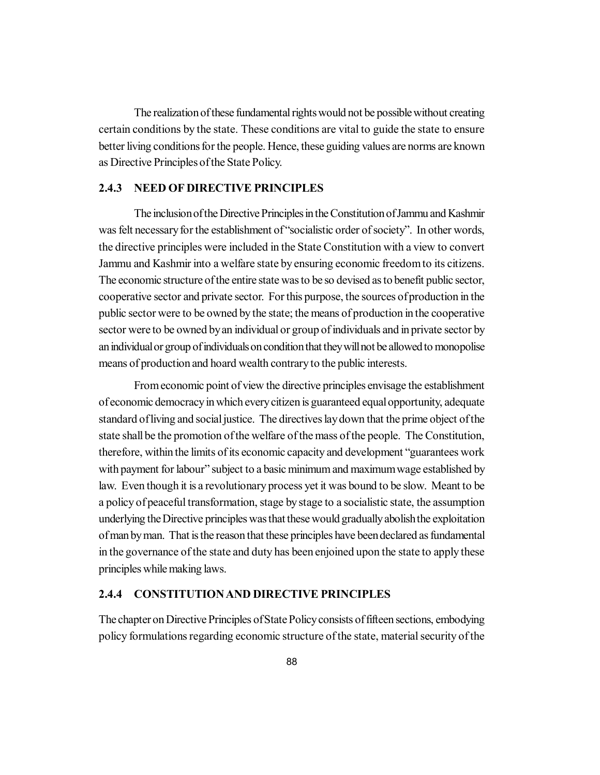The realization of these fundamental rights would not be possible without creating certain conditions by the state. These conditions are vital to guide the state to ensure better living conditions for the people. Hence, these guiding values are norms are known as Directive Principles of the State Policy.

#### **2.4.3 NEED OF DIRECTIVE PRINCIPLES**

The inclusion of the Directive Principles in the Constitution of Jammu and Kashmir was felt necessary for the establishment of "socialistic order of society". In other words, the directive principles were included in the State Constitution with a view to convert Jammu and Kashmir into a welfare state by ensuring economic freedom to its citizens. The economic structure of the entire state was to be so devised as to benefit public sector, cooperative sector and private sector. For this purpose, the sources of production in the public sector were to be owned by the state; the means of production in the cooperative sector were to be owned by an individual or group of individuals and in private sector by an individual or group of individuals on condition that they will not be allowed to monopolise means of production and hoard wealth contrary to the public interests.

From economic point of view the directive principles envisage the establishment of economic democracy in which every citizen is guaranteed equal opportunity, adequate standard of living and social justice. The directives lay down that the prime object of the state shall be the promotion of the welfare of the mass of the people. The Constitution, therefore, within the limits of its economic capacity and development "guarantees work with payment for labour" subject to a basic minimum and maximum wage established by law. Even though it is a revolutionary process yet it was bound to be slow. Meant to be a policy of peaceful transformation, stage by stage to a socialistic state, the assumption underlying the Directive principles was that these would gradually abolish the exploitation of man by man. That is the reason that these principles have been declared as fundamental in the governance of the state and duty has been enjoined upon the state to apply these principles while making laws.

#### **2.4.4 CONSTITUTION AND DIRECTIVE PRINCIPLES**

The chapter on Directive Principles of State Policy consists of fifteen sections, embodying policy formulations regarding economic structure of the state, material security of the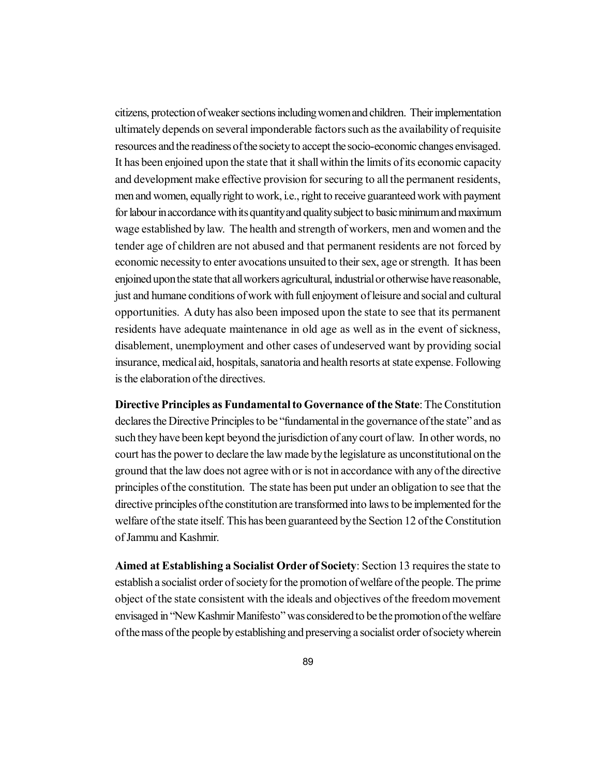citizens, protection of weaker sections including women and children. Their implementation ultimately depends on several imponderable factors such as the availability of requisite resources and the readiness of the society to accept the socio-economic changes envisaged. It has been enjoined upon the state that it shall within the limits of its economic capacity and development make effective provision for securing to all the permanent residents, men and women, equally right to work, i.e., right to receive guaranteed work with payment for labour in accordance with its quantity and quality subject to basic minimum and maximum wage established by law. The health and strength of workers, men and women and the tender age of children are not abused and that permanent residents are not forced by economic necessity to enter avocations unsuited to their sex, age or strength. It has been enjoined upon the state that all workers agricultural, industrial or otherwise have reasonable, just and humane conditions of work with full enjoyment of leisure and social and cultural opportunities. A duty has also been imposed upon the state to see that its permanent residents have adequate maintenance in old age as well as in the event of sickness, disablement, unemployment and other cases of undeserved want by providing social insurance, medical aid, hospitals, sanatoria and health resorts at state expense. Following is the elaboration of the directives.

**Directive Principles as Fundamental to Governance of the State**: The Constitution declares the Directive Principles to be "fundamental in the governance of the state" and as such they have been kept beyond the jurisdiction of any court of law. In other words, no court has the power to declare the law made by the legislature as unconstitutional on the ground that the law does not agree with or is not in accordance with any of the directive principles of the constitution. The state has been put under an obligation to see that the directive principles of the constitution are transformed into laws to be implemented for the welfare of the state itself. This has been guaranteed by the Section 12 of the Constitution of Jammu and Kashmir.

**Aimed at Establishing a Socialist Order of Society**: Section 13 requires the state to establish a socialist order of society for the promotion of welfare of the people. The prime object of the state consistent with the ideals and objectives of the freedom movement envisaged in "New Kashmir Manifesto" was considered to be the promotion of the welfare of the mass of the people by establishing and preserving a socialist order of society wherein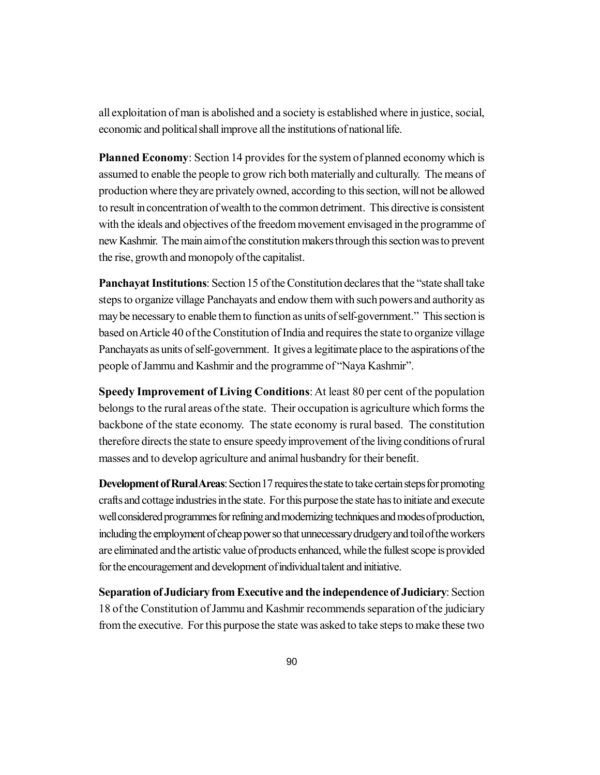all exploitation of man is abolished and a society is established where in justice, social, economic and political shall improve all the institutions of national life.

**Planned Economy**: Section 14 provides for the system of planned economy which is assumed to enable the people to grow rich both materially and culturally. The means of production where they are privately owned, according to this section, will not be allowed to result in concentration of wealth to the common detriment. This directive is consistent with the ideals and objectives of the freedom movement envisaged in the programme of new Kashmir. The main aim of the constitution makers through this section was to prevent the rise, growth and monopoly of the capitalist.

**Panchayat Institutions**: Section 15 of the Constitution declares that the "state shall take steps to organize village Panchayats and endow them with such powers and authority as may be necessary to enable them to function as units of self-government." This section is based on Article 40 of the Constitution of India and requires the state to organize village Panchayats as units of self-government. It gives a legitimate place to the aspirations of the people of Jammu and Kashmir and the programme of "Naya Kashmir".

**Speedy Improvement of Living Conditions**: At least 80 per cent of the population belongs to the rural areas of the state. Their occupation is agriculture which forms the backbone of the state economy. The state economy is rural based. The constitution therefore directs the state to ensure speedy improvement of the living conditions of rural masses and to develop agriculture and animal husbandry for their benefit.

**Development of Rural Areas**: Section 17 requires the state to take certain steps for promoting crafts and cottage industries in the state. For this purpose the state has to initiate and execute well considered programmes for refining and modernizing techniques and modes of production, including the employment of cheap power so that unnecessary drudgery and toil of the workers are eliminated and the artistic value of products enhanced, while the fullest scope is provided for the encouragement and development of individual talent and initiative.

**Separation of Judiciary from Executive and the independence of Judiciary**: Section 18 of the Constitution of Jammu and Kashmir recommends separation of the judiciary from the executive. For this purpose the state was asked to take steps to make these two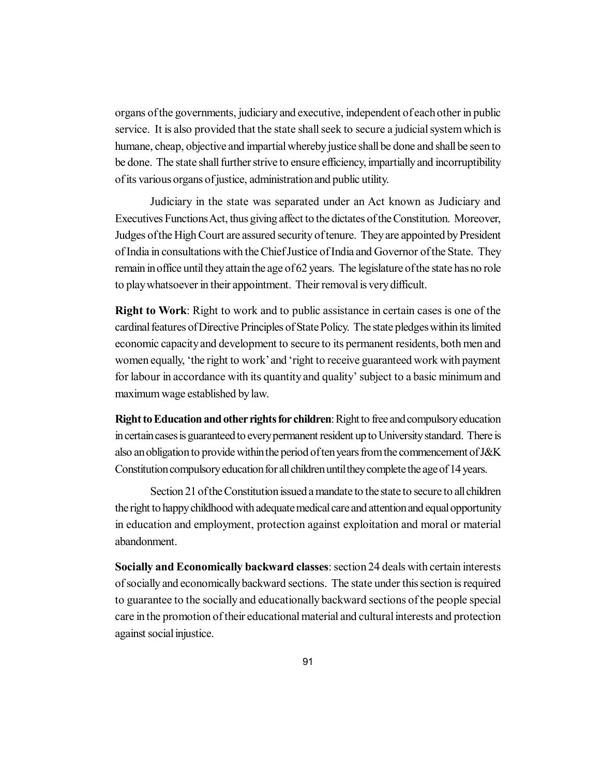organs of the governments, judiciary and executive, independent of each other in public service. It is also provided that the state shall seek to secure a judicial system which is humane, cheap, objective and impartial whereby justice shall be done and shall be seen to be done. The state shall further strive to ensure efficiency, impartially and incorruptibility of its various organs of justice, administration and public utility.

Judiciary in the state was separated under an Act known as Judiciary and Executives Functions Act, thus giving affect to the dictates of the Constitution. Moreover, Judges of the High Court are assured security of tenure. They are appointed by President of India in consultations with the Chief Justice of India and Governor of the State. They remain in office until they attain the age of 62 years. The legislature of the state has no role to play whatsoever in their appointment. Their removal is very difficult.

**Right to Work**: Right to work and to public assistance in certain cases is one of the cardinal features of Directive Principles of State Policy. The state pledges within its limited economic capacity and development to secure to its permanent residents, both men and women equally, 'the right to work' and 'right to receive guaranteed work with payment for labour in accordance with its quantity and quality' subject to a basic minimum and maximum wage established by law.

**Right to Education and other rights for children**: Right to free and compulsory education in certain cases is guaranteed to every permanent resident up to University standard. There is also an obligation to provide within the period of ten years from the commencement of J&K Constitution compulsory education for all children until they complete the age of 14 years.

Section 21 of the Constitution issued a mandate to the state to secure to all children the right to happy childhood with adequate medical care and attention and equal opportunity in education and employment, protection against exploitation and moral or material abandonment.

**Socially and Economically backward classes**: section 24 deals with certain interests of socially and economically backward sections. The state under this section is required to guarantee to the socially and educationally backward sections of the people special care in the promotion of their educational material and cultural interests and protection against social injustice.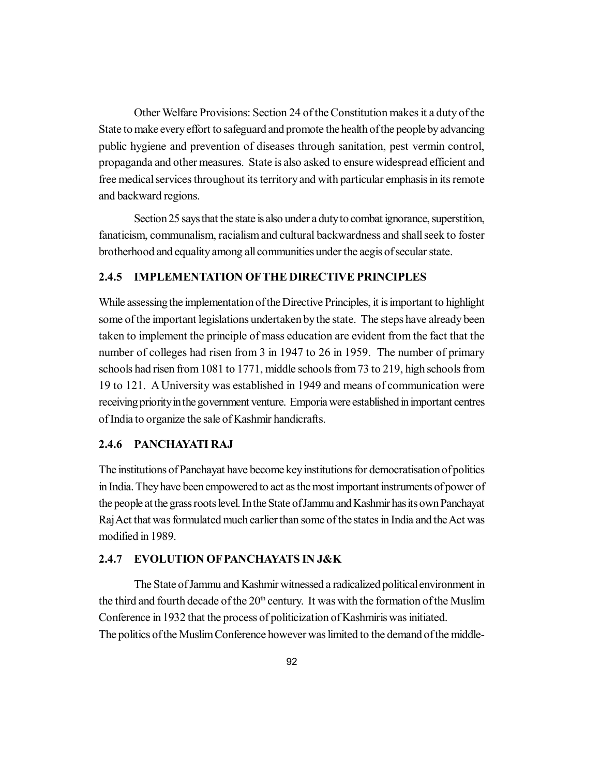Other Welfare Provisions: Section 24 of the Constitution makes it a duty of the State to make every effort to safeguard and promote the health of the people by advancing public hygiene and prevention of diseases through sanitation, pest vermin control, propaganda and other measures. State is also asked to ensure widespread efficient and free medical services throughout its territory and with particular emphasis in its remote and backward regions.

Section 25 says that the state is also under a duty to combat ignorance, superstition, fanaticism, communalism, racialism and cultural backwardness and shall seek to foster brotherhood and equality among all communities under the aegis of secular state.

## **2.4.5 IMPLEMENTATION OFTHE DIRECTIVE PRINCIPLES**

While assessing the implementation of the Directive Principles, it is important to highlight some of the important legislations undertaken by the state. The steps have already been taken to implement the principle of mass education are evident from the fact that the number of colleges had risen from 3 in 1947 to 26 in 1959. The number of primary schools had risen from 1081 to 1771, middle schools from 73 to 219, high schools from 19 to 121. A University was established in 1949 and means of communication were receiving priority in the government venture. Emporia were established in important centres of India to organize the sale of Kashmir handicrafts.

#### **2.4.6 PANCHAYATI RAJ**

The institutions of Panchayat have become key institutions for democratisation of politics in India. They have been empowered to act as the most important instruments of power of the people at the grass roots level. In the State of Jammu and Kashmir has its own Panchayat Raj Act that was formulated much earlier than some of the states in India and the Act was modified in 1989.

#### **2.4.7 EVOLUTION OF PANCHAYATS IN J&K**

The State of Jammu and Kashmir witnessed a radicalized political environment in the third and fourth decade of the  $20<sup>th</sup>$  century. It was with the formation of the Muslim Conference in 1932 that the process of politicization of Kashmiris was initiated. The politics of the Muslim Conference however was limited to the demand of the middle-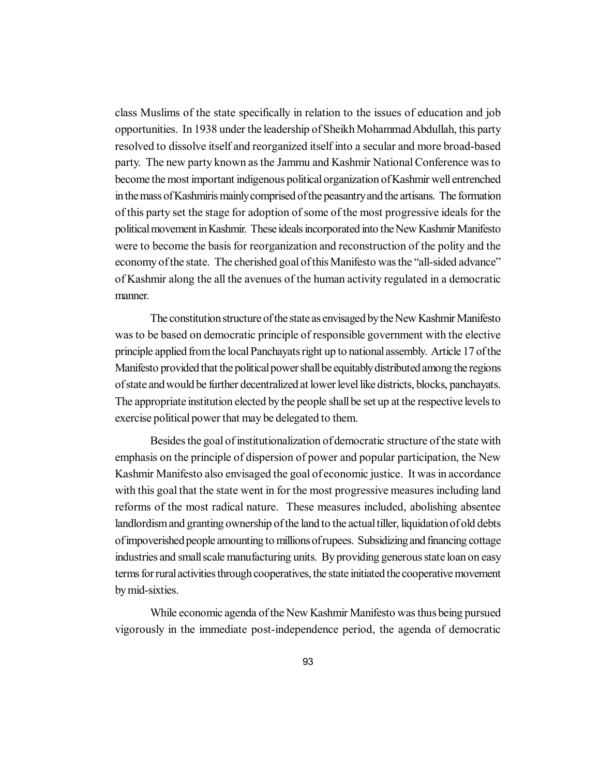class Muslims of the state specifically in relation to the issues of education and job opportunities. In 1938 under the leadership of Sheikh Mohammad Abdullah, this party resolved to dissolve itself and reorganized itself into a secular and more broad-based party. The new party known as the Jammu and Kashmir National Conference was to become the most important indigenous political organization of Kashmir well entrenched in the mass of Kashmiris mainly comprised of the peasantry and the artisans. The formation of this party set the stage for adoption of some of the most progressive ideals for the political movement in Kashmir. These ideals incorporated into the New Kashmir Manifesto were to become the basis for reorganization and reconstruction of the polity and the economy of the state. The cherished goal of this Manifesto was the "all-sided advance" of Kashmir along the all the avenues of the human activity regulated in a democratic manner.

The constitution structure of the state as envisaged by the New Kashmir Manifesto was to be based on democratic principle of responsible government with the elective principle applied from the local Panchayats right up to national assembly. Article 17 of the Manifesto provided that the political power shall be equitably distributed among the regions of state and would be further decentralized at lower level like districts, blocks, panchayats. The appropriate institution elected by the people shall be set up at the respective levels to exercise political power that may be delegated to them.

Besides the goal of institutionalization of democratic structure of the state with emphasis on the principle of dispersion of power and popular participation, the New Kashmir Manifesto also envisaged the goal of economic justice. It was in accordance with this goal that the state went in for the most progressive measures including land reforms of the most radical nature. These measures included, abolishing absentee landlordism and granting ownership of the land to the actual tiller, liquidation of old debts of impoverished people amounting to millions of rupees. Subsidizing and financing cottage industries and small scale manufacturing units. By providing generous state loan on easy terms for rural activities through cooperatives, the state initiated the cooperative movement by mid-sixties.

While economic agenda of the New Kashmir Manifesto was thus being pursued vigorously in the immediate post-independence period, the agenda of democratic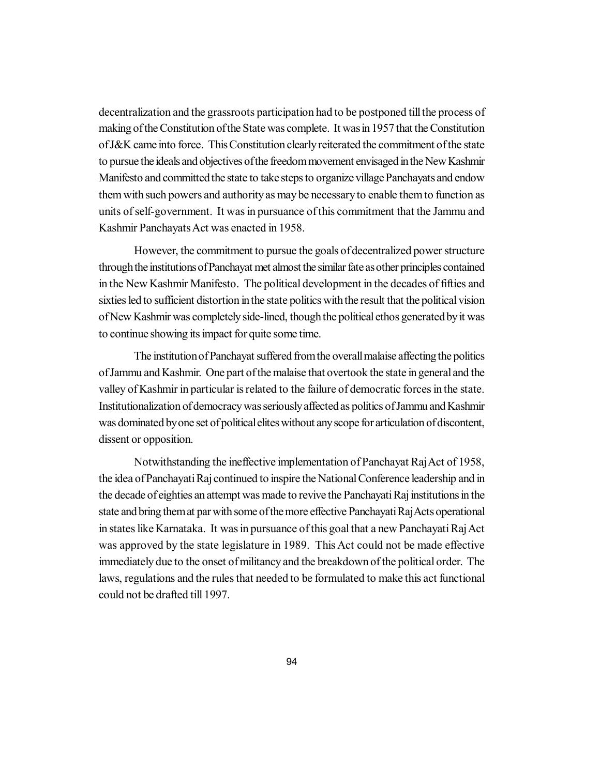decentralization and the grassroots participation had to be postponed till the process of making of the Constitution of the State was complete. It was in 1957 that the Constitution of J&K came into force. This Constitution clearly reiterated the commitment of the state to pursue the ideals and objectives of the freedom movement envisaged in the New Kashmir Manifesto and committed the state to take steps to organize village Panchayats and endow them with such powers and authority as may be necessary to enable them to function as units of self-government. It was in pursuance of this commitment that the Jammu and Kashmir Panchayats Act was enacted in 1958.

However, the commitment to pursue the goals of decentralized power structure through the institutions of Panchayat met almost the similar fate as other principles contained in the New Kashmir Manifesto. The political development in the decades of fifties and sixties led to sufficient distortion in the state politics with the result that the political vision of New Kashmir was completely side-lined, though the political ethos generated by it was to continue showing its impact for quite some time.

The institution of Panchayat suffered from the overall malaise affecting the politics of Jammu and Kashmir. One part of the malaise that overtook the state in general and the valley of Kashmir in particular is related to the failure of democratic forces in the state. Institutionalization of democracy was seriously affected as politics of Jammu and Kashmir was dominated by one set of political elites without any scope for articulation of discontent, dissent or opposition.

Notwithstanding the ineffective implementation of Panchayat Raj Act of 1958, the idea of Panchayati Raj continued to inspire the National Conference leadership and in the decade of eighties an attempt was made to revive the Panchayati Raj institutions in the state and bring them at par with some of the more effective Panchayati Raj Acts operational in states like Karnataka. It was in pursuance of this goal that a new Panchayati Raj Act was approved by the state legislature in 1989. This Act could not be made effective immediately due to the onset of militancy and the breakdown of the political order. The laws, regulations and the rules that needed to be formulated to make this act functional could not be drafted till 1997.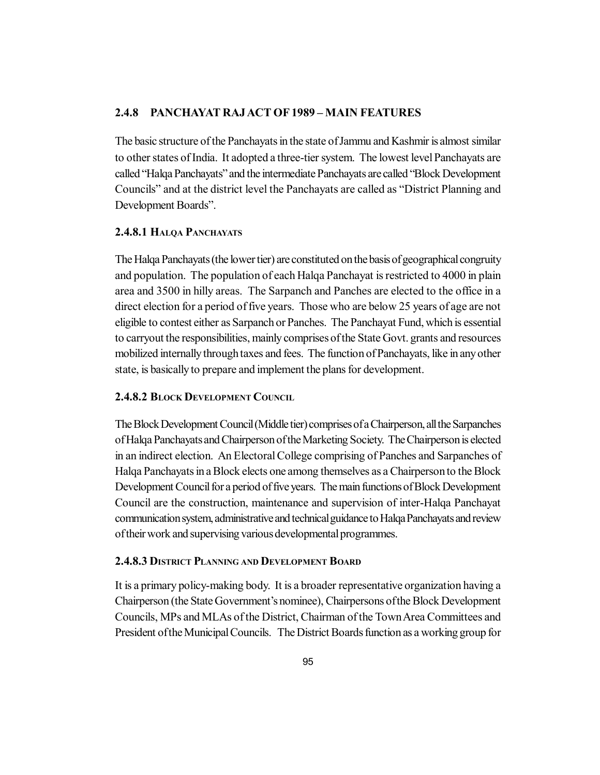#### **2.4.8 PANCHAYAT RAJ ACT OF 1989 – MAIN FEATURES**

The basic structure of the Panchayats in the state of Jammu and Kashmir is almost similar to other states of India. It adopted a three-tier system. The lowest level Panchayats are called "Halqa Panchayats" and the intermediate Panchayats are called "Block Development Councils" and at the district level the Panchayats are called as "District Planning and Development Boards".

#### **2.4.8.1 HALQA PANCHAYATS**

The Halqa Panchayats (the lower tier) are constituted on the basis of geographical congruity and population. The population of each Halqa Panchayat is restricted to 4000 in plain area and 3500 in hilly areas. The Sarpanch and Panches are elected to the office in a direct election for a period of five years. Those who are below 25 years of age are not eligible to contest either as Sarpanch or Panches. The Panchayat Fund, which is essential to carryout the responsibilities, mainly comprises of the State Govt. grants and resources mobilized internally through taxes and fees. The function of Panchayats, like in any other state, is basically to prepare and implement the plans for development.

#### **2.4.8.2 BLOCK DEVELOPMENT COUNCIL**

The Block Development Council (Middle tier) comprises of a Chairperson, all the Sarpanches of Halqa Panchayats and Chairperson of the Marketing Society. The Chairperson is elected in an indirect election. An Electoral College comprising of Panches and Sarpanches of Halqa Panchayats in a Block elects one among themselves as a Chairperson to the Block Development Council for a period of five years. The main functions of Block Development Council are the construction, maintenance and supervision of inter-Halqa Panchayat communication system, administrative and technical guidance to Halqa Panchayats and review of their work and supervising various developmental programmes.

#### **2.4.8.3 DISTRICT PLANNING AND DEVELOPMENT BOARD**

It is a primary policy-making body. It is a broader representative organization having a Chairperson (the State Government's nominee), Chairpersons of the Block Development Councils, MPs and MLAs of the District, Chairman of the Town Area Committees and President of the Municipal Councils. The District Boards function as a working group for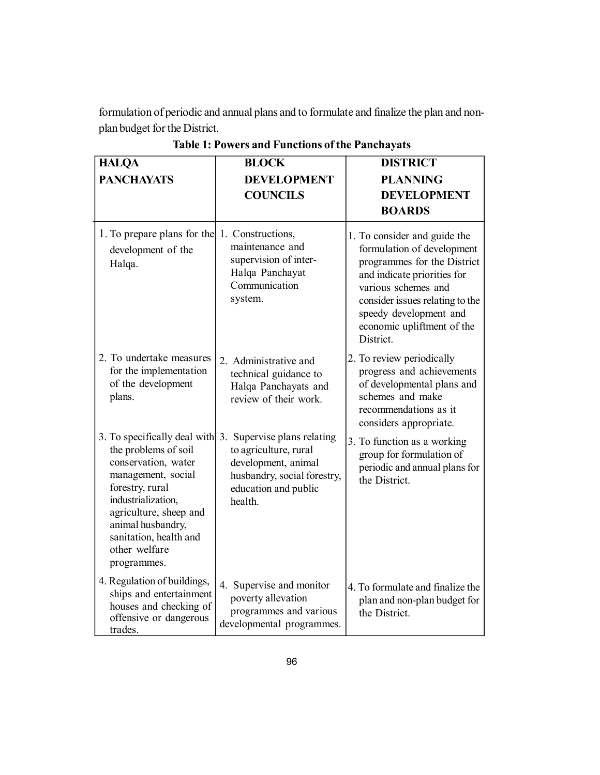formulation of periodic and annual plans and to formulate and finalize the plan and nonplan budget for the District.

| <b>HALQA</b>                                                                                                                                                                                                                                              | <b>BLOCK</b>                                                                                                                               | <b>DISTRICT</b>                                                                                                                                                                                                                                         |
|-----------------------------------------------------------------------------------------------------------------------------------------------------------------------------------------------------------------------------------------------------------|--------------------------------------------------------------------------------------------------------------------------------------------|---------------------------------------------------------------------------------------------------------------------------------------------------------------------------------------------------------------------------------------------------------|
| <b>PANCHAYATS</b>                                                                                                                                                                                                                                         | <b>DEVELOPMENT</b>                                                                                                                         | <b>PLANNING</b>                                                                                                                                                                                                                                         |
|                                                                                                                                                                                                                                                           | <b>COUNCILS</b>                                                                                                                            | <b>DEVELOPMENT</b>                                                                                                                                                                                                                                      |
|                                                                                                                                                                                                                                                           |                                                                                                                                            | <b>BOARDS</b>                                                                                                                                                                                                                                           |
| 1. To prepare plans for the 1. Constructions,<br>development of the<br>Halqa.                                                                                                                                                                             | maintenance and<br>supervision of inter-<br>Halqa Panchayat<br>Communication<br>system.                                                    | 1. To consider and guide the<br>formulation of development<br>programmes for the District<br>and indicate priorities for<br>various schemes and<br>consider issues relating to the<br>speedy development and<br>economic upliftment of the<br>District. |
| 2. To undertake measures<br>for the implementation<br>of the development<br>plans.                                                                                                                                                                        | 2. Administrative and<br>technical guidance to<br>Halqa Panchayats and<br>review of their work.                                            | 2. To review periodically<br>progress and achievements<br>of developmental plans and<br>schemes and make<br>recommendations as it<br>considers appropriate.                                                                                             |
| 3. To specifically deal with $3$ .<br>the problems of soil<br>conservation, water<br>management, social<br>forestry, rural<br>industrialization,<br>agriculture, sheep and<br>animal husbandry,<br>sanitation, health and<br>other welfare<br>programmes. | Supervise plans relating<br>to agriculture, rural<br>development, animal<br>husbandry, social forestry,<br>education and public<br>health. | 3. To function as a working<br>group for formulation of<br>periodic and annual plans for<br>the District.                                                                                                                                               |
| 4. Regulation of buildings,<br>ships and entertainment<br>houses and checking of<br>offensive or dangerous<br>trades.                                                                                                                                     | 4. Supervise and monitor<br>poverty allevation<br>programmes and various<br>developmental programmes.                                      | 4. To formulate and finalize the<br>plan and non-plan budget for<br>the District.                                                                                                                                                                       |

**Table 1: Powers and Functions of the Panchayats**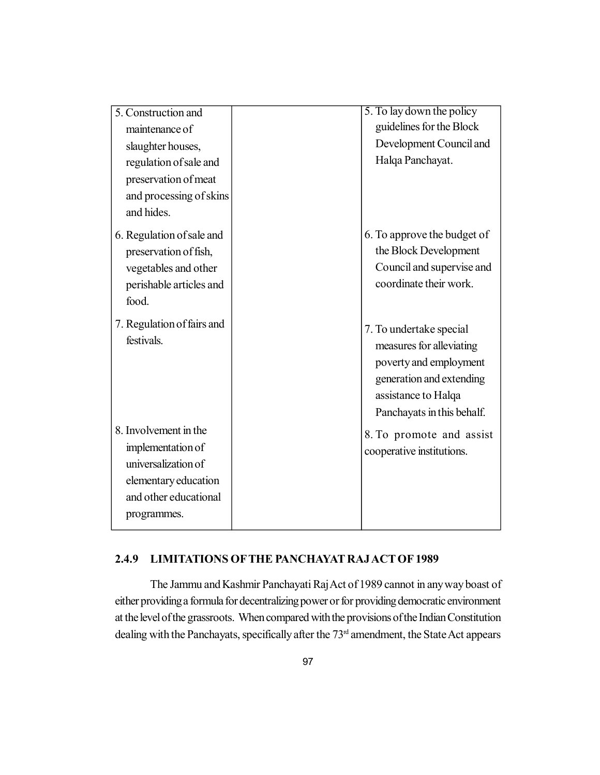| 5. Construction and                      | 5. To lay down the policy                                                                                                                                      |
|------------------------------------------|----------------------------------------------------------------------------------------------------------------------------------------------------------------|
| maintenance of                           | guidelines for the Block                                                                                                                                       |
| slaughter houses,                        | Development Council and                                                                                                                                        |
| regulation of sale and                   | Halqa Panchayat.                                                                                                                                               |
| preservation of meat                     |                                                                                                                                                                |
| and processing of skins                  |                                                                                                                                                                |
| and hides.                               |                                                                                                                                                                |
| 6. Regulation of sale and                | 6. To approve the budget of                                                                                                                                    |
| preservation of fish,                    | the Block Development                                                                                                                                          |
| vegetables and other                     | Council and supervise and                                                                                                                                      |
| perishable articles and                  | coordinate their work.                                                                                                                                         |
| food.                                    |                                                                                                                                                                |
| 7. Regulation of fairs and<br>festivals. | 7. To undertake special<br>measures for alleviating<br>poverty and employment<br>generation and extending<br>assistance to Halqa<br>Panchayats in this behalf. |
| 8. Involvement in the                    | 8. To promote and assist                                                                                                                                       |
| implementation of                        | cooperative institutions.                                                                                                                                      |
| universalization of                      |                                                                                                                                                                |
| elementary education                     |                                                                                                                                                                |
| and other educational                    |                                                                                                                                                                |
| programmes.                              |                                                                                                                                                                |
|                                          |                                                                                                                                                                |

## **2.4.9 LIMITATIONS OFTHE PANCHAYAT RAJ ACT OF 1989**

The Jammu and Kashmir Panchayati Raj Act of 1989 cannot in any way boast of either providing a formula for decentralizing power or for providing democratic environment at the level of the grassroots. When compared with the provisions of the Indian Constitution dealing with the Panchayats, specifically after the 73<sup>rd</sup> amendment, the State Act appears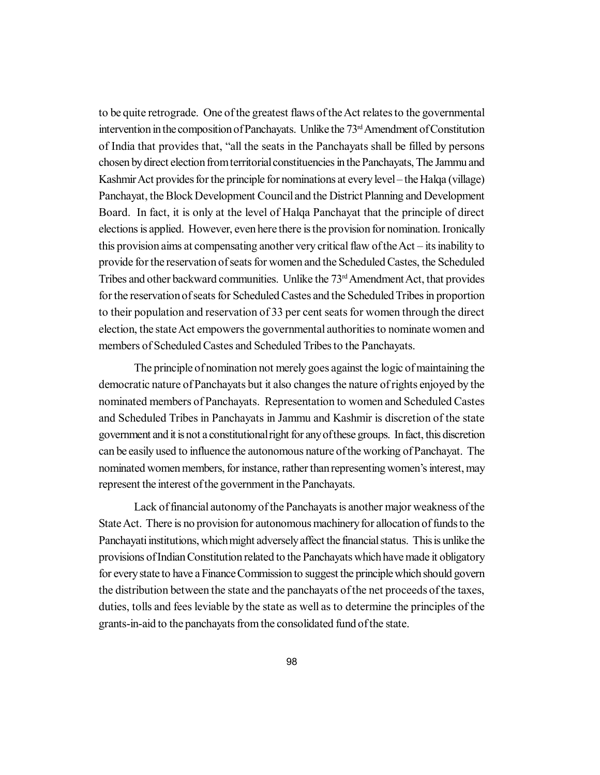to be quite retrograde. One of the greatest flaws of the Act relates to the governmental intervention in the composition of Panchayats. Unlike the 73<sup>rd</sup> Amendment of Constitution of India that provides that, "all the seats in the Panchayats shall be filled by persons chosen by direct election from territorial constituencies in the Panchayats, The Jammu and Kashmir Act provides for the principle for nominations at every level – the Halqa (village) Panchayat, the Block Development Council and the District Planning and Development Board. In fact, it is only at the level of Halqa Panchayat that the principle of direct elections is applied. However, even here there is the provision for nomination. Ironically this provision aims at compensating another very critical flaw of the Act – its inability to provide for the reservation of seats for women and the Scheduled Castes, the Scheduled Tribes and other backward communities. Unlike the 73<sup>rd</sup> Amendment Act, that provides for the reservation of seats for Scheduled Castes and the Scheduled Tribes in proportion to their population and reservation of 33 per cent seats for women through the direct election, the state Act empowers the governmental authorities to nominate women and members of Scheduled Castes and Scheduled Tribes to the Panchayats.

The principle of nomination not merely goes against the logic of maintaining the democratic nature of Panchayats but it also changes the nature of rights enjoyed by the nominated members of Panchayats. Representation to women and Scheduled Castes and Scheduled Tribes in Panchayats in Jammu and Kashmir is discretion of the state government and it is not a constitutional right for any of these groups. In fact, this discretion can be easily used to influence the autonomous nature of the working of Panchayat. The nominated women members, for instance, rather than representing women's interest, may represent the interest of the government in the Panchayats.

Lack of financial autonomy of the Panchayats is another major weakness of the State Act. There is no provision for autonomous machinery for allocation of funds to the Panchayati institutions, which might adversely affect the financial status. This is unlike the provisions of Indian Constitution related to the Panchayats which have made it obligatory for every state to have a Finance Commission to suggest the principle which should govern the distribution between the state and the panchayats of the net proceeds of the taxes, duties, tolls and fees leviable by the state as well as to determine the principles of the grants-in-aid to the panchayats from the consolidated fund of the state.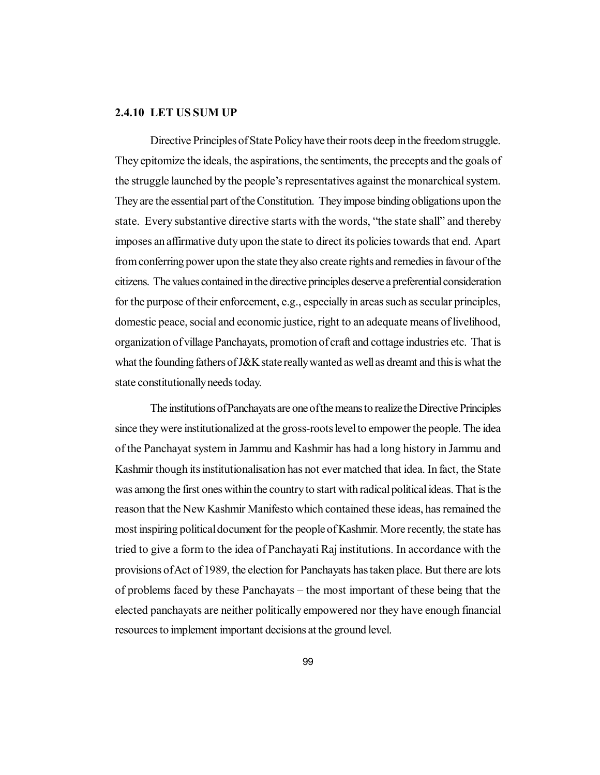## **2.4.10 LET US SUM UP**

Directive Principles of State Policy have their roots deep in the freedom struggle. They epitomize the ideals, the aspirations, the sentiments, the precepts and the goals of the struggle launched by the people's representatives against the monarchical system. They are the essential part of the Constitution. They impose binding obligations upon the state. Every substantive directive starts with the words, "the state shall" and thereby imposes an affirmative duty upon the state to direct its policies towards that end. Apart from conferring power upon the state they also create rights and remedies in favour of the citizens. The values contained in the directive principles deserve a preferential consideration for the purpose of their enforcement, e.g., especially in areas such as secular principles, domestic peace, social and economic justice, right to an adequate means of livelihood, organization of village Panchayats, promotion of craft and cottage industries etc. That is what the founding fathers of J&K state really wanted as well as dreamt and this is what the state constitutionally needs today.

The institutions of Panchayats are one of the means to realize the Directive Principles since they were institutionalized at the gross-roots level to empower the people. The idea of the Panchayat system in Jammu and Kashmir has had a long history in Jammu and Kashmir though its institutionalisation has not ever matched that idea. In fact, the State was among the first ones within the country to start with radical political ideas. That is the reason that the New Kashmir Manifesto which contained these ideas, has remained the most inspiring political document for the people of Kashmir. More recently, the state has tried to give a form to the idea of Panchayati Raj institutions. In accordance with the provisions of Act of 1989, the election for Panchayats has taken place. But there are lots of problems faced by these Panchayats – the most important of these being that the elected panchayats are neither politically empowered nor they have enough financial resources to implement important decisions at the ground level.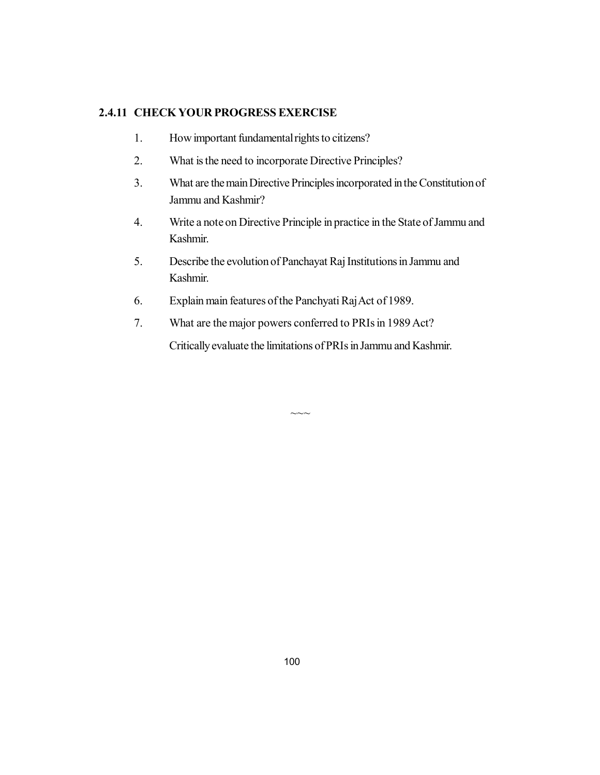## **2.4.11 CHECK YOUR PROGRESS EXERCISE**

- 1. How important fundamental rights to citizens?
- 2. What is the need to incorporate Directive Principles?
- 3. What are the main Directive Principles incorporated in the Constitution of Jammu and Kashmir?
- 4. Write a note on Directive Principle in practice in the State of Jammu and Kashmir.
- 5. Describe the evolution of Panchayat Raj Institutions in Jammu and Kashmir.
- 6. Explain main features of the Panchyati Raj Act of 1989.
- 7. What are the major powers conferred to PRIs in 1989 Act?

Critically evaluate the limitations of PRIs in Jammu and Kashmir.

 $\sim\sim$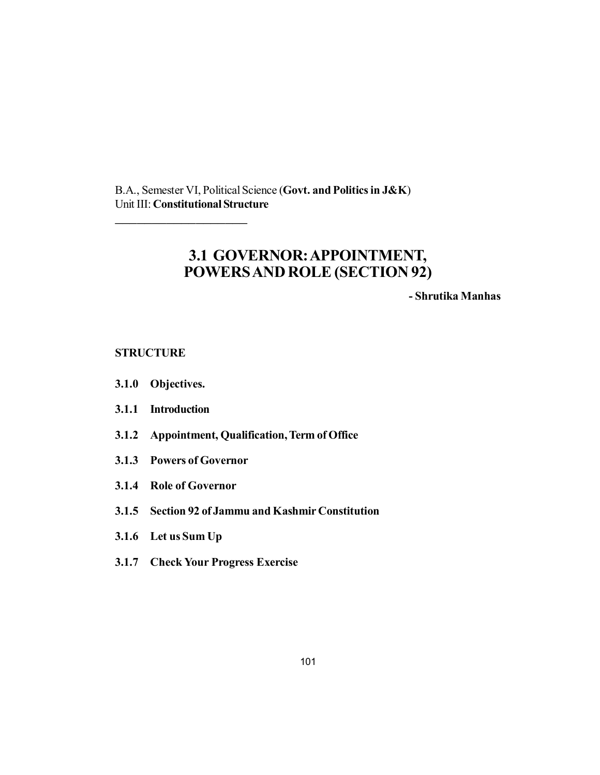B.A., Semester VI, Political Science (**Govt. and Politics in J&K**) Unit III: **Constitutional Structure**

# **3.1 GOVERNOR: APPOINTMENT, POWERS AND ROLE (SECTION 92)**

**- Shrutika Manhas**

**STRUCTURE**

- **3.1.0 Objectives.**
- **3.1.1 Introduction**
- **3.1.2 Appointment, Qualification, Term of Office**
- **3.1.3 Powers of Governor**

\_\_\_\_\_\_\_\_\_\_\_\_\_\_\_\_\_\_

- **3.1.4 Role of Governor**
- **3.1.5 Section 92 of Jammu and Kashmir Constitution**
- **3.1.6 Let us Sum Up**
- **3.1.7 Check Your Progress Exercise**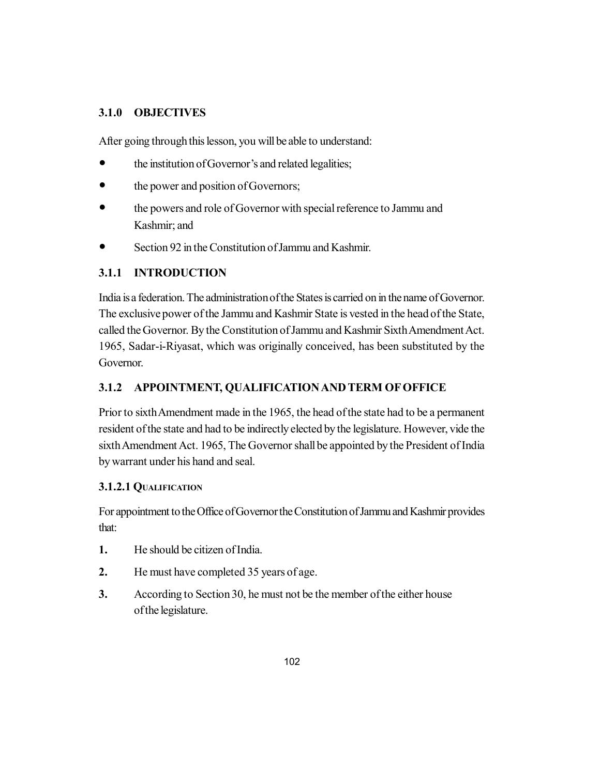## **3.1.0 OBJECTIVES**

After going through this lesson, you will be able to understand:

- the institution of Governor's and related legalities;
- the power and position of Governors;
- the powers and role of Governor with special reference to Jammu and Kashmir; and
- Section 92 in the Constitution of Jammu and Kashmir.

## **3.1.1 INTRODUCTION**

India is a federation. The administration of the States is carried on in the name of Governor. The exclusive power of the Jammu and Kashmir State is vested in the head of the State, called the Governor. By the Constitution of Jammu and Kashmir Sixth Amendment Act. 1965, Sadar-i-Riyasat, which was originally conceived, has been substituted by the Governor.

## **3.1.2 APPOINTMENT, QUALIFICATION AND TERM OF OFFICE**

Prior to sixth Amendment made in the 1965, the head of the state had to be a permanent resident of the state and had to be indirectly elected by the legislature. However, vide the sixth Amendment Act. 1965, The Governor shall be appointed by the President of India by warrant under his hand and seal.

## **3.1.2.1 QUALIFICATION**

For appointment to the Office of Governor the Constitution of Jammu and Kashmir provides that:

- **1.** He should be citizen of India.
- **2.** He must have completed 35 years of age.
- **3.** According to Section 30, he must not be the member of the either house of the legislature.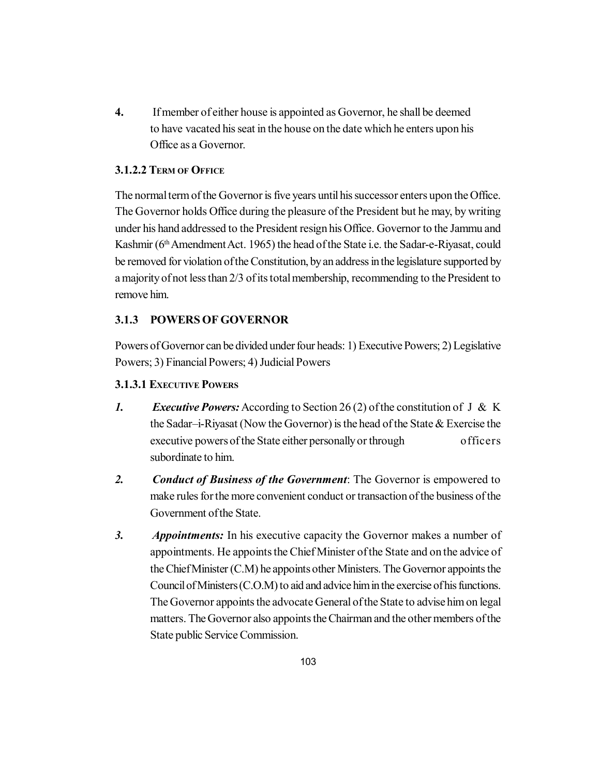**4.** If member of either house is appointed as Governor, he shall be deemed to have vacated his seat in the house on the date which he enters upon his Office as a Governor.

## **3.1.2.2 TERM OF OFFICE**

The normal term of the Governor is five years until his successor enters upon the Office. The Governor holds Office during the pleasure of the President but he may, by writing under his hand addressed to the President resign his Office. Governor to the Jammu and Kashmir (6<sup>th</sup> Amendment Act. 1965) the head of the State i.e. the Sadar-e-Riyasat, could be removed for violation of the Constitution, by an address in the legislature supported by a majority of not less than 2/3 of its total membership, recommending to the President to remove him.

## **3.1.3 POWERS OF GOVERNOR**

Powers of Governor can be divided under four heads: 1) Executive Powers; 2) Legislative Powers; 3) Financial Powers; 4) Judicial Powers

## **3.1.3.1 EXECUTIVE POWERS**

- *1. Executive Powers:* According to Section 26 (2) of the constitution of J & K the Sadar–i-Riyasat (Now the Governor) is the head of the State & Exercise the executive powers of the State either personally or through officers subordinate to him.
- *2. Conduct of Business of the Government*: The Governor is empowered to make rules for the more convenient conduct or transaction of the business of the Government of the State.
- *3. Appointments:* In his executive capacity the Governor makes a number of appointments. He appoints the Chief Minister of the State and on the advice of the Chief Minister (C.M) he appoints other Ministers. The Governor appoints the Council of Ministers (C.O.M) to aid and advice him in the exercise of his functions. The Governor appoints the advocate General of the State to advise him on legal matters. The Governor also appoints the Chairman and the other members of the State public Service Commission.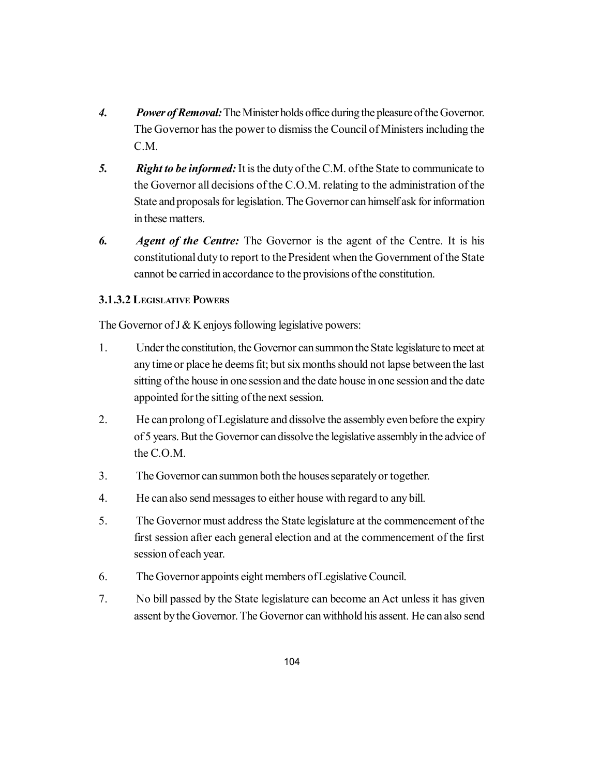- *4. Power of Removal:* The Minister holds office during the pleasure of the Governor. The Governor has the power to dismiss the Council of Ministers including the C.M.
- *5. Right to be informed:* It is the duty of the C.M. of the State to communicate to the Governor all decisions of the C.O.M. relating to the administration of the State and proposals for legislation. The Governor can himself ask for information in these matters.
- *6. Agent of the Centre:* The Governor is the agent of the Centre. It is his constitutional duty to report to the President when the Government of the State cannot be carried in accordance to the provisions of the constitution.

## **3.1.3.2 LEGISLATIVE POWERS**

The Governor of  $J & K$  enjoys following legislative powers:

- 1. Under the constitution, the Governor can summon the State legislature to meet at any time or place he deems fit; but six months should not lapse between the last sitting of the house in one session and the date house in one session and the date appointed for the sitting of the next session.
- 2. He can prolong of Legislature and dissolve the assembly even before the expiry of 5 years. But the Governor can dissolve the legislative assembly in the advice of the C.O.M.
- 3. The Governor can summon both the houses separately or together.
- 4. He can also send messages to either house with regard to any bill.
- 5. The Governor must address the State legislature at the commencement of the first session after each general election and at the commencement of the first session of each year.
- 6. The Governor appoints eight members of Legislative Council.
- 7. No bill passed by the State legislature can become an Act unless it has given assent by the Governor. The Governor can withhold his assent. He can also send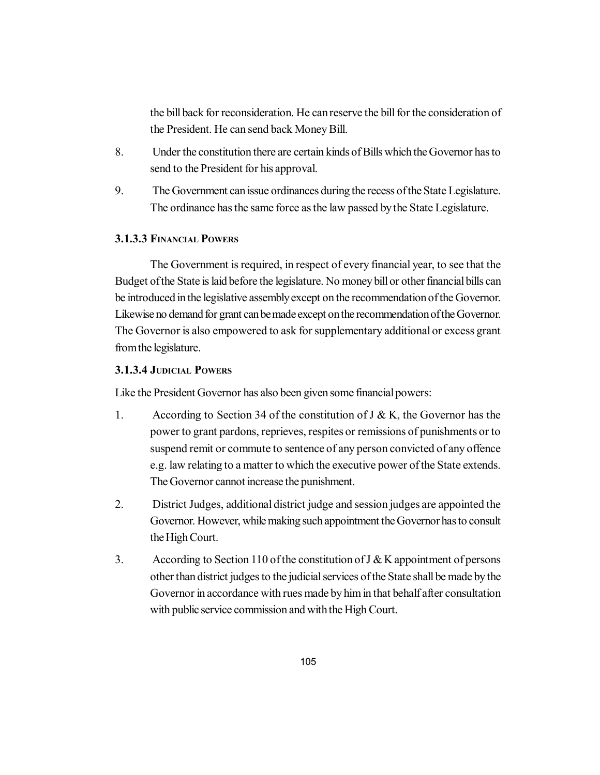the bill back for reconsideration. He can reserve the bill for the consideration of the President. He can send back Money Bill.

- 8. Under the constitution there are certain kinds of Bills which the Governor has to send to the President for his approval.
- 9. The Government can issue ordinances during the recess of the State Legislature. The ordinance has the same force as the law passed by the State Legislature.

## **3.1.3.3 FINANCIAL POWERS**

The Government is required, in respect of every financial year, to see that the Budget of the State is laid before the legislature. No money bill or other financial bills can be introduced in the legislative assembly except on the recommendation of the Governor. Likewise no demand for grant can be made except on the recommendation of the Governor. The Governor is also empowered to ask for supplementary additional or excess grant from the legislature.

## **3.1.3.4 JUDICIAL POWERS**

Like the President Governor has also been given some financial powers:

- 1. According to Section 34 of the constitution of  $J \& K$ , the Governor has the power to grant pardons, reprieves, respites or remissions of punishments or to suspend remit or commute to sentence of any person convicted of any offence e.g. law relating to a matter to which the executive power of the State extends. The Governor cannot increase the punishment.
- 2. District Judges, additional district judge and session judges are appointed the Governor. However, while making such appointment the Governor has to consult the High Court.
- 3. According to Section 110 of the constitution of J & K appointment of persons other than district judges to the judicial services of the State shall be made by the Governor in accordance with rues made by him in that behalf after consultation with public service commission and with the High Court.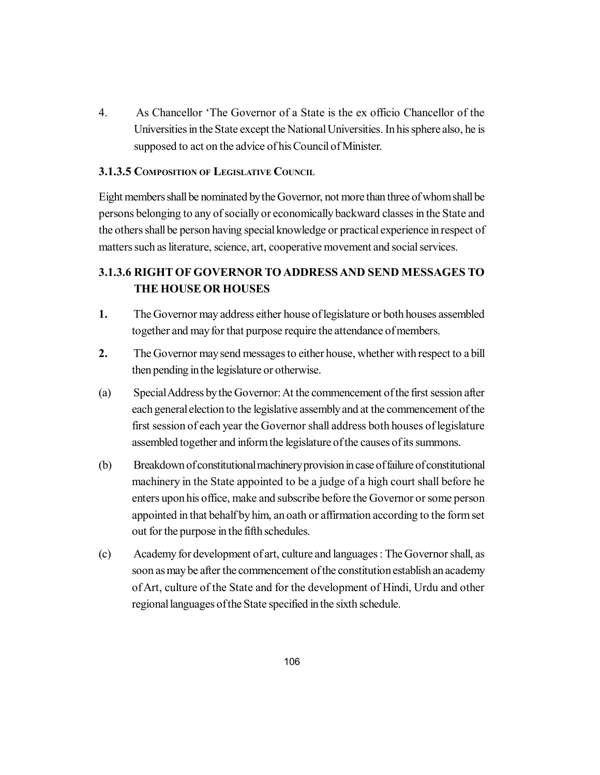4. As Chancellor 'The Governor of a State is the ex officio Chancellor of the Universities in the State except the National Universities. In his sphere also, he is supposed to act on the advice of his Council of Minister.

## **3.1.3.5 COMPOSITION OF LEGISLATIVE COUNCIL**

Eight members shall be nominated by the Governor, not more than three of whom shall be persons belonging to any of socially or economically backward classes in the State and the others shall be person having special knowledge or practical experience in respect of matters such as literature, science, art, cooperative movement and social services.

# **3.1.3.6 RIGHT OF GOVERNOR TO ADDRESS AND SEND MESSAGES TO THE HOUSE OR HOUSES**

- **1.** The Governor may address either house of legislature or both houses assembled together and may for that purpose require the attendance of members.
- **2.** The Governor may send messages to either house, whether with respect to a bill then pending in the legislature or otherwise.
- (a) Special Address by the Governor: At the commencement of the first session after each general election to the legislative assembly and at the commencement of the first session of each year the Governor shall address both houses of legislature assembled together and inform the legislature of the causes of its summons.
- (b) Breakdown of constitutional machinery provision in case of failure of constitutional machinery in the State appointed to be a judge of a high court shall before he enters upon his office, make and subscribe before the Governor or some person appointed in that behalf by him, an oath or affirmation according to the form set out for the purpose in the fifth schedules.
- (c) Academy for development of art, culture and languages : The Governor shall, as soon as may be after the commencement of the constitution establish an academy of Art, culture of the State and for the development of Hindi, Urdu and other regional languages of the State specified in the sixth schedule.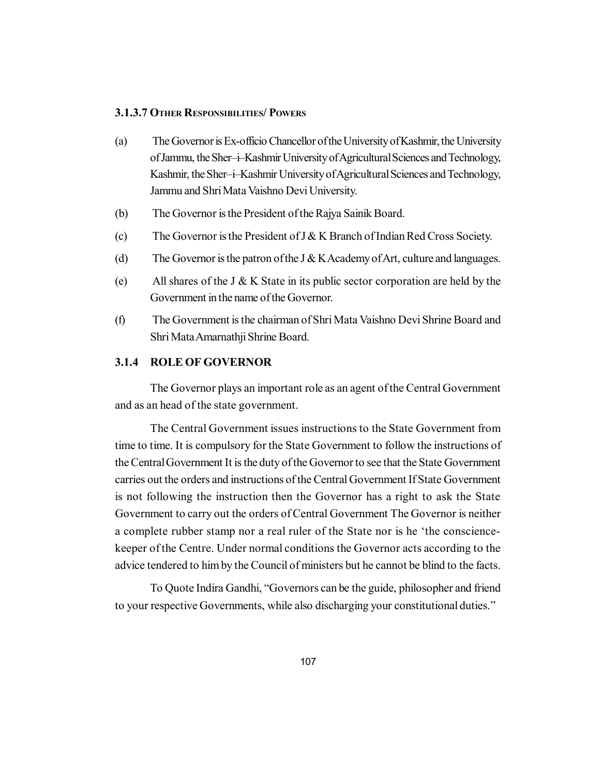## **3.1.3.7 OTHER RESPONSIBILITIES/ POWERS**

- (a) The Governor is Ex-officio Chancellor of the University of Kashmir, the University of Jammu, the Sher–i–Kashmir University of Agricultural Sciences and Technology, Kashmir, the Sher–i–Kashmir University of Agricultural Sciences and Technology, Jammu and Shri Mata Vaishno Devi University.
- (b) The Governor is the President of the Rajya Sainik Board.
- (c) The Governor is the President of J & K Branch of Indian Red Cross Society.
- (d) The Governor is the patron of the J  $&$  K Academy of Art, culture and languages.
- (e) All shares of the J & K State in its public sector corporation are held by the Government in the name of the Governor.
- (f) The Government is the chairman of Shri Mata Vaishno Devi Shrine Board and Shri Mata Amarnathji Shrine Board.

#### **3.1.4 ROLE OF GOVERNOR**

The Governor plays an important role as an agent of the Central Government and as an head of the state government.

The Central Government issues instructions to the State Government from time to time. It is compulsory for the State Government to follow the instructions of the Central Government It is the duty of the Governor to see that the State Government carries out the orders and instructions of the Central Government If State Government is not following the instruction then the Governor has a right to ask the State Government to carry out the orders of Central Government The Governor is neither a complete rubber stamp nor a real ruler of the State nor is he 'the consciencekeeper of the Centre. Under normal conditions the Governor acts according to the advice tendered to him by the Council of ministers but he cannot be blind to the facts.

To Quote Indira Gandhi, "Governors can be the guide, philosopher and friend to your respective Governments, while also discharging your constitutional duties."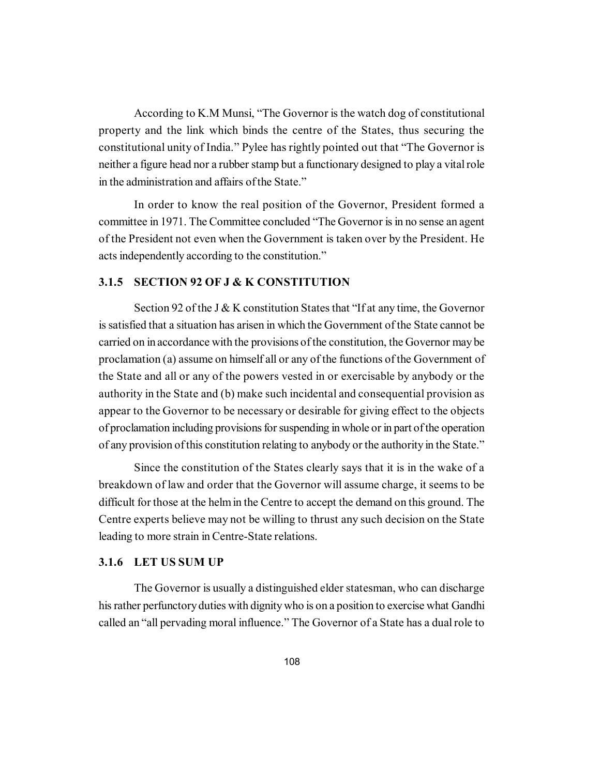According to K.M Munsi, "The Governor is the watch dog of constitutional property and the link which binds the centre of the States, thus securing the constitutional unity of India." Pylee has rightly pointed out that "The Governor is neither a figure head nor a rubber stamp but a functionary designed to play a vital role in the administration and affairs of the State."

In order to know the real position of the Governor, President formed a committee in 1971. The Committee concluded "The Governor is in no sense an agent of the President not even when the Government is taken over by the President. He acts independently according to the constitution."

#### **3.1.5 SECTION 92 OF J & K CONSTITUTION**

Section 92 of the J & K constitution States that "If at any time, the Governor is satisfied that a situation has arisen in which the Government of the State cannot be carried on in accordance with the provisions of the constitution, the Governor may be proclamation (a) assume on himself all or any of the functions of the Government of the State and all or any of the powers vested in or exercisable by anybody or the authority in the State and (b) make such incidental and consequential provision as appear to the Governor to be necessary or desirable for giving effect to the objects of proclamation including provisions for suspending in whole or in part of the operation of any provision of this constitution relating to anybody or the authority in the State."

Since the constitution of the States clearly says that it is in the wake of a breakdown of law and order that the Governor will assume charge, it seems to be difficult for those at the helm in the Centre to accept the demand on this ground. The Centre experts believe may not be willing to thrust any such decision on the State leading to more strain in Centre-State relations.

#### **3.1.6 LET US SUM UP**

The Governor is usually a distinguished elder statesman, who can discharge his rather perfunctory duties with dignity who is on a position to exercise what Gandhi called an "all pervading moral influence." The Governor of a State has a dual role to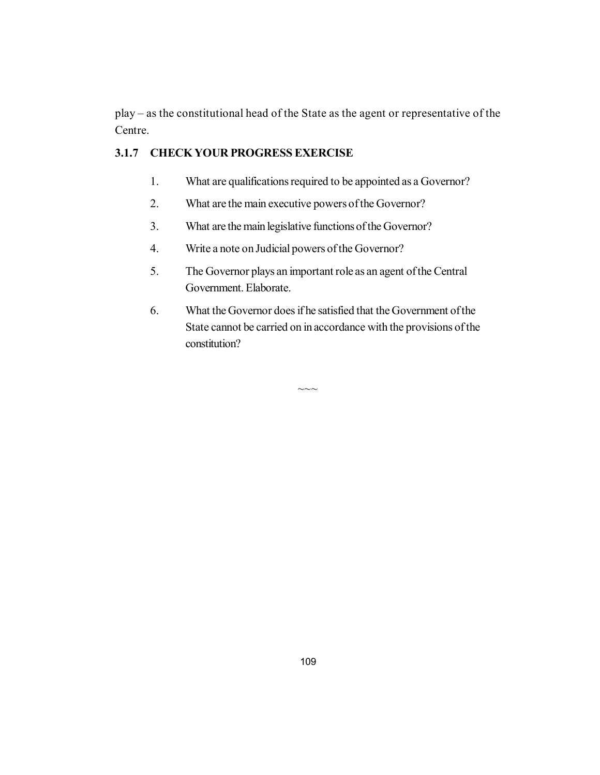play – as the constitutional head of the State as the agent or representative of the Centre.

# **3.1.7 CHECK YOUR PROGRESS EXERCISE**

- 1. What are qualifications required to be appointed as a Governor?
- 2. What are the main executive powers of the Governor?
- 3. What are the main legislative functions of the Governor?
- 4. Write a note on Judicial powers of the Governor?
- 5. The Governor plays an important role as an agent of the Central Government. Elaborate.
- 6. What the Governor does if he satisfied that the Government of the State cannot be carried on in accordance with the provisions of the constitution?

 $\sim\sim\sim$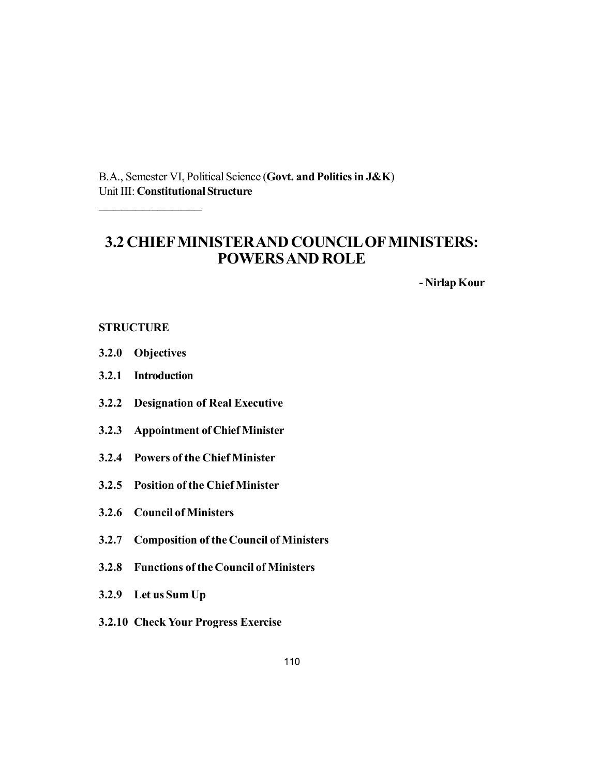B.A., Semester VI, Political Science (**Govt. and Politics in J&K**) Unit III: **Constitutional Structure**

# **3.2 CHIEF MINISTER AND COUNCIL OF MINISTERS: POWERS AND ROLE**

**- Nirlap Kour**

#### **STRUCTURE**

**3.2.0 Objectives**

\_\_\_\_\_\_\_\_\_\_\_\_\_\_

- **3.2.1 Introduction**
- **3.2.2 Designation of Real Executive**
- **3.2.3 Appointment of Chief Minister**
- **3.2.4 Powers of the Chief Minister**
- **3.2.5 Position of the Chief Minister**
- **3.2.6 Council of Ministers**
- **3.2.7 Composition of the Council of Ministers**
- **3.2.8 Functions of the Council of Ministers**
- **3.2.9 Let us Sum Up**
- **3.2.10 Check Your Progress Exercise**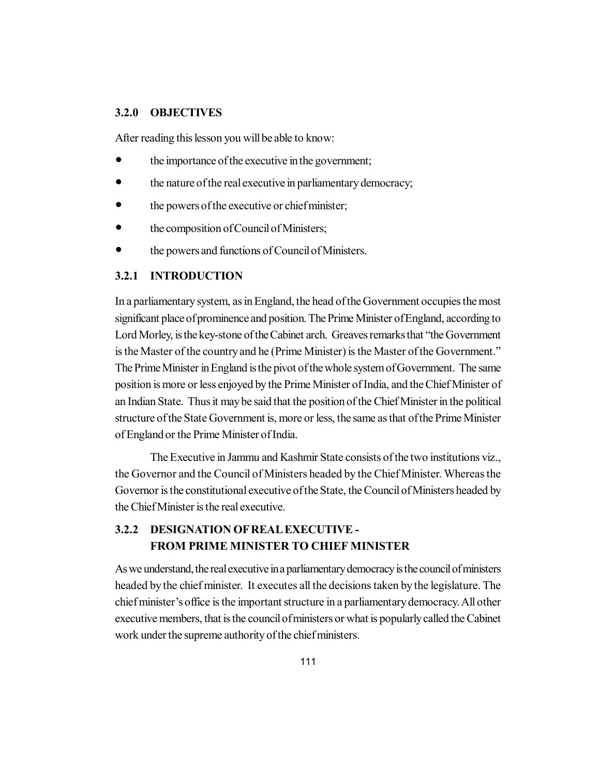### **3.2.0 OBJECTIVES**

After reading this lesson you will be able to know:

- the importance of the executive in the government;
- the nature of the real executive in parliamentary democracy;
- the powers of the executive or chief minister;
- the composition of Council of Ministers;
- the powers and functions of Council of Ministers.

### **3.2.1 INTRODUCTION**

In a parliamentary system, as in England, the head of the Government occupies the most significant place of prominence and position. The Prime Minister of England, according to Lord Morley, is the key-stone of the Cabinet arch. Greaves remarks that "the Government is the Master of the country and he (Prime Minister) is the Master of the Government." The Prime Minister in England is the pivot of the whole system of Government. The same position is more or less enjoyed by the Prime Minister of India, and the Chief Minister of an Indian State. Thus it may be said that the position of the Chief Minister in the political structure of the State Government is, more or less, the same as that of the Prime Minister of England or the Prime Minister of India.

The Executive in Jammu and Kashmir State consists of the two institutions viz., the Governor and the Council of Ministers headed by the Chief Minister. Whereas the Governor is the constitutional executive of the State, the Council of Ministers headed by the Chief Minister is the real executive.

# **3.2.2 DESIGNATION OF REAL EXECUTIVE - FROM PRIME MINISTER TO CHIEF MINISTER**

As we understand, the real executive in a parliamentary democracy is the council of ministers headed by the chief minister. It executes all the decisions taken by the legislature. The chief minister's office is the important structure in a parliamentary democracy. All other executive members, that is the council of ministers or what is popularly called the Cabinet work under the supreme authority of the chief ministers.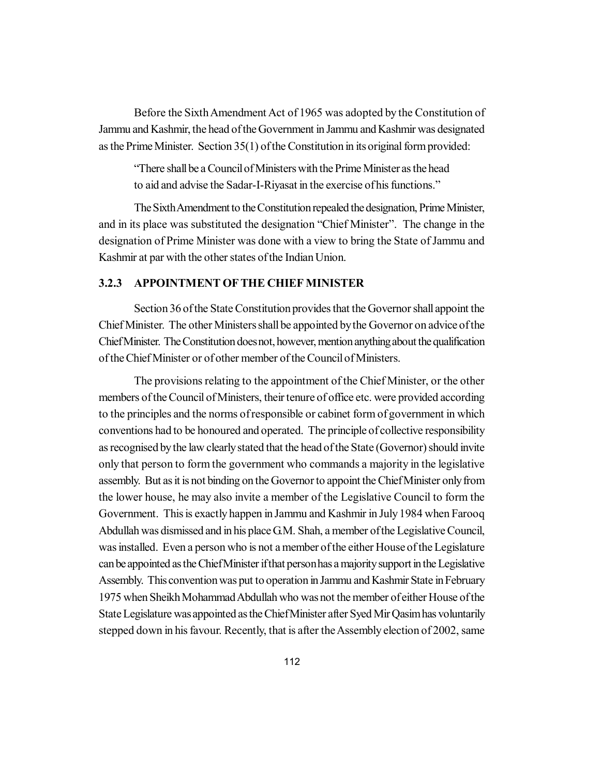Before the Sixth Amendment Act of 1965 was adopted by the Constitution of Jammu and Kashmir, the head of the Government in Jammu and Kashmir was designated as the Prime Minister. Section 35(1) of the Constitution in its original form provided:

"There shall be a Council of Ministers with the Prime Minister as the head to aid and advise the Sadar-I-Riyasat in the exercise of his functions."

The Sixth Amendment to the Constitution repealed the designation, Prime Minister, and in its place was substituted the designation "Chief Minister". The change in the designation of Prime Minister was done with a view to bring the State of Jammu and Kashmir at par with the other states of the Indian Union.

### **3.2.3 APPOINTMENT OF THE CHIEF MINISTER**

Section 36 of the State Constitution provides that the Governor shall appoint the Chief Minister. The other Ministers shall be appointed by the Governor on advice of the Chief Minister. The Constitution does not, however, mention anything about the qualification of the Chief Minister or of other member of the Council of Ministers.

The provisions relating to the appointment of the Chief Minister, or the other members of the Council of Ministers, their tenure of office etc. were provided according to the principles and the norms of responsible or cabinet form of government in which conventions had to be honoured and operated. The principle of collective responsibility as recognised by the law clearly stated that the head of the State (Governor) should invite only that person to form the government who commands a majority in the legislative assembly. But as it is not binding on the Governor to appoint the Chief Minister only from the lower house, he may also invite a member of the Legislative Council to form the Government. This is exactly happen in Jammu and Kashmir in July 1984 when Farooq Abdullah was dismissed and in his place G.M. Shah, a member of the Legislative Council, was installed. Even a person who is not a member of the either House of the Legislature can be appointed as the Chief Minister if that person has a majority support in the Legislative Assembly. This convention was put to operation in Jammu and Kashmir State in February 1975 when Sheikh Mohammad Abdullah who was not the member of either House of the State Legislature was appointed as the Chief Minister after Syed Mir Qasim has voluntarily stepped down in his favour. Recently, that is after the Assembly election of 2002, same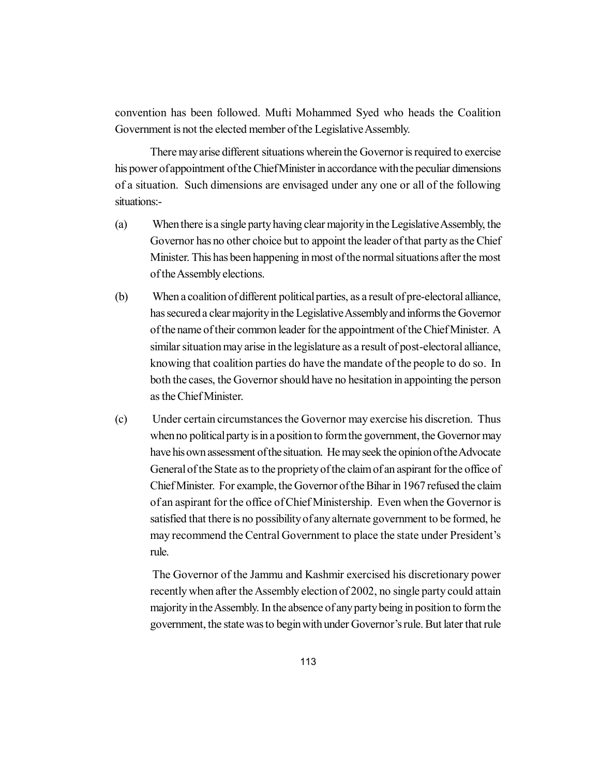convention has been followed. Mufti Mohammed Syed who heads the Coalition Government is not the elected member of the Legislative Assembly.

There may arise different situations wherein the Governor is required to exercise his power of appointment of the Chief Minister in accordance with the peculiar dimensions of a situation. Such dimensions are envisaged under any one or all of the following situations:-

- (a) When there is a single party having clear majority in the Legislative Assembly, the Governor has no other choice but to appoint the leader of that party as the Chief Minister. This has been happening in most of the normal situations after the most of the Assembly elections.
- (b) When a coalition of different political parties, as a result of pre-electoral alliance, has secured a clear majority in the Legislative Assembly and informs the Governor of the name of their common leader for the appointment of the Chief Minister. A similar situation may arise in the legislature as a result of post-electoral alliance, knowing that coalition parties do have the mandate of the people to do so. In both the cases, the Governor should have no hesitation in appointing the person as the Chief Minister.
- (c) Under certain circumstances the Governor may exercise his discretion. Thus when no political party is in a position to form the government, the Governor may have his own assessment of the situation. He may seek the opinion of the Advocate General of the State as to the propriety of the claim of an aspirant for the office of Chief Minister. For example, the Governor of the Bihar in 1967 refused the claim of an aspirant for the office of Chief Ministership. Even when the Governor is satisfied that there is no possibility of any alternate government to be formed, he may recommend the Central Government to place the state under President's rule.

The Governor of the Jammu and Kashmir exercised his discretionary power recently when after the Assembly election of 2002, no single party could attain majority in the Assembly. In the absence of any party being in position to form the government, the state was to begin with under Governor's rule. But later that rule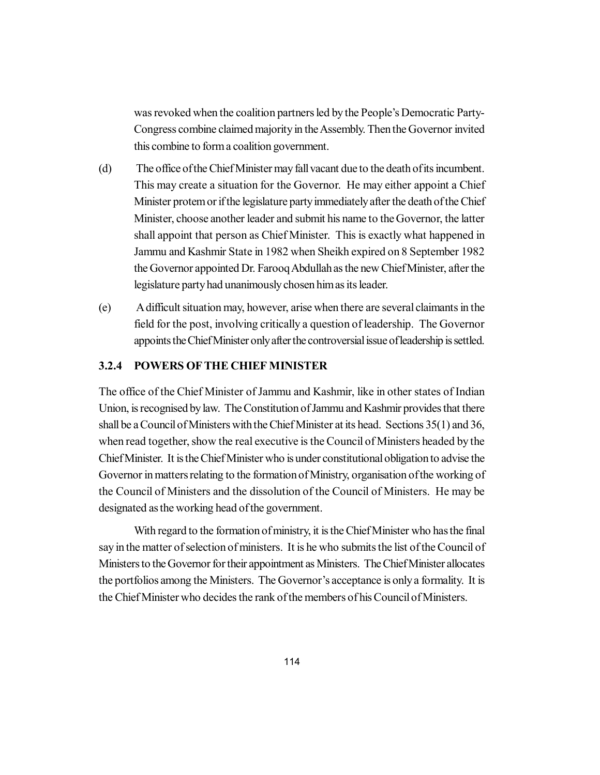was revoked when the coalition partners led by the People's Democratic Party-Congress combine claimed majority in the Assembly. Then the Governor invited this combine to form a coalition government.

- (d) The office of the Chief Minister may fall vacant due to the death of its incumbent. This may create a situation for the Governor. He may either appoint a Chief Minister protem or if the legislature party immediately after the death of the Chief Minister, choose another leader and submit his name to the Governor, the latter shall appoint that person as Chief Minister. This is exactly what happened in Jammu and Kashmir State in 1982 when Sheikh expired on 8 September 1982 the Governor appointed Dr. Farooq Abdullah as the new Chief Minister, after the legislature party had unanimously chosen him as its leader.
- (e) A difficult situation may, however, arise when there are several claimants in the field for the post, involving critically a question of leadership. The Governor appoints the Chief Minister only after the controversial issue of leadership is settled.

# **3.2.4 POWERS OF THE CHIEF MINISTER**

The office of the Chief Minister of Jammu and Kashmir, like in other states of Indian Union, is recognised by law. The Constitution of Jammu and Kashmir provides that there shall be a Council of Ministers with the Chief Minister at its head. Sections 35(1) and 36, when read together, show the real executive is the Council of Ministers headed by the Chief Minister. It is the Chief Minister who is under constitutional obligation to advise the Governor in matters relating to the formation of Ministry, organisation of the working of the Council of Ministers and the dissolution of the Council of Ministers. He may be designated as the working head of the government.

With regard to the formation of ministry, it is the Chief Minister who has the final say in the matter of selection of ministers. It is he who submits the list of the Council of Ministers to the Governor for their appointment as Ministers. The Chief Minister allocates the portfolios among the Ministers. The Governor's acceptance is only a formality. It is the Chief Minister who decides the rank of the members of his Council of Ministers.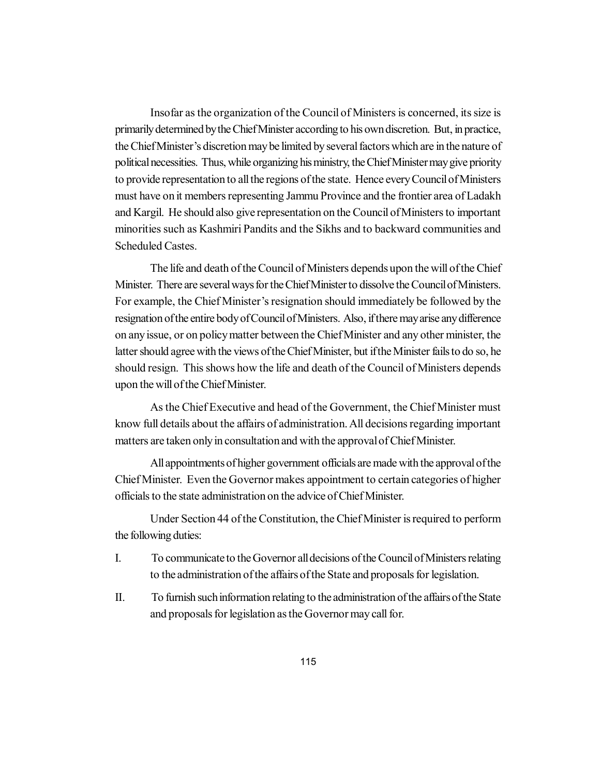Insofar as the organization of the Council of Ministers is concerned, its size is primarily determined by the Chief Minister according to his own discretion. But, in practice, the Chief Minister's discretion may be limited by several factors which are in the nature of political necessities. Thus, while organizing his ministry, the Chief Minister may give priority to provide representation to all the regions of the state. Hence every Council of Ministers must have on it members representing Jammu Province and the frontier area of Ladakh and Kargil. He should also give representation on the Council of Ministers to important minorities such as Kashmiri Pandits and the Sikhs and to backward communities and Scheduled Castes.

The life and death of the Council of Ministers depends upon the will of the Chief Minister. There are several ways for the Chief Minister to dissolve the Council of Ministers. For example, the Chief Minister's resignation should immediately be followed by the resignation of the entire body of Council of Ministers. Also, if there may arise any difference on any issue, or on policy matter between the Chief Minister and any other minister, the latter should agree with the views of the Chief Minister, but if the Minister fails to do so, he should resign. This shows how the life and death of the Council of Ministers depends upon the will of the Chief Minister.

As the Chief Executive and head of the Government, the Chief Minister must know full details about the affairs of administration. All decisions regarding important matters are taken only in consultation and with the approval of Chief Minister.

All appointments of higher government officials are made with the approval of the Chief Minister. Even the Governor makes appointment to certain categories of higher officials to the state administration on the advice of Chief Minister.

Under Section 44 of the Constitution, the Chief Minister is required to perform the following duties:

- I. To communicate to the Governor all decisions of the Council of Ministers relating to the administration of the affairs of the State and proposals for legislation.
- II. To furnish such information relating to the administration of the affairs of the State and proposals for legislation as the Governor may call for.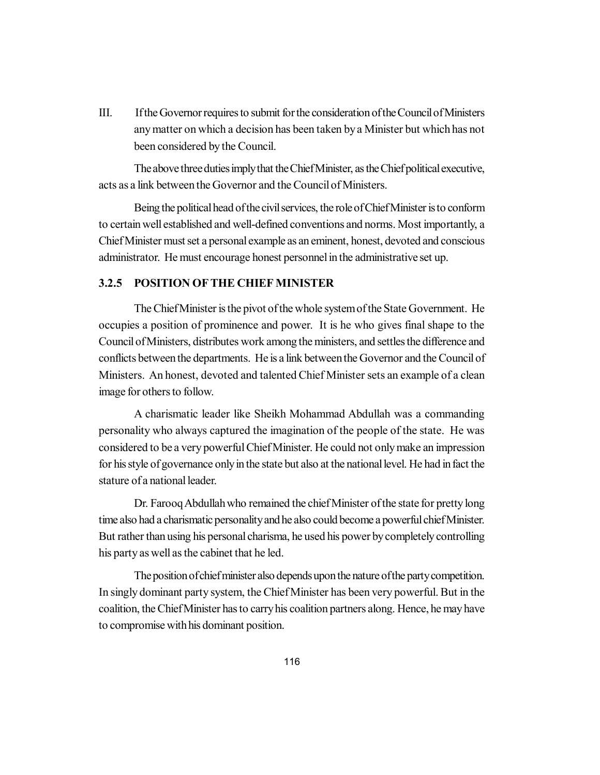III. If the Governor requires to submit for the consideration of the Council of Ministers any matter on which a decision has been taken by a Minister but which has not been considered by the Council.

The above three duties imply that the Chief Minister, as the Chief political executive, acts as a link between the Governor and the Council of Ministers.

Being the political head of the civil services, the role of Chief Minister is to conform to certain well established and well-defined conventions and norms. Most importantly, a Chief Minister must set a personal example as an eminent, honest, devoted and conscious administrator. He must encourage honest personnel in the administrative set up.

### **3.2.5 POSITION OF THE CHIEF MINISTER**

The Chief Minister is the pivot of the whole system of the State Government. He occupies a position of prominence and power. It is he who gives final shape to the Council of Ministers, distributes work among the ministers, and settles the difference and conflicts between the departments. He is a link between the Governor and the Council of Ministers. An honest, devoted and talented Chief Minister sets an example of a clean image for others to follow.

A charismatic leader like Sheikh Mohammad Abdullah was a commanding personality who always captured the imagination of the people of the state. He was considered to be a very powerful Chief Minister. He could not only make an impression for his style of governance only in the state but also at the national level. He had in fact the stature of a national leader.

Dr. Farooq Abdullah who remained the chief Minister of the state for pretty long time also had a charismatic personality and he also could become a powerful chief Minister. But rather than using his personal charisma, he used his power by completely controlling his party as well as the cabinet that he led.

The position of chief minister also depends upon the nature of the party competition. In singly dominant party system, the Chief Minister has been very powerful. But in the coalition, the Chief Minister has to carry his coalition partners along. Hence, he may have to compromise with his dominant position.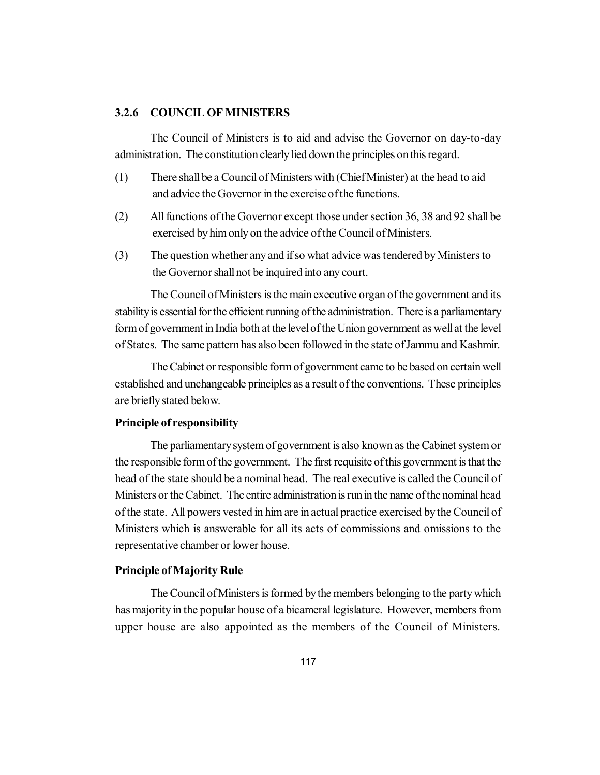#### **3.2.6 COUNCIL OF MINISTERS**

The Council of Ministers is to aid and advise the Governor on day-to-day administration. The constitution clearly lied down the principles on this regard.

- (1) There shall be a Council of Ministers with (Chief Minister) at the head to aid and advice the Governor in the exercise of the functions.
- (2) All functions of the Governor except those under section 36, 38 and 92 shall be exercised by him only on the advice of the Council of Ministers.
- (3) The question whether any and if so what advice was tendered by Ministers to the Governor shall not be inquired into any court.

The Council of Ministers is the main executive organ of the government and its stability is essential for the efficient running of the administration. There is a parliamentary form of government in India both at the level of the Union government as well at the level of States. The same pattern has also been followed in the state of Jammu and Kashmir.

The Cabinet or responsible form of government came to be based on certain well established and unchangeable principles as a result of the conventions. These principles are briefly stated below.

#### **Principle of responsibility**

The parliamentary system of government is also known as the Cabinet system or the responsible form of the government. The first requisite of this government is that the head of the state should be a nominal head. The real executive is called the Council of Ministers or the Cabinet. The entire administration is run in the name of the nominal head of the state. All powers vested in him are in actual practice exercised by the Council of Ministers which is answerable for all its acts of commissions and omissions to the representative chamber or lower house.

### **Principle of Majority Rule**

The Council of Ministers is formed by the members belonging to the party which has majority in the popular house of a bicameral legislature. However, members from upper house are also appointed as the members of the Council of Ministers.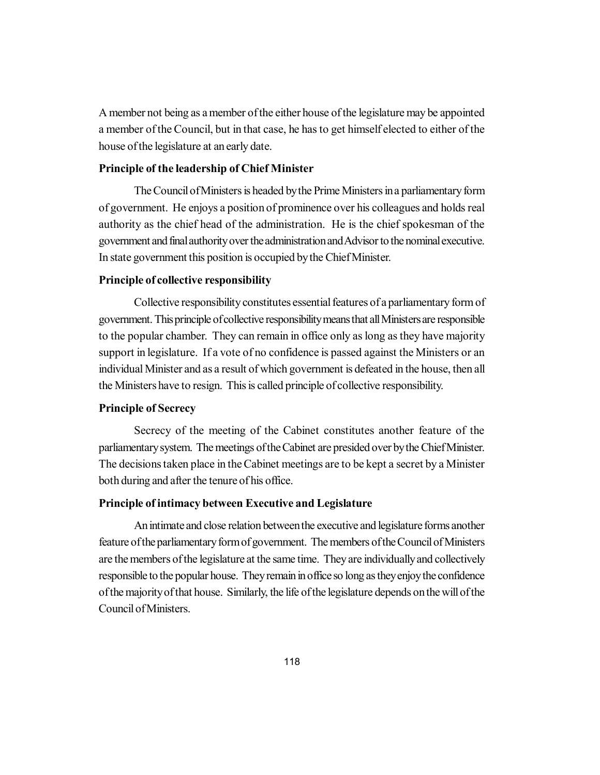A member not being as a member of the either house of the legislature may be appointed a member of the Council, but in that case, he has to get himself elected to either of the house of the legislature at an early date.

### **Principle of the leadership of Chief Minister**

The Council of Ministers is headed by the Prime Ministers in a parliamentary form of government. He enjoys a position of prominence over his colleagues and holds real authority as the chief head of the administration. He is the chief spokesman of the government and final authority over the administration and Advisor to the nominal executive. In state government this position is occupied by the Chief Minister.

#### **Principle of collective responsibility**

Collective responsibility constitutes essential features of a parliamentary form of government. This principle of collective responsibility means that all Ministers are responsible to the popular chamber. They can remain in office only as long as they have majority support in legislature. If a vote of no confidence is passed against the Ministers or an individual Minister and as a result of which government is defeated in the house, then all the Ministers have to resign. This is called principle of collective responsibility.

#### **Principle of Secrecy**

Secrecy of the meeting of the Cabinet constitutes another feature of the parliamentary system. The meetings of the Cabinet are presided over by the Chief Minister. The decisions taken place in the Cabinet meetings are to be kept a secret by a Minister both during and after the tenure of his office.

### **Principle of intimacy between Executive and Legislature**

An intimate and close relation between the executive and legislature forms another feature of the parliamentary form of government. The members of the Council of Ministers are the members of the legislature at the same time. They are individually and collectively responsible to the popular house. They remain in office so long as they enjoy the confidence of the majority of that house. Similarly, the life of the legislature depends on the will of the Council of Ministers.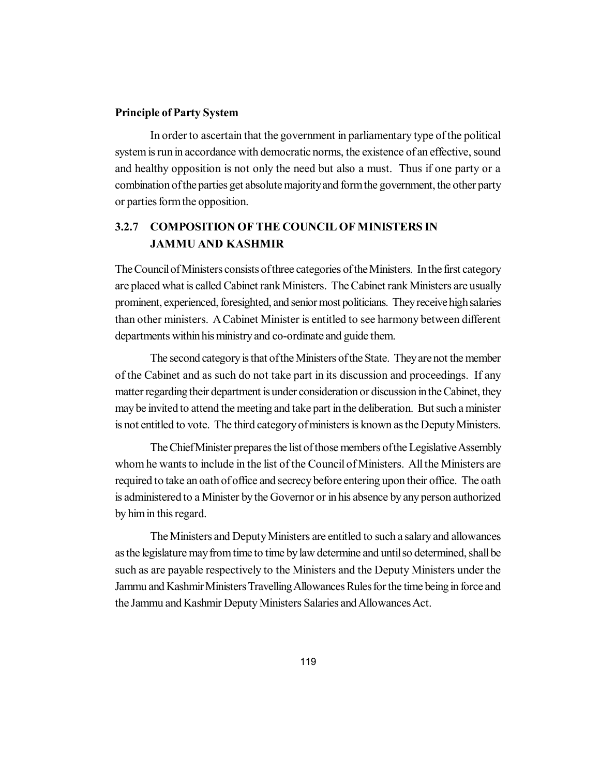### **Principle of Party System**

In order to ascertain that the government in parliamentary type of the political system is run in accordance with democratic norms, the existence of an effective, sound and healthy opposition is not only the need but also a must. Thus if one party or a combination of the parties get absolute majority and form the government, the other party or parties form the opposition.

# **3.2.7 COMPOSITION OF THE COUNCIL OF MINISTERS IN JAMMU AND KASHMIR**

The Council of Ministers consists of three categories of the Ministers. In the first category are placed what is called Cabinet rank Ministers. The Cabinet rank Ministers are usually prominent, experienced, foresighted, and senior most politicians. They receive high salaries than other ministers. A Cabinet Minister is entitled to see harmony between different departments within his ministry and co-ordinate and guide them.

The second category is that of the Ministers of the State. They are not the member of the Cabinet and as such do not take part in its discussion and proceedings. If any matter regarding their department is under consideration or discussion in the Cabinet, they may be invited to attend the meeting and take part in the deliberation. But such a minister is not entitled to vote. The third category of ministers is known as the Deputy Ministers.

The Chief Minister prepares the list of those members of the Legislative Assembly whom he wants to include in the list of the Council of Ministers. All the Ministers are required to take an oath of office and secrecy before entering upon their office. The oath is administered to a Minister by the Governor or in his absence by any person authorized by him in this regard.

The Ministers and Deputy Ministers are entitled to such a salary and allowances as the legislature may from time to time by law determine and until so determined, shall be such as are payable respectively to the Ministers and the Deputy Ministers under the Jammu and Kashmir Ministers Travelling Allowances Rules for the time being in force and the Jammu and Kashmir Deputy Ministers Salaries and Allowances Act.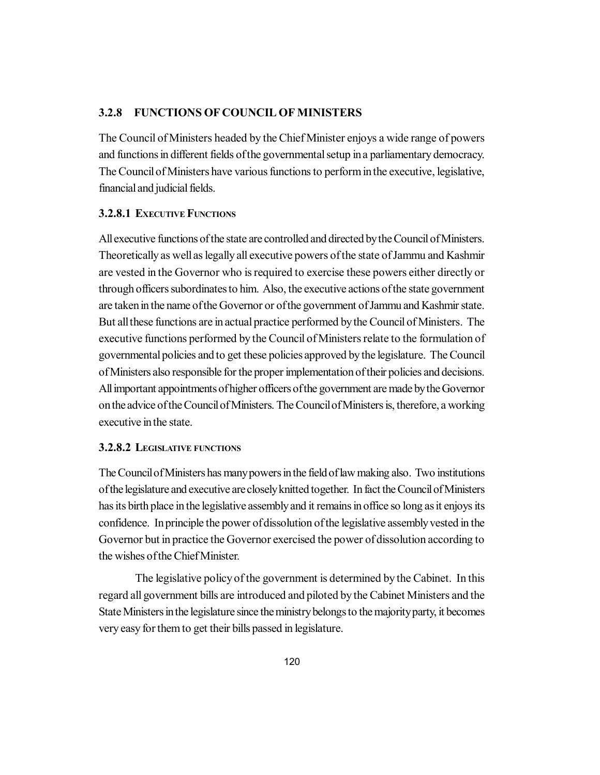### **3.2.8 FUNCTIONS OF COUNCIL OF MINISTERS**

The Council of Ministers headed by the Chief Minister enjoys a wide range of powers and functions in different fields of the governmental setup in a parliamentary democracy. The Council of Ministers have various functions to perform in the executive, legislative, financial and judicial fields.

### **3.2.8.1 EXECUTIVE FUNCTIONS**

All executive functions of the state are controlled and directed by the Council of Ministers. Theoretically as well as legally all executive powers of the state of Jammu and Kashmir are vested in the Governor who is required to exercise these powers either directly or through officers subordinates to him. Also, the executive actions of the state government are taken in the name of the Governor or of the government of Jammu and Kashmir state. But all these functions are in actual practice performed by the Council of Ministers. The executive functions performed by the Council of Ministers relate to the formulation of governmental policies and to get these policies approved by the legislature. The Council of Ministers also responsible for the proper implementation of their policies and decisions. All important appointments of higher officers of the government are made by the Governor on the advice of the Council of Ministers. The Council of Ministers is, therefore, a working executive in the state.

### **3.2.8.2 LEGISLATIVE FUNCTIONS**

The Council of Ministers has many powers in the field of law making also. Two institutions of the legislature and executive are closely knitted together. In fact the Council of Ministers has its birth place in the legislative assembly and it remains in office so long as it enjoys its confidence. In principle the power of dissolution of the legislative assembly vested in the Governor but in practice the Governor exercised the power of dissolution according to the wishes of the Chief Minister.

The legislative policy of the government is determined by the Cabinet. In this regard all government bills are introduced and piloted by the Cabinet Ministers and the State Ministers in the legislature since the ministry belongs to the majority party, it becomes very easy for them to get their bills passed in legislature.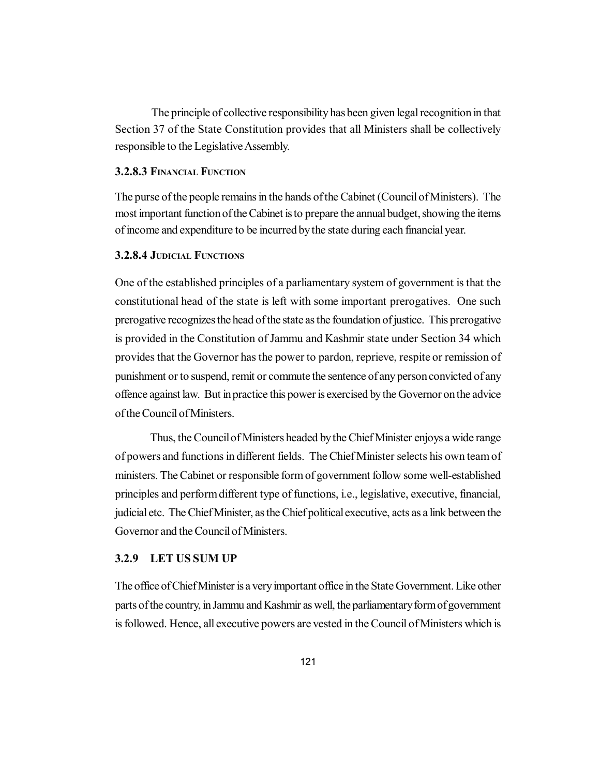The principle of collective responsibility has been given legal recognition in that Section 37 of the State Constitution provides that all Ministers shall be collectively responsible to the Legislative Assembly.

### **3.2.8.3 FINANCIAL FUNCTION**

The purse of the people remains in the hands of the Cabinet (Council of Ministers). The most important function of the Cabinet is to prepare the annual budget, showing the items of income and expenditure to be incurred by the state during each financial year.

### **3.2.8.4 JUDICIAL FUNCTIONS**

One of the established principles of a parliamentary system of government is that the constitutional head of the state is left with some important prerogatives. One such prerogative recognizes the head of the state as the foundation of justice. This prerogative is provided in the Constitution of Jammu and Kashmir state under Section 34 which provides that the Governor has the power to pardon, reprieve, respite or remission of punishment or to suspend, remit or commute the sentence of any person convicted of any offence against law. But in practice this power is exercised by the Governor on the advice of the Council of Ministers.

Thus, the Council of Ministers headed by the Chief Minister enjoys a wide range of powers and functions in different fields. The Chief Minister selects his own team of ministers. The Cabinet or responsible form of government follow some well-established principles and perform different type of functions, i.e., legislative, executive, financial, judicial etc. The Chief Minister, as the Chief political executive, acts as a link between the Governor and the Council of Ministers.

#### **3.2.9 LET US SUM UP**

The office of Chief Minister is a very important office in the State Government. Like other parts of the country, in Jammu and Kashmir as well, the parliamentary form of government is followed. Hence, all executive powers are vested in the Council of Ministers which is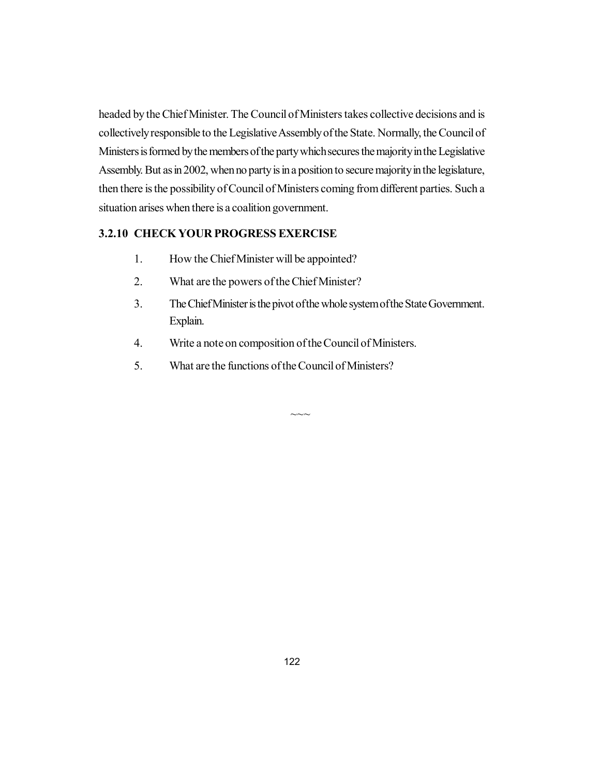headed by the Chief Minister. The Council of Ministers takes collective decisions and is collectively responsible to the Legislative Assembly of the State. Normally, the Council of Ministers is formed by the members of the party which secures the majority in the Legislative Assembly. But as in 2002, when no party is in a position to secure majority in the legislature, then there is the possibility of Council of Ministers coming from different parties. Such a situation arises when there is a coalition government.

# **3.2.10 CHECK YOUR PROGRESS EXERCISE**

- 1. How the Chief Minister will be appointed?
- 2. What are the powers of the Chief Minister?
- 3. The Chief Minister is the pivot of the whole system of the State Government. Explain.

 $\sim\sim$ 

- 4. Write a note on composition of the Council of Ministers.
- 5. What are the functions of the Council of Ministers?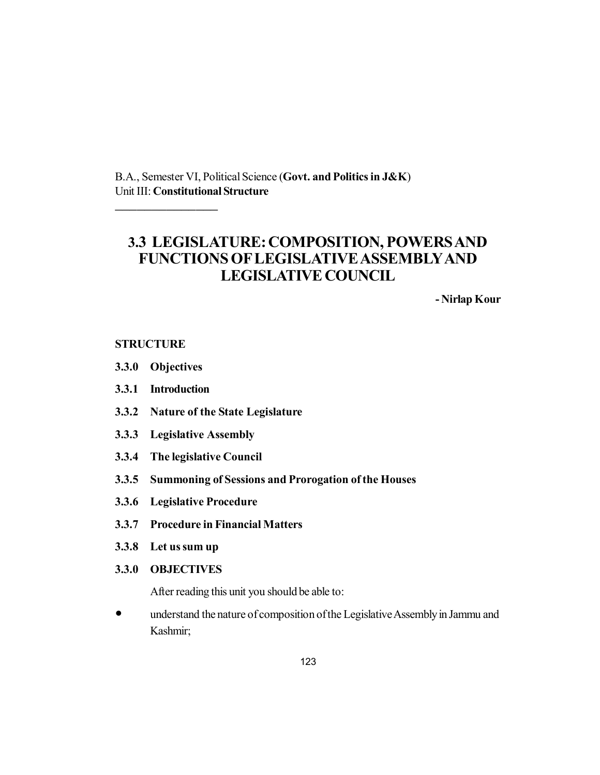B.A., Semester VI, Political Science (**Govt. and Politics in J&K**) Unit III: **Constitutional Structure**

# **3.3 LEGISLATURE: COMPOSITION, POWERS AND FUNCTIONS OF LEGISLATIVE ASSEMBLYAND LEGISLATIVE COUNCIL**

**- Nirlap Kour**

# **STRUCTURE**

**3.3.0 Objectives**

\_\_\_\_\_\_\_\_\_\_\_\_\_\_

- **3.3.1 Introduction**
- **3.3.2 Nature of the State Legislature**
- **3.3.3 Legislative Assembly**
- **3.3.4 The legislative Council**
- **3.3.5 Summoning of Sessions and Prorogation of the Houses**
- **3.3.6 Legislative Procedure**
- **3.3.7 Procedure in Financial Matters**
- **3.3.8 Let us sum up**
- **3.3.0 OBJECTIVES**

After reading this unit you should be able to:

 understand the nature of composition of the Legislative Assembly in Jammu and Kashmir;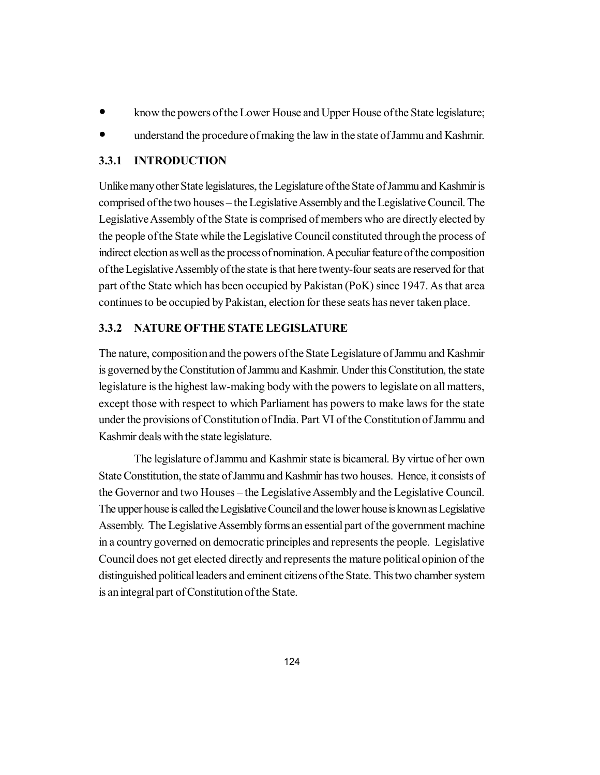- know the powers of the Lower House and Upper House of the State legislature;
- understand the procedure of making the law in the state of Jammu and Kashmir.

# **3.3.1 INTRODUCTION**

Unlike many other State legislatures, the Legislature of the State of Jammu and Kashmir is comprised of the two houses – the Legislative Assembly and the Legislative Council. The Legislative Assembly of the State is comprised of members who are directly elected by the people of the State while the Legislative Council constituted through the process of indirect election as well as the process of nomination. A peculiar feature of the composition of the Legislative Assembly of the state is that here twenty-four seats are reserved for that part of the State which has been occupied by Pakistan (PoK) since 1947. As that area continues to be occupied by Pakistan, election for these seats has never taken place.

# **3.3.2 NATURE OFTHE STATE LEGISLATURE**

The nature, composition and the powers of the State Legislature of Jammu and Kashmir is governed by the Constitution of Jammu and Kashmir. Under this Constitution, the state legislature is the highest law-making body with the powers to legislate on all matters, except those with respect to which Parliament has powers to make laws for the state under the provisions of Constitution of India. Part VI of the Constitution of Jammu and Kashmir deals with the state legislature.

The legislature of Jammu and Kashmir state is bicameral. By virtue of her own State Constitution, the state of Jammu and Kashmir has two houses. Hence, it consists of the Governor and two Houses – the Legislative Assembly and the Legislative Council. The upper house is called the Legislative Council and the lower house is known as Legislative Assembly. The Legislative Assembly forms an essential part of the government machine in a country governed on democratic principles and represents the people. Legislative Council does not get elected directly and represents the mature political opinion of the distinguished political leaders and eminent citizens of the State. This two chamber system is an integral part of Constitution of the State.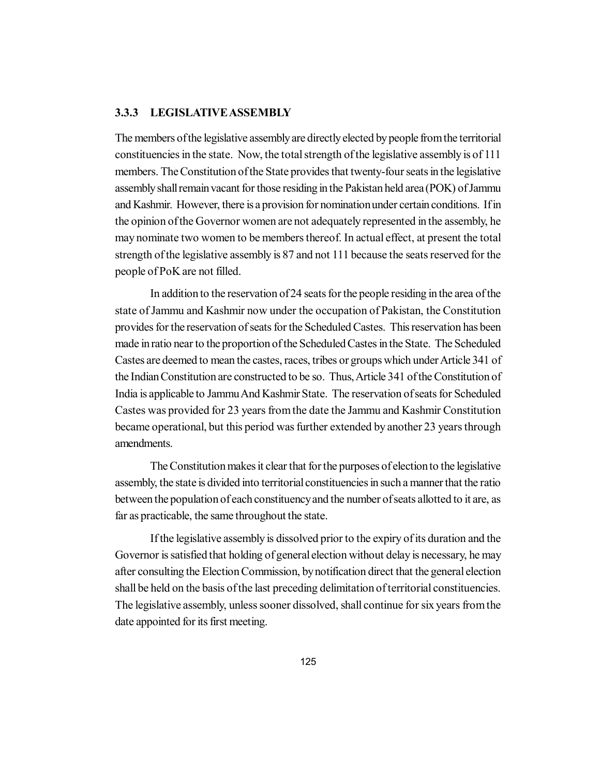### **3.3.3 LEGISLATIVE ASSEMBLY**

The members of the legislative assembly are directly elected by people from the territorial constituencies in the state. Now, the total strength of the legislative assembly is of 111 members. The Constitution of the State provides that twenty-four seats in the legislative assembly shall remain vacant for those residing in the Pakistan held area (POK) of Jammu and Kashmir. However, there is a provision for nomination under certain conditions. If in the opinion of the Governor women are not adequately represented in the assembly, he may nominate two women to be members thereof. In actual effect, at present the total strength of the legislative assembly is 87 and not 111 because the seats reserved for the people of PoK are not filled.

In addition to the reservation of 24 seats for the people residing in the area of the state of Jammu and Kashmir now under the occupation of Pakistan, the Constitution provides for the reservation of seats for the Scheduled Castes. This reservation has been made in ratio near to the proportion of the Scheduled Castes in the State. The Scheduled Castes are deemed to mean the castes, races, tribes or groups which under Article 341 of the Indian Constitution are constructed to be so. Thus, Article 341 of the Constitution of India is applicable to Jammu And Kashmir State. The reservation of seats for Scheduled Castes was provided for 23 years from the date the Jammu and Kashmir Constitution became operational, but this period was further extended by another 23 years through amendments.

The Constitution makes it clear that for the purposes of election to the legislative assembly, the state is divided into territorial constituencies in such a manner that the ratio between the population of each constituency and the number of seats allotted to it are, as far as practicable, the same throughout the state.

If the legislative assembly is dissolved prior to the expiry of its duration and the Governor is satisfied that holding of general election without delay is necessary, he may after consulting the Election Commission, by notification direct that the general election shall be held on the basis of the last preceding delimitation of territorial constituencies. The legislative assembly, unless sooner dissolved, shall continue for six years from the date appointed for its first meeting.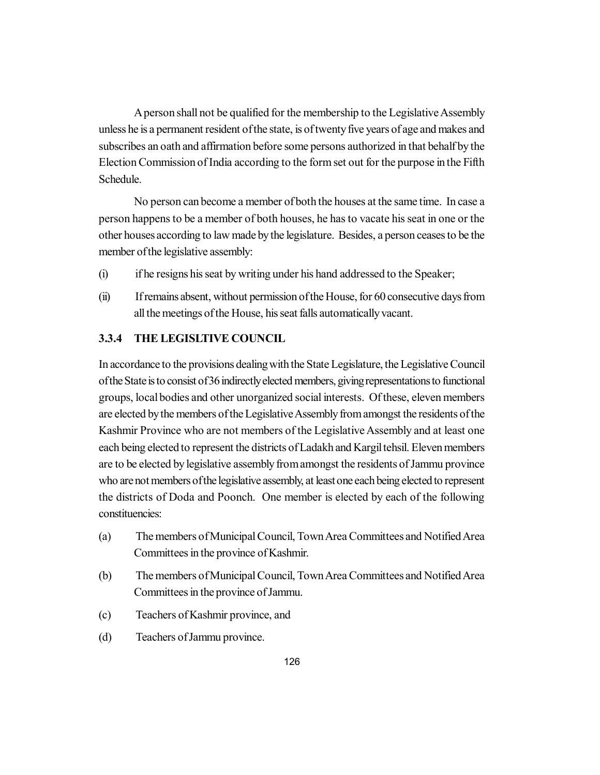A person shall not be qualified for the membership to the Legislative Assembly unless he is a permanent resident of the state, is of twenty five years of age and makes and subscribes an oath and affirmation before some persons authorized in that behalf by the Election Commission of India according to the form set out for the purpose in the Fifth Schedule.

No person can become a member of both the houses at the same time. In case a person happens to be a member of both houses, he has to vacate his seat in one or the other houses according to law made by the legislature. Besides, a person ceases to be the member of the legislative assembly:

- (i) if he resigns his seat by writing under his hand addressed to the Speaker;
- (ii) If remains absent, without permission of the House, for 60 consecutive days from all the meetings of the House, his seat falls automatically vacant.

# **3.3.4 THE LEGISLTIVE COUNCIL**

In accordance to the provisions dealing with the State Legislature, the Legislative Council of the State is to consist of 36 indirectly elected members, giving representations to functional groups, local bodies and other unorganized social interests. Of these, eleven members are elected by the members of the Legislative Assembly from amongst the residents of the Kashmir Province who are not members of the Legislative Assembly and at least one each being elected to represent the districts of Ladakh and Kargil tehsil. Eleven members are to be elected by legislative assembly from amongst the residents of Jammu province who are not members of the legislative assembly, at least one each being elected to represent the districts of Doda and Poonch. One member is elected by each of the following constituencies:

- (a) The members of Municipal Council, Town Area Committees and Notified Area Committees in the province of Kashmir.
- (b) The members of Municipal Council, Town Area Committees and Notified Area Committees in the province of Jammu.
- (c) Teachers of Kashmir province, and
- (d) Teachers of Jammu province.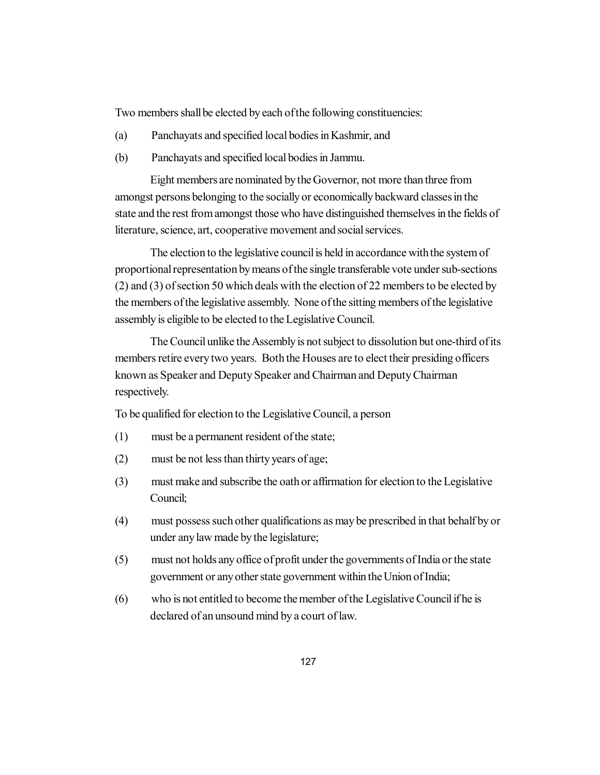Two members shall be elected by each of the following constituencies:

- (a) Panchayats and specified local bodies in Kashmir, and
- (b) Panchayats and specified local bodies in Jammu.

Eight members are nominated by the Governor, not more than three from amongst persons belonging to the socially or economically backward classes in the state and the rest from amongst those who have distinguished themselves in the fields of literature, science, art, cooperative movement and social services.

The election to the legislative council is held in accordance with the system of proportional representation by means of the single transferable vote under sub-sections (2) and (3) of section 50 which deals with the election of 22 members to be elected by the members of the legislative assembly. None of the sitting members of the legislative assembly is eligible to be elected to the Legislative Council.

The Council unlike the Assembly is not subject to dissolution but one-third of its members retire every two years. Both the Houses are to elect their presiding officers known as Speaker and Deputy Speaker and Chairman and Deputy Chairman respectively.

To be qualified for election to the Legislative Council, a person

- (1) must be a permanent resident of the state;
- (2) must be not less than thirty years of age;
- (3) must make and subscribe the oath or affirmation for election to the Legislative Council;
- (4) must possess such other qualifications as may be prescribed in that behalf by or under any law made by the legislature;
- (5) must not holds any office of profit under the governments of India or the state government or any other state government within the Union of India;
- (6) who is not entitled to become the member of the Legislative Council if he is declared of an unsound mind by a court of law.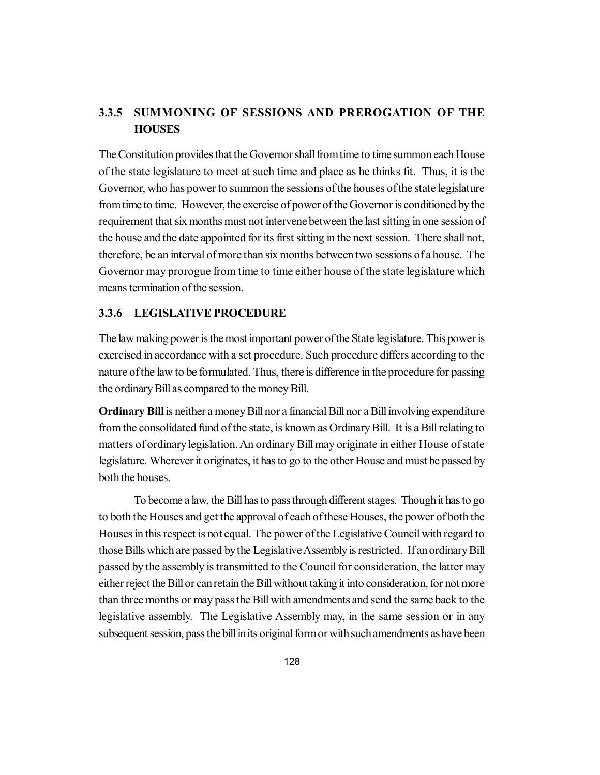# **3.3.5 SUMMONING OF SESSIONS AND PREROGATION OF THE HOUSES**

The Constitution provides that the Governor shall from time to time summon each House of the state legislature to meet at such time and place as he thinks fit. Thus, it is the Governor, who has power to summon the sessions of the houses of the state legislature from time to time. However, the exercise of power of the Governor is conditioned by the requirement that six months must not intervene between the last sitting in one session of the house and the date appointed for its first sitting in the next session. There shall not, therefore, be an interval of more than six months between two sessions of a house. The Governor may prorogue from time to time either house of the state legislature which means termination of the session.

## **3.3.6 LEGISLATIVE PROCEDURE**

The law making power is the most important power of the State legislature. This power is exercised in accordance with a set procedure. Such procedure differs according to the nature of the law to be formulated. Thus, there is difference in the procedure for passing the ordinary Bill as compared to the money Bill.

**Ordinary Bill** is neither a money Bill nor a financial Bill nor a Bill involving expenditure from the consolidated fund of the state, is known as Ordinary Bill. It is a Bill relating to matters of ordinary legislation. An ordinary Bill may originate in either House of state legislature. Wherever it originates, it has to go to the other House and must be passed by both the houses.

To become a law, the Bill has to pass through different stages. Though it has to go to both the Houses and get the approval of each of these Houses, the power of both the Houses in this respect is not equal. The power of the Legislative Council with regard to those Bills which are passed by the Legislative Assembly is restricted. If an ordinary Bill passed by the assembly is transmitted to the Council for consideration, the latter may either reject the Bill or can retain the Bill without taking it into consideration, for not more than three months or may pass the Bill with amendments and send the same back to the legislative assembly. The Legislative Assembly may, in the same session or in any subsequent session, pass the bill in its original form or with such amendments as have been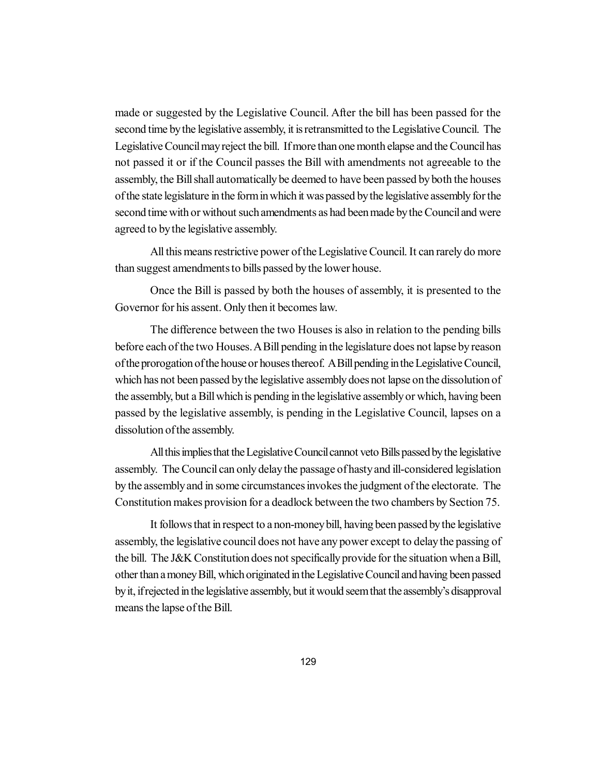made or suggested by the Legislative Council. After the bill has been passed for the second time by the legislative assembly, it is retransmitted to the Legislative Council. The Legislative Council may reject the bill. If more than one month elapse and the Council has not passed it or if the Council passes the Bill with amendments not agreeable to the assembly, the Bill shall automatically be deemed to have been passed by both the houses of the state legislature in the form in which it was passed by the legislative assembly for the second time with or without such amendments as had been made by the Council and were agreed to by the legislative assembly.

All this means restrictive power of the Legislative Council. It can rarely do more than suggest amendments to bills passed by the lower house.

Once the Bill is passed by both the houses of assembly, it is presented to the Governor for his assent. Only then it becomes law.

The difference between the two Houses is also in relation to the pending bills before each of the two Houses. A Bill pending in the legislature does not lapse by reason of the prorogation of the house or houses thereof. A Bill pending in the Legislative Council, which has not been passed by the legislative assembly does not lapse on the dissolution of the assembly, but a Bill which is pending in the legislative assembly or which, having been passed by the legislative assembly, is pending in the Legislative Council, lapses on a dissolution of the assembly.

All this implies that the Legislative Council cannot veto Bills passed by the legislative assembly. The Council can only delay the passage of hasty and ill-considered legislation by the assembly and in some circumstances invokes the judgment of the electorate. The Constitution makes provision for a deadlock between the two chambers by Section 75.

It follows that in respect to a non-money bill, having been passed by the legislative assembly, the legislative council does not have any power except to delay the passing of the bill. The J&K Constitution does not specifically provide for the situation when a Bill, other than a money Bill, which originated in the Legislative Council and having been passed by it, if rejected in the legislative assembly, but it would seem that the assembly's disapproval means the lapse of the Bill.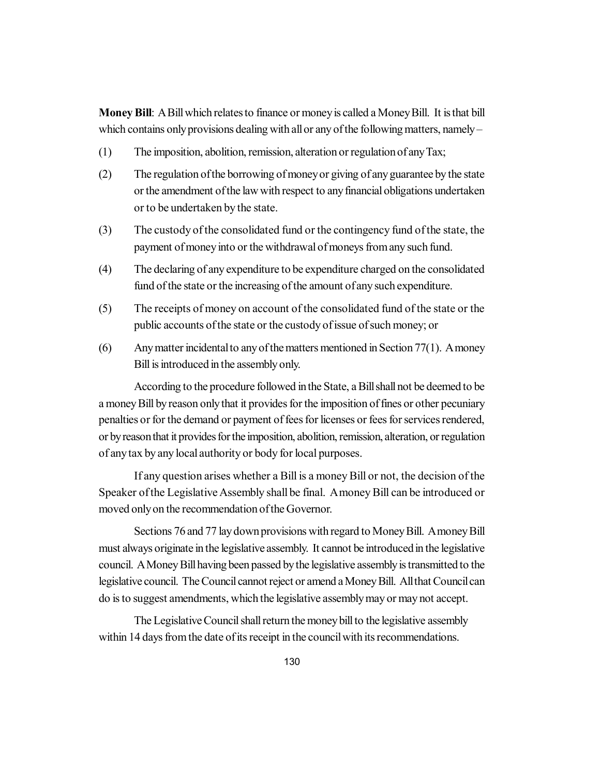**Money Bill**: A Bill which relates to finance or money is called a Money Bill. It is that bill which contains only provisions dealing with all or any of the following matters, namely –

- (1) The imposition, abolition, remission, alteration or regulation of any Tax;
- (2) The regulation of the borrowing of money or giving of any guarantee by the state or the amendment of the law with respect to any financial obligations undertaken or to be undertaken by the state.
- (3) The custody of the consolidated fund or the contingency fund of the state, the payment of money into or the withdrawal of moneys from any such fund.
- (4) The declaring of any expenditure to be expenditure charged on the consolidated fund of the state or the increasing of the amount of any such expenditure.
- (5) The receipts of money on account of the consolidated fund of the state or the public accounts of the state or the custody of issue of such money; or
- (6) Any matter incidental to any of the matters mentioned in Section 77(1). A money Bill is introduced in the assembly only.

According to the procedure followed in the State, a Bill shall not be deemed to be a money Bill by reason only that it provides for the imposition of fines or other pecuniary penalties or for the demand or payment of fees for licenses or fees for services rendered, or by reason that it provides for the imposition, abolition, remission, alteration, or regulation of any tax by any local authority or body for local purposes.

If any question arises whether a Bill is a money Bill or not, the decision of the Speaker of the Legislative Assembly shall be final. A money Bill can be introduced or moved only on the recommendation of the Governor.

Sections 76 and 77 lay down provisions with regard to Money Bill. A money Bill must always originate in the legislative assembly. It cannot be introduced in the legislative council. A Money Bill having been passed by the legislative assembly is transmitted to the legislative council. The Council cannot reject or amend a Money Bill. All that Council can do is to suggest amendments, which the legislative assembly may or may not accept.

The Legislative Council shall return the money bill to the legislative assembly within 14 days from the date of its receipt in the council with its recommendations.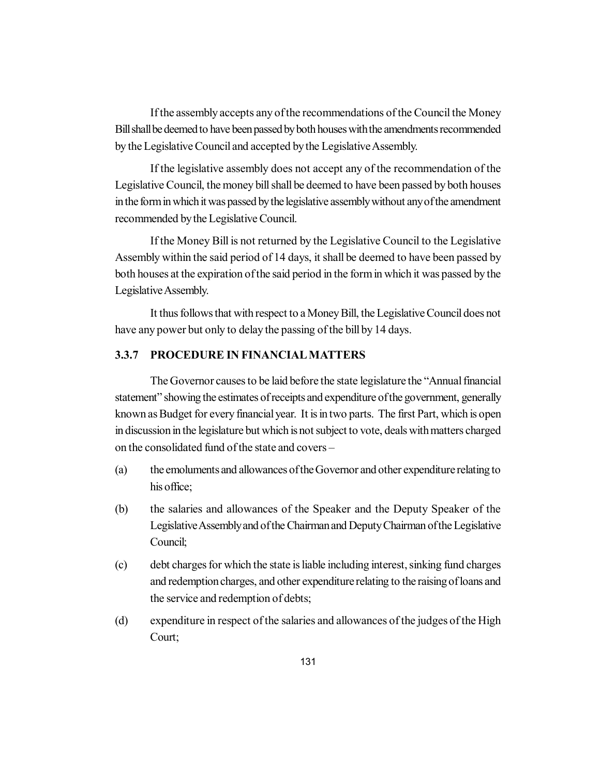If the assembly accepts any of the recommendations of the Council the Money Bill shall be deemed to have been passed by both houses with the amendments recommended by the Legislative Council and accepted by the Legislative Assembly.

If the legislative assembly does not accept any of the recommendation of the Legislative Council, the money bill shall be deemed to have been passed by both houses in the form in which it was passed by the legislative assembly without any of the amendment recommended by the Legislative Council.

If the Money Bill is not returned by the Legislative Council to the Legislative Assembly within the said period of 14 days, it shall be deemed to have been passed by both houses at the expiration of the said period in the form in which it was passed by the Legislative Assembly.

It thus follows that with respect to a Money Bill, the Legislative Council does not have any power but only to delay the passing of the bill by 14 days.

# **3.3.7 PROCEDURE IN FINANCIAL MATTERS**

The Governor causes to be laid before the state legislature the "Annual financial statement" showing the estimates of receipts and expenditure of the government, generally known as Budget for every financial year. It is in two parts. The first Part, which is open in discussion in the legislature but which is not subject to vote, deals with matters charged on the consolidated fund of the state and covers –

- (a) the emoluments and allowances of the Governor and other expenditure relating to his office;
- (b) the salaries and allowances of the Speaker and the Deputy Speaker of the Legislative Assembly and of the Chairman and Deputy Chairman of the Legislative Council;
- (c) debt charges for which the state is liable including interest, sinking fund charges and redemption charges, and other expenditure relating to the raising of loans and the service and redemption of debts;
- (d) expenditure in respect of the salaries and allowances of the judges of the High Court;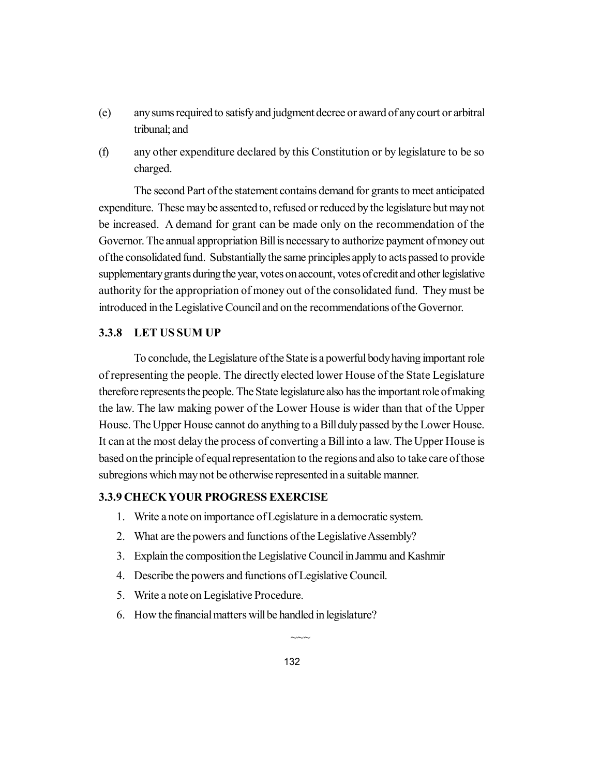- (e) any sums required to satisfy and judgment decree or award of any court or arbitral tribunal; and
- (f) any other expenditure declared by this Constitution or by legislature to be so charged.

The second Part of the statement contains demand for grants to meet anticipated expenditure. These may be assented to, refused or reduced by the legislature but may not be increased. A demand for grant can be made only on the recommendation of the Governor. The annual appropriation Bill is necessary to authorize payment of money out of the consolidated fund. Substantially the same principles apply to acts passed to provide supplementary grants during the year, votes on account, votes of credit and other legislative authority for the appropriation of money out of the consolidated fund. They must be introduced in the Legislative Council and on the recommendations of the Governor.

### **3.3.8 LET US SUM UP**

To conclude, the Legislature of the State is a powerful body having important role of representing the people. The directly elected lower House of the State Legislature therefore represents the people. The State legislature also has the important role of making the law. The law making power of the Lower House is wider than that of the Upper House. The Upper House cannot do anything to a Bill duly passed by the Lower House. It can at the most delay the process of converting a Bill into a law. The Upper House is based on the principle of equal representation to the regions and also to take care of those subregions which may not be otherwise represented in a suitable manner.

# **3.3.9 CHECK YOUR PROGRESS EXERCISE**

- 1. Write a note on importance of Legislature in a democratic system.
- 2. What are the powers and functions of the Legislative Assembly?
- 3. Explain the composition the Legislative Council in Jammu and Kashmir
- 4. Describe the powers and functions of Legislative Council.
- 5. Write a note on Legislative Procedure.
- 6. How the financial matters will be handled in legislature?

 $\sim\sim$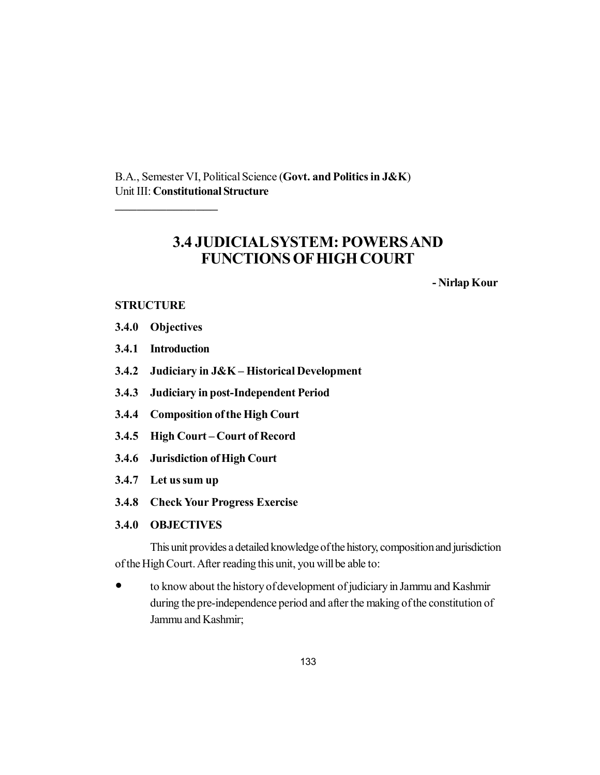B.A., Semester VI, Political Science (**Govt. and Politics in J&K**) Unit III: **Constitutional Structure**

# **3.4 JUDICIAL SYSTEM: POWERS AND FUNCTIONS OF HIGH COURT**

**- Nirlap Kour**

## **STRUCTURE**

**3.4.0 Objectives**

\_\_\_\_\_\_\_\_\_\_\_\_\_\_

- **3.4.1 Introduction**
- **3.4.2 Judiciary in J&K Historical Development**
- **3.4.3 Judiciary in post-Independent Period**
- **3.4.4 Composition of the High Court**
- **3.4.5 High Court Court of Record**
- **3.4.6 Jurisdiction of High Court**
- **3.4.7 Let us sum up**
- **3.4.8 Check Your Progress Exercise**
- **3.4.0 OBJECTIVES**

This unit provides a detailed knowledge of the history, composition and jurisdiction of the High Court. After reading this unit, you will be able to:

 to know about the history of development of judiciary in Jammu and Kashmir during the pre-independence period and after the making of the constitution of Jammu and Kashmir;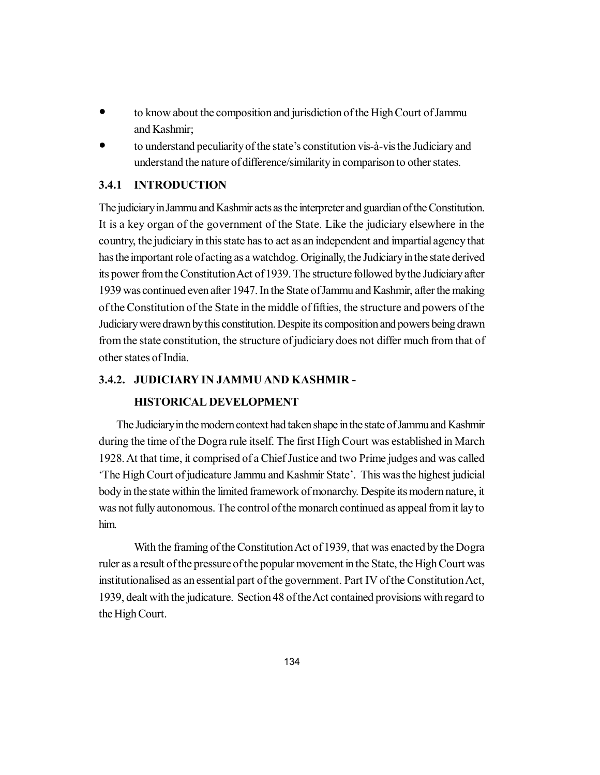- to know about the composition and jurisdiction of the High Court of Jammu and Kashmir;
- to understand peculiarity of the state's constitution vis-à-vis the Judiciary and understand the nature of difference/similarity in comparison to other states.

# **3.4.1 INTRODUCTION**

The judiciary in Jammu and Kashmir acts as the interpreter and guardian of the Constitution. It is a key organ of the government of the State. Like the judiciary elsewhere in the country, the judiciary in this state has to act as an independent and impartial agency that has the important role of acting as a watchdog. Originally, the Judiciary in the state derived its power from the Constitution Act of 1939. The structure followed by the Judiciary after 1939 was continued even after 1947. In the State of Jammu and Kashmir, after the making of the Constitution of the State in the middle of fifties, the structure and powers of the Judiciary were drawn by this constitution. Despite its composition and powers being drawn from the state constitution, the structure of judiciary does not differ much from that of other states of India.

### **3.4.2. JUDICIARY IN JAMMU AND KASHMIR -**

### **HISTORICAL DEVELOPMENT**

The Judiciary in the modern context had taken shape in the state of Jammu and Kashmir during the time of the Dogra rule itself. The first High Court was established in March 1928. At that time, it comprised of a Chief Justice and two Prime judges and was called 'The High Court of judicature Jammu and Kashmir State'. This was the highest judicial body in the state within the limited framework of monarchy. Despite its modern nature, it was not fully autonomous. The control of the monarch continued as appeal from it lay to him.

With the framing of the Constitution Act of 1939, that was enacted by the Dogra ruler as a result of the pressure of the popular movement in the State, the High Court was institutionalised as an essential part of the government. Part IV of the Constitution Act, 1939, dealt with the judicature. Section 48 of the Act contained provisions with regard to the High Court.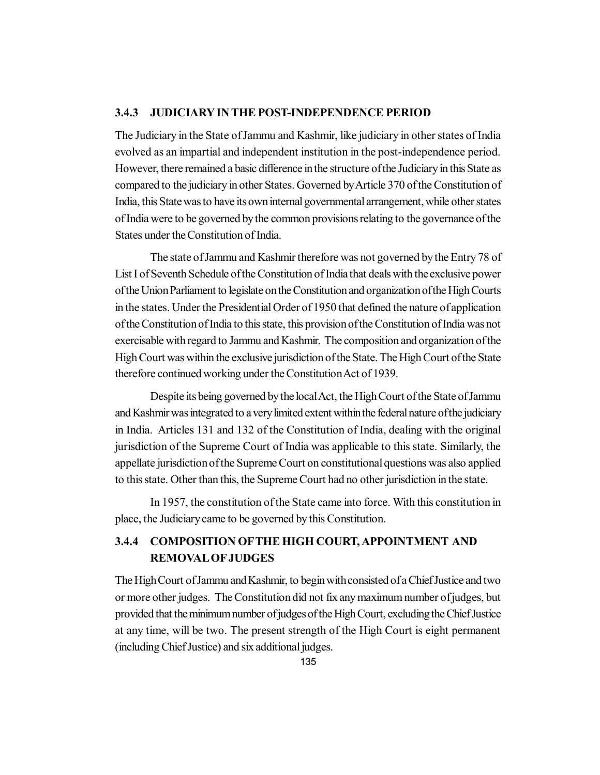### **3.4.3 JUDICIARY IN THE POST-INDEPENDENCE PERIOD**

The Judiciary in the State of Jammu and Kashmir, like judiciary in other states of India evolved as an impartial and independent institution in the post-independence period. However, there remained a basic difference in the structure of the Judiciary in this State as compared to the judiciary in other States. Governed by Article 370 of the Constitution of India, this State was to have its own internal governmental arrangement, while other states of India were to be governed by the common provisions relating to the governance of the States under the Constitution of India.

The state of Jammu and Kashmir therefore was not governed by the Entry 78 of List I of Seventh Schedule of the Constitution of India that deals with the exclusive power of the Union Parliament to legislate on the Constitution and organization of the High Courts in the states. Under the Presidential Order of 1950 that defined the nature of application of the Constitution of India to this state, this provision of the Constitution of India was not exercisable with regard to Jammu and Kashmir. The composition and organization of the High Court was within the exclusive jurisdiction of the State. The High Court of the State therefore continued working under the Constitution Act of 1939.

Despite its being governed by the local Act, the High Court of the State of Jammu and Kashmir was integrated to a very limited extent within the federal nature of the judiciary in India. Articles 131 and 132 of the Constitution of India, dealing with the original jurisdiction of the Supreme Court of India was applicable to this state. Similarly, the appellate jurisdiction of the Supreme Court on constitutional questions was also applied to this state. Other than this, the Supreme Court had no other jurisdiction in the state.

In 1957, the constitution of the State came into force. With this constitution in place, the Judiciary came to be governed by this Constitution.

# **3.4.4 COMPOSITION OFTHE HIGH COURT, APPOINTMENT AND REMOVAL OF JUDGES**

The High Court of Jammu and Kashmir, to begin with consisted of a Chief Justice and two or more other judges. The Constitution did not fix any maximum number of judges, but provided that the minimum number of judges of the High Court, excluding the Chief Justice at any time, will be two. The present strength of the High Court is eight permanent (including Chief Justice) and six additional judges.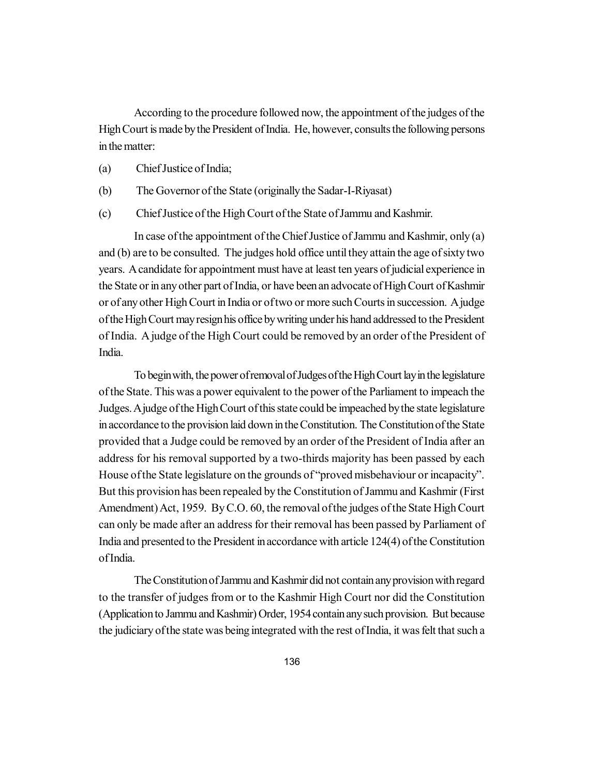According to the procedure followed now, the appointment of the judges of the High Court is made by the President of India. He, however, consults the following persons in the matter:

- (a) Chief Justice of India;
- (b) The Governor of the State (originally the Sadar-I-Riyasat)
- (c) Chief Justice of the High Court of the State of Jammu and Kashmir.

In case of the appointment of the Chief Justice of Jammu and Kashmir, only (a) and (b) are to be consulted. The judges hold office until they attain the age of sixty two years. A candidate for appointment must have at least ten years of judicial experience in the State or in any other part of India, or have been an advocate of High Court of Kashmir or of any other High Court in India or of two or more such Courts in succession. A judge of the High Court may resign his office by writing under his hand addressed to the President of India. A judge of the High Court could be removed by an order of the President of India.

To begin with, the power of removal of Judges of the High Court lay in the legislature of the State. This was a power equivalent to the power of the Parliament to impeach the Judges. A judge of the High Court of this state could be impeached by the state legislature in accordance to the provision laid down in the Constitution. The Constitution of the State provided that a Judge could be removed by an order of the President of India after an address for his removal supported by a two-thirds majority has been passed by each House of the State legislature on the grounds of "proved misbehaviour or incapacity". But this provision has been repealed by the Constitution of Jammu and Kashmir (First Amendment) Act, 1959. By C.O. 60, the removal of the judges of the State High Court can only be made after an address for their removal has been passed by Parliament of India and presented to the President in accordance with article 124(4) of the Constitution of India.

The Constitution of Jammu and Kashmir did not contain any provision with regard to the transfer of judges from or to the Kashmir High Court nor did the Constitution (Application to Jammu and Kashmir) Order, 1954 contain any such provision. But because the judiciary of the state was being integrated with the rest of India, it was felt that such a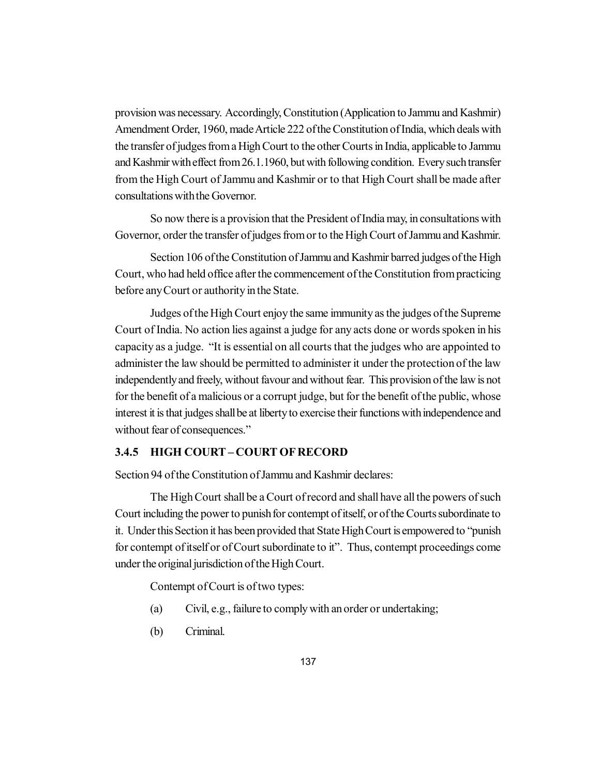provision was necessary. Accordingly, Constitution (Application to Jammu and Kashmir) Amendment Order, 1960, made Article 222 of the Constitution of India, which deals with the transfer of judges from a High Court to the other Courts in India, applicable to Jammu and Kashmir with effect from 26.1.1960, but with following condition. Every such transfer from the High Court of Jammu and Kashmir or to that High Court shall be made after consultations with the Governor.

So now there is a provision that the President of India may, in consultations with Governor, order the transfer of judges from or to the High Court of Jammu and Kashmir.

Section 106 of the Constitution of Jammu and Kashmir barred judges of the High Court, who had held office after the commencement of the Constitution from practicing before any Court or authority in the State.

Judges of the High Court enjoy the same immunity as the judges of the Supreme Court of India. No action lies against a judge for any acts done or words spoken in his capacity as a judge. "It is essential on all courts that the judges who are appointed to administer the law should be permitted to administer it under the protection of the law independently and freely, without favour and without fear. This provision of the law is not for the benefit of a malicious or a corrupt judge, but for the benefit of the public, whose interest it is that judges shall be at liberty to exercise their functions with independence and without fear of consequences."

# **3.4.5 HIGH COURT – COURT OF RECORD**

Section 94 of the Constitution of Jammu and Kashmir declares:

The High Court shall be a Court of record and shall have all the powers of such Court including the power to punish for contempt of itself, or of the Courts subordinate to it. Under this Section it has been provided that State High Court is empowered to "punish for contempt of itself or of Court subordinate to it". Thus, contempt proceedings come under the original jurisdiction of the High Court.

Contempt of Court is of two types:

- (a) Civil, e.g., failure to comply with an order or undertaking;
- (b) Criminal.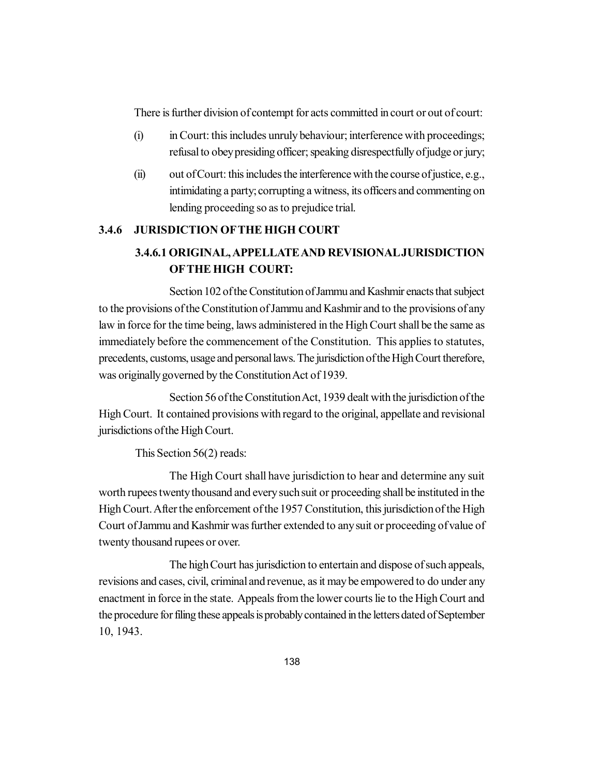There is further division of contempt for acts committed in court or out of court:

- (i) in Court: this includes unruly behaviour; interference with proceedings; refusal to obey presiding officer; speaking disrespectfully of judge or jury;
- $(ii)$  out of Court: this includes the interference with the course of justice, e.g., intimidating a party; corrupting a witness, its officers and commenting on lending proceeding so as to prejudice trial.

## **3.4.6 JURISDICTION OFTHE HIGH COURT**

# **3.4.6.1 ORIGINAL, APPELLATE AND REVISIONAL JURISDICTION OFTHE HIGH COURT:**

Section 102 of the Constitution of Jammu and Kashmir enacts that subject to the provisions of the Constitution of Jammu and Kashmir and to the provisions of any law in force for the time being, laws administered in the High Court shall be the same as immediately before the commencement of the Constitution. This applies to statutes, precedents, customs, usage and personal laws. The jurisdiction of the High Court therefore, was originally governed by the Constitution Act of 1939.

Section 56 of the Constitution Act, 1939 dealt with the jurisdiction of the High Court. It contained provisions with regard to the original, appellate and revisional jurisdictions of the High Court.

This Section 56(2) reads:

The High Court shall have jurisdiction to hear and determine any suit worth rupees twenty thousand and every such suit or proceeding shall be instituted in the High Court. After the enforcement of the 1957 Constitution, this jurisdiction of the High Court of Jammu and Kashmir was further extended to any suit or proceeding of value of twenty thousand rupees or over.

The high Court has jurisdiction to entertain and dispose of such appeals, revisions and cases, civil, criminal and revenue, as it may be empowered to do under any enactment in force in the state. Appeals from the lower courts lie to the High Court and the procedure for filing these appeals is probably contained in the letters dated of September 10, 1943.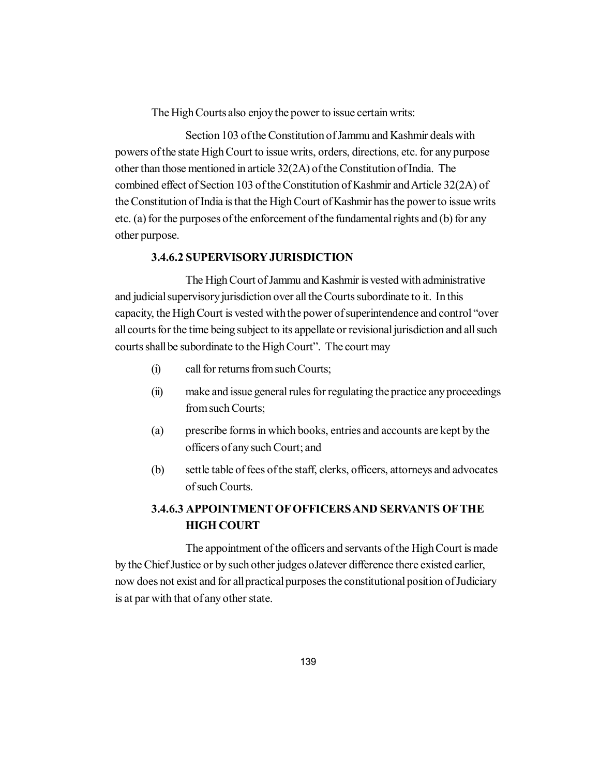The High Courts also enjoy the power to issue certain writs:

Section 103 of the Constitution of Jammu and Kashmir deals with powers of the state High Court to issue writs, orders, directions, etc. for any purpose other than those mentioned in article 32(2A) of the Constitution of India. The combined effect of Section 103 of the Constitution of Kashmir and Article 32(2A) of the Constitution of India is that the High Court of Kashmir has the power to issue writs etc. (a) for the purposes of the enforcement of the fundamental rights and (b) for any other purpose.

### **3.4.6.2 SUPERVISORY JURISDICTION**

The High Court of Jammu and Kashmir is vested with administrative and judicial supervisory jurisdiction over all the Courts subordinate to it. In this capacity, the High Court is vested with the power of superintendence and control "over all courts for the time being subject to its appellate or revisional jurisdiction and all such courts shall be subordinate to the High Court". The court may

- (i) call for returns from such Courts;
- (ii) make and issue general rules for regulating the practice any proceedings from such Courts;
- (a) prescribe forms in which books, entries and accounts are kept by the officers of any such Court; and
- (b) settle table of fees of the staff, clerks, officers, attorneys and advocates of such Courts.

# **3.4.6.3 APPOINTMENT OF OFFICERS AND SERVANTS OFTHE HIGH COURT**

The appointment of the officers and servants of the High Court is made by the Chief Justice or by such other judges oJatever difference there existed earlier, now does not exist and for all practical purposes the constitutional position of Judiciary is at par with that of any other state.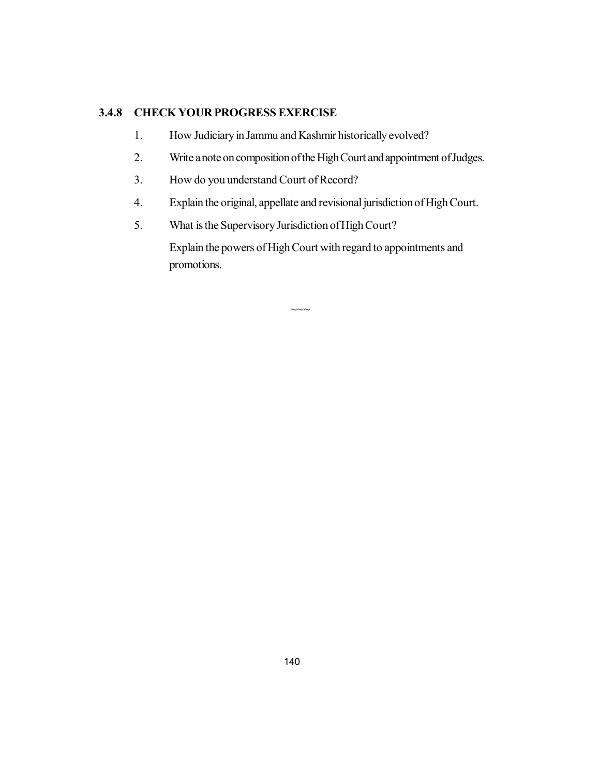## **3.4.8 CHECK YOUR PROGRESS EXERCISE**

- 1. How Judiciary in Jammu and Kashmir historically evolved?
- 2. Write a note on composition of the High Court and appointment of Judges.
- 3. How do you understand Court of Record?
- 4. Explain the original, appellate and revisional jurisdiction of High Court.
- 5. What is the Supervisory Jurisdiction of High Court?

Explain the powers of High Court with regard to appointments and promotions.

 $\sim\sim$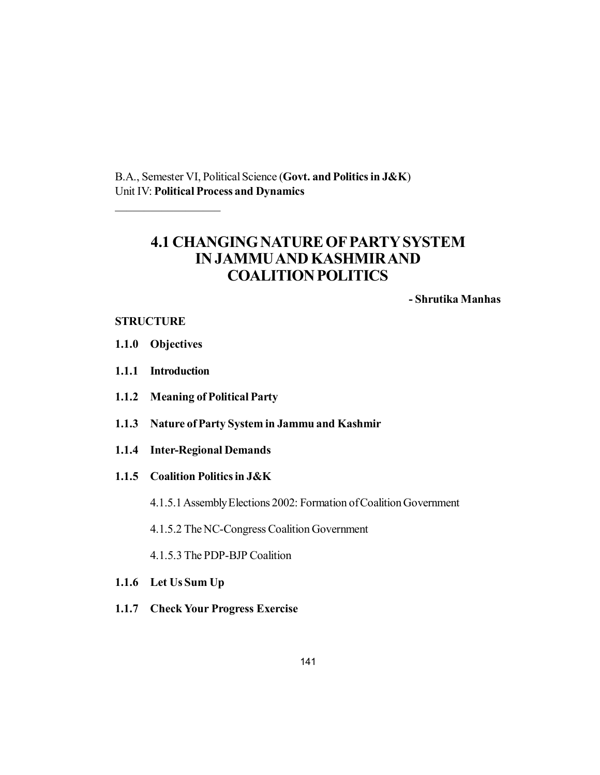B.A., Semester VI, Political Science (**Govt. and Politics in J&K**) Unit IV: **Political Process and Dynamics**

# **4.1 CHANGING NATURE OF PARTY SYSTEM IN JAMMU AND KASHMIR AND COALITION POLITICS**

**- Shrutika Manhas**

## **STRUCTURE**

**1.1.0 Objectives**

 $\mathcal{L}$  , we have the set of the set of the set of the set of the set of the set of the set of the set of the set of the set of the set of the set of the set of the set of the set of the set of the set of the set of the

- **1.1.1 Introduction**
- **1.1.2 Meaning of Political Party**
- **1.1.3 Nature of Party System in Jammu and Kashmir**
- **1.1.4 Inter-Regional Demands**
- **1.1.5 Coalition Politics in J&K**
	- 4.1.5.1 Assembly Elections 2002: Formation of Coalition Government
	- 4.1.5.2 The NC-Congress Coalition Government
	- 4.1.5.3 The PDP-BJP Coalition
- **1.1.6 Let Us Sum Up**
- **1.1.7 Check Your Progress Exercise**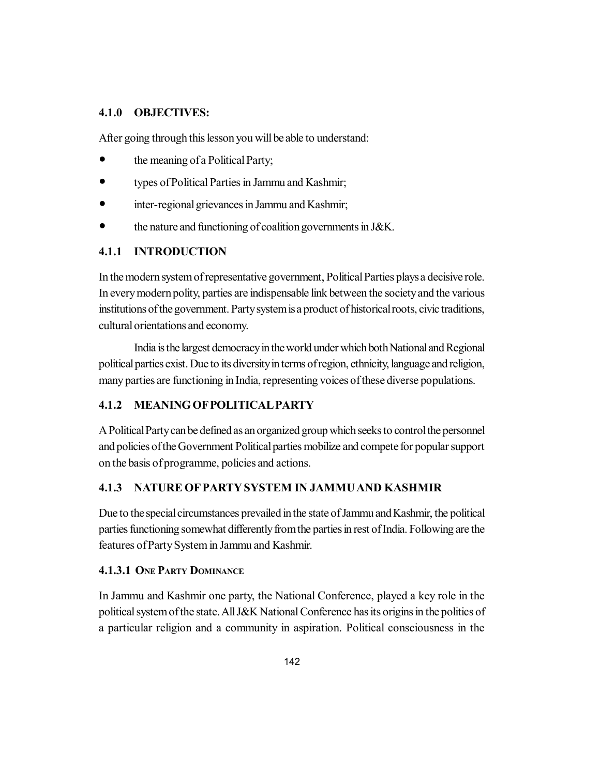### **4.1.0 OBJECTIVES:**

After going through this lesson you will be able to understand:

- the meaning of a Political Party;
- types of Political Parties in Jammu and Kashmir;
- inter-regional grievances in Jammu and Kashmir;
- the nature and functioning of coalition governments in J&K.

# **4.1.1 INTRODUCTION**

In the modern system of representative government, Political Parties plays a decisive role. In every modern polity, parties are indispensable link between the society and the various institutions of the government. Party system is a product of historical roots, civic traditions, cultural orientations and economy.

India is the largest democracy in the world under which both National and Regional political parties exist. Due to its diversity in terms of region, ethnicity, language and religion, many parties are functioning in India, representing voices of these diverse populations.

# **4.1.2 MEANING OF POLITICAL PARTY**

A Political Party can be defined as an organized group which seeks to control the personnel and policies of the Government Political parties mobilize and compete for popular support on the basis of programme, policies and actions.

## **4.1.3 NATURE OF PARTY SYSTEM IN JAMMU AND KASHMIR**

Due to the special circumstances prevailed in the state of Jammu and Kashmir, the political parties functioning somewhat differently from the parties in rest of India. Following are the features of Party System in Jammu and Kashmir.

## **4.1.3.1 ONE PARTY DOMINANCE**

In Jammu and Kashmir one party, the National Conference, played a key role in the political system of the state. All J&K National Conference has its origins in the politics of a particular religion and a community in aspiration. Political consciousness in the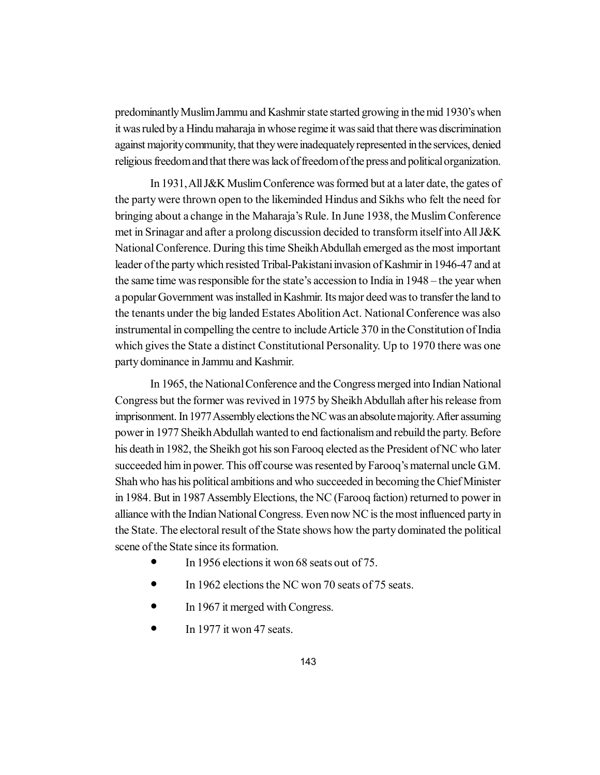predominantly Muslim Jammu and Kashmir state started growing in the mid 1930's when it was ruled by a Hindu maharaja in whose regime it was said that there was discrimination against majority community, that they were inadequately represented in the services, denied religious freedom and that there was lack of freedom of the press and political organization.

In 1931, All J&K Muslim Conference was formed but at a later date, the gates of the party were thrown open to the likeminded Hindus and Sikhs who felt the need for bringing about a change in the Maharaja's Rule. In June 1938, the Muslim Conference met in Srinagar and after a prolong discussion decided to transform itself into All J&K National Conference. During this time Sheikh Abdullah emerged as the most important leader of the party which resisted Tribal-Pakistani invasion of Kashmir in 1946-47 and at the same time was responsible for the state's accession to India in 1948 – the year when a popular Government was installed in Kashmir. Its major deed was to transfer the land to the tenants under the big landed Estates Abolition Act. National Conference was also instrumental in compelling the centre to include Article 370 in the Constitution of India which gives the State a distinct Constitutional Personality. Up to 1970 there was one party dominance in Jammu and Kashmir.

In 1965, the National Conference and the Congress merged into Indian National Congress but the former was revived in 1975 by Sheikh Abdullah after his release from imprisonment. In 1977 Assembly elections the NC was an absolute majority. After assuming power in 1977 Sheikh Abdullah wanted to end factionalism and rebuild the party. Before his death in 1982, the Sheikh got his son Farooq elected as the President of NC who later succeeded him in power. This off course was resented by Farooq's maternal uncle G.M. Shah who has his political ambitions and who succeeded in becoming the Chief Minister in 1984. But in 1987 Assembly Elections, the NC (Farooq faction) returned to power in alliance with the Indian National Congress. Even now NC is the most influenced party in the State. The electoral result of the State shows how the party dominated the political scene of the State since its formation.

- In 1956 elections it won 68 seats out of 75.
- In 1962 elections the NC won 70 seats of 75 seats.
- In 1967 it merged with Congress.
- $\bullet$  In 1977 it won 47 seats.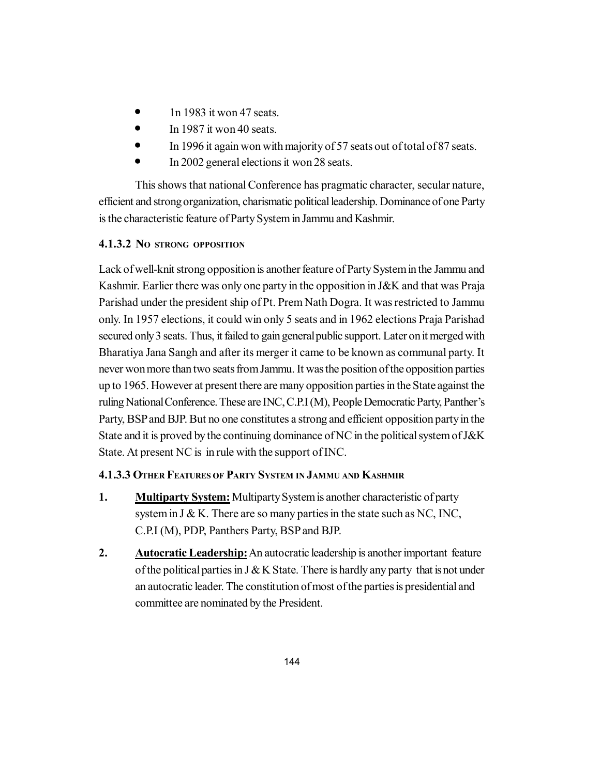- $\bullet$  1n 1983 it won 47 seats.
- $\bullet$  In 1987 it won 40 seats.
- In 1996 it again won with majority of 57 seats out of total of 87 seats.
- In 2002 general elections it won 28 seats.

This shows that national Conference has pragmatic character, secular nature, efficient and strong organization, charismatic political leadership. Dominance of one Party is the characteristic feature of Party System in Jammu and Kashmir.

# **4.1.3.2 NO STRONG OPPOSITION**

Lack of well-knit strong opposition is another feature of Party System in the Jammu and Kashmir. Earlier there was only one party in the opposition in J&K and that was Praja Parishad under the president ship of Pt. Prem Nath Dogra. It was restricted to Jammu only. In 1957 elections, it could win only 5 seats and in 1962 elections Praja Parishad secured only 3 seats. Thus, it failed to gain general public support. Later on it merged with Bharatiya Jana Sangh and after its merger it came to be known as communal party. It never won more than two seats from Jammu. It was the position of the opposition parties up to 1965. However at present there are many opposition parties in the State against the ruling National Conference. These are INC, C.P.I (M), People Democratic Party, Panther's Party, BSP and BJP. But no one constitutes a strong and efficient opposition party in the State and it is proved by the continuing dominance of NC in the political system of J&K State. At present NC is in rule with the support of INC.

# **4.1.3.3 OTHER FEATURES OF PARTY SYSTEM IN JAMMU AND KASHMIR**

- **1. Multiparty System:** Multiparty System is another characteristic of party system in  $J & K$ . There are so many parties in the state such as NC, INC, C.P.I (M), PDP, Panthers Party, BSP and BJP.
- **2. Autocratic Leadership:** An autocratic leadership is another important feature of the political parties in J & K State. There is hardly any party that is not under an autocratic leader. The constitution of most of the parties is presidential and committee are nominated by the President.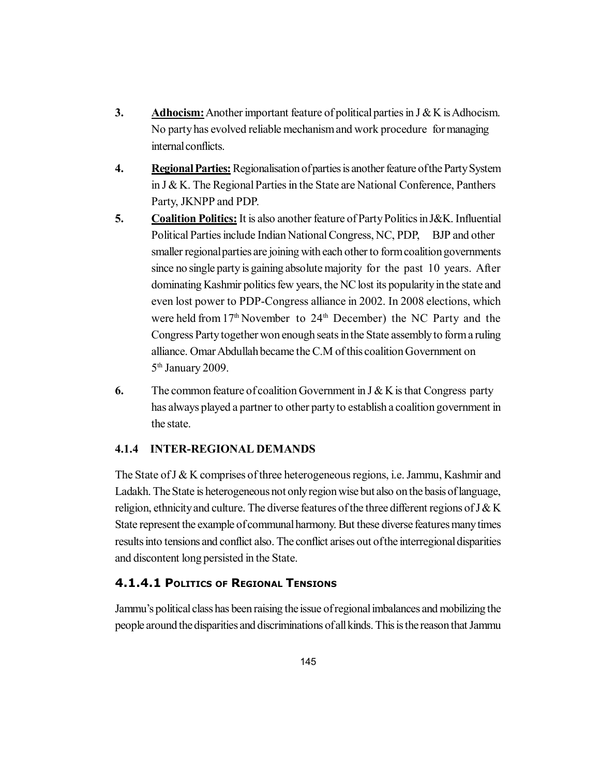- **3. Adhocism:** Another important feature of political parties in J & K is Adhocism. No party has evolved reliable mechanism and work procedure for managing internal conflicts.
- **4. Regional Parties:** Regionalisation of parties is another feature of the Party System in J & K. The Regional Parties in the State are National Conference, Panthers Party, JKNPP and PDP.
- **5. Coalition Politics:** It is also another feature of Party Politics in J&K. Influential Political Parties include Indian National Congress, NC, PDP, BJP and other smaller regional parties are joining with each other to form coalition governments since no single party is gaining absolute majority for the past 10 years. After dominating Kashmir politics few years, the NC lost its popularity in the state and even lost power to PDP-Congress alliance in 2002. In 2008 elections, which were held from  $17<sup>th</sup>$  November to  $24<sup>th</sup>$  December) the NC Party and the Congress Party together won enough seats in the State assembly to form a ruling alliance. Omar Abdullah became the C.M of this coalition Government on 5<sup>th</sup> January 2009.
- **6.** The common feature of coalition Government in J & K is that Congress party has always played a partner to other party to establish a coalition government in the state.

# **4.1.4 INTER-REGIONAL DEMANDS**

The State of  $J \& K$  comprises of three heterogeneous regions, i.e. Jammu, Kashmir and Ladakh. The State is heterogeneous not only region wise but also on the basis of language, religion, ethnicity and culture. The diverse features of the three different regions of J & K State represent the example of communal harmony. But these diverse features many times results into tensions and conflict also. The conflict arises out of the interregional disparities and discontent long persisted in the State.

# **4.1.4.1 POLITICS OF REGIONAL TENSIONS**

Jammu's political class has been raising the issue of regional imbalances and mobilizing the people around the disparities and discriminations of all kinds. This is the reason that Jammu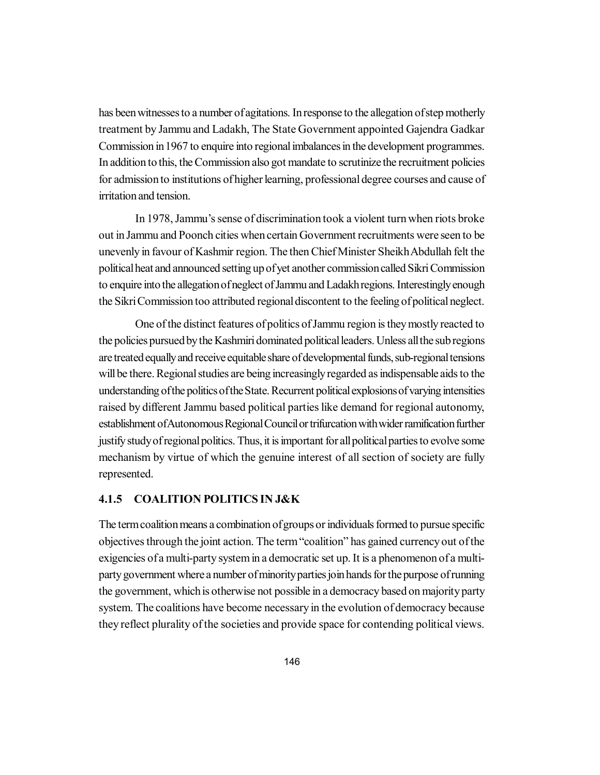has been witnesses to a number of agitations. In response to the allegation of step motherly treatment by Jammu and Ladakh, The State Government appointed Gajendra Gadkar Commission in 1967 to enquire into regional imbalances in the development programmes. In addition to this, the Commission also got mandate to scrutinize the recruitment policies for admission to institutions of higher learning, professional degree courses and cause of irritation and tension.

In 1978, Jammu's sense of discrimination took a violent turn when riots broke out in Jammu and Poonch cities when certain Government recruitments were seen to be unevenly in favour of Kashmir region. The then Chief Minister Sheikh Abdullah felt the political heat and announced setting up of yet another commission called Sikri Commission to enquire into the allegation of neglect of Jammu and Ladakh regions. Interestingly enough the Sikri Commission too attributed regional discontent to the feeling of political neglect.

One of the distinct features of politics of Jammu region is they mostly reacted to the policies pursued by the Kashmiri dominated political leaders. Unless all the sub regions are treated equally and receive equitable share of developmental funds, sub-regional tensions will be there. Regional studies are being increasingly regarded as indispensable aids to the understanding of the politics of the State. Recurrent political explosions of varying intensities raised by different Jammu based political parties like demand for regional autonomy, establishment of Autonomous Regional Council or trifurcation with wider ramification further justify study of regional politics. Thus, it is important for all political parties to evolve some mechanism by virtue of which the genuine interest of all section of society are fully represented.

#### **4.1.5 COALITION POLITICS IN J&K**

The term coalition means a combination of groups or individuals formed to pursue specific objectives through the joint action. The term "coalition" has gained currency out of the exigencies of a multi-party system in a democratic set up. It is a phenomenon of a multiparty government where a number of minority parties join hands for the purpose of running the government, which is otherwise not possible in a democracy based on majority party system. The coalitions have become necessary in the evolution of democracy because they reflect plurality of the societies and provide space for contending political views.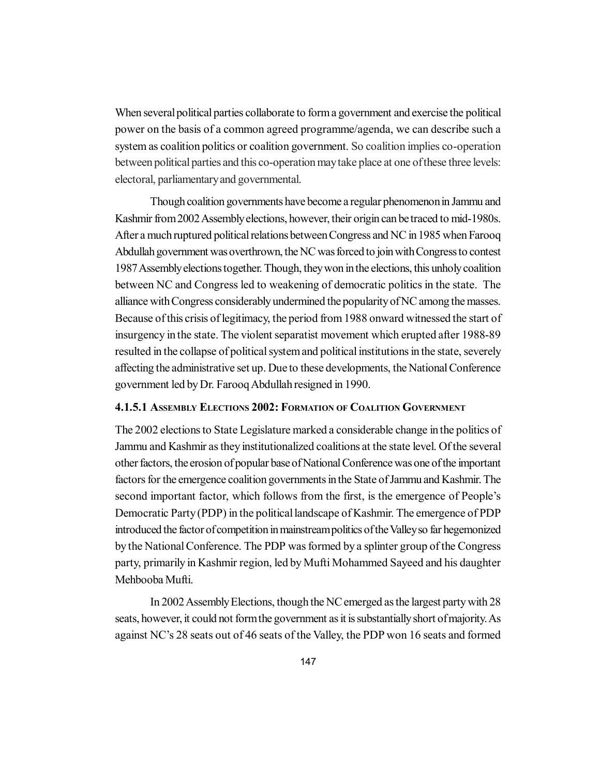When several political parties collaborate to form a government and exercise the political power on the basis of a common agreed programme/agenda, we can describe such a system as coalition politics or coalition government. So coalition implies co-operation between political parties and this co-operation may take place at one of these three levels: electoral, parliamentary and governmental.

Though coalition governments have become a regular phenomenon in Jammu and Kashmir from 2002 Assembly elections, however, their origin can be traced to mid-1980s. After a much ruptured political relations between Congress and NC in 1985 when Farooq Abdullah government was overthrown, the NC was forced to join with Congress to contest 1987 Assembly elections together. Though, they won in the elections, this unholy coalition between NC and Congress led to weakening of democratic politics in the state. The alliance with Congress considerably undermined the popularity of NC among the masses. Because of this crisis of legitimacy, the period from 1988 onward witnessed the start of insurgency in the state. The violent separatist movement which erupted after 1988-89 resulted in the collapse of political system and political institutions in the state, severely affecting the administrative set up. Due to these developments, the National Conference government led by Dr. Farooq Abdullah resigned in 1990.

#### **4.1.5.1 ASSEMBLY ELECTIONS 2002: FORMATION OF COALITION GOVERNMENT**

The 2002 elections to State Legislature marked a considerable change in the politics of Jammu and Kashmir as they institutionalized coalitions at the state level. Of the several other factors, the erosion of popular base of National Conference was one of the important factors for the emergence coalition governments in the State of Jammu and Kashmir. The second important factor, which follows from the first, is the emergence of People's Democratic Party (PDP) in the political landscape of Kashmir. The emergence of PDP introduced the factor of competition in mainstream politics of the Valley so far hegemonized by the National Conference. The PDP was formed by a splinter group of the Congress party, primarily in Kashmir region, led by Mufti Mohammed Sayeed and his daughter Mehbooba Mufti.

In 2002 Assembly Elections, though the NC emerged as the largest party with 28 seats, however, it could not form the government as it is substantially short of majority. As against NC's 28 seats out of 46 seats of the Valley, the PDP won 16 seats and formed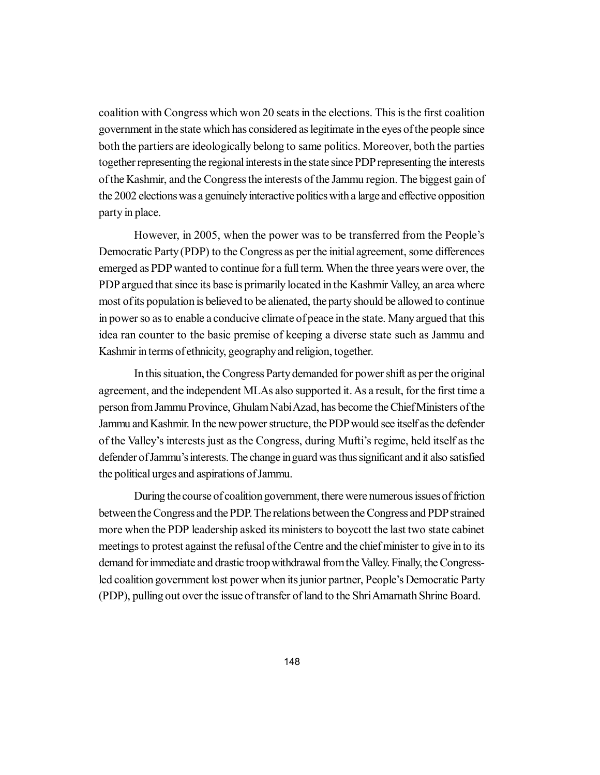coalition with Congress which won 20 seats in the elections. This is the first coalition government in the state which has considered as legitimate in the eyes of the people since both the partiers are ideologically belong to same politics. Moreover, both the parties together representing the regional interests in the state since PDP representing the interests of the Kashmir, and the Congress the interests of the Jammu region. The biggest gain of the 2002 elections was a genuinely interactive politics with a large and effective opposition party in place.

However, in 2005, when the power was to be transferred from the People's Democratic Party (PDP) to the Congress as per the initial agreement, some differences emerged as PDP wanted to continue for a full term. When the three years were over, the PDP argued that since its base is primarily located in the Kashmir Valley, an area where most of its population is believed to be alienated, the party should be allowed to continue in power so as to enable a conducive climate of peace in the state. Many argued that this idea ran counter to the basic premise of keeping a diverse state such as Jammu and Kashmir in terms of ethnicity, geography and religion, together.

In this situation, the Congress Party demanded for power shift as per the original agreement, and the independent MLAs also supported it. As a result, for the first time a person from Jammu Province, Ghulam Nabi Azad, has become the Chief Ministers of the Jammu and Kashmir. In the new power structure, the PDP would see itself as the defender of the Valley's interests just as the Congress, during Mufti's regime, held itself as the defender of Jammu's interests. The change in guard was thus significant and it also satisfied the political urges and aspirations of Jammu.

During the course of coalition government, there were numerous issues of friction between the Congress and the PDP. The relations between the Congress and PDP strained more when the PDP leadership asked its ministers to boycott the last two state cabinet meetings to protest against the refusal of the Centre and the chief minister to give in to its demand for immediate and drastic troop withdrawal from the Valley. Finally, the Congressled coalition government lost power when its junior partner, People's Democratic Party (PDP), pulling out over the issue of transfer of land to the Shri Amarnath Shrine Board.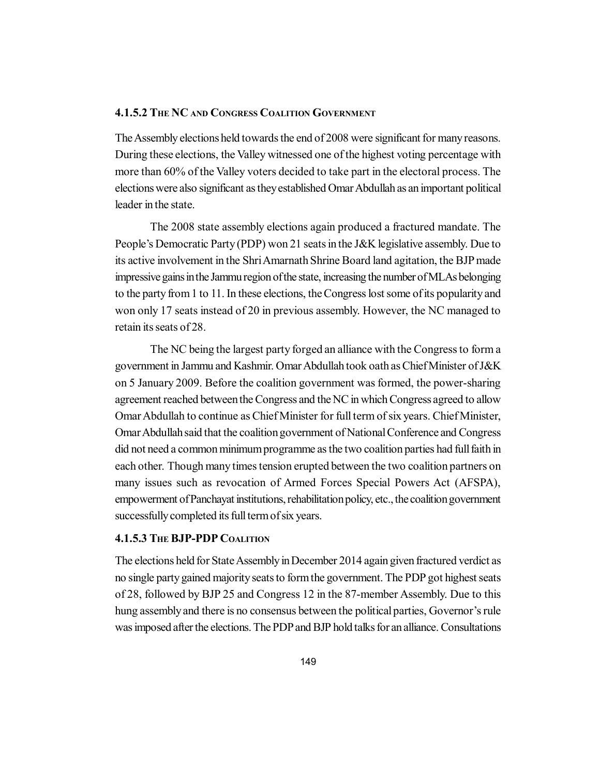### **4.1.5.2 THE NC AND CONGRESS COALITION GOVERNMENT**

The Assembly elections held towards the end of 2008 were significant for many reasons. During these elections, the Valley witnessed one of the highest voting percentage with more than 60% of the Valley voters decided to take part in the electoral process. The elections were also significant as they established Omar Abdullah as an important political leader in the state.

The 2008 state assembly elections again produced a fractured mandate. The People's Democratic Party (PDP) won 21 seats in the J&K legislative assembly. Due to its active involvement in the Shri Amarnath Shrine Board land agitation, the BJP made impressive gains in the Jammu region of the state, increasing the number of MLAs belonging to the party from 1 to 11. In these elections, the Congress lost some of its popularity and won only 17 seats instead of 20 in previous assembly. However, the NC managed to retain its seats of 28.

The NC being the largest party forged an alliance with the Congress to form a government in Jammu and Kashmir. Omar Abdullah took oath as Chief Minister of J&K on 5 January 2009. Before the coalition government was formed, the power-sharing agreement reached between the Congress and the NC in which Congress agreed to allow Omar Abdullah to continue as Chief Minister for full term of six years. Chief Minister, Omar Abdullah said that the coalition government of National Conference and Congress did not need a common minimum programme as the two coalition parties had full faith in each other. Though many times tension erupted between the two coalition partners on many issues such as revocation of Armed Forces Special Powers Act (AFSPA), empowerment of Panchayat institutions, rehabilitation policy, etc., the coalition government successfully completed its full term of six years.

### **4.1.5.3 THE BJP-PDP COALITION**

The elections held for State Assembly in December 2014 again given fractured verdict as no single party gained majority seats to form the government. The PDP got highest seats of 28, followed by BJP 25 and Congress 12 in the 87-member Assembly. Due to this hung assembly and there is no consensus between the political parties, Governor's rule was imposed after the elections. The PDP and BJP hold talks for an alliance. Consultations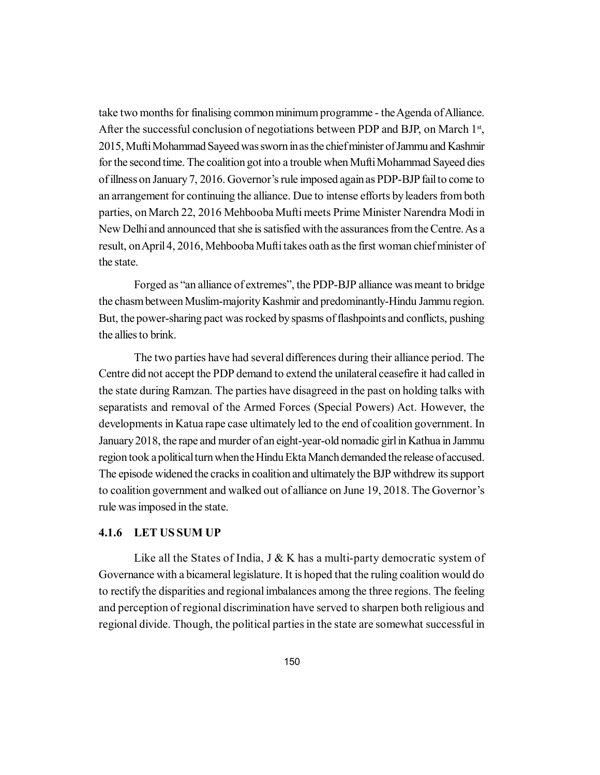take two months for finalising common minimum programme - the Agenda of Alliance. After the successful conclusion of negotiations between PDP and BJP, on March  $1<sup>st</sup>$ , 2015, Mufti Mohammad Sayeed was sworn in as the chief minister of Jammu and Kashmir for the second time. The coalition got into a trouble when Mufti Mohammad Sayeed dies of illness on January 7, 2016. Governor's rule imposed again as PDP-BJP fail to come to an arrangement for continuing the alliance. Due to intense efforts by leaders from both parties, on March 22, 2016 Mehbooba Mufti meets Prime Minister Narendra Modi in New Delhi and announced that she is satisfied with the assurances from the Centre. As a result, on April 4, 2016, Mehbooba Mufti takes oath as the first woman chief minister of the state.

Forged as "an alliance of extremes", the PDP-BJP alliance was meant to bridge the chasm between Muslim-majority Kashmir and predominantly-Hindu Jammu region. But, the power-sharing pact was rocked by spasms of flashpoints and conflicts, pushing the allies to brink.

The two parties have had several differences during their alliance period. The Centre did not accept the PDP demand to extend the unilateral ceasefire it had called in the state during Ramzan. The parties have disagreed in the past on holding talks with separatists and removal of the Armed Forces (Special Powers) Act. However, the developments in Katua rape case ultimately led to the end of coalition government. In January 2018, the rape and murder of an eight-year-old nomadic girl in Kathua in Jammu region took a political turn when the Hindu Ekta Manch demanded the release of accused. The episode widened the cracks in coalition and ultimately the BJP withdrew its support to coalition government and walked out of alliance on June 19, 2018. The Governor's rule was imposed in the state.

#### **4.1.6 LET US SUM UP**

Like all the States of India,  $J \& K$  has a multi-party democratic system of Governance with a bicameral legislature. It is hoped that the ruling coalition would do to rectify the disparities and regional imbalances among the three regions. The feeling and perception of regional discrimination have served to sharpen both religious and regional divide. Though, the political parties in the state are somewhat successful in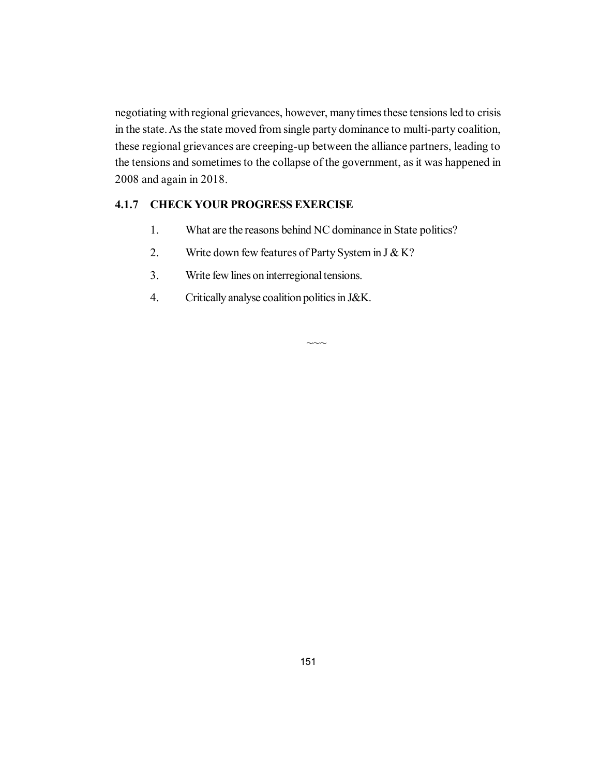negotiating with regional grievances, however, many times these tensions led to crisis in the state. As the state moved from single party dominance to multi-party coalition, these regional grievances are creeping-up between the alliance partners, leading to the tensions and sometimes to the collapse of the government, as it was happened in 2008 and again in 2018.

# **4.1.7 CHECK YOUR PROGRESS EXERCISE**

- 1. What are the reasons behind NC dominance in State politics?
- 2. Write down few features of Party System in  $J & K$ ?
- 3. Write few lines on interregional tensions.
- 4. Critically analyse coalition politics in J&K.

 $\sim\sim$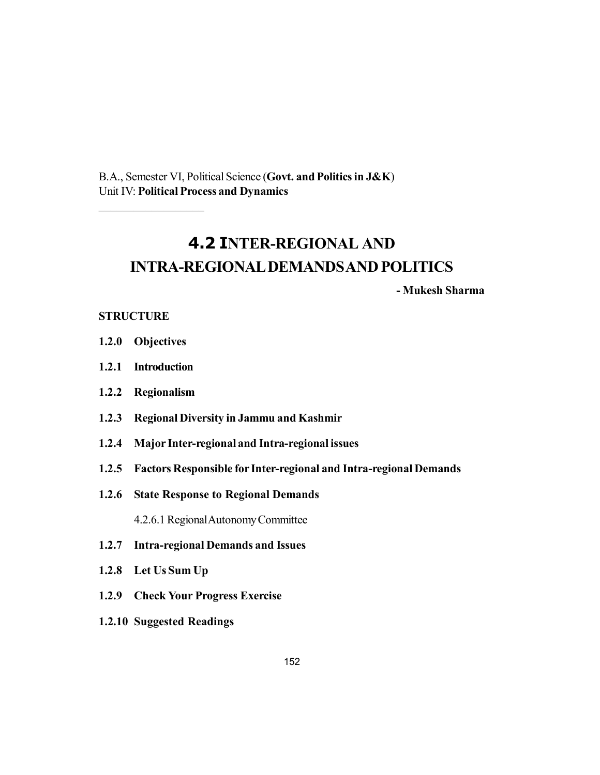B.A., Semester VI, Political Science (**Govt. and Politics in J&K**) Unit IV: **Political Process and Dynamics**

# **4.2 INTER-REGIONAL AND INTRA-REGIONAL DEMANDS AND POLITICS**

**- Mukesh Sharma**

#### **STRUCTURE**

**1.2.0 Objectives**

 $\mathcal{L}$  , we have the set of the set of the set of the set of the set of the set of the set of the set of the set of the set of the set of the set of the set of the set of the set of the set of the set of the set of the

- **1.2.1 Introduction**
- **1.2.2 Regionalism**
- **1.2.3 Regional Diversity in Jammu and Kashmir**
- **1.2.4 Major Inter-regional and Intra-regional issues**
- **1.2.5 Factors Responsible for Inter-regional and Intra-regional Demands**
- **1.2.6 State Response to Regional Demands**

4.2.6.1 Regional Autonomy Committee

- **1.2.7 Intra-regional Demands and Issues**
- **1.2.8 Let Us Sum Up**
- **1.2.9 Check Your Progress Exercise**
- **1.2.10 Suggested Readings**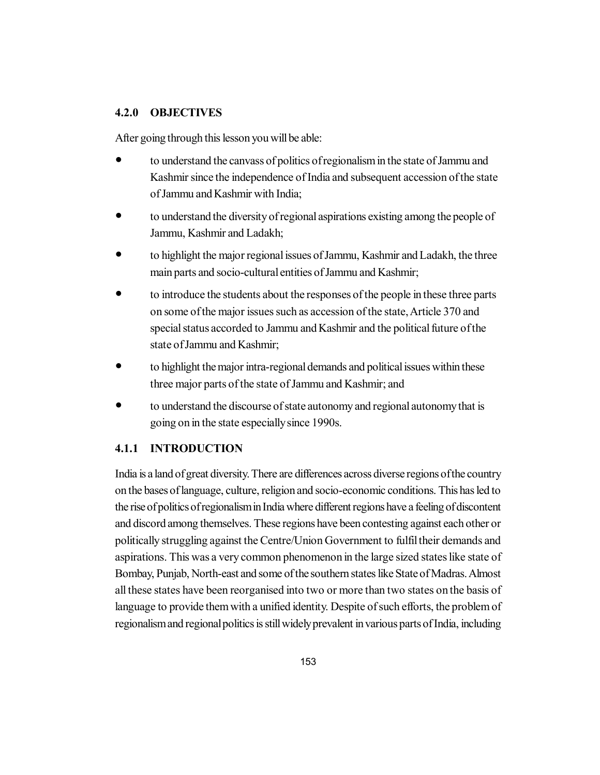# **4.2.0 OBJECTIVES**

After going through this lesson you will be able:

- to understand the canvass of politics of regionalism in the state of Jammu and Kashmir since the independence of India and subsequent accession of the state of Jammu and Kashmir with India;
- to understand the diversity of regional aspirations existing among the people of Jammu, Kashmir and Ladakh;
- to highlight the major regional issues of Jammu, Kashmir and Ladakh, the three main parts and socio-cultural entities of Jammu and Kashmir;
- to introduce the students about the responses of the people in these three parts on some of the major issues such as accession of the state, Article 370 and special status accorded to Jammu and Kashmir and the political future of the state of Jammu and Kashmir;
- to highlight the major intra-regional demands and political issues within these three major parts of the state of Jammu and Kashmir; and
- to understand the discourse of state autonomy and regional autonomy that is going on in the state especially since 1990s.

# **4.1.1 INTRODUCTION**

India is a land of great diversity. There are differences across diverse regions of the country on the bases of language, culture, religion and socio-economic conditions. This has led to the rise of politics of regionalism in India where different regions have a feeling of discontent and discord among themselves. These regions have been contesting against each other or politically struggling against the Centre/Union Government to fulfil their demands and aspirations. This was a very common phenomenon in the large sized states like state of Bombay, Punjab, North-east and some of the southern states like State of Madras. Almost all these states have been reorganised into two or more than two states on the basis of language to provide them with a unified identity. Despite of such efforts, the problem of regionalism and regional politics is still widely prevalent in various parts of India, including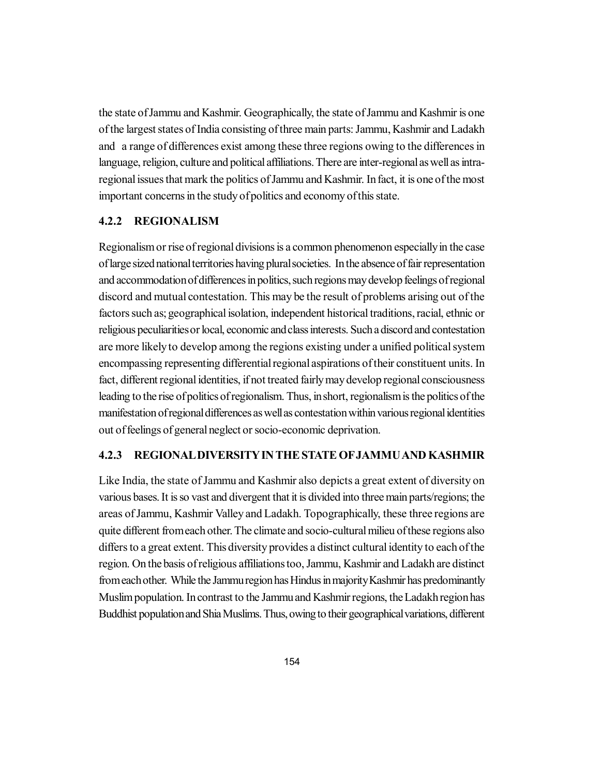the state of Jammu and Kashmir. Geographically, the state of Jammu and Kashmir is one of the largest states of India consisting of three main parts: Jammu, Kashmir and Ladakh and a range of differences exist among these three regions owing to the differences in language, religion, culture and political affiliations. There are inter-regional as well as intraregional issues that mark the politics of Jammu and Kashmir. In fact, it is one of the most important concerns in the study of politics and economy of this state.

#### **4.2.2 REGIONALISM**

Regionalism or rise of regional divisions is a common phenomenon especially in the case of large sized national territories having plural societies. In the absence of fair representation and accommodation of differences in politics, such regions may develop feelings of regional discord and mutual contestation. This may be the result of problems arising out of the factors such as; geographical isolation, independent historical traditions, racial, ethnic or religious peculiarities or local, economic and class interests. Such a discord and contestation are more likely to develop among the regions existing under a unified political system encompassing representing differential regional aspirations of their constituent units. In fact, different regional identities, if not treated fairly may develop regional consciousness leading to the rise of politics of regionalism. Thus, in short, regionalism is the politics of the manifestation of regional differences as well as contestation within various regional identities out of feelings of general neglect or socio-economic deprivation.

#### **4.2.3 REGIONAL DIVERSITY IN THE STATE OF JAMMU AND KASHMIR**

Like India, the state of Jammu and Kashmir also depicts a great extent of diversity on various bases. It is so vast and divergent that it is divided into three main parts/regions; the areas of Jammu, Kashmir Valley and Ladakh. Topographically, these three regions are quite different from each other. The climate and socio-cultural milieu of these regions also differs to a great extent. This diversity provides a distinct cultural identity to each of the region. On the basis of religious affiliations too, Jammu, Kashmir and Ladakh are distinct from each other. While the Jammu region has Hindus in majority Kashmir has predominantly Muslim population. In contrast to the Jammu and Kashmir regions, the Ladakh region has Buddhist population and Shia Muslims. Thus, owing to their geographical variations, different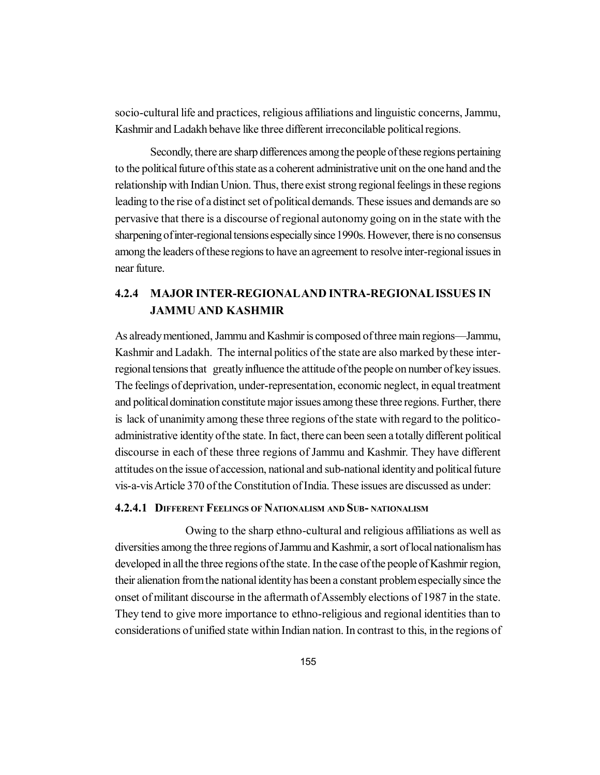socio-cultural life and practices, religious affiliations and linguistic concerns, Jammu, Kashmir and Ladakh behave like three different irreconcilable political regions.

Secondly, there are sharp differences among the people of these regions pertaining to the political future of this state as a coherent administrative unit on the one hand and the relationship with Indian Union. Thus, there exist strong regional feelings in these regions leading to the rise of a distinct set of political demands. These issues and demands are so pervasive that there is a discourse of regional autonomy going on in the state with the sharpening of inter-regional tensions especially since 1990s. However, there is no consensus among the leaders of these regions to have an agreement to resolve inter-regional issues in near future.

# **4.2.4 MAJOR INTER-REGIONALAND INTRA-REGIONAL ISSUES IN JAMMU AND KASHMIR**

As already mentioned, Jammu and Kashmir is composed of three main regions—Jammu, Kashmir and Ladakh. The internal politics of the state are also marked by these interregional tensions that greatly influence the attitude of the people on number of key issues. The feelings of deprivation, under-representation, economic neglect, in equal treatment and political domination constitute major issues among these three regions. Further, there is lack of unanimity among these three regions of the state with regard to the politicoadministrative identity of the state. In fact, there can been seen a totally different political discourse in each of these three regions of Jammu and Kashmir. They have different attitudes on the issue of accession, national and sub-national identity and political future vis-a-vis Article 370 of the Constitution of India. These issues are discussed as under:

#### **4.2.4.1 DIFFERENT FEELINGS OF NATIONALISM AND SUB- NATIONALISM**

Owing to the sharp ethno-cultural and religious affiliations as well as diversities among the three regions of Jammu and Kashmir, a sort of local nationalism has developed in all the three regions of the state. In the case of the people of Kashmir region, their alienation from the national identity has been a constant problem especially since the onset of militant discourse in the aftermath of Assembly elections of 1987 in the state. They tend to give more importance to ethno-religious and regional identities than to considerations of unified state within Indian nation. In contrast to this, in the regions of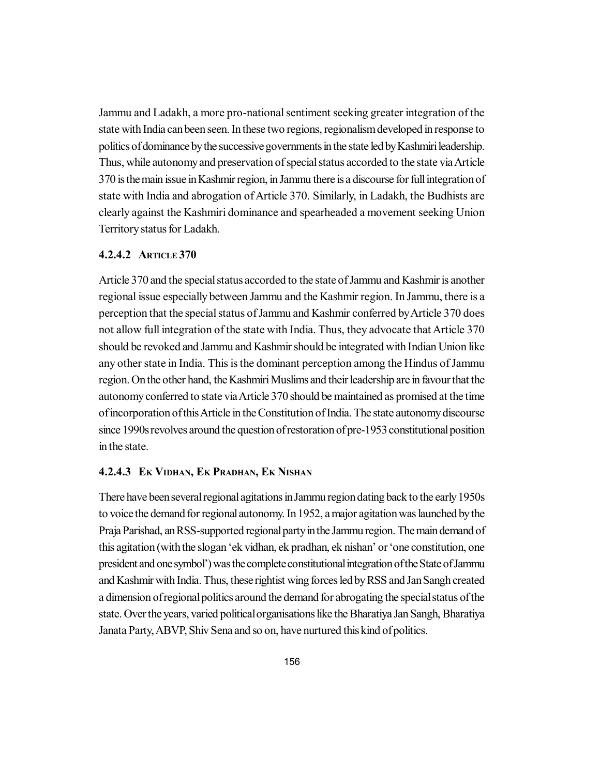Jammu and Ladakh, a more pro-national sentiment seeking greater integration of the state with India can been seen. In these two regions, regionalism developed in response to politics of dominance by the successive governments in the state led by Kashmiri leadership. Thus, while autonomy and preservation of special status accorded to the state via Article 370 is the main issue in Kashmir region, in Jammu there is a discourse for full integration of state with India and abrogation of Article 370. Similarly, in Ladakh, the Budhists are clearly against the Kashmiri dominance and spearheaded a movement seeking Union Territory status for Ladakh.

## **4.2.4.2 ARTICLE 370**

Article 370 and the special status accorded to the state of Jammu and Kashmir is another regional issue especially between Jammu and the Kashmir region. In Jammu, there is a perception that the special status of Jammu and Kashmir conferred by Article 370 does not allow full integration of the state with India. Thus, they advocate that Article 370 should be revoked and Jammu and Kashmir should be integrated with Indian Union like any other state in India. This is the dominant perception among the Hindus of Jammu region. On the other hand, the Kashmiri Muslims and their leadership are in favour that the autonomy conferred to state via Article 370 should be maintained as promised at the time of incorporation of this Article in the Constitution of India. The state autonomy discourse since 1990s revolves around the question of restoration of pre-1953 constitutional position in the state.

#### **4.2.4.3 EK VIDHAN, EK PRADHAN, EK NISHAN**

There have been several regional agitations in Jammu region dating back to the early 1950s to voice the demand for regional autonomy. In 1952, a major agitation was launched by the Praja Parishad, an RSS-supported regional party in the Jammu region. The main demand of this agitation (with the slogan 'ek vidhan, ek pradhan, ek nishan' or 'one constitution, one president and one symbol') was the complete constitutional integration of the State of Jammu and Kashmir with India. Thus, these rightist wing forces led by RSS and Jan Sangh created a dimension of regional politics around the demand for abrogating the special status of the state. Over the years, varied political organisations like the Bharatiya Jan Sangh, Bharatiya Janata Party, ABVP, Shiv Sena and so on, have nurtured this kind of politics.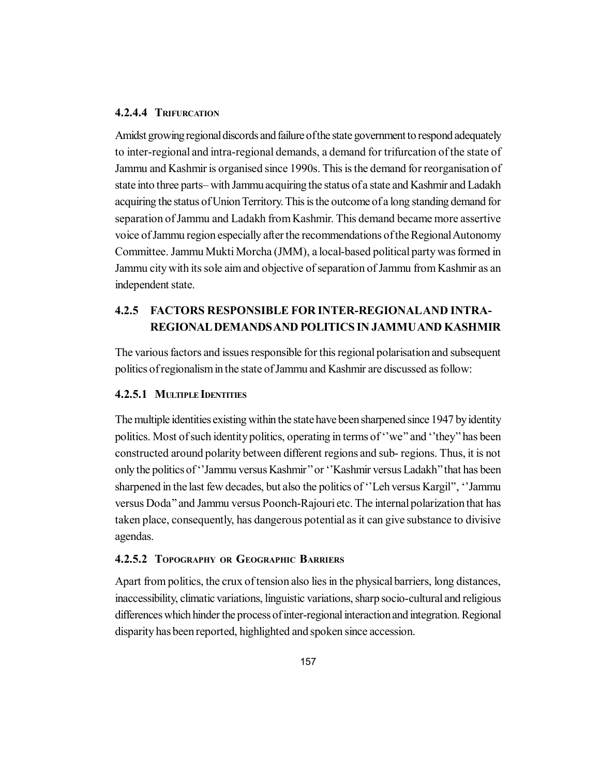### **4.2.4.4 TRIFURCATION**

Amidst growing regional discords and failure of the state government to respond adequately to inter-regional and intra-regional demands, a demand for trifurcation of the state of Jammu and Kashmir is organised since 1990s. This is the demand for reorganisation of state into three parts– with Jammu acquiring the status of a state and Kashmir and Ladakh acquiring the status of Union Territory. This is the outcome of a long standing demand for separation of Jammu and Ladakh from Kashmir. This demand became more assertive voice of Jammu region especially after the recommendations of the Regional Autonomy Committee. Jammu Mukti Morcha (JMM), a local-based political party was formed in Jammu city with its sole aim and objective of separation of Jammu from Kashmir as an independent state.

# **4.2.5 FACTORS RESPONSIBLE FOR INTER-REGIONALAND INTRA-REGIONAL DEMANDS AND POLITICS IN JAMMU AND KASHMIR**

The various factors and issues responsible for this regional polarisation and subsequent politics of regionalism in the state of Jammu and Kashmir are discussed as follow:

# **4.2.5.1 MULTIPLE IDENTITIES**

The multiple identities existing within the state have been sharpened since 1947 by identity politics. Most of such identity politics, operating in terms of ''we'' and ''they'' has been constructed around polarity between different regions and sub- regions. Thus, it is not only the politics of ''Jammu versus Kashmir'' or ''Kashmir versus Ladakh'' that has been sharpened in the last few decades, but also the politics of ''Leh versus Kargil'', ''Jammu versus Doda'' and Jammu versus Poonch-Rajouri etc. The internal polarization that has taken place, consequently, has dangerous potential as it can give substance to divisive agendas.

#### **4.2.5.2 TOPOGRAPHY OR GEOGRAPHIC BARRIERS**

Apart from politics, the crux of tension also lies in the physical barriers, long distances, inaccessibility, climatic variations, linguistic variations, sharp socio-cultural and religious differences which hinder the process of inter-regional interaction and integration. Regional disparity has been reported, highlighted and spoken since accession.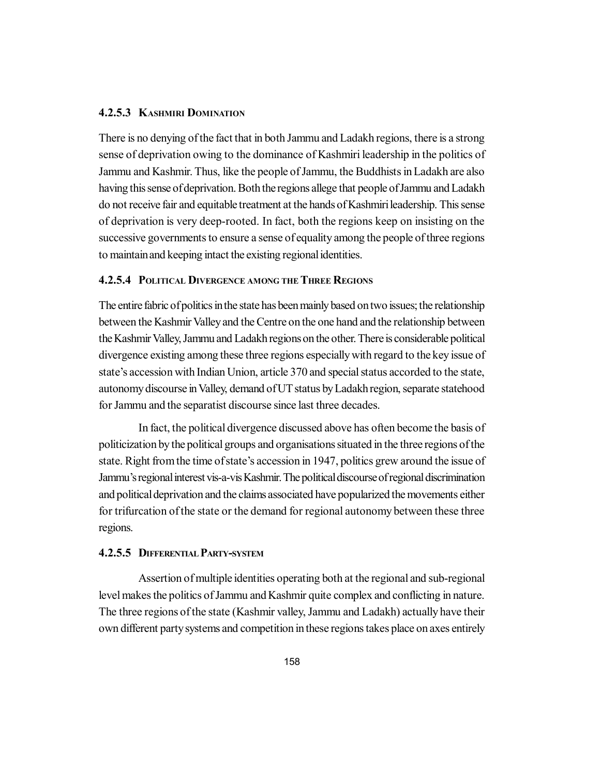### **4.2.5.3 KASHMIRI DOMINATION**

There is no denying of the fact that in both Jammu and Ladakh regions, there is a strong sense of deprivation owing to the dominance of Kashmiri leadership in the politics of Jammu and Kashmir. Thus, like the people of Jammu, the Buddhists in Ladakh are also having this sense of deprivation. Both the regions allege that people of Jammu and Ladakh do not receive fair and equitable treatment at the hands of Kashmiri leadership. This sense of deprivation is very deep-rooted. In fact, both the regions keep on insisting on the successive governments to ensure a sense of equality among the people of three regions to maintain and keeping intact the existing regional identities.

### **4.2.5.4 POLITICAL DIVERGENCE AMONG THE THREE REGIONS**

The entire fabric of politics in the state has been mainly based on two issues; the relationship between the Kashmir Valley and the Centre on the one hand and the relationship between the Kashmir Valley, Jammu and Ladakh regions on the other. There is considerable political divergence existing among these three regions especially with regard to the key issue of state's accession with Indian Union, article 370 and special status accorded to the state, autonomy discourse in Valley, demand of UT status by Ladakh region, separate statehood for Jammu and the separatist discourse since last three decades.

In fact, the political divergence discussed above has often become the basis of politicization by the political groups and organisations situated in the three regions of the state. Right from the time of state's accession in 1947, politics grew around the issue of Jammu's regional interest vis-a-vis Kashmir. The political discourse of regional discrimination and political deprivation and the claims associated have popularized the movements either for trifurcation of the state or the demand for regional autonomy between these three regions.

#### **4.2.5.5 DIFFERENTIAL PARTY-SYSTEM**

Assertion of multiple identities operating both at the regional and sub-regional level makes the politics of Jammu and Kashmir quite complex and conflicting in nature. The three regions of the state (Kashmir valley, Jammu and Ladakh) actually have their own different party systems and competition in these regions takes place on axes entirely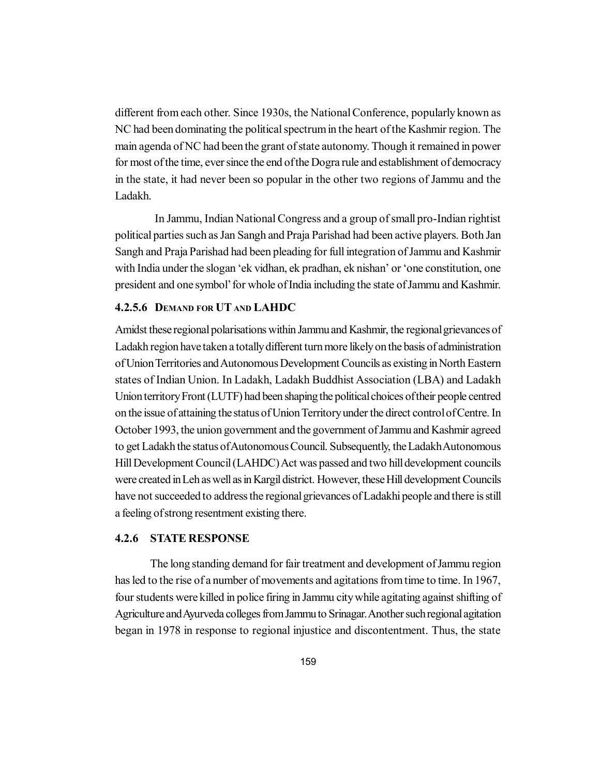different from each other. Since 1930s, the National Conference, popularly known as NC had been dominating the political spectrum in the heart of the Kashmir region. The main agenda of NC had been the grant of state autonomy. Though it remained in power for most of the time, ever since the end of the Dogra rule and establishment of democracy in the state, it had never been so popular in the other two regions of Jammu and the Ladakh.

In Jammu, Indian National Congress and a group of small pro-Indian rightist political parties such as Jan Sangh and Praja Parishad had been active players. Both Jan Sangh and Praja Parishad had been pleading for full integration of Jammu and Kashmir with India under the slogan 'ek vidhan, ek pradhan, ek nishan' or 'one constitution, one president and one symbol' for whole of India including the state of Jammu and Kashmir.

#### **4.2.5.6 DEMAND FOR UT AND LAHDC**

Amidst these regional polarisations within Jammu and Kashmir, the regional grievances of Ladakh region have taken a totally different turn more likely on the basis of administration of Union Territories and Autonomous Development Councils as existing in North Eastern states of Indian Union. In Ladakh, Ladakh Buddhist Association (LBA) and Ladakh Union territory Front (LUTF) had been shaping the political choices of their people centred on the issue of attaining the status of Union Territory under the direct control of Centre. In October 1993, the union government and the government of Jammu and Kashmir agreed to get Ladakh the status of Autonomous Council. Subsequently, the Ladakh Autonomous Hill Development Council (LAHDC) Act was passed and two hill development councils were created in Leh as well as in Kargil district. However, these Hill development Councils have not succeeded to address the regional grievances of Ladakhi people and there is still a feeling of strong resentment existing there.

#### **4.2.6 STATE RESPONSE**

The long standing demand for fair treatment and development of Jammu region has led to the rise of a number of movements and agitations from time to time. In 1967, four students were killed in police firing in Jammu city while agitating against shifting of Agriculture and Ayurveda colleges from Jammu to Srinagar. Another such regional agitation began in 1978 in response to regional injustice and discontentment. Thus, the state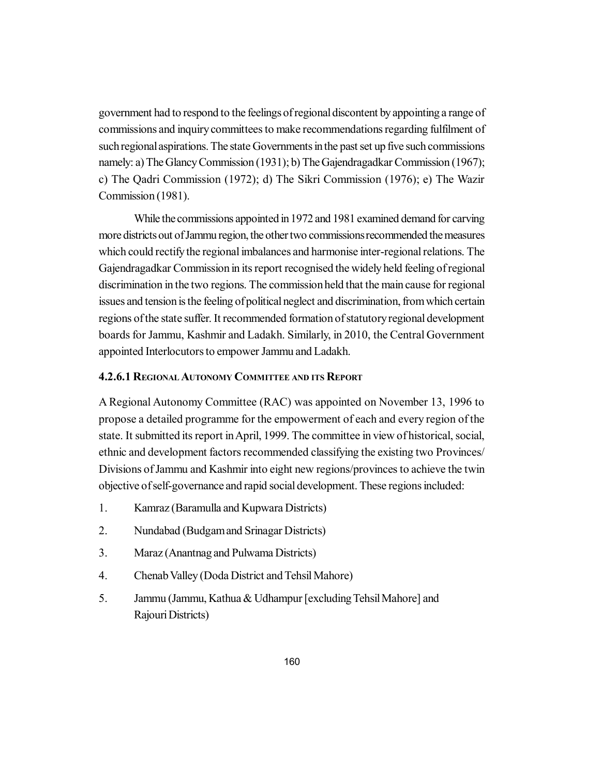government had to respond to the feelings of regional discontent by appointing a range of commissions and inquiry committees to make recommendations regarding fulfilment of such regional aspirations. The state Governments in the past set up five such commissions namely: a) The Glancy Commission (1931); b) The Gajendragadkar Commission (1967); c) The Qadri Commission (1972); d) The Sikri Commission (1976); e) The Wazir Commission (1981).

While the commissions appointed in 1972 and 1981 examined demand for carving more districts out of Jammu region, the other two commissions recommended the measures which could rectify the regional imbalances and harmonise inter-regional relations. The Gajendragadkar Commission in its report recognised the widely held feeling of regional discrimination in the two regions. The commission held that the main cause for regional issues and tension is the feeling of political neglect and discrimination, from which certain regions of the state suffer. It recommended formation of statutory regional development boards for Jammu, Kashmir and Ladakh. Similarly, in 2010, the Central Government appointed Interlocutors to empower Jammu and Ladakh.

#### **4.2.6.1 REGIONALAUTONOMY COMMITTEE AND ITS REPORT**

A Regional Autonomy Committee (RAC) was appointed on November 13, 1996 to propose a detailed programme for the empowerment of each and every region of the state. It submitted its report in April, 1999. The committee in view of historical, social, ethnic and development factors recommended classifying the existing two Provinces/ Divisions of Jammu and Kashmir into eight new regions/provinces to achieve the twin objective of self-governance and rapid social development. These regions included:

- 1. Kamraz (Baramulla and Kupwara Districts)
- 2. Nundabad (Budgam and Srinagar Districts)
- 3. Maraz (Anantnag and Pulwama Districts)
- 4. Chenab Valley (Doda District and Tehsil Mahore)
- 5. Jammu (Jammu, Kathua & Udhampur [excluding Tehsil Mahore] and Rajouri Districts)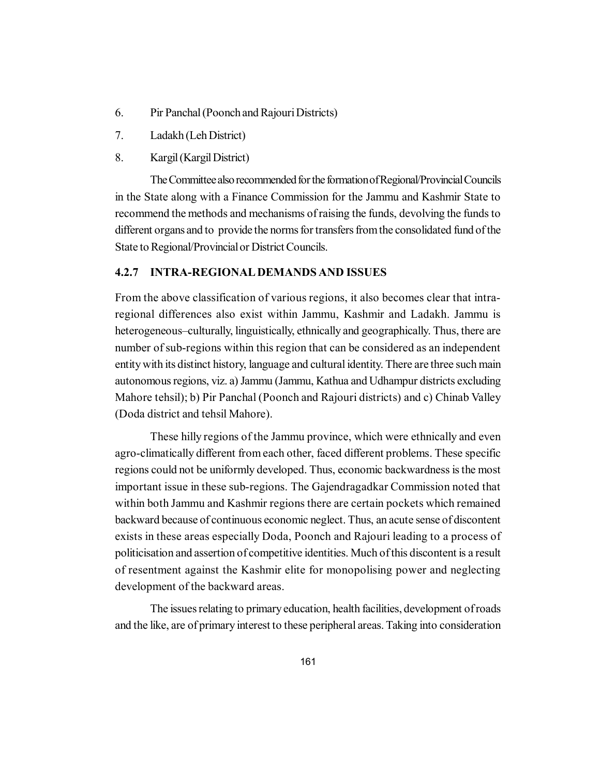- 6. Pir Panchal (Poonch and Rajouri Districts)
- 7. Ladakh (Leh District)
- 8. Kargil (Kargil District)

The Committee also recommended for the formation of Regional/Provincial Councils in the State along with a Finance Commission for the Jammu and Kashmir State to recommend the methods and mechanisms of raising the funds, devolving the funds to different organs and to provide the norms for transfers from the consolidated fund of the State to Regional/Provincial or District Councils.

#### **4.2.7 INTRA-REGIONAL DEMANDS AND ISSUES**

From the above classification of various regions, it also becomes clear that intraregional differences also exist within Jammu, Kashmir and Ladakh. Jammu is heterogeneous–culturally, linguistically, ethnically and geographically. Thus, there are number of sub-regions within this region that can be considered as an independent entity with its distinct history, language and cultural identity. There are three such main autonomous regions, viz. a) Jammu (Jammu, Kathua and Udhampur districts excluding Mahore tehsil); b) Pir Panchal (Poonch and Rajouri districts) and c) Chinab Valley (Doda district and tehsil Mahore).

These hilly regions of the Jammu province, which were ethnically and even agro-climatically different from each other, faced different problems. These specific regions could not be uniformly developed. Thus, economic backwardness is the most important issue in these sub-regions. The Gajendragadkar Commission noted that within both Jammu and Kashmir regions there are certain pockets which remained backward because of continuous economic neglect. Thus, an acute sense of discontent exists in these areas especially Doda, Poonch and Rajouri leading to a process of politicisation and assertion of competitive identities. Much of this discontent is a result of resentment against the Kashmir elite for monopolising power and neglecting development of the backward areas.

The issues relating to primary education, health facilities, development of roads and the like, are of primary interest to these peripheral areas. Taking into consideration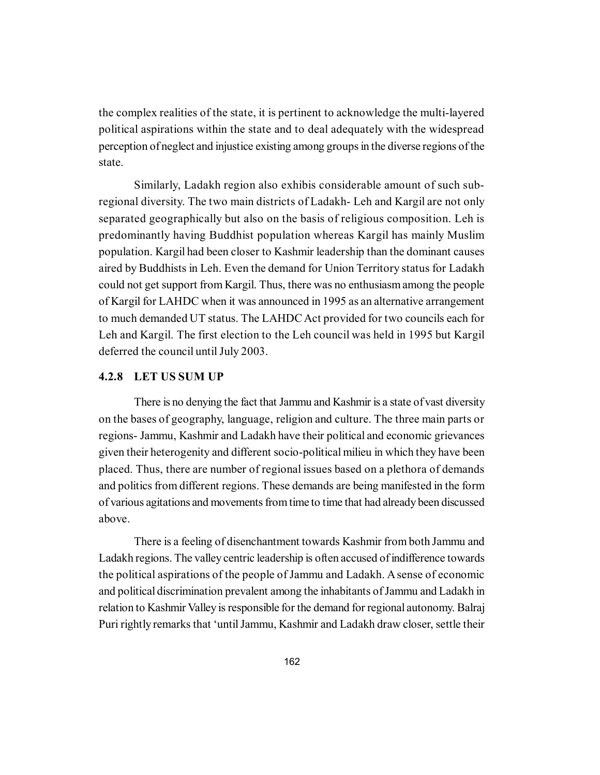the complex realities of the state, it is pertinent to acknowledge the multi-layered political aspirations within the state and to deal adequately with the widespread perception of neglect and injustice existing among groups in the diverse regions of the state.

Similarly, Ladakh region also exhibis considerable amount of such subregional diversity. The two main districts of Ladakh- Leh and Kargil are not only separated geographically but also on the basis of religious composition. Leh is predominantly having Buddhist population whereas Kargil has mainly Muslim population. Kargil had been closer to Kashmir leadership than the dominant causes aired by Buddhists in Leh. Even the demand for Union Territory status for Ladakh could not get support from Kargil. Thus, there was no enthusiasm among the people of Kargil for LAHDC when it was announced in 1995 as an alternative arrangement to much demanded UT status. The LAHDC Act provided for two councils each for Leh and Kargil. The first election to the Leh council was held in 1995 but Kargil deferred the council until July 2003.

### **4.2.8 LET US SUM UP**

There is no denying the fact that Jammu and Kashmir is a state of vast diversity on the bases of geography, language, religion and culture. The three main parts or regions- Jammu, Kashmir and Ladakh have their political and economic grievances given their heterogenity and different socio-political milieu in which they have been placed. Thus, there are number of regional issues based on a plethora of demands and politics from different regions. These demands are being manifested in the form of various agitations and movements from time to time that had already been discussed above.

There is a feeling of disenchantment towards Kashmir from both Jammu and Ladakh regions. The valley centric leadership is often accused of indifference towards the political aspirations of the people of Jammu and Ladakh. A sense of economic and political discrimination prevalent among the inhabitants of Jammu and Ladakh in relation to Kashmir Valley is responsible for the demand for regional autonomy. Balraj Puri rightly remarks that 'until Jammu, Kashmir and Ladakh draw closer, settle their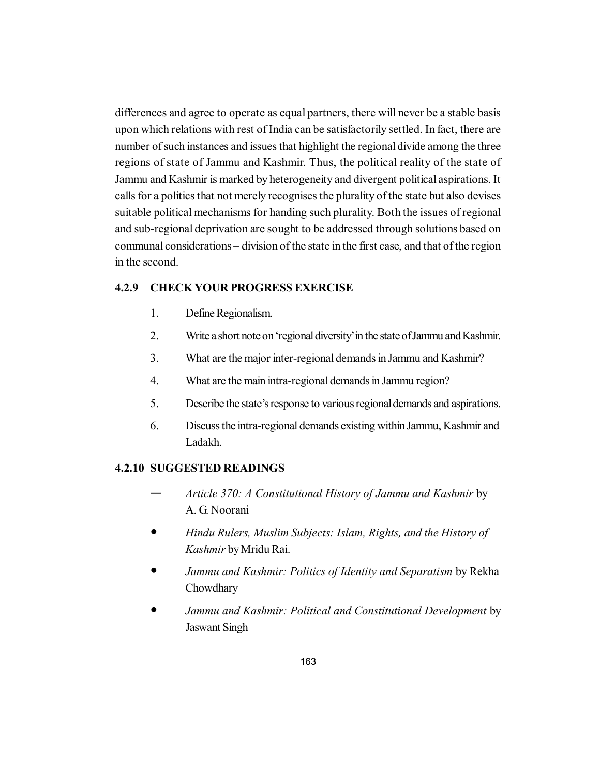differences and agree to operate as equal partners, there will never be a stable basis upon which relations with rest of India can be satisfactorily settled. In fact, there are number of such instances and issues that highlight the regional divide among the three regions of state of Jammu and Kashmir. Thus, the political reality of the state of Jammu and Kashmir is marked by heterogeneity and divergent political aspirations. It calls for a politics that not merely recognises the plurality of the state but also devises suitable political mechanisms for handing such plurality. Both the issues of regional and sub-regional deprivation are sought to be addressed through solutions based on communal considerations – division of the state in the first case, and that of the region in the second.

### **4.2.9 CHECK YOUR PROGRESS EXERCISE**

- 1. Define Regionalism.
- 2. Write a short note on 'regional diversity' in the state of Jammu and Kashmir.
- 3. What are the major inter-regional demands in Jammu and Kashmir?
- 4. What are the main intra-regional demands in Jammu region?
- 5. Describe the state's response to various regional demands and aspirations.
- 6. Discuss the intra-regional demands existing within Jammu, Kashmir and Ladakh.

#### **4.2.10 SUGGESTED READINGS**

- *Article 370: A Constitutional History of Jammu and Kashmir* by A. G. Noorani
- *Hindu Rulers, Muslim Subjects: Islam, Rights, and the History of Kashmir* by Mridu Rai.
- *Jammu and Kashmir: Politics of Identity and Separatism* by Rekha Chowdhary
- *Jammu and Kashmir: Political and Constitutional Development* by Jaswant Singh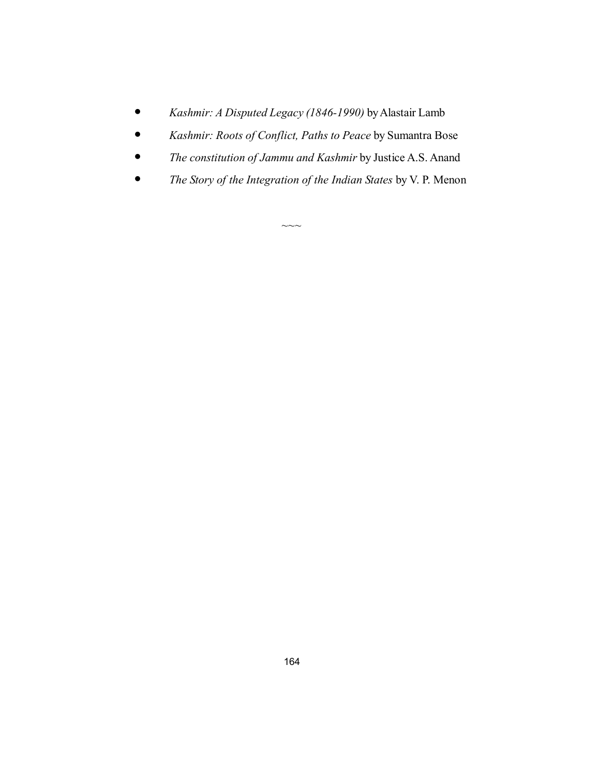- *Kashmir: A Disputed Legacy (1846-1990)* by Alastair Lamb
- *Kashmir: Roots of Conflict, Paths to Peace* by Sumantra Bose
- *The constitution of Jammu and Kashmir* by Justice A.S. Anand
- *The Story of the Integration of the Indian States* by V. P. Menon

 $\sim\sim\sim$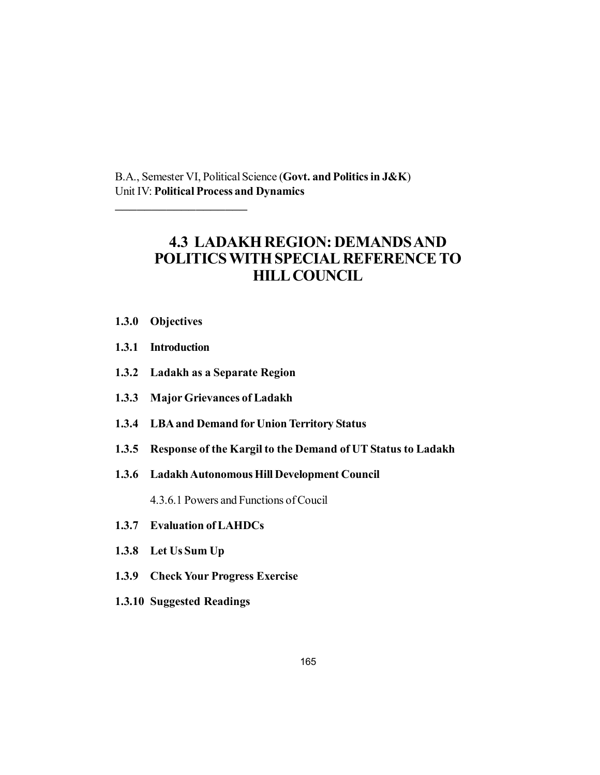B.A., Semester VI, Political Science (**Govt. and Politics in J&K**) Unit IV: **Political Process and Dynamics**

# **4.3 LADAKH REGION: DEMANDS AND POLITICS WITH SPECIAL REFERENCE TO HILL COUNCIL**

**1.3.0 Objectives**

\_\_\_\_\_\_\_\_\_\_\_\_\_\_\_\_\_\_

- **1.3.1 Introduction**
- **1.3.2 Ladakh as a Separate Region**
- **1.3.3 Major Grievances of Ladakh**
- **1.3.4 LBA and Demand for Union Territory Status**
- **1.3.5 Response of the Kargil to the Demand of UT Status to Ladakh**
- **1.3.6 Ladakh Autonomous Hill Development Council**

4.3.6.1 Powers and Functions of Coucil

- **1.3.7 Evaluation of LAHDCs**
- **1.3.8 Let Us Sum Up**
- **1.3.9 Check Your Progress Exercise**
- **1.3.10 Suggested Readings**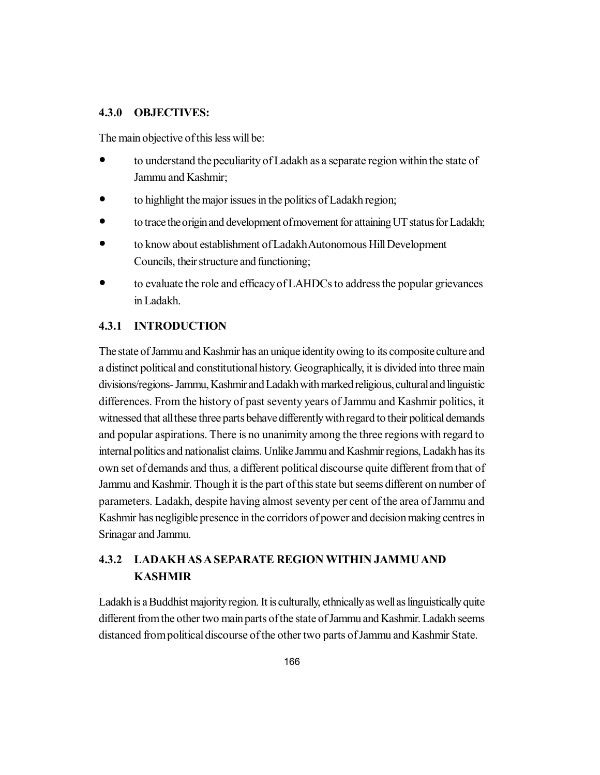#### **4.3.0 OBJECTIVES:**

The main objective of this less will be:

- to understand the peculiarity of Ladakh as a separate region within the state of Jammu and Kashmir;
- to highlight the major issues in the politics of Ladakh region;
- to trace the origin and development of movement for attaining UT status for Ladakh;
- to know about establishment of Ladakh Autonomous Hill Development Councils, their structure and functioning;
- to evaluate the role and efficacy of LAHDCs to address the popular grievances in Ladakh.

# **4.3.1 INTRODUCTION**

The state of Jammu and Kashmir has an unique identity owing to its composite culture and a distinct political and constitutional history. Geographically, it is divided into three main divisions/regions- Jammu, Kashmir and Ladakh with marked religious, cultural and linguistic differences. From the history of past seventy years of Jammu and Kashmir politics, it witnessed that all these three parts behave differently with regard to their political demands and popular aspirations. There is no unanimity among the three regions with regard to internal politics and nationalist claims. Unlike Jammu and Kashmir regions, Ladakh has its own set of demands and thus, a different political discourse quite different from that of Jammu and Kashmir. Though it is the part of this state but seems different on number of parameters. Ladakh, despite having almost seventy per cent of the area of Jammu and Kashmir has negligible presence in the corridors of power and decision making centres in Srinagar and Jammu.

# **4.3.2 LADAKH AS A SEPARATE REGION WITHIN JAMMU AND KASHMIR**

Ladakh is a Buddhist majority region. It is culturally, ethnically as well as linguistically quite different from the other two main parts of the state of Jammu and Kashmir. Ladakh seems distanced from political discourse of the other two parts of Jammu and Kashmir State.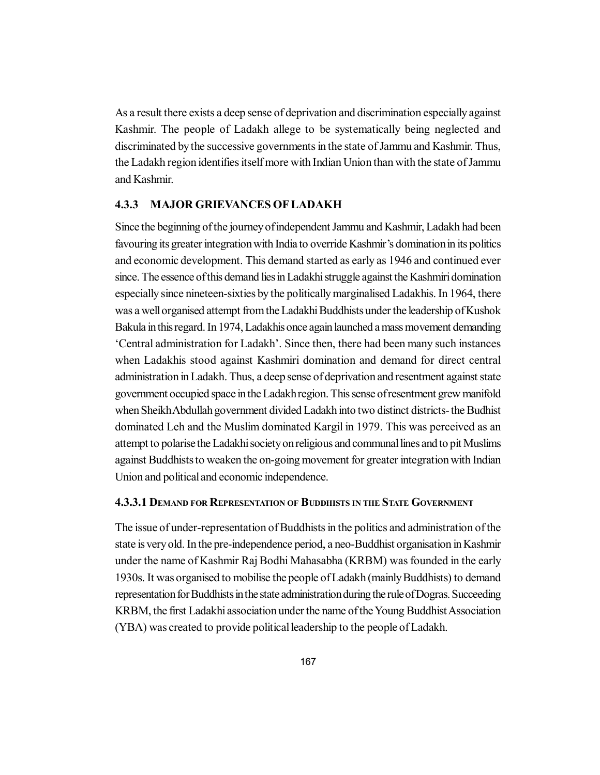As a result there exists a deep sense of deprivation and discrimination especially against Kashmir. The people of Ladakh allege to be systematically being neglected and discriminated by the successive governments in the state of Jammu and Kashmir. Thus, the Ladakh region identifies itself more with Indian Union than with the state of Jammu and Kashmir.

### **4.3.3 MAJOR GRIEVANCES OF LADAKH**

Since the beginning of the journey of independent Jammu and Kashmir, Ladakh had been favouring its greater integration with India to override Kashmir's domination in its politics and economic development. This demand started as early as 1946 and continued ever since. The essence of this demand lies in Ladakhi struggle against the Kashmiri domination especially since nineteen-sixties by the politically marginalised Ladakhis. In 1964, there was a well organised attempt from the Ladakhi Buddhists under the leadership of Kushok Bakula in this regard. In 1974, Ladakhis once again launched a mass movement demanding 'Central administration for Ladakh'. Since then, there had been many such instances when Ladakhis stood against Kashmiri domination and demand for direct central administration in Ladakh. Thus, a deep sense of deprivation and resentment against state government occupied space in the Ladakh region. This sense of resentment grew manifold when Sheikh Abdullah government divided Ladakh into two distinct districts- the Budhist dominated Leh and the Muslim dominated Kargil in 1979. This was perceived as an attempt to polarise the Ladakhi society on religious and communal lines and to pit Muslims against Buddhists to weaken the on-going movement for greater integration with Indian Union and political and economic independence.

#### **4.3.3.1 DEMAND FOR REPRESENTATION OF BUDDHISTS IN THE STATE GOVERNMENT**

The issue of under-representation of Buddhists in the politics and administration of the state is very old. In the pre-independence period, a neo-Buddhist organisation in Kashmir under the name of Kashmir Raj Bodhi Mahasabha (KRBM) was founded in the early 1930s. It was organised to mobilise the people of Ladakh (mainly Buddhists) to demand representation for Buddhists in the state administration during the rule of Dogras. Succeeding KRBM, the first Ladakhi association under the name of the Young Buddhist Association (YBA) was created to provide political leadership to the people of Ladakh.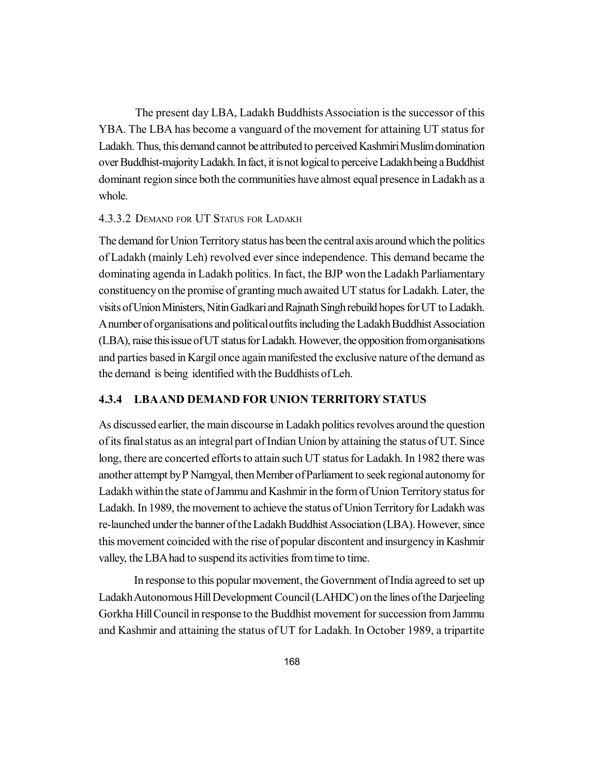The present day LBA, Ladakh Buddhists Association is the successor of this YBA. The LBA has become a vanguard of the movement for attaining UT status for Ladakh. Thus, this demand cannot be attributed to perceived Kashmiri Muslim domination over Buddhist-majority Ladakh. In fact, it is not logical to perceive Ladakh being a Buddhist dominant region since both the communities have almost equal presence in Ladakh as a whole.

#### 4.3.3.2 DEMAND FOR UT STATUS FOR LADAKH

The demand for Union Territory status has been the central axis around which the politics of Ladakh (mainly Leh) revolved ever since independence. This demand became the dominating agenda in Ladakh politics. In fact, the BJP won the Ladakh Parliamentary constituency on the promise of granting much awaited UT status for Ladakh. Later, the visits of Union Ministers, Nitin Gadkari and Rajnath Singh rebuild hopes for UT to Ladakh. A number of organisations and political outfits including the Ladakh Buddhist Association (LBA), raise this issue of UT status for Ladakh. However, the opposition from organisations and parties based in Kargil once again manifested the exclusive nature of the demand as the demand is being identified with the Buddhists of Leh.

### **4.3.4 LBAAND DEMAND FOR UNION TERRITORY STATUS**

As discussed earlier, the main discourse in Ladakh politics revolves around the question of its final status as an integral part of Indian Union by attaining the status of UT. Since long, there are concerted efforts to attain such UT status for Ladakh. In 1982 there was another attempt by P Namgyal, then Member of Parliament to seek regional autonomy for Ladakh within the state of Jammu and Kashmir in the form of Union Territory status for Ladakh. In 1989, the movement to achieve the status of Union Territory for Ladakh was re-launched under the banner of the Ladakh Buddhist Association (LBA). However, since this movement coincided with the rise of popular discontent and insurgency in Kashmir valley, the LBA had to suspend its activities from time to time.

In response to this popular movement, the Government of India agreed to set up Ladakh Autonomous Hill Development Council (LAHDC) on the lines of the Darjeeling Gorkha Hill Council in response to the Buddhist movement for succession from Jammu and Kashmir and attaining the status of UT for Ladakh. In October 1989, a tripartite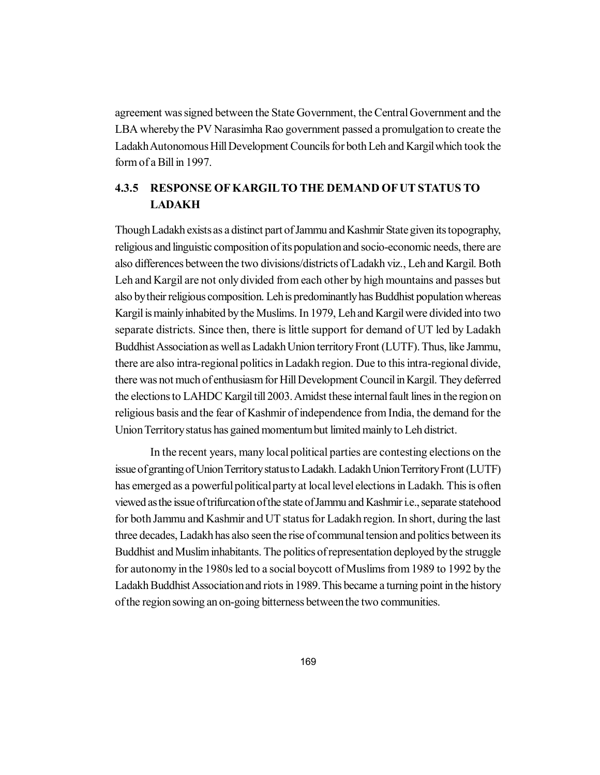agreement was signed between the State Government, the Central Government and the LBA whereby the PV Narasimha Rao government passed a promulgation to create the Ladakh Autonomous Hill Development Councils for both Leh and Kargil which took the form of a Bill in 1997.

# **4.3.5 RESPONSE OF KARGILTO THE DEMAND OF UT STATUS TO LADAKH**

Though Ladakh exists as a distinct part of Jammu and Kashmir State given its topography, religious and linguistic composition of its population and socio-economic needs, there are also differences between the two divisions/districts of Ladakh viz., Leh and Kargil. Both Leh and Kargil are not only divided from each other by high mountains and passes but also by their religious composition. Leh is predominantly has Buddhist population whereas Kargil is mainly inhabited by the Muslims. In 1979, Leh and Kargil were divided into two separate districts. Since then, there is little support for demand of UT led by Ladakh Buddhist Association as well as Ladakh Union territory Front (LUTF). Thus, like Jammu, there are also intra-regional politics in Ladakh region. Due to this intra-regional divide, there was not much of enthusiasm for Hill Development Council in Kargil. They deferred the elections to LAHDC Kargil till 2003. Amidst these internal fault lines in the region on religious basis and the fear of Kashmir of independence from India, the demand for the Union Territory status has gained momentum but limited mainly to Leh district.

In the recent years, many local political parties are contesting elections on the issue of granting of Union Territory status to Ladakh. Ladakh Union Territory Front (LUTF) has emerged as a powerful political party at local level elections in Ladakh. This is often viewed as the issue of trifurcation of the state of Jammu and Kashmir i.e., separate statehood for both Jammu and Kashmir and UT status for Ladakh region. In short, during the last three decades, Ladakh has also seen the rise of communal tension and politics between its Buddhist and Muslim inhabitants. The politics of representation deployed by the struggle for autonomy in the 1980s led to a social boycott of Muslims from 1989 to 1992 by the Ladakh Buddhist Association and riots in 1989. This became a turning point in the history of the region sowing an on-going bitterness between the two communities.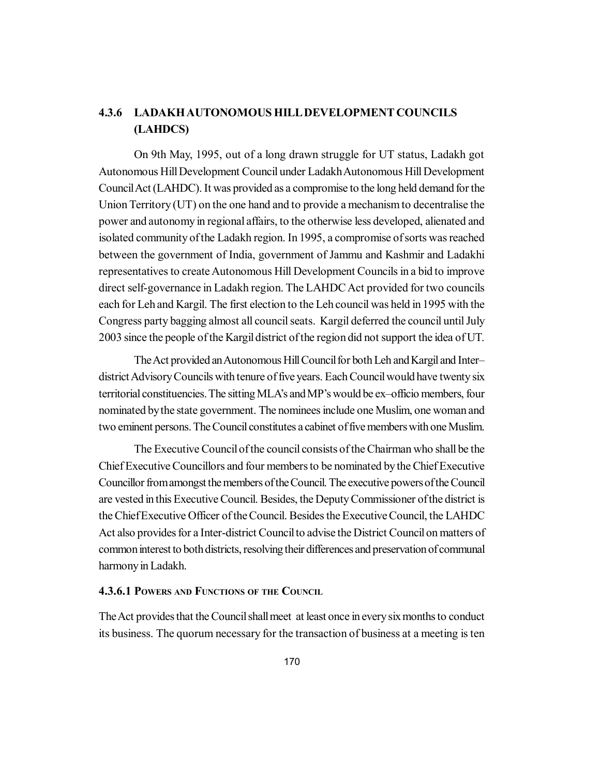# **4.3.6 LADAKH AUTONOMOUS HILL DEVELOPMENT COUNCILS (LAHDCS)**

On 9th May, 1995, out of a long drawn struggle for UT status, Ladakh got Autonomous Hill Development Council under Ladakh Autonomous Hill Development Council Act (LAHDC). It was provided as a compromise to the long held demand for the Union Territory (UT) on the one hand and to provide a mechanism to decentralise the power and autonomy in regional affairs, to the otherwise less developed, alienated and isolated community of the Ladakh region. In 1995, a compromise of sorts was reached between the government of India, government of Jammu and Kashmir and Ladakhi representatives to create Autonomous Hill Development Councils in a bid to improve direct self-governance in Ladakh region. The LAHDC Act provided for two councils each for Leh and Kargil. The first election to the Leh council was held in 1995 with the Congress party bagging almost all council seats. Kargil deferred the council until July 2003 since the people of the Kargil district of the region did not support the idea of UT.

The Act provided an Autonomous Hill Council for both Leh and Kargil and Inter– district Advisory Councils with tenure of five years. Each Council would have twenty six territorial constituencies. The sitting MLA's and MP's would be ex–officio members, four nominated by the state government. The nominees include one Muslim, one woman and two eminent persons. The Council constitutes a cabinet of five members with one Muslim.

The Executive Council of the council consists of the Chairman who shall be the Chief Executive Councillors and four members to be nominated by the Chief Executive Councillor from amongst the members of the Council. The executive powers of the Council are vested in this Executive Council. Besides, the Deputy Commissioner of the district is the Chief Executive Officer of the Council. Besides the Executive Council, the LAHDC Act also provides for a Inter-district Council to advise the District Council on matters of common interest to both districts, resolving their differences and preservation of communal harmony in Ladakh.

#### **4.3.6.1 POWERS AND FUNCTIONS OF THE COUNCIL**

The Act provides that the Council shall meet at least once in every six months to conduct its business. The quorum necessary for the transaction of business at a meeting is ten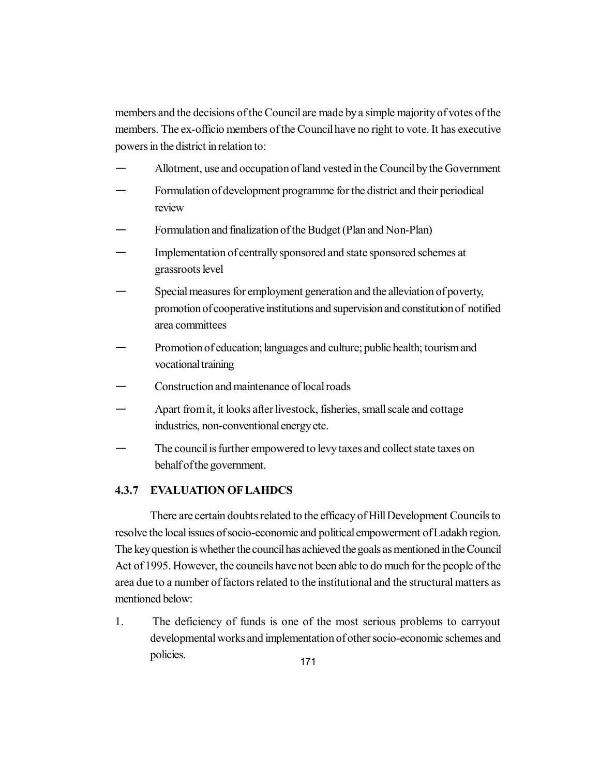members and the decisions of the Council are made by a simple majority of votes of the members. The ex-officio members of the Council have no right to vote. It has executive powers in the district in relation to:

- Allotment, use and occupation of land vested in the Council by the Government
- Formulation of development programme for the district and their periodical review
- Formulation and finalization of the Budget (Plan and Non-Plan)
- Implementation of centrally sponsored and state sponsored schemes at grassroots level
- Special measures for employment generation and the alleviation of poverty, promotion of cooperative institutions and supervision and constitution of notified area committees
- Promotion of education; languages and culture; public health; tourism and vocational training
- Construction and maintenance of local roads
- Apart from it, it looks after livestock, fisheries, small scale and cottage industries, non-conventional energy etc.
- The council is further empowered to levy taxes and collect state taxes on behalf of the government.

# **4.3.7 EVALUATION OF LAHDCS**

There are certain doubts related to the efficacy of Hill Development Councils to resolve the local issues of socio-economic and political empowerment of Ladakh region. The key question is whether the council has achieved the goals as mentioned in the Council Act of 1995. However, the councils have not been able to do much for the people of the area due to a number of factors related to the institutional and the structural matters as mentioned below:

1. The deficiency of funds is one of the most serious problems to carryout developmental works and implementation of other socio-economic schemes and policies.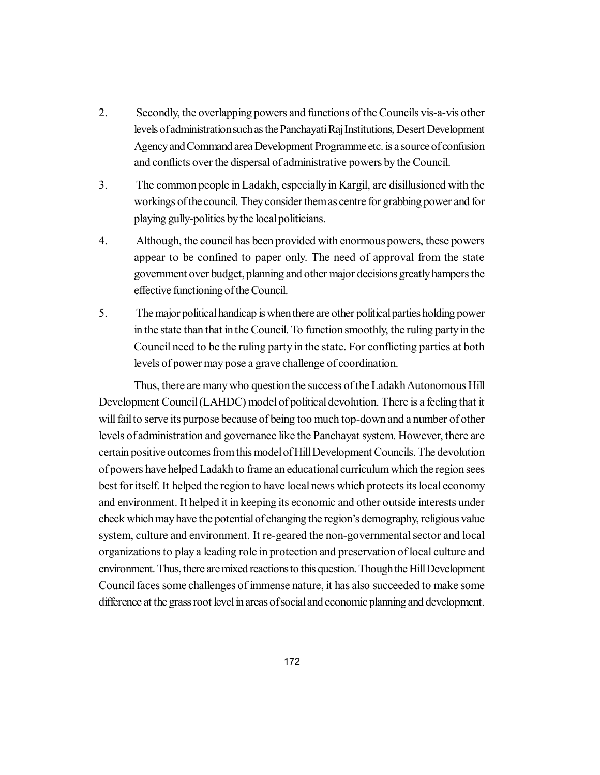- 2. Secondly, the overlapping powers and functions of the Councils vis-a-vis other levels of administration such as the Panchayati Raj Institutions, Desert Development Agency and Command area Development Programme etc. is a source of confusion and conflicts over the dispersal of administrative powers by the Council.
- 3. The common people in Ladakh, especially in Kargil, are disillusioned with the workings of the council. They consider them as centre for grabbing power and for playing gully-politics by the local politicians.
- 4. Although, the council has been provided with enormous powers, these powers appear to be confined to paper only. The need of approval from the state government over budget, planning and other major decisions greatly hampers the effective functioning of the Council.
- 5. The major political handicap is when there are other political parties holding power in the state than that in the Council. To function smoothly, the ruling party in the Council need to be the ruling party in the state. For conflicting parties at both levels of power may pose a grave challenge of coordination.

Thus, there are many who question the success of the Ladakh Autonomous Hill Development Council (LAHDC) model of political devolution. There is a feeling that it will fail to serve its purpose because of being too much top-down and a number of other levels of administration and governance like the Panchayat system. However, there are certain positive outcomes from this model of Hill Development Councils. The devolution of powers have helped Ladakh to frame an educational curriculum which the region sees best for itself. It helped the region to have local news which protects its local economy and environment. It helped it in keeping its economic and other outside interests under check which may have the potential of changing the region's demography, religious value system, culture and environment. It re-geared the non-governmental sector and local organizations to play a leading role in protection and preservation of local culture and environment. Thus, there are mixed reactions to this question. Though the Hill Development Council faces some challenges of immense nature, it has also succeeded to make some difference at the grass root level in areas of social and economic planning and development.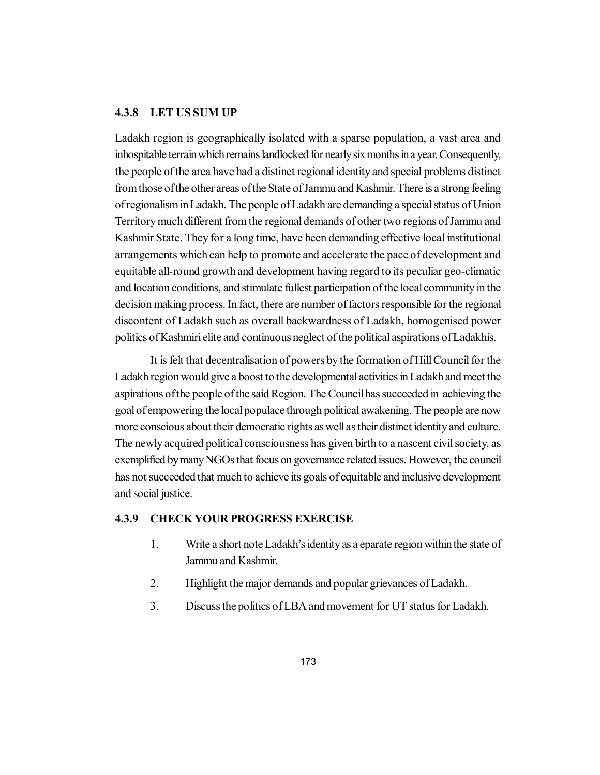#### **4.3.8 LET US SUM UP**

Ladakh region is geographically isolated with a sparse population, a vast area and inhospitable terrain which remains landlocked for nearly six months in a year. Consequently, the people of the area have had a distinct regional identity and special problems distinct from those of the other areas of the State of Jammu and Kashmir. There is a strong feeling of regionalism in Ladakh. The people of Ladakh are demanding a special status of Union Territory much different from the regional demands of other two regions of Jammu and Kashmir State. They for a long time, have been demanding effective local institutional arrangements which can help to promote and accelerate the pace of development and equitable all-round growth and development having regard to its peculiar geo-climatic and location conditions, and stimulate fullest participation of the local community in the decision making process. In fact, there are number of factors responsible for the regional discontent of Ladakh such as overall backwardness of Ladakh, homogenised power politics of Kashmiri elite and continuous neglect of the political aspirations of Ladakhis.

It is felt that decentralisation of powers by the formation of Hill Council for the Ladakh region would give a boost to the developmental activities in Ladakh and meet the aspirations of the people of the said Region. The Council has succeeded in achieving the goal of empowering the local populace through political awakening. The people are now more conscious about their democratic rights as well as their distinct identity and culture. The newly acquired political consciousness has given birth to a nascent civil society, as exemplified by many NGOs that focus on governance related issues. However, the council has not succeeded that much to achieve its goals of equitable and inclusive development and social justice.

#### **4.3.9 CHECK YOUR PROGRESS EXERCISE**

- 1. Write a short note Ladakh's identity as a eparate region within the state of Jammu and Kashmir.
- 2. Highlight the major demands and popular grievances of Ladakh.
- 3. Discuss the politics of LBA and movement for UT status for Ladakh.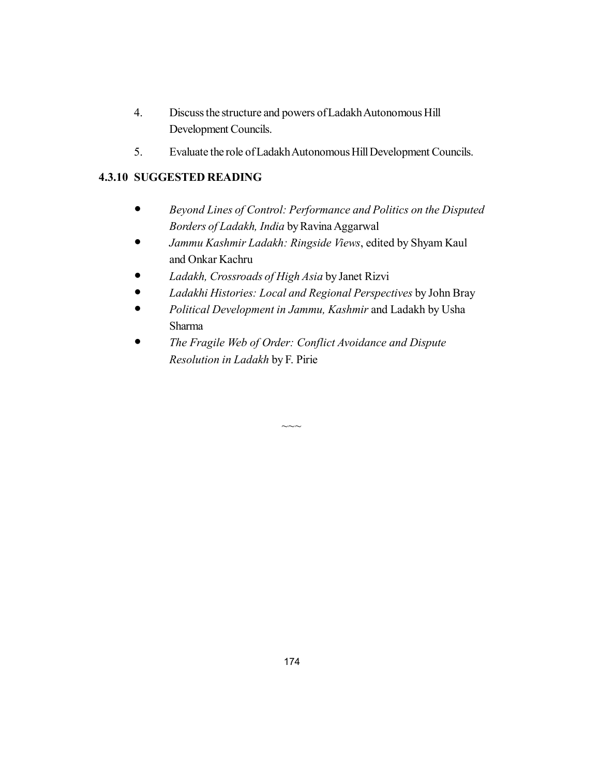- 4. Discuss the structure and powers of Ladakh Autonomous Hill Development Councils.
- 5. Evaluate the role of Ladakh Autonomous Hill Development Councils.

# **4.3.10 SUGGESTED READING**

- *Beyond Lines of Control: Performance and Politics on the Disputed Borders of Ladakh, India* by Ravina Aggarwal
- *Jammu Kashmir Ladakh: Ringside Views*, edited by Shyam Kaul and Onkar Kachru
- *Ladakh, Crossroads of High Asia* by Janet Rizvi
- *Ladakhi Histories: Local and Regional Perspectives* by John Bray
- *Political Development in Jammu, Kashmir* and Ladakh by Usha Sharma
- *The Fragile Web of Order: Conflict Avoidance and Dispute Resolution in Ladakh* by F. Pirie

 $\sim\sim$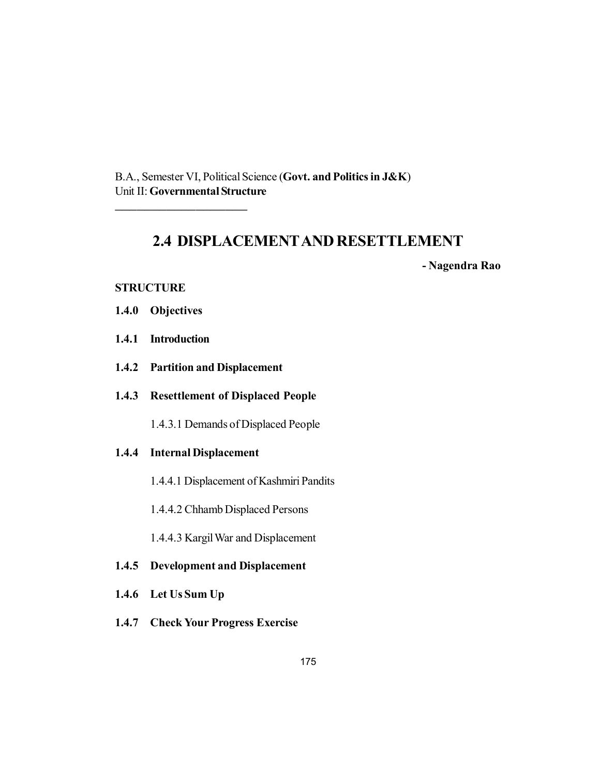B.A., Semester VI, Political Science (**Govt. and Politics in J&K**) Unit II: **Governmental Structure**

# **2.4 DISPLACEMENTAND RESETTLEMENT**

**- Nagendra Rao**

### **STRUCTURE**

**1.4.0 Objectives**

\_\_\_\_\_\_\_\_\_\_\_\_\_\_\_\_\_\_

- **1.4.1 Introduction**
- **1.4.2 Partition and Displacement**
- **1.4.3 Resettlement of Displaced People**

1.4.3.1 Demands of Displaced People

#### **1.4.4 Internal Displacement**

- 1.4.4.1 Displacement of Kashmiri Pandits
- 1.4.4.2 Chhamb Displaced Persons
- 1.4.4.3 Kargil War and Displacement
- **1.4.5 Development and Displacement**
- **1.4.6 Let Us Sum Up**
- **1.4.7 Check Your Progress Exercise**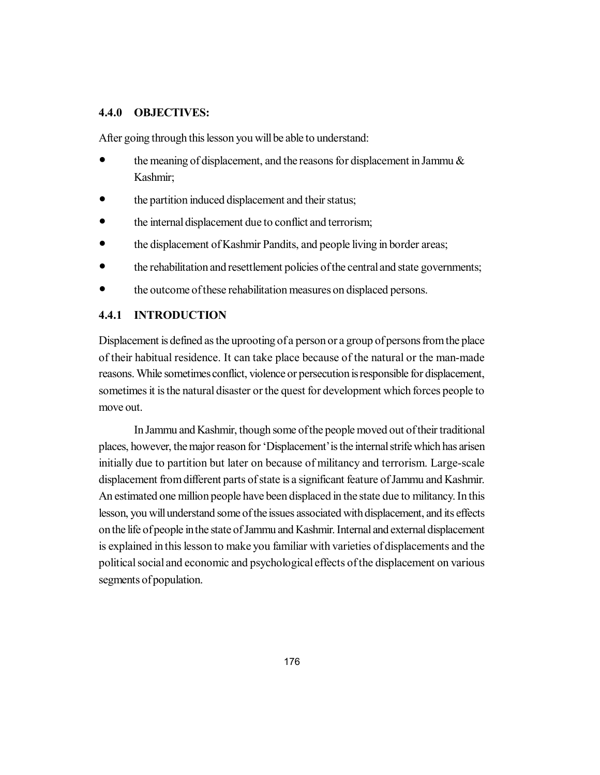### **4.4.0 OBJECTIVES:**

After going through this lesson you will be able to understand:

- the meaning of displacement, and the reasons for displacement in Jammu & Kashmir;
- the partition induced displacement and their status;
- the internal displacement due to conflict and terrorism;
- the displacement of Kashmir Pandits, and people living in border areas;
- the rehabilitation and resettlement policies of the central and state governments;
- the outcome of these rehabilitation measures on displaced persons.

# **4.4.1 INTRODUCTION**

Displacement is defined as the uprooting of a person or a group of persons from the place of their habitual residence. It can take place because of the natural or the man-made reasons. While sometimes conflict, violence or persecution is responsible for displacement, sometimes it is the natural disaster or the quest for development which forces people to move out.

In Jammu and Kashmir, though some of the people moved out of their traditional places, however, the major reason for 'Displacement' is the internal strife which has arisen initially due to partition but later on because of militancy and terrorism. Large-scale displacement from different parts of state is a significant feature of Jammu and Kashmir. An estimated one million people have been displaced in the state due to militancy. In this lesson, you will understand some of the issues associated with displacement, and its effects on the life of people in the state of Jammu and Kashmir. Internal and external displacement is explained in this lesson to make you familiar with varieties of displacements and the political social and economic and psychological effects of the displacement on various segments of population.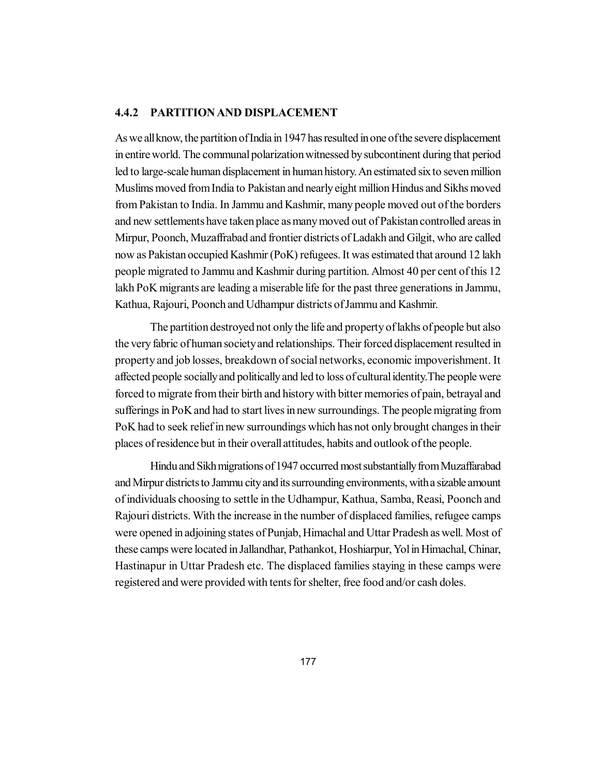# **4.4.2 PARTITION AND DISPLACEMENT**

As we all know, the partition of India in 1947 has resulted in one of the severe displacement in entire world. The communal polarization witnessed by subcontinent during that period led to large-scale human displacement in human history. An estimated six to seven million Muslims moved from India to Pakistan and nearly eight million Hindus and Sikhs moved from Pakistan to India. In Jammu and Kashmir, many people moved out of the borders and new settlements have taken place as many moved out of Pakistan controlled areas in Mirpur, Poonch, Muzaffrabad and frontier districts of Ladakh and Gilgit, who are called now as Pakistan occupied Kashmir (PoK) refugees. It was estimated that around 12 lakh people migrated to Jammu and Kashmir during partition. Almost 40 per cent of this 12 lakh PoK migrants are leading a miserable life for the past three generations in Jammu, Kathua, Rajouri, Poonch and Udhampur districts of Jammu and Kashmir.

The partition destroyed not only the life and property of lakhs of people but also the very fabric of human society and relationships. Their forced displacement resulted in property and job losses, breakdown of social networks, economic impoverishment. It affected people socially and politically and led to loss of cultural identity.The people were forced to migrate from their birth and history with bitter memories of pain, betrayal and sufferings in PoK and had to start lives in new surroundings. The people migrating from PoK had to seek relief in new surroundings which has not only brought changes in their places of residence but in their overall attitudes, habits and outlook of the people.

Hindu and Sikh migrations of 1947 occurred most substantially from Muzaffarabad and Mirpur districts to Jammu city and its surrounding environments, with a sizable amount of individuals choosing to settle in the Udhampur, Kathua, Samba, Reasi, Poonch and Rajouri districts. With the increase in the number of displaced families, refugee camps were opened in adjoining states of Punjab, Himachal and Uttar Pradesh as well. Most of these camps were located in Jallandhar, Pathankot, Hoshiarpur, Yol in Himachal, Chinar, Hastinapur in Uttar Pradesh etc. The displaced families staying in these camps were registered and were provided with tents for shelter, free food and/or cash doles.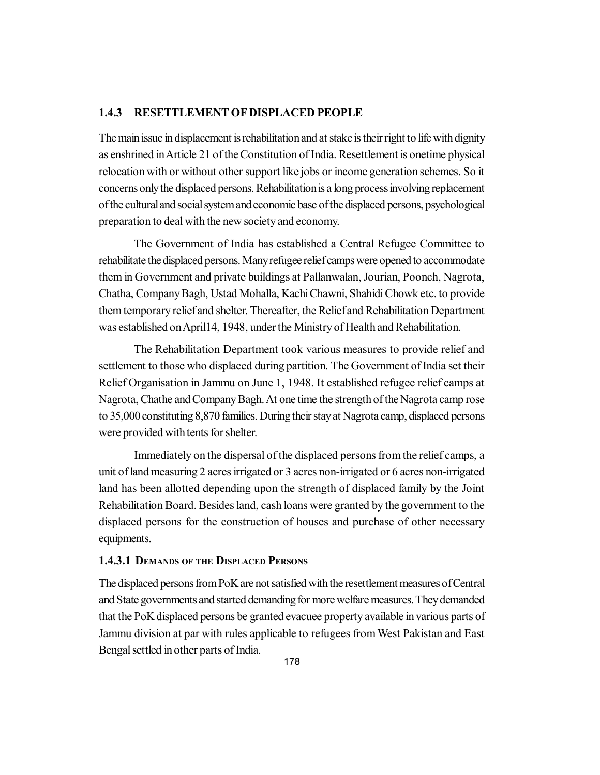#### **1.4.3 RESETTLEMENT OF DISPLACED PEOPLE**

The main issue in displacement is rehabilitation and at stake is their right to life with dignity as enshrined in Article 21 of the Constitution of India. Resettlement is onetime physical relocation with or without other support like jobs or income generation schemes. So it concerns only the displaced persons. Rehabilitation is a long process involving replacement of the cultural and social system and economic base of the displaced persons, psychological preparation to deal with the new society and economy.

The Government of India has established a Central Refugee Committee to rehabilitate the displaced persons. Many refugee relief camps were opened to accommodate them in Government and private buildings at Pallanwalan, Jourian, Poonch, Nagrota, Chatha, Company Bagh, Ustad Mohalla, Kachi Chawni, Shahidi Chowk etc. to provide them temporary relief and shelter. Thereafter, the Relief and Rehabilitation Department was established on April14, 1948, under the Ministry of Health and Rehabilitation.

The Rehabilitation Department took various measures to provide relief and settlement to those who displaced during partition. The Government of India set their Relief Organisation in Jammu on June 1, 1948. It established refugee relief camps at Nagrota, Chathe and Company Bagh. At one time the strength of the Nagrota camp rose to 35,000 constituting 8,870 families. During their stay at Nagrota camp, displaced persons were provided with tents for shelter.

Immediately on the dispersal of the displaced persons from the relief camps, a unit of land measuring 2 acres irrigated or 3 acres non-irrigated or 6 acres non-irrigated land has been allotted depending upon the strength of displaced family by the Joint Rehabilitation Board. Besides land, cash loans were granted by the government to the displaced persons for the construction of houses and purchase of other necessary equipments.

#### **1.4.3.1 DEMANDS OF THE DISPLACED PERSONS**

The displaced persons from PoK are not satisfied with the resettlement measures of Central and State governments and started demanding for more welfare measures. They demanded that the PoK displaced persons be granted evacuee property available in various parts of Jammu division at par with rules applicable to refugees from West Pakistan and East Bengal settled in other parts of India.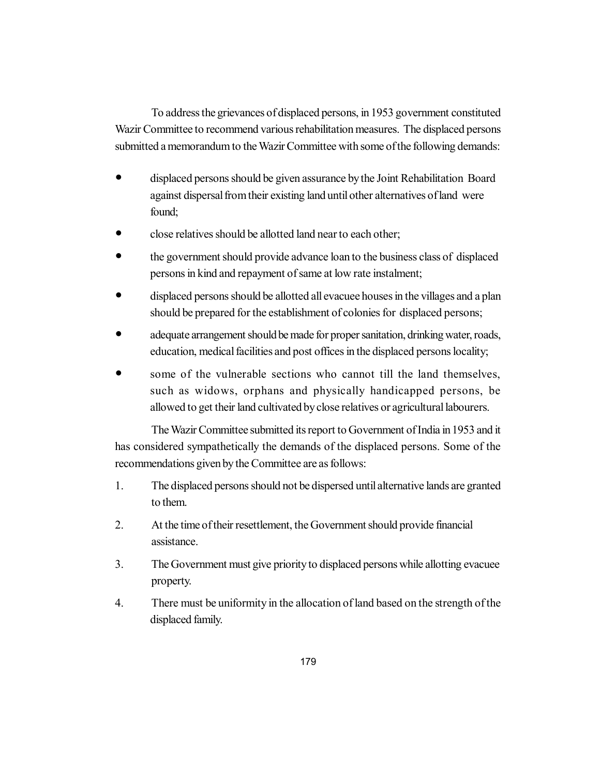To address the grievances of displaced persons, in 1953 government constituted Wazir Committee to recommend various rehabilitation measures. The displaced persons submitted a memorandum to the Wazir Committee with some of the following demands:

- displaced persons should be given assurance by the Joint Rehabilitation Board against dispersal from their existing land until other alternatives of land were found;
- close relatives should be allotted land near to each other;
- the government should provide advance loan to the business class of displaced persons in kind and repayment of same at low rate instalment;
- displaced persons should be allotted all evacuee houses in the villages and a plan should be prepared for the establishment of colonies for displaced persons;
- adequate arrangement should be made for proper sanitation, drinking water, roads, education, medical facilities and post offices in the displaced persons locality;
- some of the vulnerable sections who cannot till the land themselves, such as widows, orphans and physically handicapped persons, be allowed to get their land cultivated by close relatives or agricultural labourers.

The Wazir Committee submitted its report to Government of India in 1953 and it has considered sympathetically the demands of the displaced persons. Some of the recommendations given by the Committee are as follows:

- 1. The displaced persons should not be dispersed until alternative lands are granted to them.
- 2. At the time of their resettlement, the Government should provide financial assistance.
- 3. The Government must give priority to displaced persons while allotting evacuee property.
- 4. There must be uniformity in the allocation of land based on the strength of the displaced family.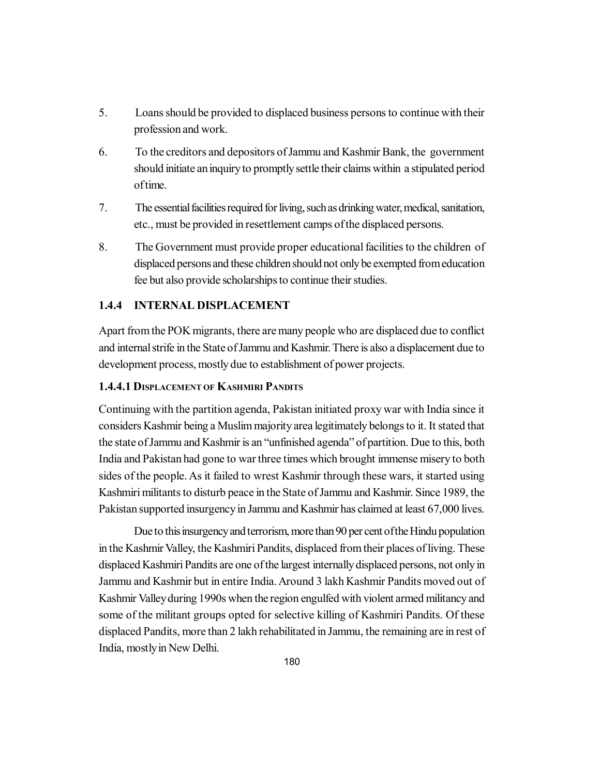- 5. Loans should be provided to displaced business persons to continue with their profession and work.
- 6. To the creditors and depositors of Jammu and Kashmir Bank, the government should initiate an inquiry to promptly settle their claims within a stipulated period of time.
- 7. The essential facilities required for living, such as drinking water, medical, sanitation, etc., must be provided in resettlement camps of the displaced persons.
- 8. The Government must provide proper educational facilities to the children of displaced persons and these children should not only be exempted from education fee but also provide scholarships to continue their studies.

## **1.4.4 INTERNAL DISPLACEMENT**

Apart from the POK migrants, there are many people who are displaced due to conflict and internal strife in the State of Jammu and Kashmir. There is also a displacement due to development process, mostly due to establishment of power projects.

### **1.4.4.1 DISPLACEMENT OF KASHMIRI PANDITS**

Continuing with the partition agenda, Pakistan initiated proxy war with India since it considers Kashmir being a Muslim majority area legitimately belongs to it. It stated that the state of Jammu and Kashmir is an "unfinished agenda" of partition. Due to this, both India and Pakistan had gone to war three times which brought immense misery to both sides of the people. As it failed to wrest Kashmir through these wars, it started using Kashmiri militants to disturb peace in the State of Jammu and Kashmir. Since 1989, the Pakistan supported insurgency in Jammu and Kashmir has claimed at least 67,000 lives.

Due to this insurgency and terrorism, more than 90 per cent of the Hindu population in the Kashmir Valley, the Kashmiri Pandits, displaced from their places of living. These displaced Kashmiri Pandits are one of the largest internally displaced persons, not only in Jammu and Kashmir but in entire India. Around 3 lakh Kashmir Pandits moved out of Kashmir Valley during 1990s when the region engulfed with violent armed militancy and some of the militant groups opted for selective killing of Kashmiri Pandits. Of these displaced Pandits, more than 2 lakh rehabilitated in Jammu, the remaining are in rest of India, mostly in New Delhi.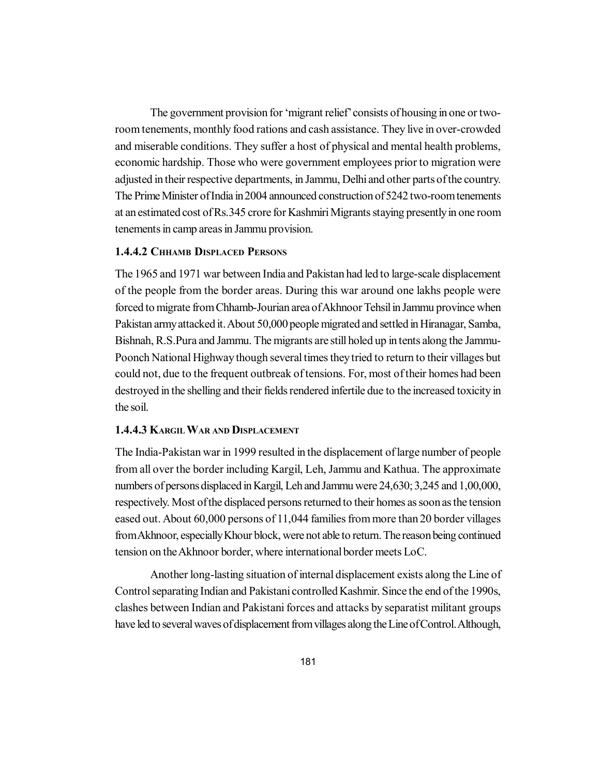The government provision for 'migrant relief' consists of housing in one or tworoom tenements, monthly food rations and cash assistance. They live in over-crowded and miserable conditions. They suffer a host of physical and mental health problems, economic hardship. Those who were government employees prior to migration were adjusted in their respective departments, in Jammu, Delhi and other parts of the country. The Prime Minister of India in 2004 announced construction of 5242 two-room tenements at an estimated cost of Rs.345 crore for Kashmiri Migrants staying presently in one room tenements in camp areas in Jammu provision.

# **1.4.4.2 CHHAMB DISPLACED PERSONS**

The 1965 and 1971 war between India and Pakistan had led to large-scale displacement of the people from the border areas. During this war around one lakhs people were forced to migrate from Chhamb-Jourian area of Akhnoor Tehsil in Jammu province when Pakistan army attacked it. About 50,000 people migrated and settled in Hiranagar, Samba, Bishnah, R.S.Pura and Jammu. The migrants are still holed up in tents along the Jammu-Poonch National Highway though several times they tried to return to their villages but could not, due to the frequent outbreak of tensions. For, most of their homes had been destroyed in the shelling and their fields rendered infertile due to the increased toxicity in the soil.

### **1.4.4.3 KARGILWAR AND DISPLACEMENT**

The India-Pakistan war in 1999 resulted in the displacement of large number of people from all over the border including Kargil, Leh, Jammu and Kathua. The approximate numbers of persons displaced in Kargil, Leh and Jammu were 24,630; 3,245 and 1,00,000, respectively. Most of the displaced persons returned to their homes as soon as the tension eased out. About 60,000 persons of 11,044 families from more than 20 border villages from Akhnoor, especially Khour block, were not able to return. The reason being continued tension on the Akhnoor border, where international border meets LoC.

Another long-lasting situation of internal displacement exists along the Line of Control separating Indian and Pakistani controlled Kashmir. Since the end of the 1990s, clashes between Indian and Pakistani forces and attacks by separatist militant groups have led to several waves of displacement from villages along the Line of Control. Although,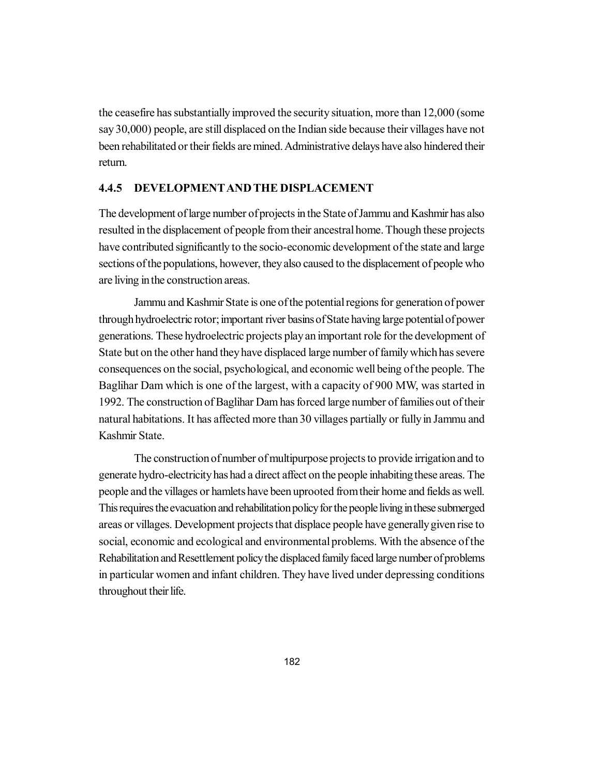the ceasefire has substantially improved the security situation, more than 12,000 (some say 30,000) people, are still displaced on the Indian side because their villages have not been rehabilitated or their fields are mined. Administrative delays have also hindered their return.

### **4.4.5 DEVELOPMENTAND THE DISPLACEMENT**

The development of large number of projects in the State of Jammu and Kashmir has also resulted in the displacement of people from their ancestral home. Though these projects have contributed significantly to the socio-economic development of the state and large sections of the populations, however, they also caused to the displacement of people who are living in the construction areas.

Jammu and Kashmir State is one of the potential regions for generation of power through hydroelectric rotor; important river basins of State having large potential of power generations. These hydroelectric projects play an important role for the development of State but on the other hand they have displaced large number of family which has severe consequences on the social, psychological, and economic well being of the people. The Baglihar Dam which is one of the largest, with a capacity of 900 MW, was started in 1992. The construction of Baglihar Dam has forced large number of families out of their natural habitations. It has affected more than 30 villages partially or fully in Jammu and Kashmir State.

The construction of number of multipurpose projects to provide irrigation and to generate hydro-electricity has had a direct affect on the people inhabiting these areas. The people and the villages or hamlets have been uprooted from their home and fields as well. This requires the evacuation and rehabilitation policy for the people living in these submerged areas or villages. Development projects that displace people have generally given rise to social, economic and ecological and environmental problems. With the absence of the Rehabilitation and Resettlement policy the displaced family faced large number of problems in particular women and infant children. They have lived under depressing conditions throughout their life.